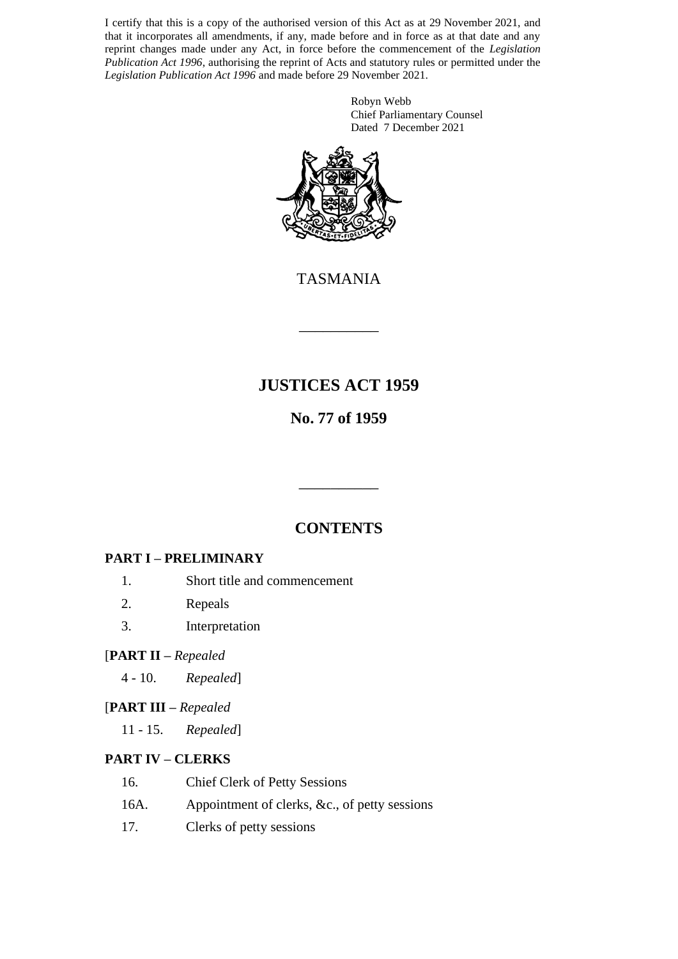I certify that this is a copy of the authorised version of this Act as at 29 November 2021, and that it incorporates all amendments, if any, made before and in force as at that date and any reprint changes made under any Act, in force before the commencement of the *Legislation Publication Act 1996*, authorising the reprint of Acts and statutory rules or permitted under the *Legislation Publication Act 1996* and made before 29 November 2021.

> Robyn Webb Chief Parliamentary Counsel Dated 7 December 2021



TASMANIA

\_\_\_\_\_\_\_\_\_\_

# **JUSTICES ACT 1959**

# **No. 77 of 1959**

# **CONTENTS**

\_\_\_\_\_\_\_\_\_\_

# **PART I – PRELIMINARY**

- 1. Short title and commencement
- 2. Repeals
- 3. Interpretation

### [**PART II –** *Repealed*

4 - 10. *Repealed*]

# [**PART III –** *Repealed*

11 - 15. *Repealed*]

# **PART IV – CLERKS**

- 16. Chief Clerk of Petty Sessions
- 16A. Appointment of clerks, &c., of petty sessions
- 17. Clerks of petty sessions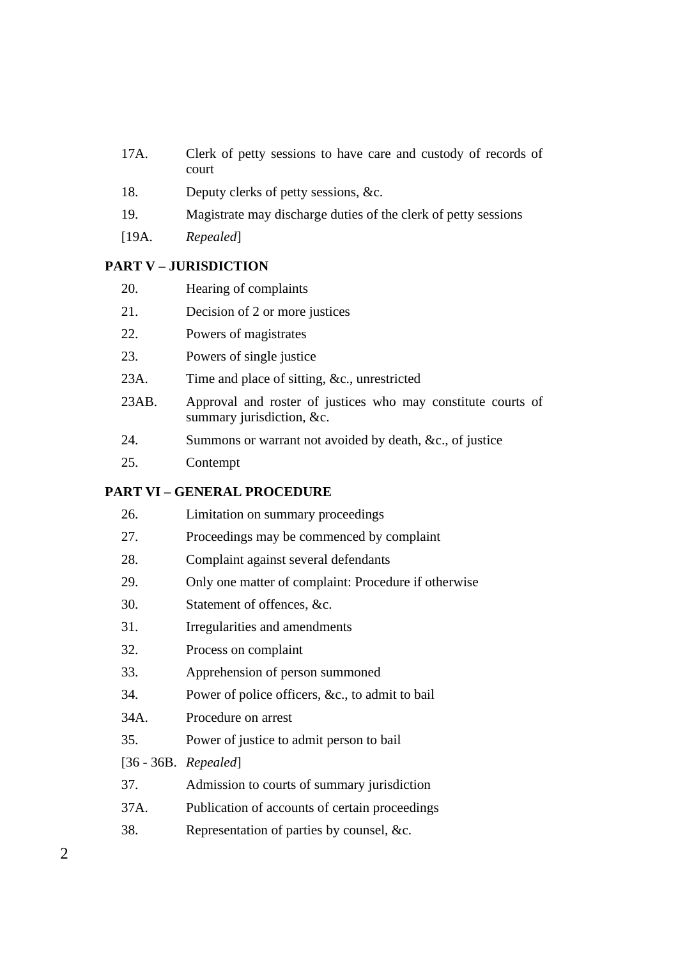- 17A. Clerk of petty sessions to have care and custody of records of court
- 18. Deputy clerks of petty sessions, &c.
- 19. Magistrate may discharge duties of the clerk of petty sessions
- [19A. *Repealed*]

### **PART V – JURISDICTION**

- 20. Hearing of complaints
- 21. Decision of 2 or more justices
- 22. Powers of magistrates
- 23. Powers of single justice
- 23A. Time and place of sitting, &c., unrestricted
- 23AB. Approval and roster of justices who may constitute courts of summary jurisdiction, &c.
- 24. Summons or warrant not avoided by death, &c., of justice
- 25. Contempt

# **PART VI – GENERAL PROCEDURE**

| 26.  | Limitation on summary proceedings                    |
|------|------------------------------------------------------|
| 27.  | Proceedings may be commenced by complaint            |
| 28.  | Complaint against several defendants                 |
| 29.  | Only one matter of complaint: Procedure if otherwise |
| 30.  | Statement of offences, &c.                           |
| 31.  | Irregularities and amendments                        |
| 32.  | Process on complaint                                 |
| 33.  | Apprehension of person summoned                      |
| 34.  | Power of police officers, &c., to admit to bail      |
| 34A. | Procedure on arrest                                  |
| 35.  | Power of justice to admit person to bail             |
|      | $[36 - 36B. Repeated]$                               |
| 37.  | Admission to courts of summary jurisdiction          |
| 37A. | Publication of accounts of certain proceedings       |
| 38.  | Representation of parties by counsel, &c.            |
|      |                                                      |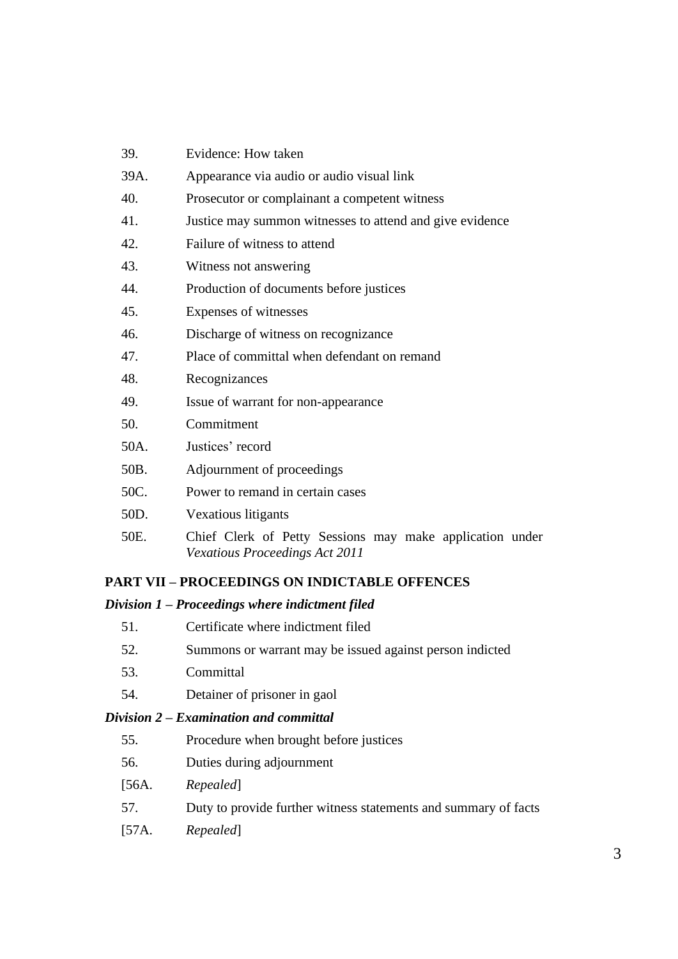| 39.  | Evidence: How taken                                                                               |
|------|---------------------------------------------------------------------------------------------------|
| 39A. | Appearance via audio or audio visual link                                                         |
| 40.  | Prosecutor or complainant a competent witness                                                     |
| 41.  | Justice may summon witnesses to attend and give evidence                                          |
| 42.  | Failure of witness to attend                                                                      |
| 43.  | Witness not answering                                                                             |
| 44.  | Production of documents before justices                                                           |
| 45.  | Expenses of witnesses                                                                             |
| 46.  | Discharge of witness on recognizance                                                              |
| 47.  | Place of committal when defendant on remand                                                       |
| 48.  | Recognizances                                                                                     |
| 49.  | Issue of warrant for non-appearance                                                               |
| 50.  | Commitment                                                                                        |
| 50A. | Justices' record                                                                                  |
| 50B. | Adjournment of proceedings                                                                        |
| 50C. | Power to remand in certain cases                                                                  |
| 50D. | Vexatious litigants                                                                               |
| 50E. | Chief Clerk of Petty Sessions may make application under<br><b>Vexatious Proceedings Act 2011</b> |

# **PART VII – PROCEEDINGS ON INDICTABLE OFFENCES**

#### *Division 1 – Proceedings where indictment filed*

- 51. Certificate where indictment filed
- 52. Summons or warrant may be issued against person indicted
- 53. Committal
- 54. Detainer of prisoner in gaol

## *Division 2 – Examination and committal*

- 55. Procedure when brought before justices
- 56. Duties during adjournment
- [56A. *Repealed*]
- 57. Duty to provide further witness statements and summary of facts
- [57A. *Repealed*]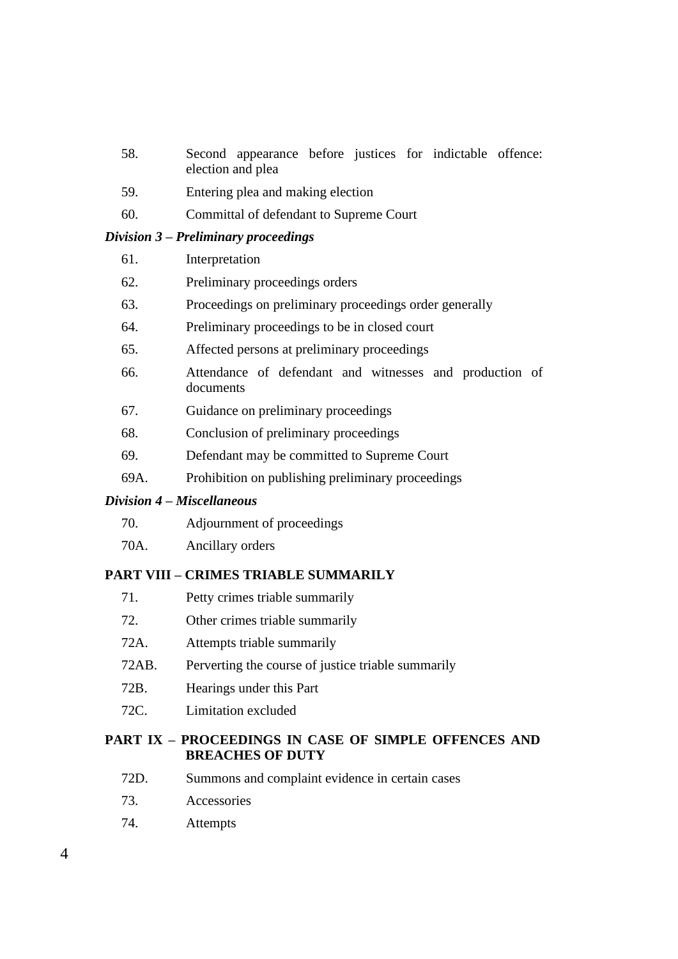- 58. Second appearance before justices for indictable offence: election and plea
- 59. Entering plea and making election
- 60. Committal of defendant to Supreme Court

#### *Division 3 – Preliminary proceedings*

| 61. | Interpretation |
|-----|----------------|
|-----|----------------|

- 62. Preliminary proceedings orders
- 63. Proceedings on preliminary proceedings order generally
- 64. Preliminary proceedings to be in closed court
- 65. Affected persons at preliminary proceedings
- 66. Attendance of defendant and witnesses and production of documents
- 67. Guidance on preliminary proceedings
- 68. Conclusion of preliminary proceedings
- 69. Defendant may be committed to Supreme Court
- 69A. Prohibition on publishing preliminary proceedings

#### *Division 4 – Miscellaneous*

| 70. | Adjournment of proceedings |  |
|-----|----------------------------|--|
|     |                            |  |

70A. Ancillary orders

#### **PART VIII – CRIMES TRIABLE SUMMARILY**

- 71. Petty crimes triable summarily
- 72. Other crimes triable summarily
- 72A. Attempts triable summarily
- 72AB. Perverting the course of justice triable summarily
- 72B. Hearings under this Part
- 72C. Limitation excluded

#### **PART IX – PROCEEDINGS IN CASE OF SIMPLE OFFENCES AND BREACHES OF DUTY**

- 72D. Summons and complaint evidence in certain cases
- 73. Accessories
- 74. Attempts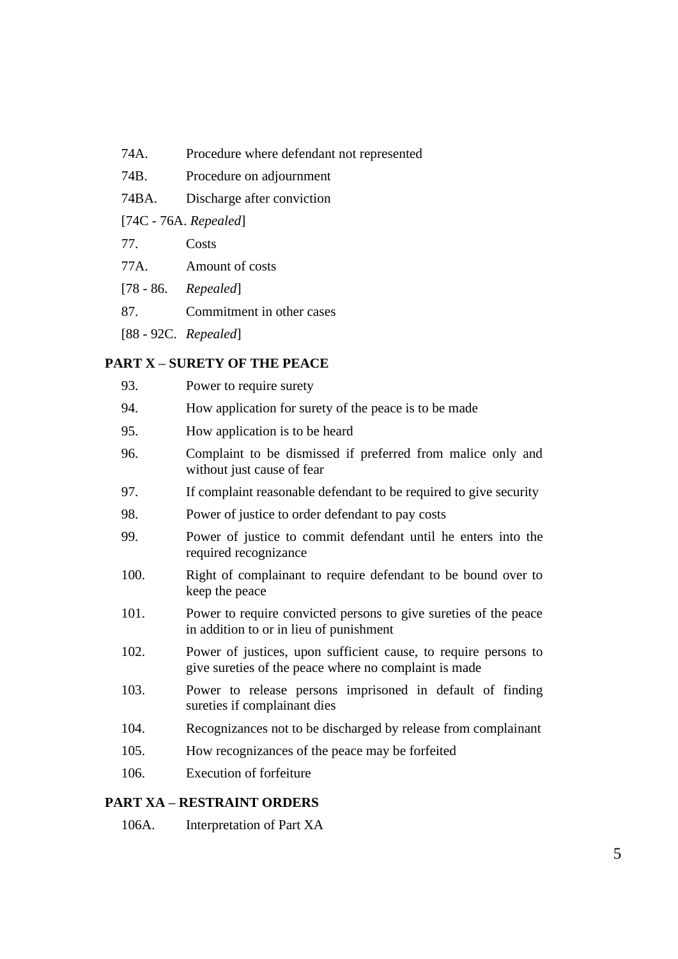- 74A. Procedure where defendant not represented
- 74B. Procedure on adjournment
- 74BA. Discharge after conviction

[74C - 76A. *Repealed*]

- 77. Costs
- 77A. Amount of costs
- [78 86. *Repealed*]
- 87. Commitment in other cases
- [88 92C. *Repealed*]

#### **PART X – SURETY OF THE PEACE**

93. Power to require surety 94. How application for surety of the peace is to be made 95. How application is to be heard 96. Complaint to be dismissed if preferred from malice only and without just cause of fear 97. If complaint reasonable defendant to be required to give security 98. Power of justice to order defendant to pay costs 99. Power of justice to commit defendant until he enters into the required recognizance 100. Right of complainant to require defendant to be bound over to keep the peace 101. Power to require convicted persons to give sureties of the peace in addition to or in lieu of punishment 102. Power of justices, upon sufficient cause, to require persons to give sureties of the peace where no complaint is made 103. Power to release persons imprisoned in default of finding sureties if complainant dies 104. Recognizances not to be discharged by release from complainant 105. How recognizances of the peace may be forfeited 106. Execution of forfeiture

#### **PART XA – RESTRAINT ORDERS**

106A. Interpretation of Part XA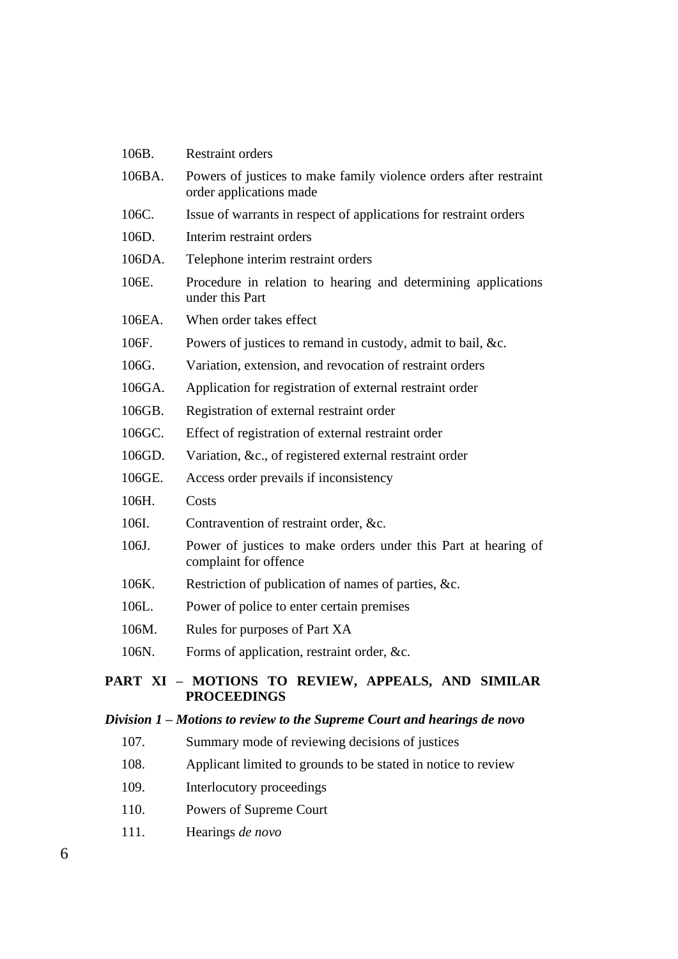| 106B.                                                                   | <b>Restraint orders</b>                                                                      |  |
|-------------------------------------------------------------------------|----------------------------------------------------------------------------------------------|--|
| 106BA.                                                                  | Powers of justices to make family violence orders after restraint<br>order applications made |  |
| 106C.                                                                   | Issue of warrants in respect of applications for restraint orders                            |  |
| 106D.                                                                   | Interim restraint orders                                                                     |  |
| 106DA.                                                                  | Telephone interim restraint orders                                                           |  |
| 106E.                                                                   | Procedure in relation to hearing and determining applications<br>under this Part             |  |
| 106EA.                                                                  | When order takes effect                                                                      |  |
| 106F.                                                                   | Powers of justices to remand in custody, admit to bail, &c.                                  |  |
| 106G.                                                                   | Variation, extension, and revocation of restraint orders                                     |  |
| 106GA.                                                                  | Application for registration of external restraint order                                     |  |
| 106GB.                                                                  | Registration of external restraint order                                                     |  |
| 106GC.                                                                  | Effect of registration of external restraint order                                           |  |
| 106GD.                                                                  | Variation, &c., of registered external restraint order                                       |  |
| 106GE.                                                                  | Access order prevails if inconsistency                                                       |  |
| 106H.                                                                   | Costs                                                                                        |  |
| 106I.                                                                   | Contravention of restraint order, &c.                                                        |  |
| 106J.                                                                   | Power of justices to make orders under this Part at hearing of<br>complaint for offence      |  |
| 106K.                                                                   | Restriction of publication of names of parties, &c.                                          |  |
| 106L.                                                                   | Power of police to enter certain premises                                                    |  |
| 106M.                                                                   | Rules for purposes of Part XA                                                                |  |
| 106N.                                                                   | Forms of application, restraint order, &c.                                                   |  |
| PART XI - MOTIONS TO REVIEW, APPEALS, AND SIMILAR<br><b>PROCEEDINGS</b> |                                                                                              |  |
|                                                                         | Division 1 – Motions to review to the Supreme Court and hearings de novo                     |  |
| 107.                                                                    | Summary mode of reviewing decisions of justices                                              |  |
| 108.                                                                    | Applicant limited to grounds to be stated in notice to review                                |  |
| 109.                                                                    | Interlocutory proceedings                                                                    |  |
| 110.                                                                    | Powers of Supreme Court                                                                      |  |

111. Hearings *de novo*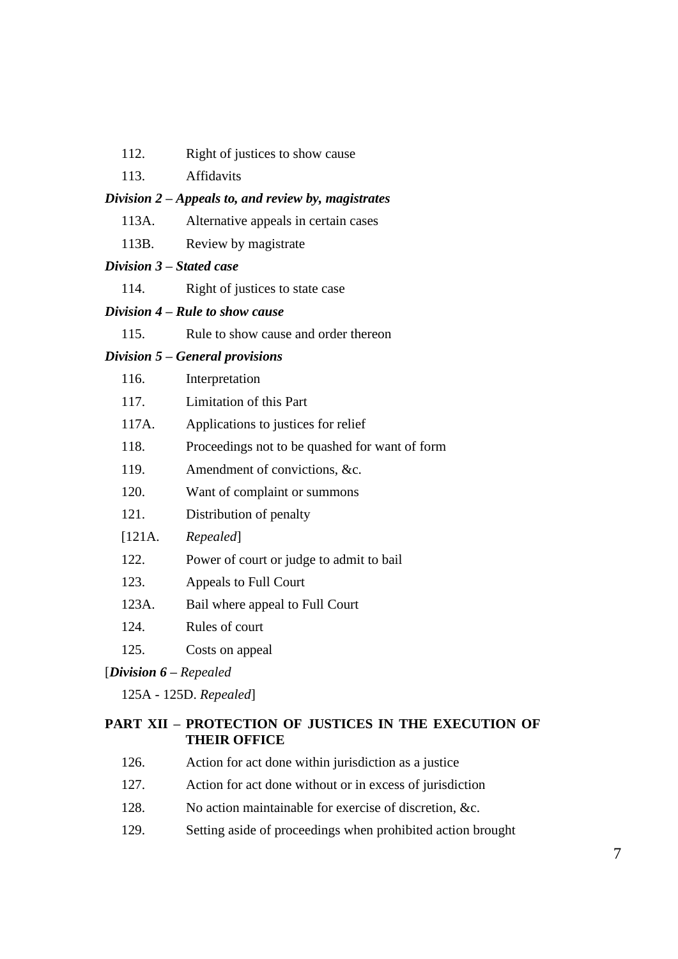- 112. Right of justices to show cause
- 113. Affidavits

#### *Division 2 – Appeals to, and review by, magistrates*

- 113A. Alternative appeals in certain cases
- 113B. Review by magistrate

#### *Division 3 – Stated case*

114. Right of justices to state case

#### *Division 4 – Rule to show cause*

115. Rule to show cause and order thereon

#### *Division 5 – General provisions*

|                                  | 116.   | Interpretation                                 |
|----------------------------------|--------|------------------------------------------------|
|                                  | 117.   | Limitation of this Part                        |
|                                  | 117A.  | Applications to justices for relief            |
|                                  | 118.   | Proceedings not to be quashed for want of form |
|                                  | 119.   | Amendment of convictions, &c.                  |
|                                  | 120.   | Want of complaint or summons                   |
|                                  | 121.   | Distribution of penalty                        |
|                                  | [121A. | Repealed]                                      |
|                                  | 122.   | Power of court or judge to admit to bail       |
|                                  | 123.   | Appeals to Full Court                          |
|                                  | 123A.  | Bail where appeal to Full Court                |
|                                  | 124.   | Rules of court                                 |
|                                  | 125.   | Costs on appeal                                |
| [ <i>Division</i> $6$ – Repealed |        |                                                |

125A - 125D. *Repealed*]

### **PART XII – PROTECTION OF JUSTICES IN THE EXECUTION OF THEIR OFFICE**

- 126. Action for act done within jurisdiction as a justice
- 127. Action for act done without or in excess of jurisdiction
- 128. No action maintainable for exercise of discretion, &c.
- 129. Setting aside of proceedings when prohibited action brought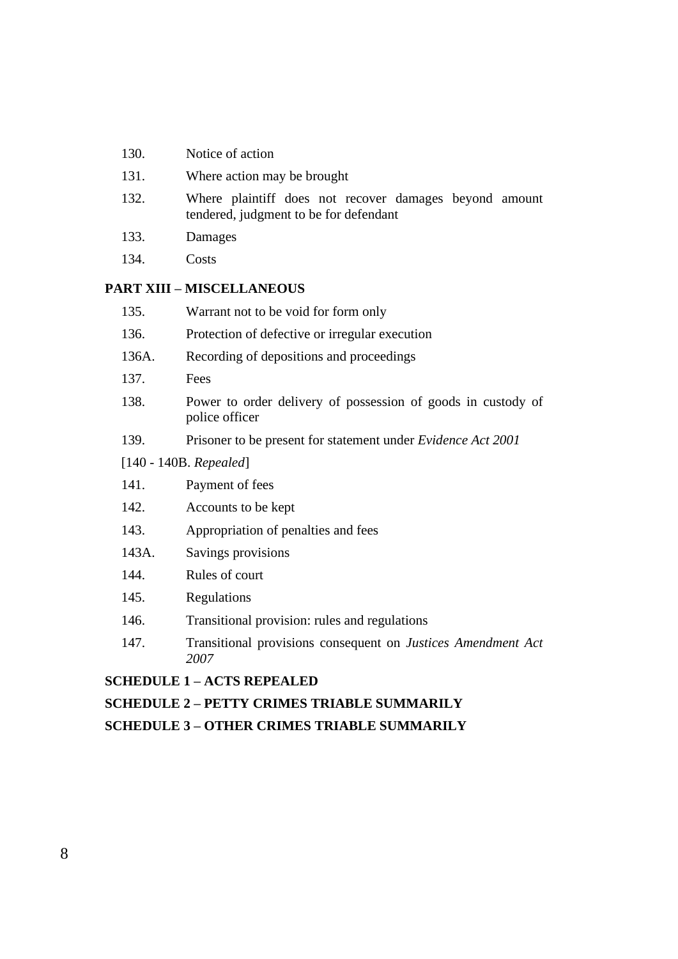- 130. Notice of action
- 131. Where action may be brought
- 132. Where plaintiff does not recover damages beyond amount tendered, judgment to be for defendant
- 133. Damages
- 134. Costs

# **PART XIII – MISCELLANEOUS**

| 135.                     | Warrant not to be void for form only                                           |  |
|--------------------------|--------------------------------------------------------------------------------|--|
| 136.                     | Protection of defective or irregular execution                                 |  |
| 136A.                    | Recording of depositions and proceedings                                       |  |
| 137.                     | Fees                                                                           |  |
| 138.                     | Power to order delivery of possession of goods in custody of<br>police officer |  |
| 139.                     | Prisoner to be present for statement under <i>Evidence Act 2001</i>            |  |
| $[140 - 140B. Repeated]$ |                                                                                |  |
| 141.                     | Payment of fees                                                                |  |
| 142.                     | Accounts to be kept                                                            |  |
| 143.                     | Appropriation of penalties and fees                                            |  |
| 143A.                    | Savings provisions                                                             |  |
| 144.                     | Rules of court                                                                 |  |
| 145.                     | Regulations                                                                    |  |
| 146.                     | Transitional provision: rules and regulations                                  |  |
| 1/17                     | Transitional provisions consequent on <i>Justices</i> Amendment Act            |  |

147. Transitional provisions consequent on *Justices Amendment Act 2007*

### **SCHEDULE 1 – ACTS REPEALED**

## **SCHEDULE 2 – PETTY CRIMES TRIABLE SUMMARILY**

**SCHEDULE 3 – OTHER CRIMES TRIABLE SUMMARILY**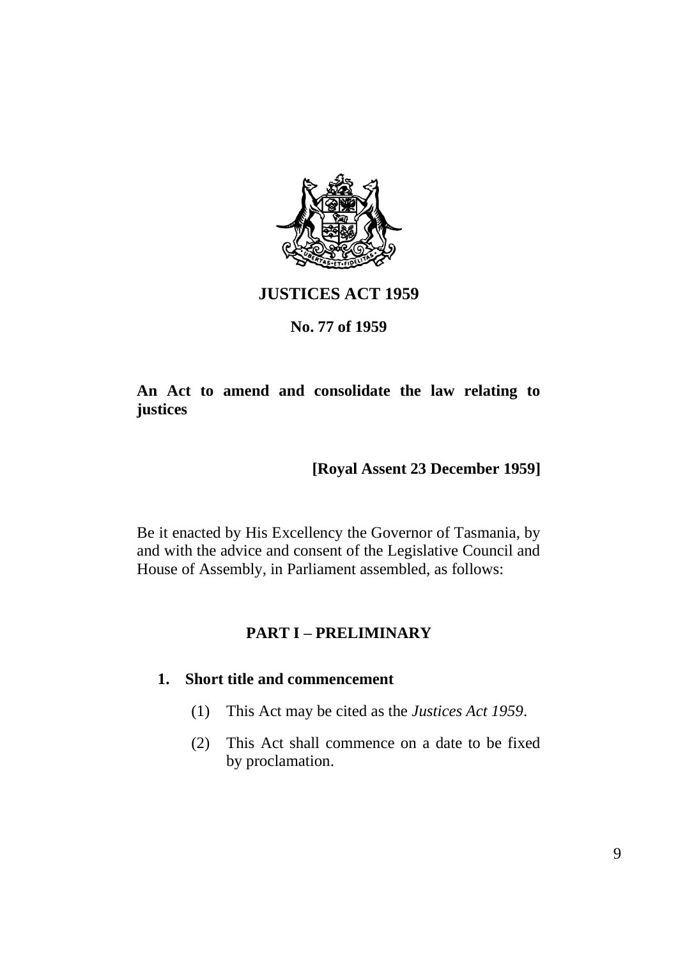

# **JUSTICES ACT 1959**

# **No. 77 of 1959**

# **An Act to amend and consolidate the law relating to justices**

# **[Royal Assent 23 December 1959]**

Be it enacted by His Excellency the Governor of Tasmania, by and with the advice and consent of the Legislative Council and House of Assembly, in Parliament assembled, as follows:

# **PART I – PRELIMINARY**

### **1. Short title and commencement**

- (1) This Act may be cited as the *Justices Act 1959*.
- (2) This Act shall commence on a date to be fixed by proclamation.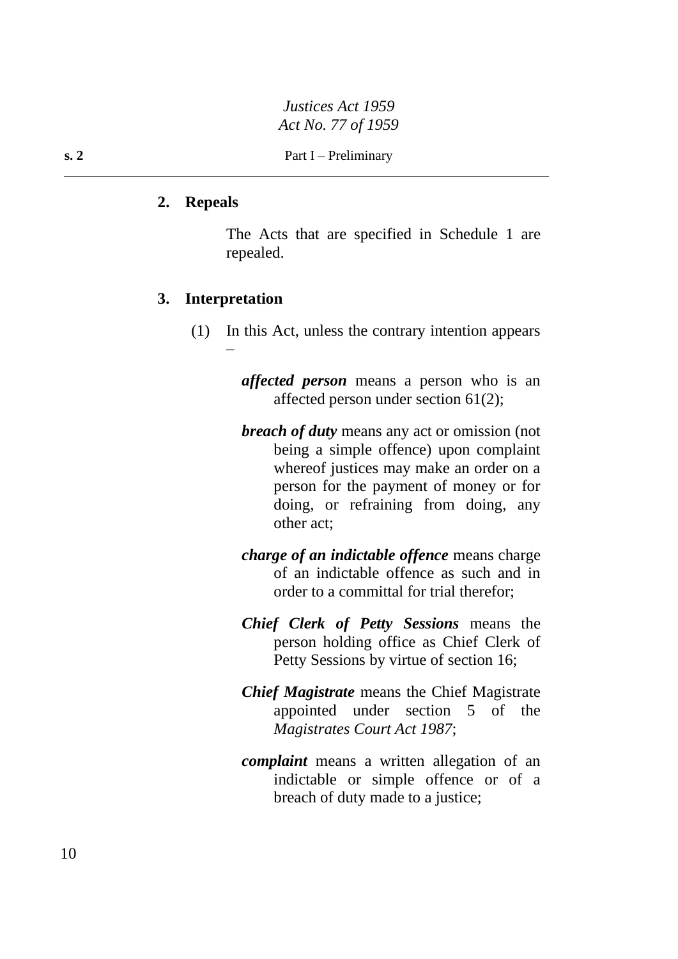#### **2. Repeals**

The Acts that are specified in Schedule 1 are repealed.

#### **3. Interpretation**

–

(1) In this Act, unless the contrary intention appears

*affected person* means a person who is an affected person under section 61(2);

- *breach of duty* means any act or omission (not being a simple offence) upon complaint whereof justices may make an order on a person for the payment of money or for doing, or refraining from doing, any other act;
- *charge of an indictable offence* means charge of an indictable offence as such and in order to a committal for trial therefor;
- *Chief Clerk of Petty Sessions* means the person holding office as Chief Clerk of Petty Sessions by virtue of section 16;
- *Chief Magistrate* means the Chief Magistrate appointed under section 5 of the *Magistrates Court Act 1987*;
- *complaint* means a written allegation of an indictable or simple offence or of a breach of duty made to a justice;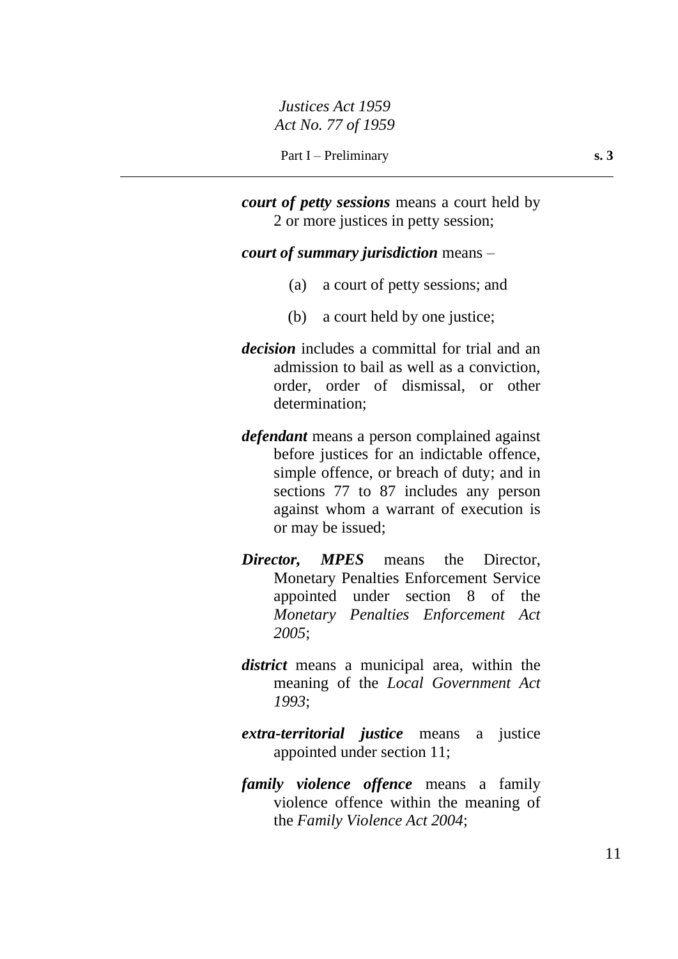*court of petty sessions* means a court held by 2 or more justices in petty session;

#### *court of summary jurisdiction* means –

- (a) a court of petty sessions; and
- (b) a court held by one justice;
- *decision* includes a committal for trial and an admission to bail as well as a conviction, order, order of dismissal, or other determination;
- *defendant* means a person complained against before justices for an indictable offence, simple offence, or breach of duty; and in sections 77 to 87 includes any person against whom a warrant of execution is or may be issued;
- *Director, MPES* means the Director, Monetary Penalties Enforcement Service appointed under section 8 of the *Monetary Penalties Enforcement Act 2005*;
- *district* means a municipal area, within the meaning of the *Local Government Act 1993*;
- *extra-territorial justice* means a justice appointed under section 11;
- *family violence offence* means a family violence offence within the meaning of the *Family Violence Act 2004*;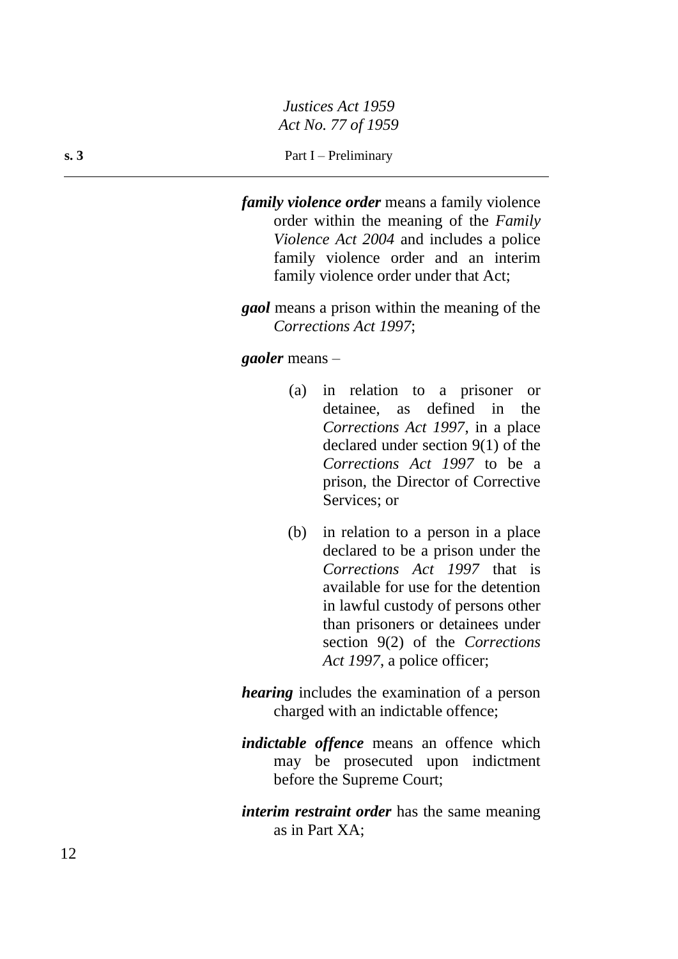#### **s. 3** Part I – Preliminary

*family violence order* means a family violence order within the meaning of the *Family Violence Act 2004* and includes a police family violence order and an interim family violence order under that Act;

*gaol* means a prison within the meaning of the *Corrections Act 1997*;

#### *gaoler* means –

- (a) in relation to a prisoner or detainee, as defined in the *Corrections Act 1997*, in a place declared under section 9(1) of the *Corrections Act 1997* to be a prison, the Director of Corrective Services; or
- (b) in relation to a person in a place declared to be a prison under the *Corrections Act 1997* that is available for use for the detention in lawful custody of persons other than prisoners or detainees under section 9(2) of the *Corrections Act 1997*, a police officer;
- *hearing* includes the examination of a person charged with an indictable offence;
- *indictable offence* means an offence which may be prosecuted upon indictment before the Supreme Court;
- *interim restraint order* has the same meaning as in Part XA;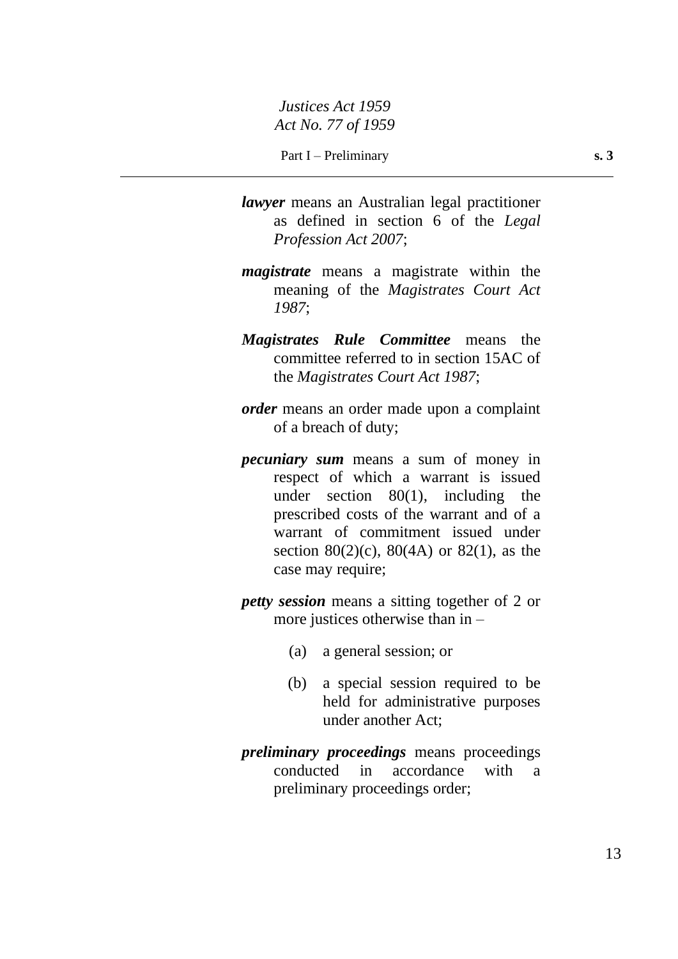- *lawyer* means an Australian legal practitioner as defined in section 6 of the *Legal Profession Act 2007*;
- *magistrate* means a magistrate within the meaning of the *Magistrates Court Act 1987*;
- *Magistrates Rule Committee* means the committee referred to in section 15AC of the *Magistrates Court Act 1987*;
- *order* means an order made upon a complaint of a breach of duty;
- *pecuniary sum* means a sum of money in respect of which a warrant is issued under section  $80(1)$ , including the prescribed costs of the warrant and of a warrant of commitment issued under section 80(2)(c), 80(4A) or 82(1), as the case may require;
- *petty session* means a sitting together of 2 or more justices otherwise than in –
	- (a) a general session; or
	- (b) a special session required to be held for administrative purposes under another Act;
- *preliminary proceedings* means proceedings conducted in accordance with a preliminary proceedings order;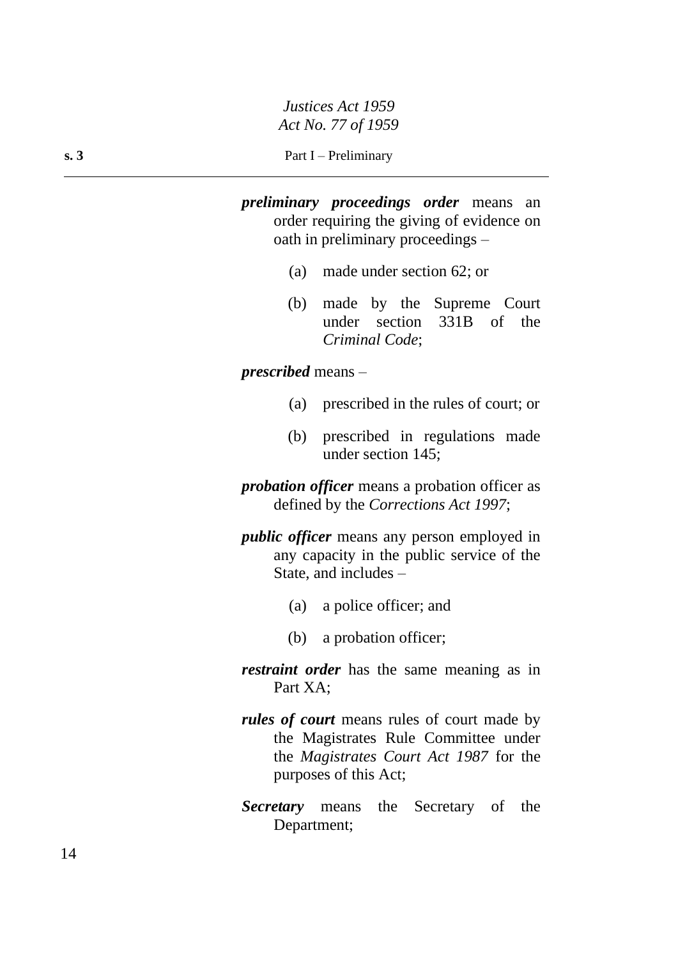*preliminary proceedings order* means an order requiring the giving of evidence on oath in preliminary proceedings –

- (a) made under section 62; or
- (b) made by the Supreme Court under section 331B of the *Criminal Code*;

*prescribed* means –

- (a) prescribed in the rules of court; or
- (b) prescribed in regulations made under section 145;

*probation officer* means a probation officer as defined by the *Corrections Act 1997*;

- *public officer* means any person employed in any capacity in the public service of the State, and includes –
	- (a) a police officer; and
	- (b) a probation officer;
- *restraint order* has the same meaning as in Part XA;
- *rules of court* means rules of court made by the Magistrates Rule Committee under the *Magistrates Court Act 1987* for the purposes of this Act;
- *Secretary* means the Secretary of the Department;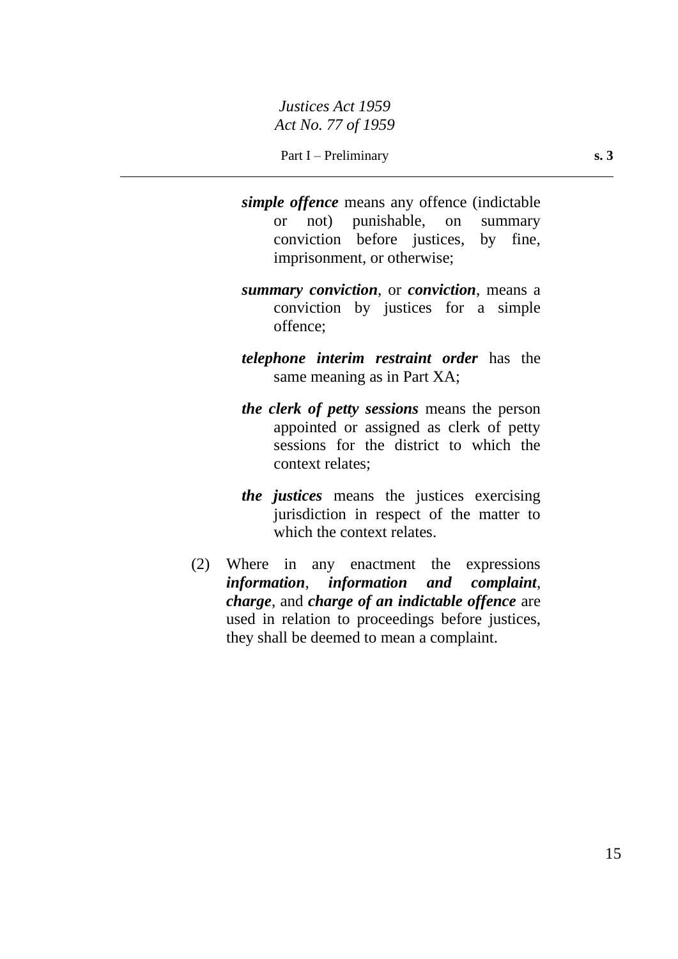- *simple offence* means any offence (indictable or not) punishable, on summary conviction before justices, by fine, imprisonment, or otherwise;
- *summary conviction*, or *conviction*, means a conviction by justices for a simple offence;
- *telephone interim restraint order* has the same meaning as in Part XA;
- *the clerk of petty sessions* means the person appointed or assigned as clerk of petty sessions for the district to which the context relates;
- *the justices* means the justices exercising jurisdiction in respect of the matter to which the context relates.
- (2) Where in any enactment the expressions *information*, *information and complaint*, *charge*, and *charge of an indictable offence* are used in relation to proceedings before justices, they shall be deemed to mean a complaint.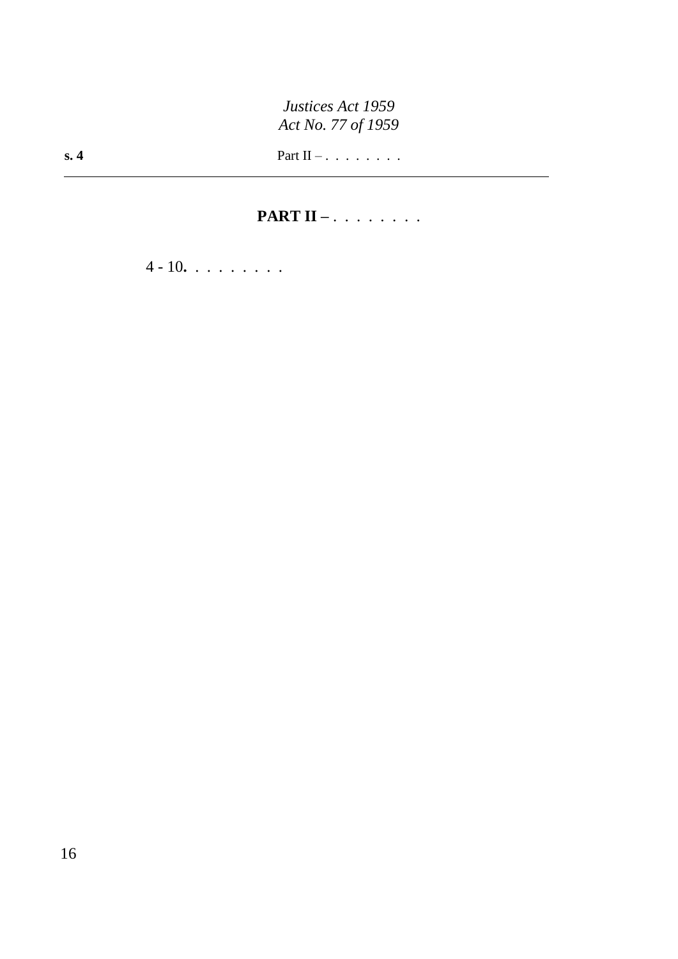# **PART II –** . . . . . . . .

4 - 10**.** . . . . . . . .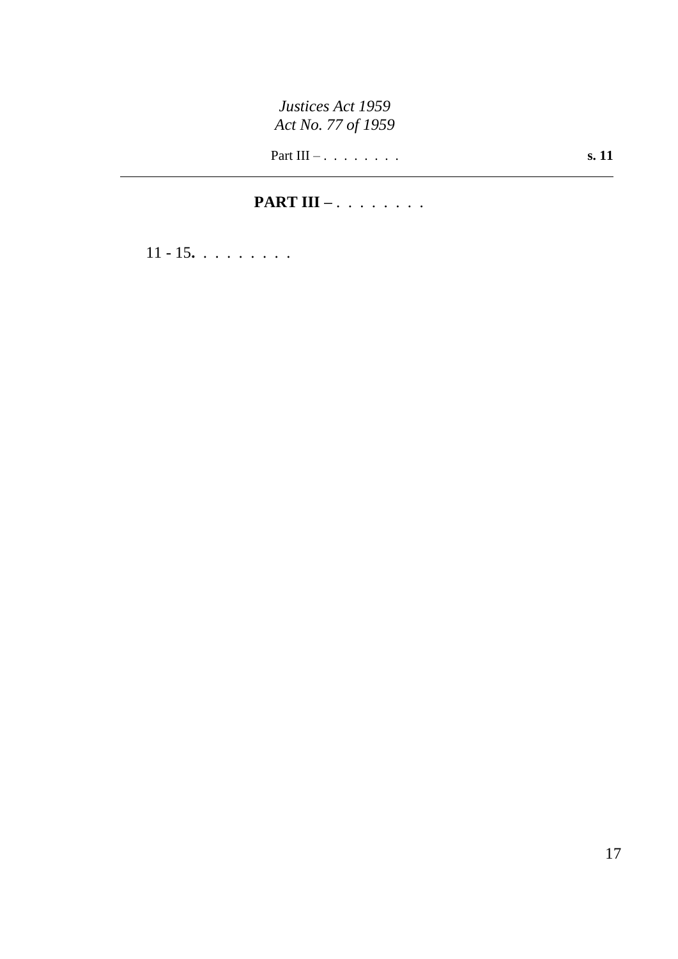Part III – . . . . . . . . **s. 11**

# **PART III –** . . . . . . . .

11 - 15**.** . . . . . . . .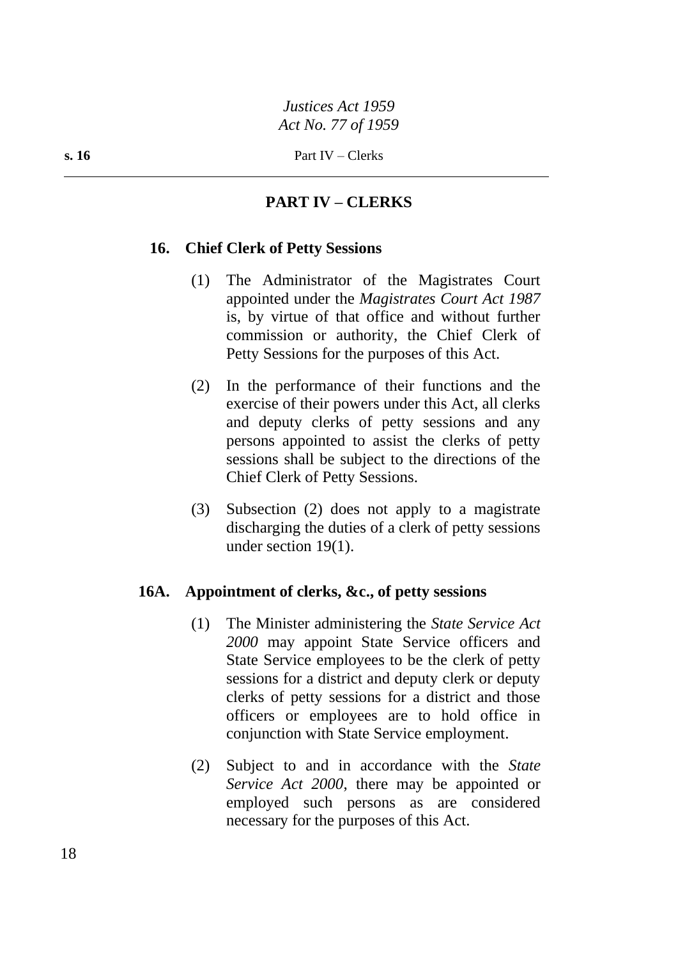# **PART IV – CLERKS**

# **16. Chief Clerk of Petty Sessions**

- (1) The Administrator of the Magistrates Court appointed under the *Magistrates Court Act 1987* is, by virtue of that office and without further commission or authority, the Chief Clerk of Petty Sessions for the purposes of this Act.
- (2) In the performance of their functions and the exercise of their powers under this Act, all clerks and deputy clerks of petty sessions and any persons appointed to assist the clerks of petty sessions shall be subject to the directions of the Chief Clerk of Petty Sessions.
- (3) Subsection (2) does not apply to a magistrate discharging the duties of a clerk of petty sessions under section 19(1).

# **16A. Appointment of clerks, &c., of petty sessions**

- (1) The Minister administering the *State Service Act 2000* may appoint State Service officers and State Service employees to be the clerk of petty sessions for a district and deputy clerk or deputy clerks of petty sessions for a district and those officers or employees are to hold office in conjunction with State Service employment.
- (2) Subject to and in accordance with the *State Service Act 2000*, there may be appointed or employed such persons as are considered necessary for the purposes of this Act.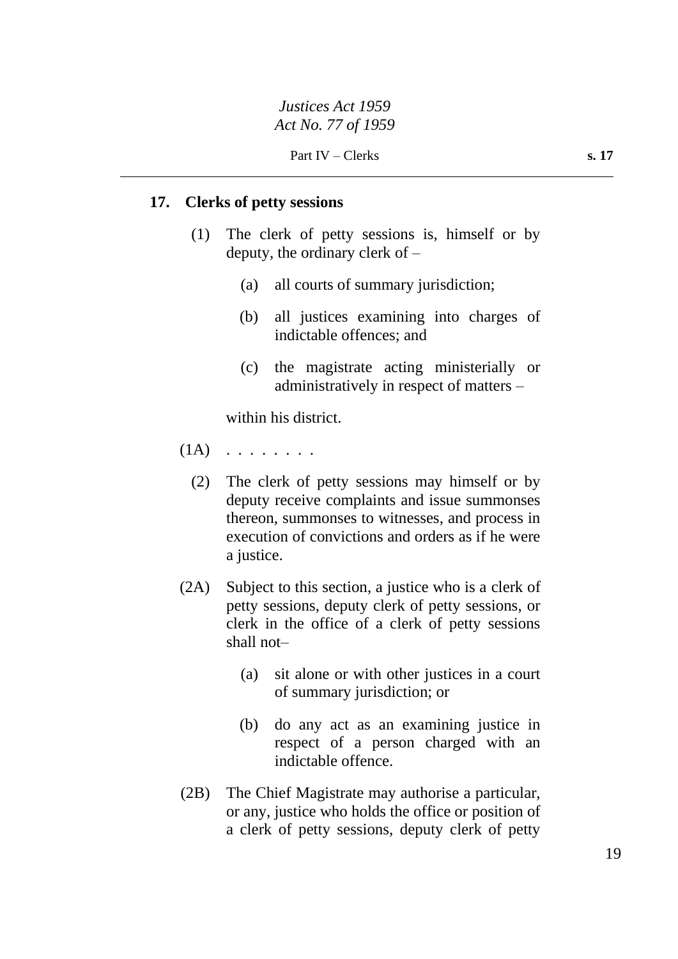Part IV – Clerks **s. 17** 

### **17. Clerks of petty sessions**

- (1) The clerk of petty sessions is, himself or by deputy, the ordinary clerk of –
	- (a) all courts of summary jurisdiction;
	- (b) all justices examining into charges of indictable offences; and
	- (c) the magistrate acting ministerially or administratively in respect of matters –

within his district.

- $(1A)$  . . . . . . . .
	- (2) The clerk of petty sessions may himself or by deputy receive complaints and issue summonses thereon, summonses to witnesses, and process in execution of convictions and orders as if he were a justice.
- (2A) Subject to this section, a justice who is a clerk of petty sessions, deputy clerk of petty sessions, or clerk in the office of a clerk of petty sessions shall not–
	- (a) sit alone or with other justices in a court of summary jurisdiction; or
	- (b) do any act as an examining justice in respect of a person charged with an indictable offence.
- (2B) The Chief Magistrate may authorise a particular, or any, justice who holds the office or position of a clerk of petty sessions, deputy clerk of petty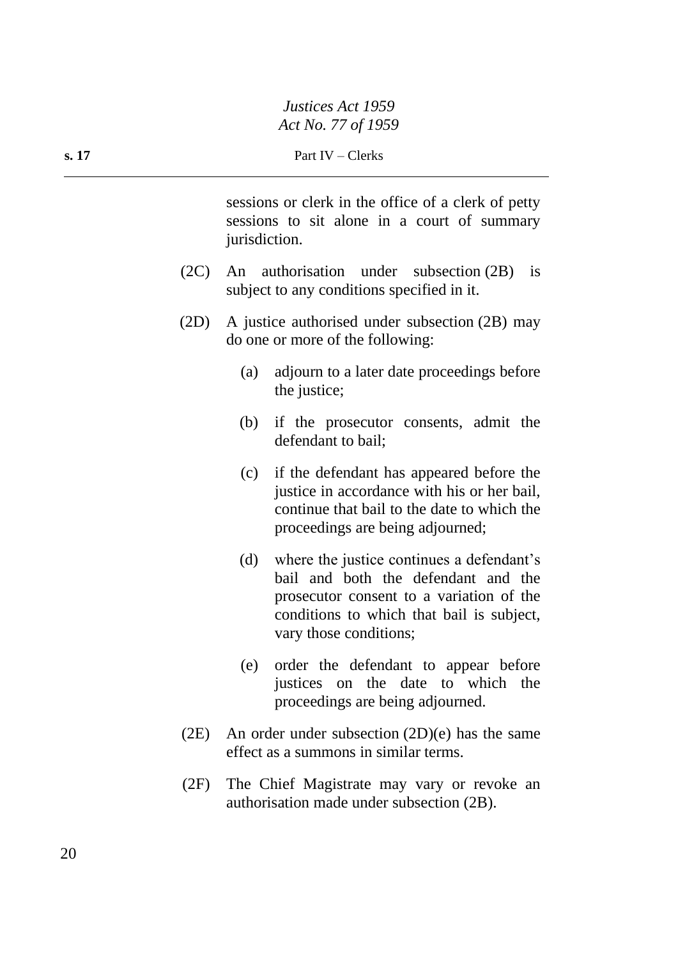sessions or clerk in the office of a clerk of petty sessions to sit alone in a court of summary jurisdiction.

- (2C) An authorisation under subsection (2B) is subject to any conditions specified in it.
- (2D) A justice authorised under subsection (2B) may do one or more of the following:
	- (a) adjourn to a later date proceedings before the justice;
	- (b) if the prosecutor consents, admit the defendant to bail;
	- (c) if the defendant has appeared before the justice in accordance with his or her bail, continue that bail to the date to which the proceedings are being adjourned;
	- (d) where the justice continues a defendant's bail and both the defendant and the prosecutor consent to a variation of the conditions to which that bail is subject, vary those conditions;
	- (e) order the defendant to appear before justices on the date to which the proceedings are being adjourned.
- (2E) An order under subsection  $(2D)(e)$  has the same effect as a summons in similar terms.
- (2F) The Chief Magistrate may vary or revoke an authorisation made under subsection (2B).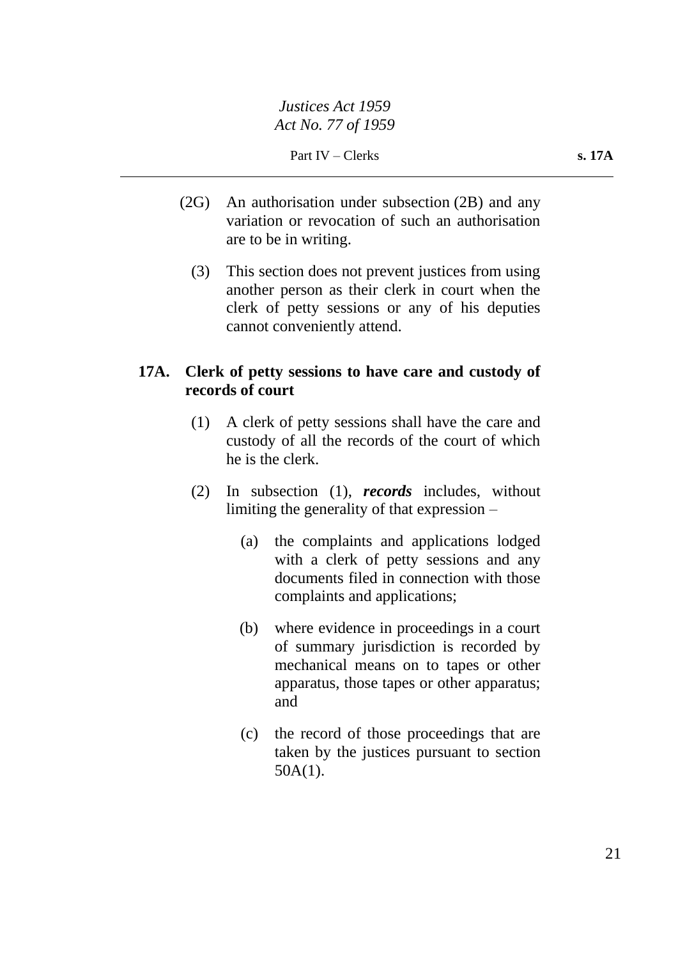- (2G) An authorisation under subsection (2B) and any variation or revocation of such an authorisation are to be in writing.
	- (3) This section does not prevent justices from using another person as their clerk in court when the clerk of petty sessions or any of his deputies cannot conveniently attend.

# **17A. Clerk of petty sessions to have care and custody of records of court**

- (1) A clerk of petty sessions shall have the care and custody of all the records of the court of which he is the clerk.
- (2) In subsection (1), *records* includes, without limiting the generality of that expression –
	- (a) the complaints and applications lodged with a clerk of petty sessions and any documents filed in connection with those complaints and applications;
	- (b) where evidence in proceedings in a court of summary jurisdiction is recorded by mechanical means on to tapes or other apparatus, those tapes or other apparatus; and
	- (c) the record of those proceedings that are taken by the justices pursuant to section 50A(1).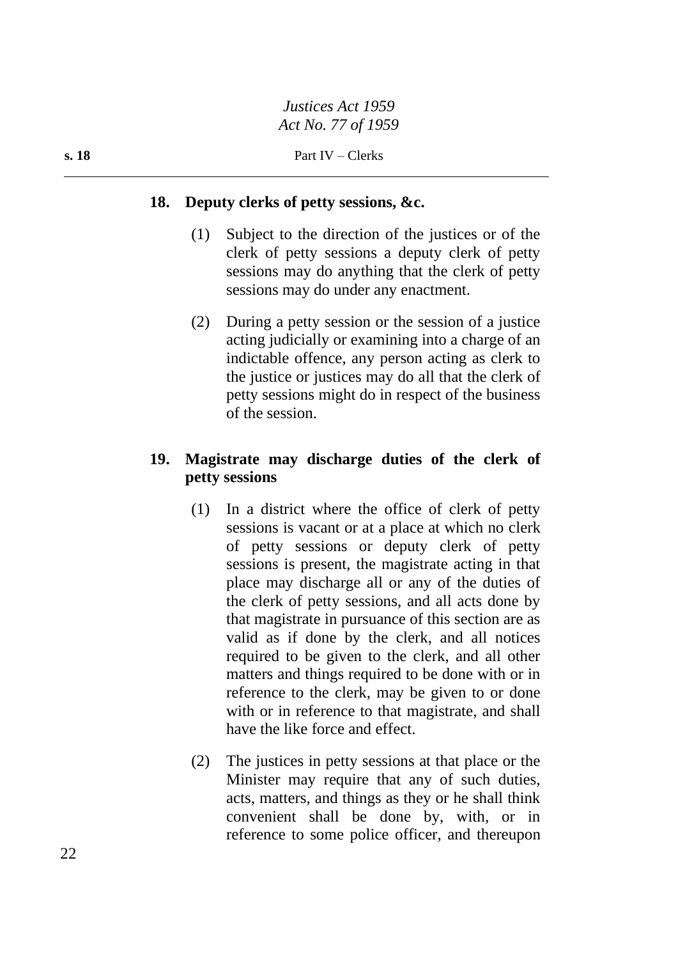### **18. Deputy clerks of petty sessions, &c.**

- (1) Subject to the direction of the justices or of the clerk of petty sessions a deputy clerk of petty sessions may do anything that the clerk of petty sessions may do under any enactment.
- (2) During a petty session or the session of a justice acting judicially or examining into a charge of an indictable offence, any person acting as clerk to the justice or justices may do all that the clerk of petty sessions might do in respect of the business of the session.

# **19. Magistrate may discharge duties of the clerk of petty sessions**

- (1) In a district where the office of clerk of petty sessions is vacant or at a place at which no clerk of petty sessions or deputy clerk of petty sessions is present, the magistrate acting in that place may discharge all or any of the duties of the clerk of petty sessions, and all acts done by that magistrate in pursuance of this section are as valid as if done by the clerk, and all notices required to be given to the clerk, and all other matters and things required to be done with or in reference to the clerk, may be given to or done with or in reference to that magistrate, and shall have the like force and effect.
- (2) The justices in petty sessions at that place or the Minister may require that any of such duties, acts, matters, and things as they or he shall think convenient shall be done by, with, or in reference to some police officer, and thereupon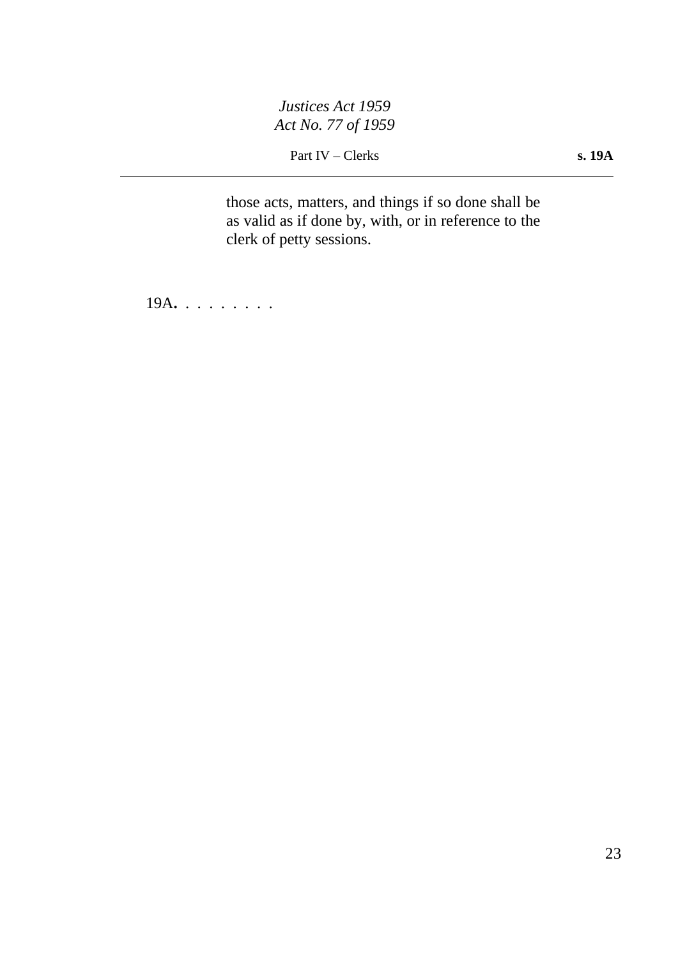Part IV – Clerks **s. 19A** 

those acts, matters, and things if so done shall be as valid as if done by, with, or in reference to the clerk of petty sessions.

19A**.** . . . . . . . .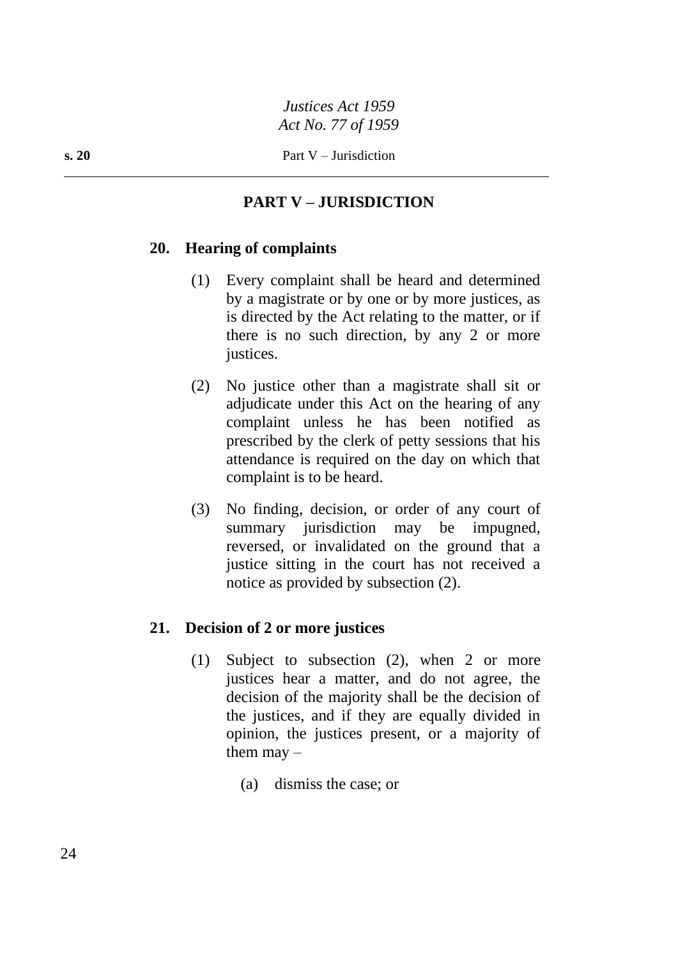# **PART V – JURISDICTION**

# **20. Hearing of complaints**

- (1) Every complaint shall be heard and determined by a magistrate or by one or by more justices, as is directed by the Act relating to the matter, or if there is no such direction, by any 2 or more justices.
- (2) No justice other than a magistrate shall sit or adjudicate under this Act on the hearing of any complaint unless he has been notified as prescribed by the clerk of petty sessions that his attendance is required on the day on which that complaint is to be heard.
- (3) No finding, decision, or order of any court of summary jurisdiction may be impugned, reversed, or invalidated on the ground that a justice sitting in the court has not received a notice as provided by subsection (2).

# **21. Decision of 2 or more justices**

- (1) Subject to subsection (2), when 2 or more justices hear a matter, and do not agree, the decision of the majority shall be the decision of the justices, and if they are equally divided in opinion, the justices present, or a majority of them  $\text{may}$  –
	- (a) dismiss the case; or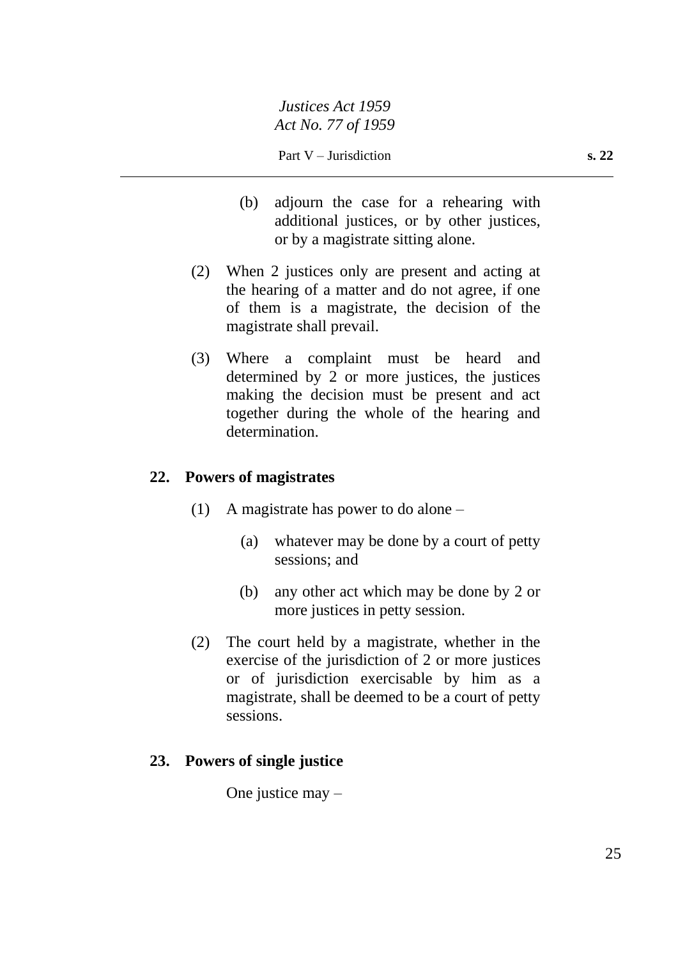- (b) adjourn the case for a rehearing with additional justices, or by other justices, or by a magistrate sitting alone.
- (2) When 2 justices only are present and acting at the hearing of a matter and do not agree, if one of them is a magistrate, the decision of the magistrate shall prevail.
- (3) Where a complaint must be heard and determined by 2 or more justices, the justices making the decision must be present and act together during the whole of the hearing and determination.

# **22. Powers of magistrates**

- (1) A magistrate has power to do alone
	- (a) whatever may be done by a court of petty sessions; and
	- (b) any other act which may be done by 2 or more justices in petty session.
- (2) The court held by a magistrate, whether in the exercise of the jurisdiction of 2 or more justices or of jurisdiction exercisable by him as a magistrate, shall be deemed to be a court of petty sessions.

# **23. Powers of single justice**

One justice may –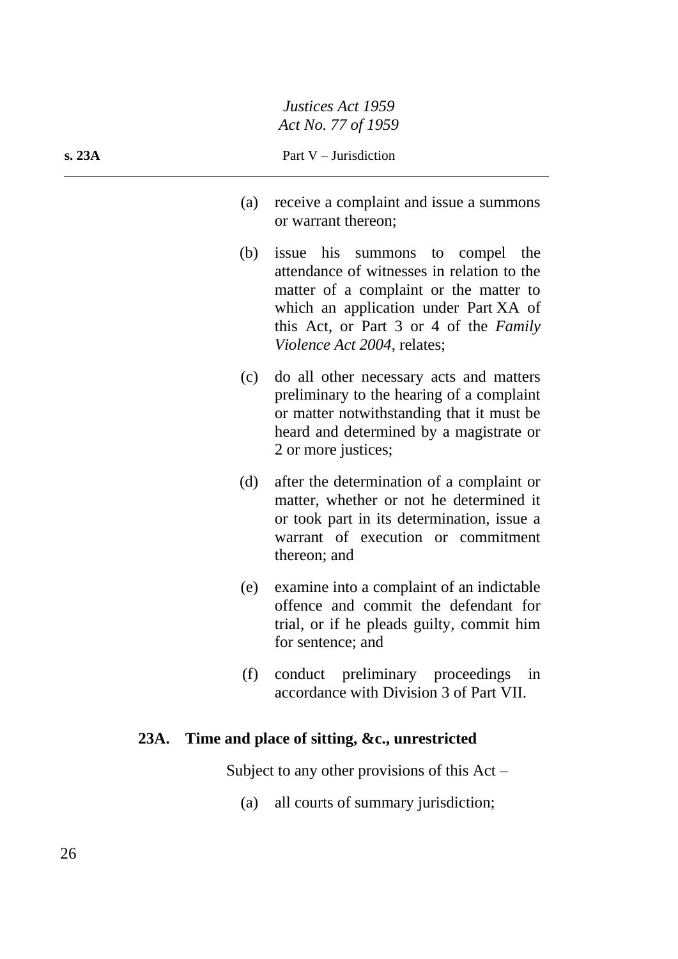**s. 23A** Part V – Jurisdiction

- (a) receive a complaint and issue a summons or warrant thereon;
- (b) issue his summons to compel the attendance of witnesses in relation to the matter of a complaint or the matter to which an application under Part XA of this Act, or Part 3 or 4 of the *Family Violence Act 2004*, relates;
- (c) do all other necessary acts and matters preliminary to the hearing of a complaint or matter notwithstanding that it must be heard and determined by a magistrate or 2 or more justices;
- (d) after the determination of a complaint or matter, whether or not he determined it or took part in its determination, issue a warrant of execution or commitment thereon; and
- (e) examine into a complaint of an indictable offence and commit the defendant for trial, or if he pleads guilty, commit him for sentence; and
- (f) conduct preliminary proceedings in accordance with Division 3 of Part VII.

# **23A. Time and place of sitting, &c., unrestricted**

Subject to any other provisions of this  $Act -$ 

(a) all courts of summary jurisdiction;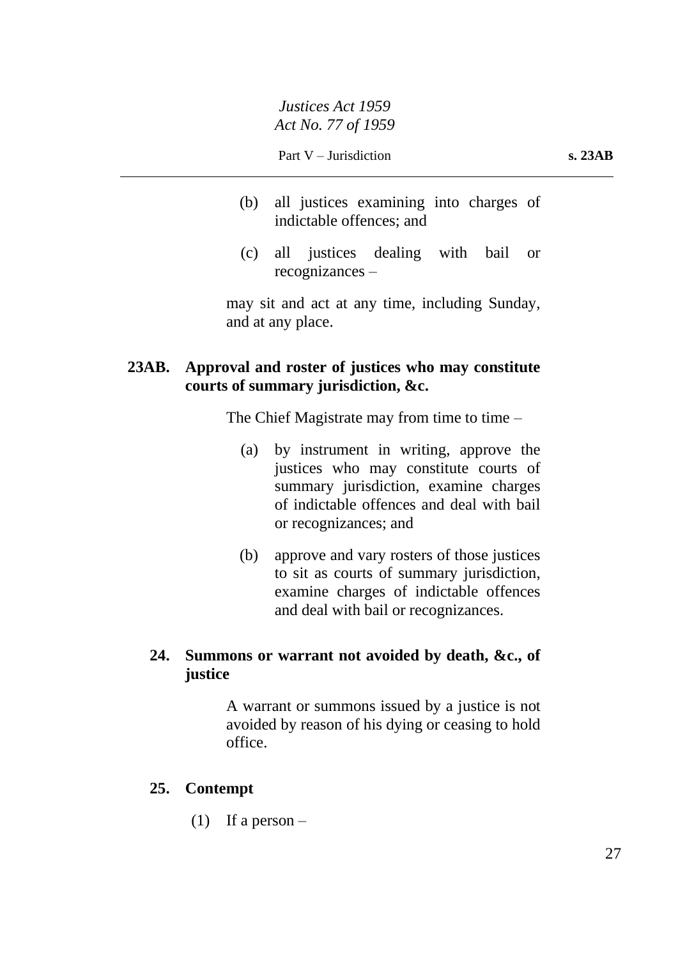Part V – Jurisdiction **s. 23AB** 

- (b) all justices examining into charges of indictable offences; and
- (c) all justices dealing with bail or recognizances –

may sit and act at any time, including Sunday, and at any place.

# **23AB. Approval and roster of justices who may constitute courts of summary jurisdiction, &c.**

The Chief Magistrate may from time to time  $-$ 

- (a) by instrument in writing, approve the justices who may constitute courts of summary jurisdiction, examine charges of indictable offences and deal with bail or recognizances; and
- (b) approve and vary rosters of those justices to sit as courts of summary jurisdiction, examine charges of indictable offences and deal with bail or recognizances.

# **24. Summons or warrant not avoided by death, &c., of justice**

A warrant or summons issued by a justice is not avoided by reason of his dying or ceasing to hold office.

# **25. Contempt**

(1) If a person  $-$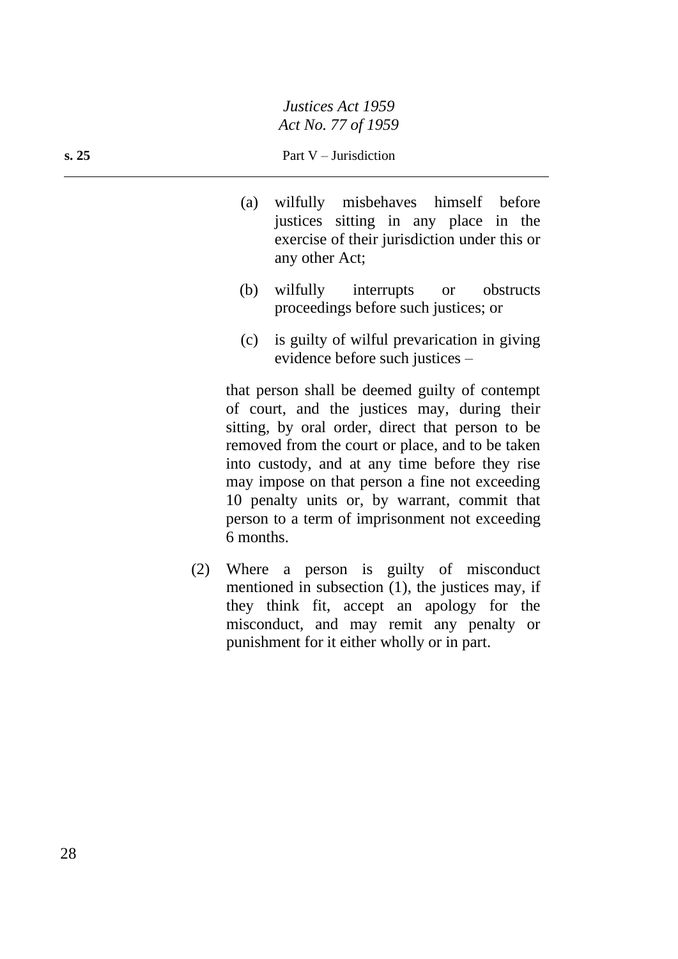#### **s. 25** Part V – Jurisdiction

- (a) wilfully misbehaves himself before justices sitting in any place in the exercise of their jurisdiction under this or any other Act;
- (b) wilfully interrupts or obstructs proceedings before such justices; or
- (c) is guilty of wilful prevarication in giving evidence before such justices –

that person shall be deemed guilty of contempt of court, and the justices may, during their sitting, by oral order, direct that person to be removed from the court or place, and to be taken into custody, and at any time before they rise may impose on that person a fine not exceeding 10 penalty units or, by warrant, commit that person to a term of imprisonment not exceeding 6 months.

(2) Where a person is guilty of misconduct mentioned in subsection (1), the justices may, if they think fit, accept an apology for the misconduct, and may remit any penalty or punishment for it either wholly or in part.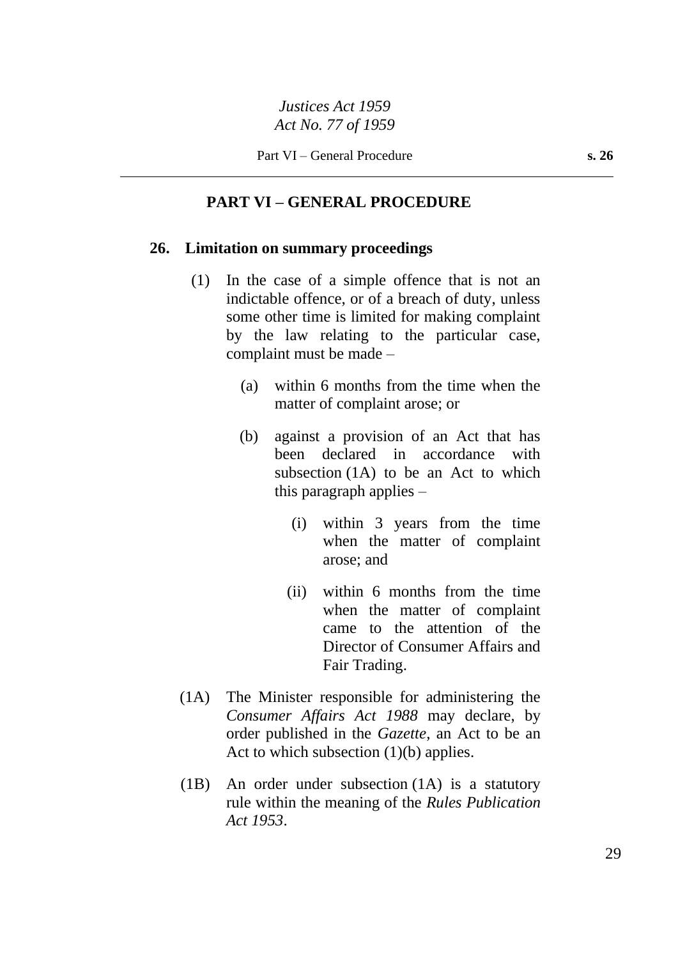# **PART VI – GENERAL PROCEDURE**

#### **26. Limitation on summary proceedings**

- (1) In the case of a simple offence that is not an indictable offence, or of a breach of duty, unless some other time is limited for making complaint by the law relating to the particular case, complaint must be made –
	- (a) within 6 months from the time when the matter of complaint arose; or
	- (b) against a provision of an Act that has been declared in accordance with subsection (1A) to be an Act to which this paragraph applies –
		- (i) within 3 years from the time when the matter of complaint arose; and
		- (ii) within 6 months from the time when the matter of complaint came to the attention of the Director of Consumer Affairs and Fair Trading.
- (1A) The Minister responsible for administering the *Consumer Affairs Act 1988* may declare, by order published in the *Gazette*, an Act to be an Act to which subsection  $(1)(b)$  applies.
- (1B) An order under subsection (1A) is a statutory rule within the meaning of the *Rules Publication Act 1953*.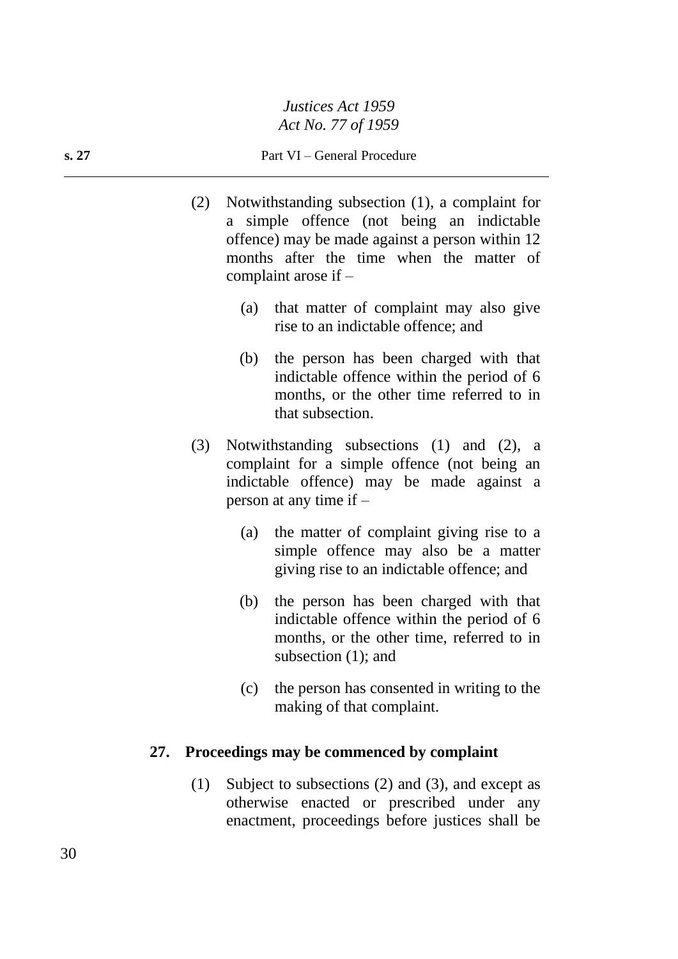#### **s. 27** Part VI – General Procedure

- (2) Notwithstanding subsection (1), a complaint for a simple offence (not being an indictable offence) may be made against a person within 12 months after the time when the matter of complaint arose if –
	- (a) that matter of complaint may also give rise to an indictable offence; and
	- (b) the person has been charged with that indictable offence within the period of 6 months, or the other time referred to in that subsection.
- (3) Notwithstanding subsections (1) and (2), a complaint for a simple offence (not being an indictable offence) may be made against a person at any time if –
	- (a) the matter of complaint giving rise to a simple offence may also be a matter giving rise to an indictable offence; and
	- (b) the person has been charged with that indictable offence within the period of 6 months, or the other time, referred to in subsection (1); and
	- (c) the person has consented in writing to the making of that complaint.

### **27. Proceedings may be commenced by complaint**

(1) Subject to subsections (2) and (3), and except as otherwise enacted or prescribed under any enactment, proceedings before justices shall be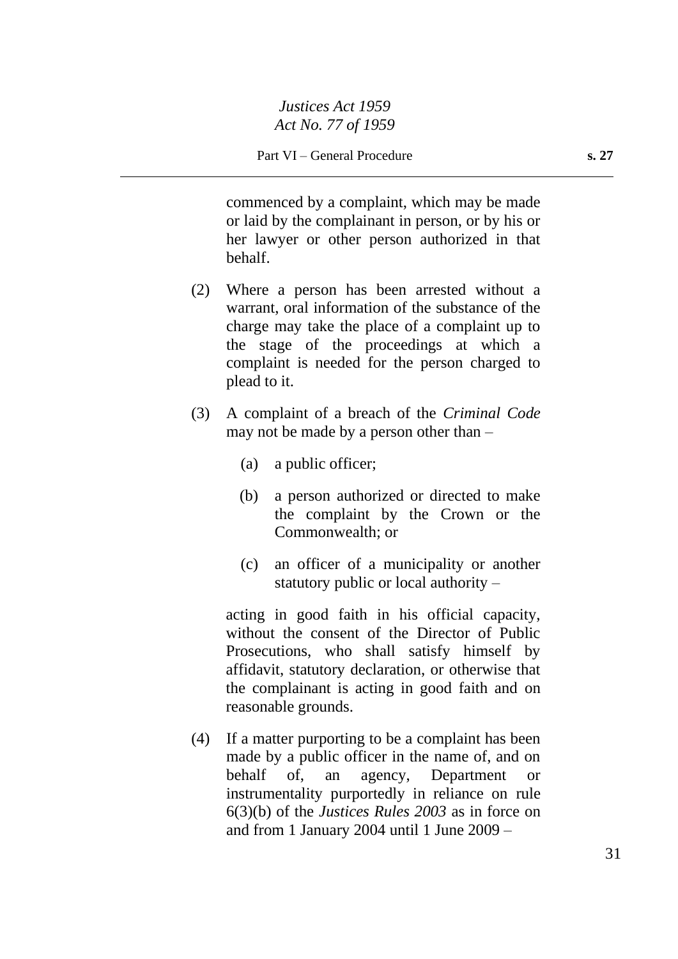commenced by a complaint, which may be made or laid by the complainant in person, or by his or her lawyer or other person authorized in that behalf.

- (2) Where a person has been arrested without a warrant, oral information of the substance of the charge may take the place of a complaint up to the stage of the proceedings at which a complaint is needed for the person charged to plead to it.
- (3) A complaint of a breach of the *Criminal Code* may not be made by a person other than –
	- (a) a public officer;
	- (b) a person authorized or directed to make the complaint by the Crown or the Commonwealth; or
	- (c) an officer of a municipality or another statutory public or local authority –

acting in good faith in his official capacity, without the consent of the Director of Public Prosecutions, who shall satisfy himself by affidavit, statutory declaration, or otherwise that the complainant is acting in good faith and on reasonable grounds.

(4) If a matter purporting to be a complaint has been made by a public officer in the name of, and on behalf of, an agency, Department or instrumentality purportedly in reliance on rule 6(3)(b) of the *Justices Rules 2003* as in force on and from 1 January 2004 until 1 June 2009 –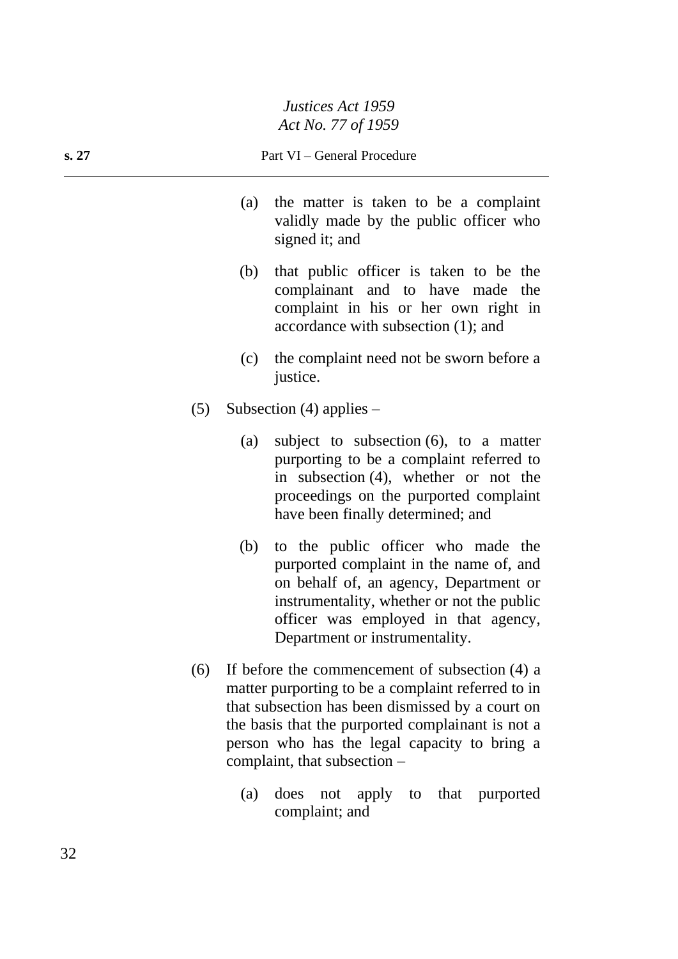- (a) the matter is taken to be a complaint validly made by the public officer who signed it; and
- (b) that public officer is taken to be the complainant and to have made the complaint in his or her own right in accordance with subsection (1); and
- (c) the complaint need not be sworn before a justice.
- (5) Subsection (4) applies
	- (a) subject to subsection (6), to a matter purporting to be a complaint referred to in subsection (4), whether or not the proceedings on the purported complaint have been finally determined; and
	- (b) to the public officer who made the purported complaint in the name of, and on behalf of, an agency, Department or instrumentality, whether or not the public officer was employed in that agency, Department or instrumentality.
- (6) If before the commencement of subsection (4) a matter purporting to be a complaint referred to in that subsection has been dismissed by a court on the basis that the purported complainant is not a person who has the legal capacity to bring a complaint, that subsection –
	- (a) does not apply to that purported complaint; and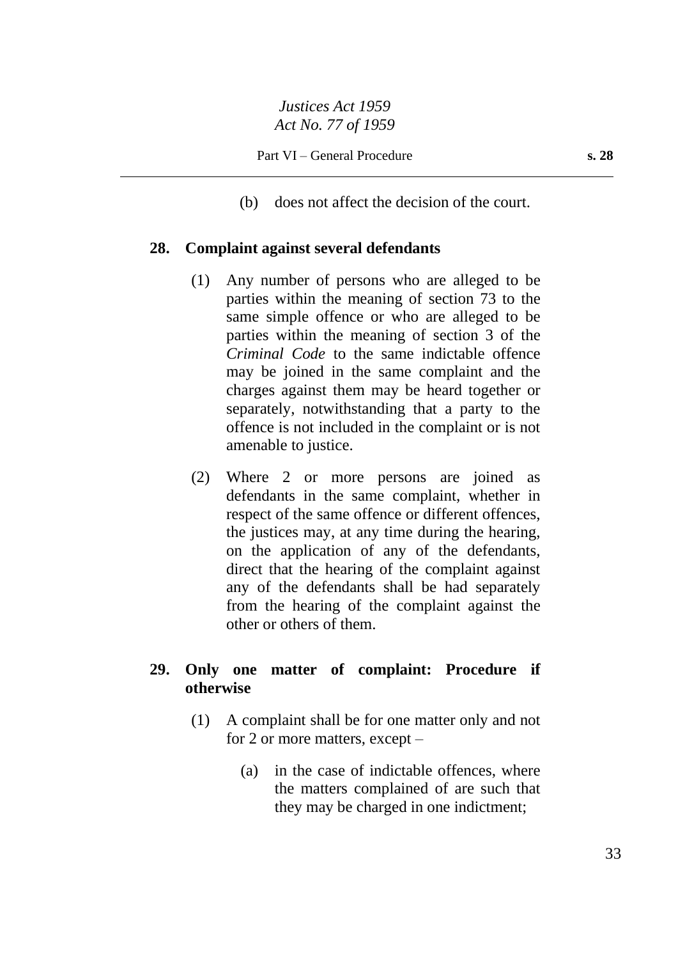(b) does not affect the decision of the court.

## **28. Complaint against several defendants**

- (1) Any number of persons who are alleged to be parties within the meaning of section 73 to the same simple offence or who are alleged to be parties within the meaning of section 3 of the *Criminal Code* to the same indictable offence may be joined in the same complaint and the charges against them may be heard together or separately, notwithstanding that a party to the offence is not included in the complaint or is not amenable to justice.
- (2) Where 2 or more persons are joined as defendants in the same complaint, whether in respect of the same offence or different offences, the justices may, at any time during the hearing, on the application of any of the defendants, direct that the hearing of the complaint against any of the defendants shall be had separately from the hearing of the complaint against the other or others of them.

# **29. Only one matter of complaint: Procedure if otherwise**

- (1) A complaint shall be for one matter only and not for 2 or more matters, except –
	- (a) in the case of indictable offences, where the matters complained of are such that they may be charged in one indictment;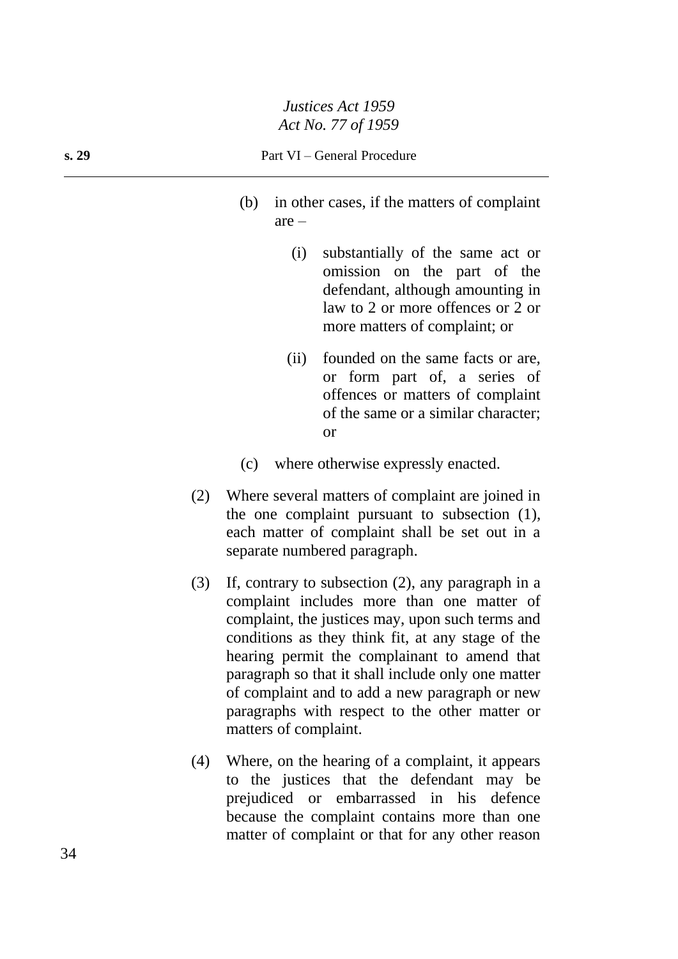- (b) in other cases, if the matters of complaint are –
	- (i) substantially of the same act or omission on the part of the defendant, although amounting in law to 2 or more offences or 2 or more matters of complaint; or
	- (ii) founded on the same facts or are, or form part of, a series of offences or matters of complaint of the same or a similar character; or
- (c) where otherwise expressly enacted.
- (2) Where several matters of complaint are joined in the one complaint pursuant to subsection (1), each matter of complaint shall be set out in a separate numbered paragraph.
- (3) If, contrary to subsection (2), any paragraph in a complaint includes more than one matter of complaint, the justices may, upon such terms and conditions as they think fit, at any stage of the hearing permit the complainant to amend that paragraph so that it shall include only one matter of complaint and to add a new paragraph or new paragraphs with respect to the other matter or matters of complaint.
- (4) Where, on the hearing of a complaint, it appears to the justices that the defendant may be prejudiced or embarrassed in his defence because the complaint contains more than one matter of complaint or that for any other reason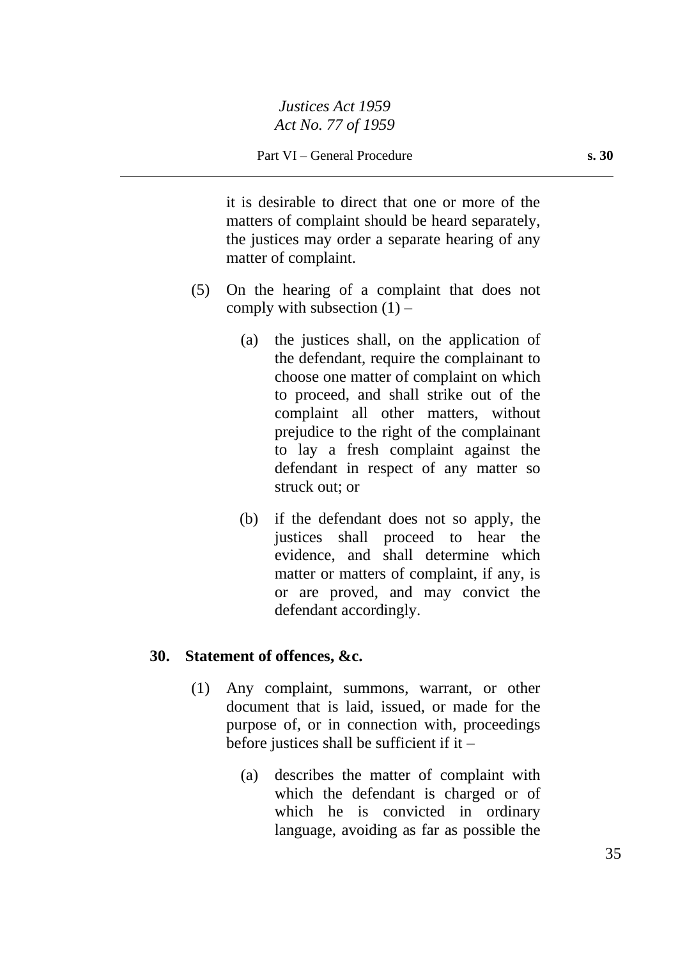it is desirable to direct that one or more of the matters of complaint should be heard separately, the justices may order a separate hearing of any matter of complaint.

- (5) On the hearing of a complaint that does not comply with subsection  $(1)$  –
	- (a) the justices shall, on the application of the defendant, require the complainant to choose one matter of complaint on which to proceed, and shall strike out of the complaint all other matters, without prejudice to the right of the complainant to lay a fresh complaint against the defendant in respect of any matter so struck out; or
	- (b) if the defendant does not so apply, the justices shall proceed to hear the evidence, and shall determine which matter or matters of complaint, if any, is or are proved, and may convict the defendant accordingly.

# **30. Statement of offences, &c.**

- (1) Any complaint, summons, warrant, or other document that is laid, issued, or made for the purpose of, or in connection with, proceedings before justices shall be sufficient if it  $-$ 
	- (a) describes the matter of complaint with which the defendant is charged or of which he is convicted in ordinary language, avoiding as far as possible the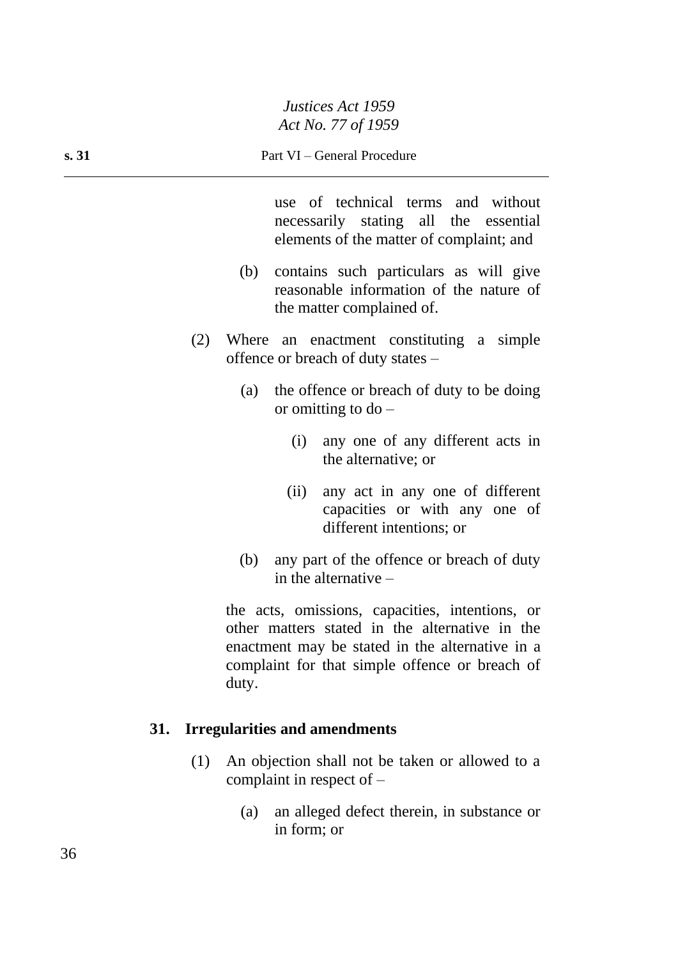use of technical terms and without necessarily stating all the essential elements of the matter of complaint; and

- (b) contains such particulars as will give reasonable information of the nature of the matter complained of.
- (2) Where an enactment constituting a simple offence or breach of duty states –
	- (a) the offence or breach of duty to be doing or omitting to  $do -$ 
		- (i) any one of any different acts in the alternative; or
		- (ii) any act in any one of different capacities or with any one of different intentions; or
	- (b) any part of the offence or breach of duty in the alternative –

the acts, omissions, capacities, intentions, or other matters stated in the alternative in the enactment may be stated in the alternative in a complaint for that simple offence or breach of duty.

# **31. Irregularities and amendments**

- (1) An objection shall not be taken or allowed to a complaint in respect of –
	- (a) an alleged defect therein, in substance or in form; or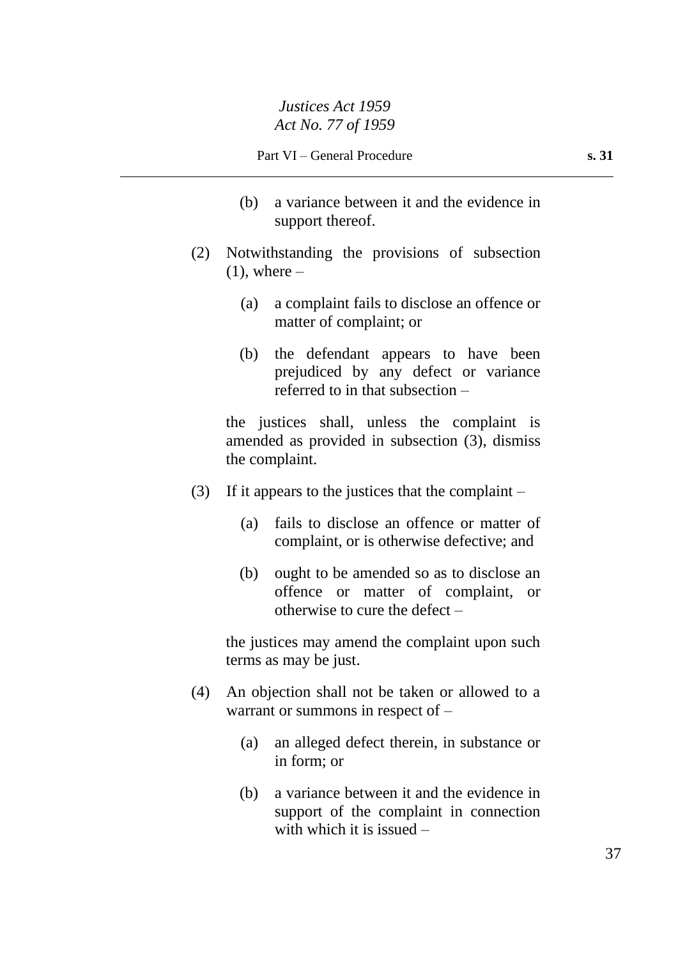- (b) a variance between it and the evidence in support thereof.
- (2) Notwithstanding the provisions of subsection  $(1)$ , where –
	- (a) a complaint fails to disclose an offence or matter of complaint; or
	- (b) the defendant appears to have been prejudiced by any defect or variance referred to in that subsection –

the justices shall, unless the complaint is amended as provided in subsection (3), dismiss the complaint.

- (3) If it appears to the justices that the complaint  $-$ 
	- (a) fails to disclose an offence or matter of complaint, or is otherwise defective; and
	- (b) ought to be amended so as to disclose an offence or matter of complaint, or otherwise to cure the defect –

the justices may amend the complaint upon such terms as may be just.

- (4) An objection shall not be taken or allowed to a warrant or summons in respect of –
	- (a) an alleged defect therein, in substance or in form; or
	- (b) a variance between it and the evidence in support of the complaint in connection with which it is issued –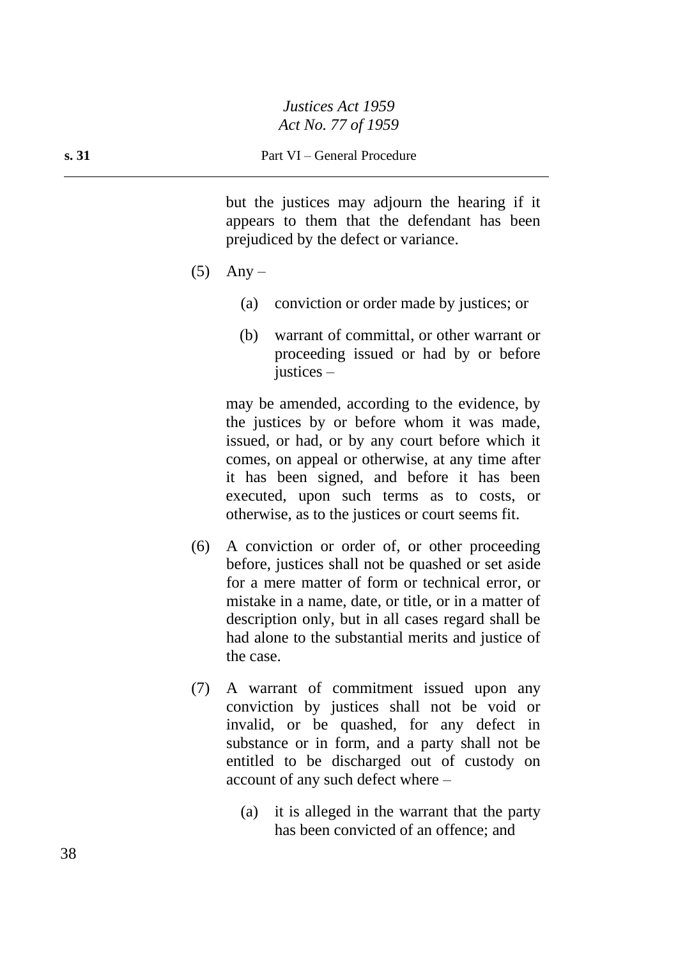but the justices may adjourn the hearing if it appears to them that the defendant has been prejudiced by the defect or variance.

- $(5)$  Any
	- (a) conviction or order made by justices; or
	- (b) warrant of committal, or other warrant or proceeding issued or had by or before justices –

may be amended, according to the evidence, by the justices by or before whom it was made, issued, or had, or by any court before which it comes, on appeal or otherwise, at any time after it has been signed, and before it has been executed, upon such terms as to costs, or otherwise, as to the justices or court seems fit.

- (6) A conviction or order of, or other proceeding before, justices shall not be quashed or set aside for a mere matter of form or technical error, or mistake in a name, date, or title, or in a matter of description only, but in all cases regard shall be had alone to the substantial merits and justice of the case.
- (7) A warrant of commitment issued upon any conviction by justices shall not be void or invalid, or be quashed, for any defect in substance or in form, and a party shall not be entitled to be discharged out of custody on account of any such defect where –
	- (a) it is alleged in the warrant that the party has been convicted of an offence; and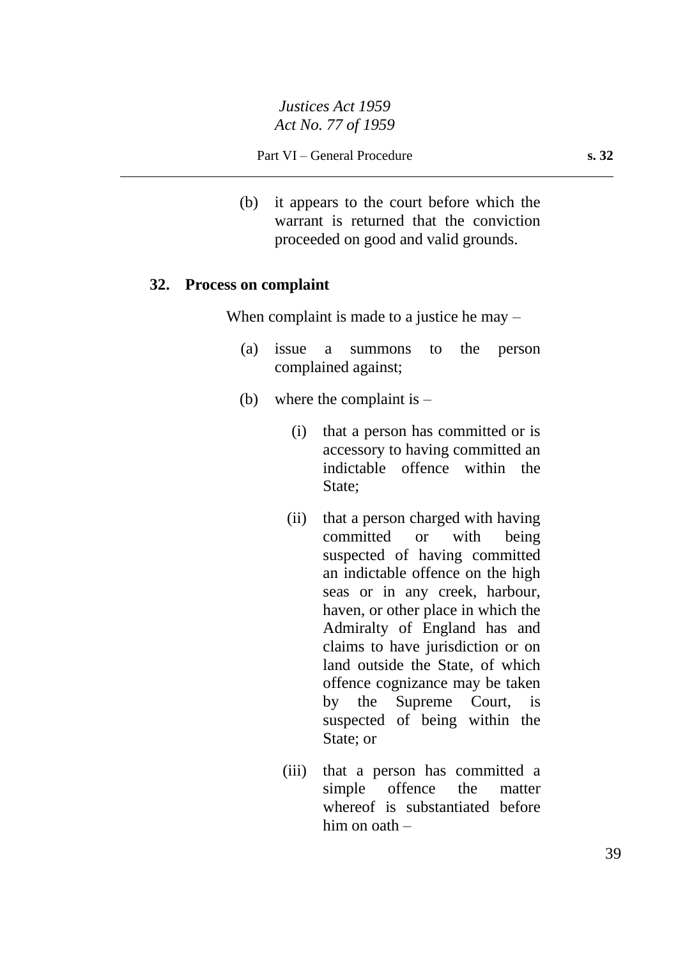(b) it appears to the court before which the warrant is returned that the conviction proceeded on good and valid grounds.

## **32. Process on complaint**

When complaint is made to a justice he may –

- (a) issue a summons to the person complained against;
- (b) where the complaint is  $-$ 
	- (i) that a person has committed or is accessory to having committed an indictable offence within the State;
	- (ii) that a person charged with having committed or with being suspected of having committed an indictable offence on the high seas or in any creek, harbour, haven, or other place in which the Admiralty of England has and claims to have jurisdiction or on land outside the State, of which offence cognizance may be taken by the Supreme Court, is suspected of being within the State; or
	- (iii) that a person has committed a simple offence the matter whereof is substantiated before him on oath –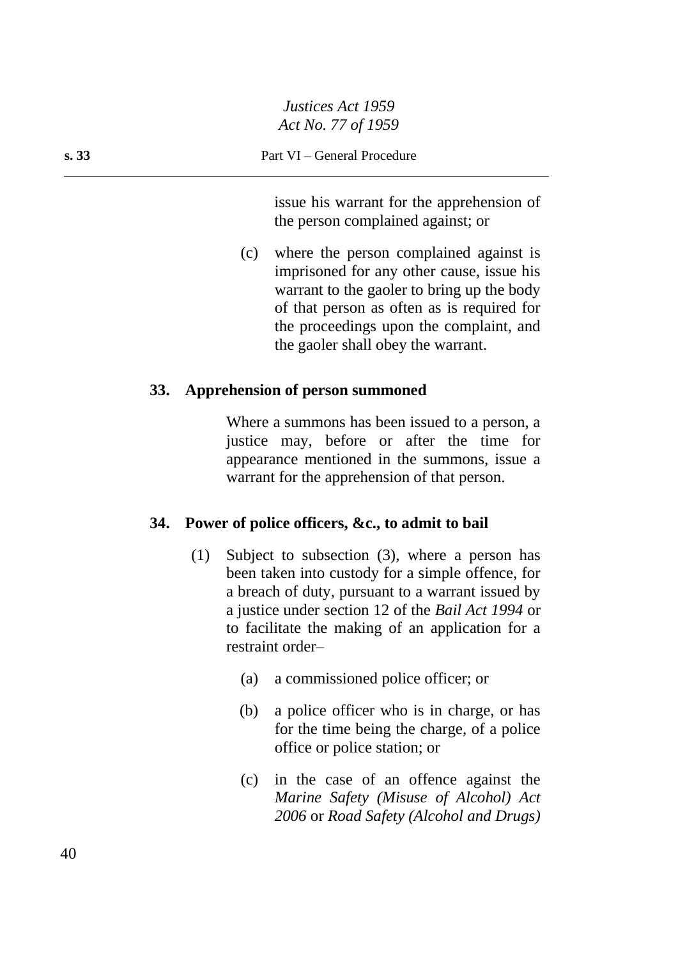issue his warrant for the apprehension of the person complained against; or

(c) where the person complained against is imprisoned for any other cause, issue his warrant to the gaoler to bring up the body of that person as often as is required for the proceedings upon the complaint, and the gaoler shall obey the warrant.

#### **33. Apprehension of person summoned**

Where a summons has been issued to a person, a justice may, before or after the time for appearance mentioned in the summons, issue a warrant for the apprehension of that person.

#### **34. Power of police officers, &c., to admit to bail**

- (1) Subject to subsection (3), where a person has been taken into custody for a simple offence, for a breach of duty, pursuant to a warrant issued by a justice under section 12 of the *Bail Act 1994* or to facilitate the making of an application for a restraint order–
	- (a) a commissioned police officer; or
	- (b) a police officer who is in charge, or has for the time being the charge, of a police office or police station; or
	- (c) in the case of an offence against the *Marine Safety (Misuse of Alcohol) Act 2006* or *Road Safety (Alcohol and Drugs)*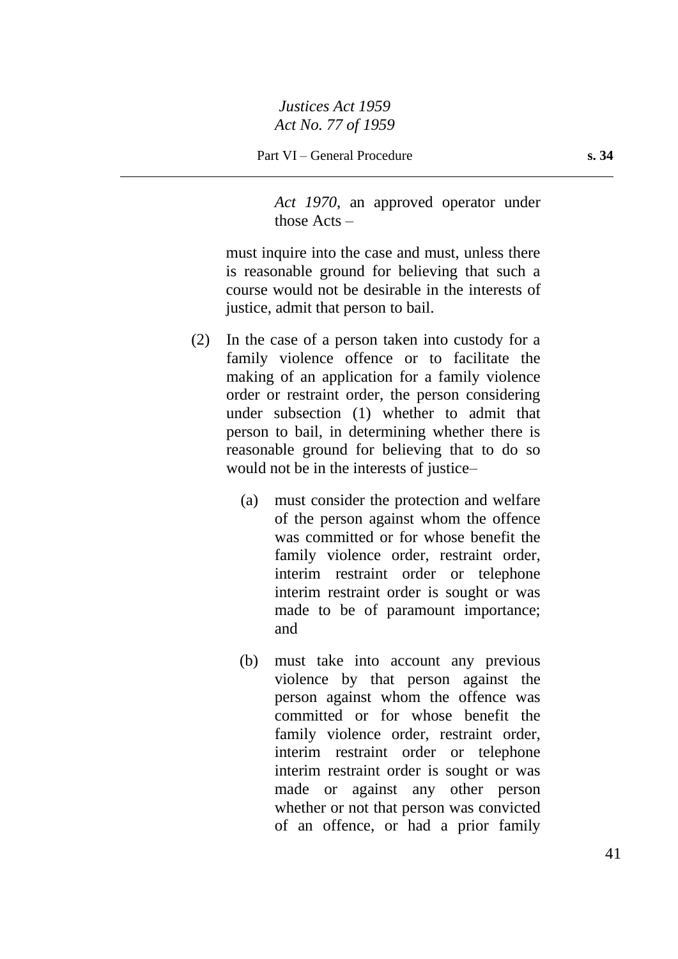*Act 1970*, an approved operator under those Acts –

must inquire into the case and must, unless there is reasonable ground for believing that such a course would not be desirable in the interests of justice, admit that person to bail.

- (2) In the case of a person taken into custody for a family violence offence or to facilitate the making of an application for a family violence order or restraint order, the person considering under subsection (1) whether to admit that person to bail, in determining whether there is reasonable ground for believing that to do so would not be in the interests of justice–
	- (a) must consider the protection and welfare of the person against whom the offence was committed or for whose benefit the family violence order, restraint order, interim restraint order or telephone interim restraint order is sought or was made to be of paramount importance; and
	- (b) must take into account any previous violence by that person against the person against whom the offence was committed or for whose benefit the family violence order, restraint order, interim restraint order or telephone interim restraint order is sought or was made or against any other person whether or not that person was convicted of an offence, or had a prior family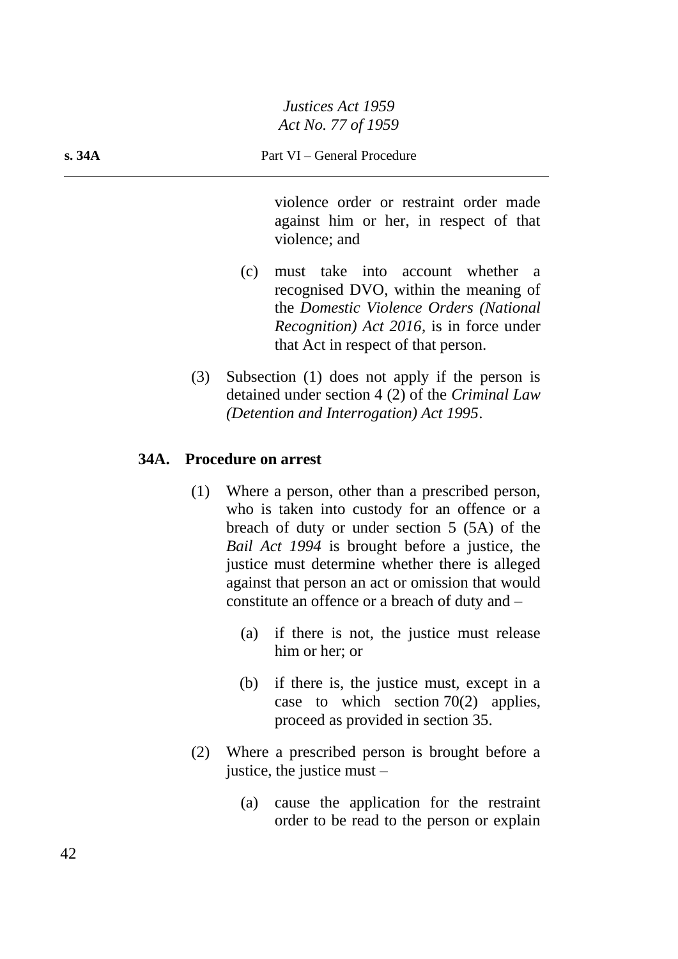violence order or restraint order made against him or her, in respect of that violence; and

- (c) must take into account whether a recognised DVO, within the meaning of the *Domestic Violence Orders (National Recognition) Act 2016*, is in force under that Act in respect of that person.
- (3) Subsection (1) does not apply if the person is detained under section 4 (2) of the *Criminal Law (Detention and Interrogation) Act 1995*.

# **34A. Procedure on arrest**

- (1) Where a person, other than a prescribed person, who is taken into custody for an offence or a breach of duty or under section 5 (5A) of the *Bail Act 1994* is brought before a justice, the justice must determine whether there is alleged against that person an act or omission that would constitute an offence or a breach of duty and –
	- (a) if there is not, the justice must release him or her; or
	- (b) if there is, the justice must, except in a case to which section  $70(2)$  applies, proceed as provided in section 35.
- (2) Where a prescribed person is brought before a justice, the justice must –
	- (a) cause the application for the restraint order to be read to the person or explain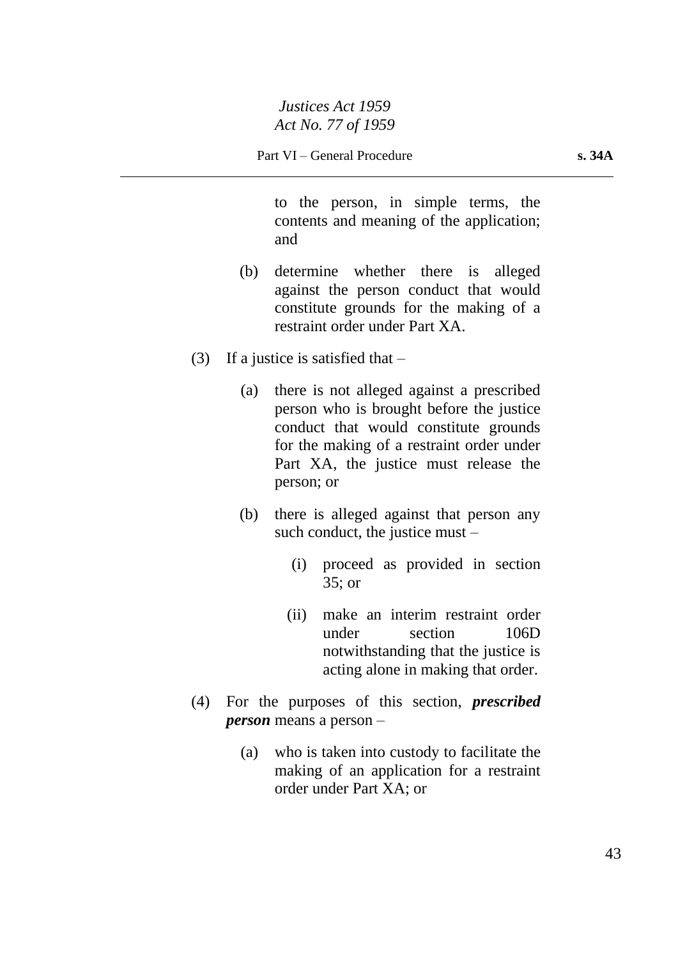to the person, in simple terms, the contents and meaning of the application; and

- (b) determine whether there is alleged against the person conduct that would constitute grounds for the making of a restraint order under Part XA.
- (3) If a justice is satisfied that  $-$ 
	- (a) there is not alleged against a prescribed person who is brought before the justice conduct that would constitute grounds for the making of a restraint order under Part XA, the justice must release the person; or
	- (b) there is alleged against that person any such conduct, the justice must –
		- (i) proceed as provided in section 35; or
		- (ii) make an interim restraint order under section 106D notwithstanding that the justice is acting alone in making that order.
- (4) For the purposes of this section, *prescribed person* means a person –
	- (a) who is taken into custody to facilitate the making of an application for a restraint order under Part XA; or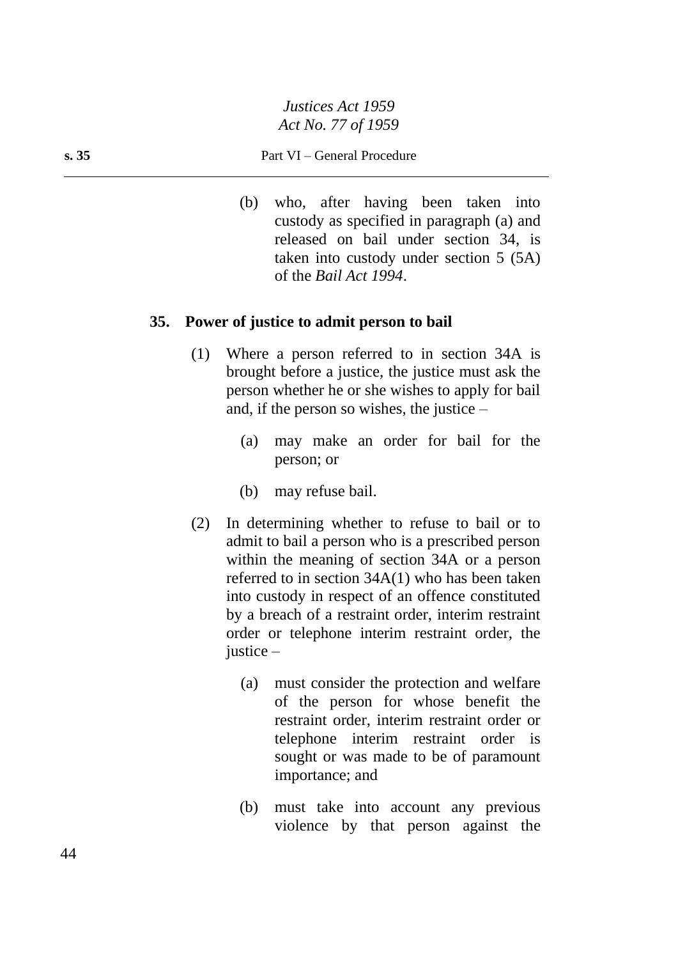#### **s. 35** Part VI – General Procedure

(b) who, after having been taken into custody as specified in paragraph (a) and released on bail under section 34, is taken into custody under section 5 (5A) of the *Bail Act 1994*.

#### **35. Power of justice to admit person to bail**

- (1) Where a person referred to in section 34A is brought before a justice, the justice must ask the person whether he or she wishes to apply for bail and, if the person so wishes, the justice –
	- (a) may make an order for bail for the person; or
	- (b) may refuse bail.
- (2) In determining whether to refuse to bail or to admit to bail a person who is a prescribed person within the meaning of section 34A or a person referred to in section 34A(1) who has been taken into custody in respect of an offence constituted by a breach of a restraint order, interim restraint order or telephone interim restraint order, the justice –
	- (a) must consider the protection and welfare of the person for whose benefit the restraint order, interim restraint order or telephone interim restraint order is sought or was made to be of paramount importance; and
	- (b) must take into account any previous violence by that person against the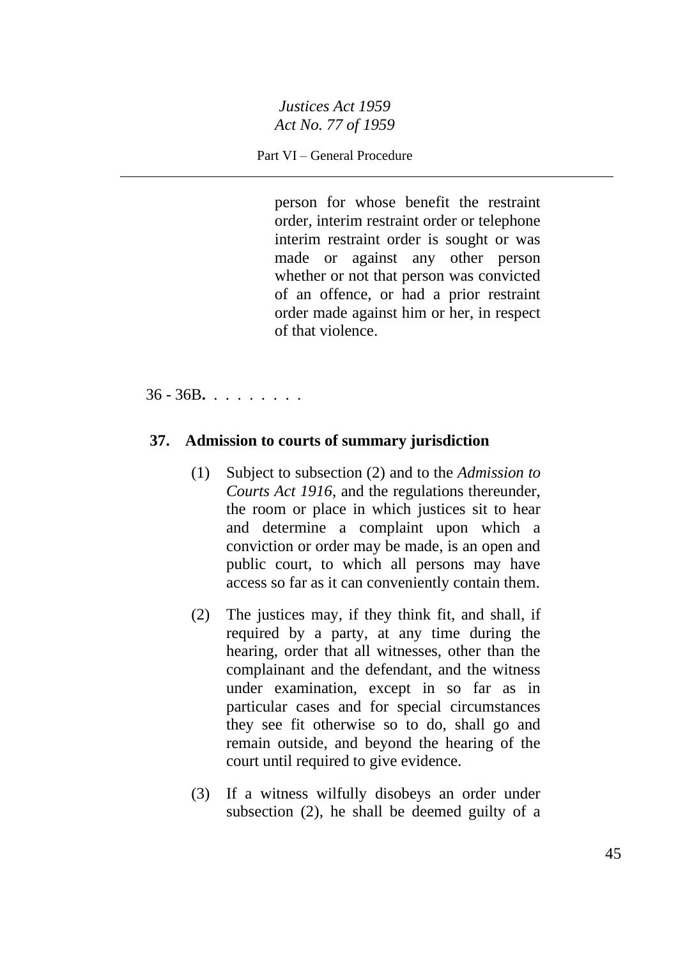Part VI – General Procedure

person for whose benefit the restraint order, interim restraint order or telephone interim restraint order is sought or was made or against any other person whether or not that person was convicted of an offence, or had a prior restraint order made against him or her, in respect of that violence.

36 - 36B**.** . . . . . . . .

#### **37. Admission to courts of summary jurisdiction**

- (1) Subject to subsection (2) and to the *Admission to Courts Act 1916*, and the regulations thereunder, the room or place in which justices sit to hear and determine a complaint upon which a conviction or order may be made, is an open and public court, to which all persons may have access so far as it can conveniently contain them.
- (2) The justices may, if they think fit, and shall, if required by a party, at any time during the hearing, order that all witnesses, other than the complainant and the defendant, and the witness under examination, except in so far as in particular cases and for special circumstances they see fit otherwise so to do, shall go and remain outside, and beyond the hearing of the court until required to give evidence.
- (3) If a witness wilfully disobeys an order under subsection (2), he shall be deemed guilty of a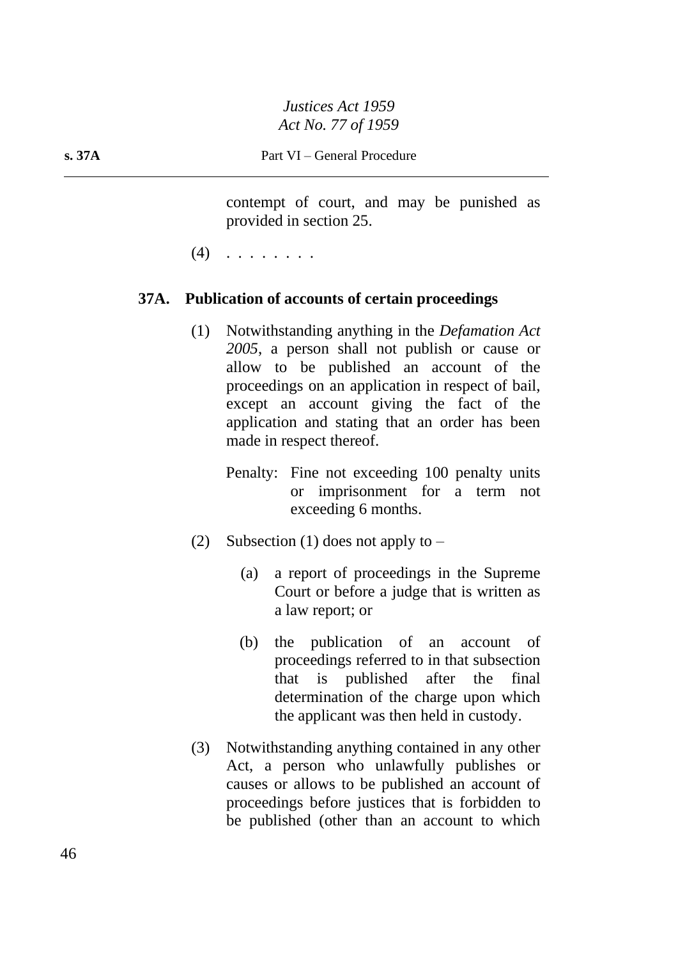contempt of court, and may be punished as provided in section 25.

 $(4)$  . . . . . . . .

# **37A. Publication of accounts of certain proceedings**

- (1) Notwithstanding anything in the *Defamation Act 2005*, a person shall not publish or cause or allow to be published an account of the proceedings on an application in respect of bail, except an account giving the fact of the application and stating that an order has been made in respect thereof.
	- Penalty: Fine not exceeding 100 penalty units or imprisonment for a term not exceeding 6 months.
- (2) Subsection (1) does not apply to  $-$ 
	- (a) a report of proceedings in the Supreme Court or before a judge that is written as a law report; or
	- (b) the publication of an account of proceedings referred to in that subsection that is published after the final determination of the charge upon which the applicant was then held in custody.
- (3) Notwithstanding anything contained in any other Act, a person who unlawfully publishes or causes or allows to be published an account of proceedings before justices that is forbidden to be published (other than an account to which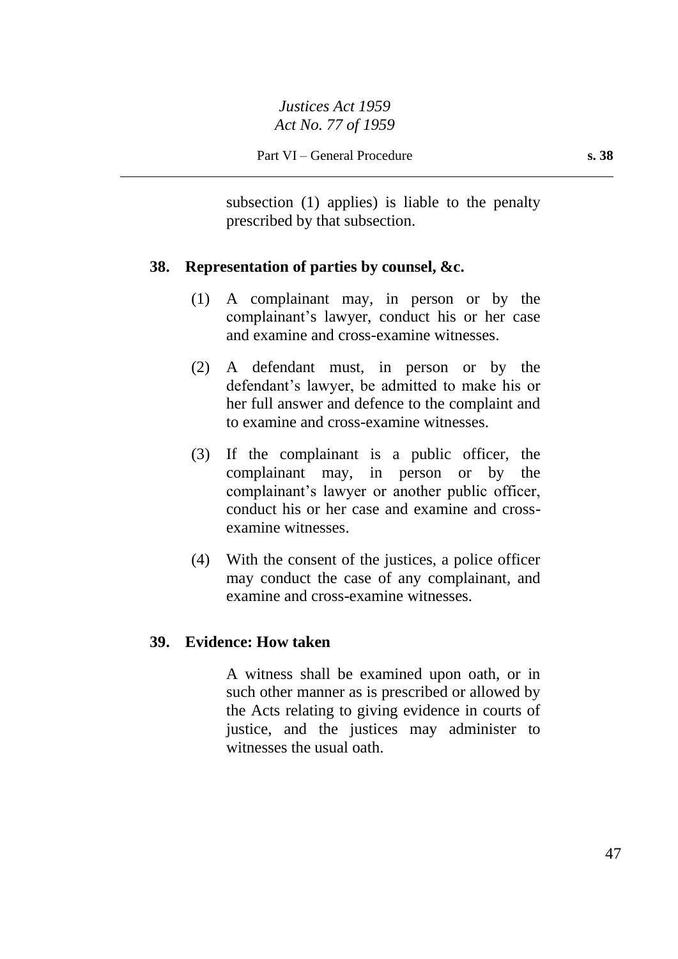subsection (1) applies) is liable to the penalty prescribed by that subsection.

## **38. Representation of parties by counsel, &c.**

- (1) A complainant may, in person or by the complainant's lawyer, conduct his or her case and examine and cross-examine witnesses.
- (2) A defendant must, in person or by the defendant's lawyer, be admitted to make his or her full answer and defence to the complaint and to examine and cross-examine witnesses.
- (3) If the complainant is a public officer, the complainant may, in person or by the complainant's lawyer or another public officer, conduct his or her case and examine and crossexamine witnesses.
- (4) With the consent of the justices, a police officer may conduct the case of any complainant, and examine and cross-examine witnesses.

# **39. Evidence: How taken**

A witness shall be examined upon oath, or in such other manner as is prescribed or allowed by the Acts relating to giving evidence in courts of justice, and the justices may administer to witnesses the usual oath.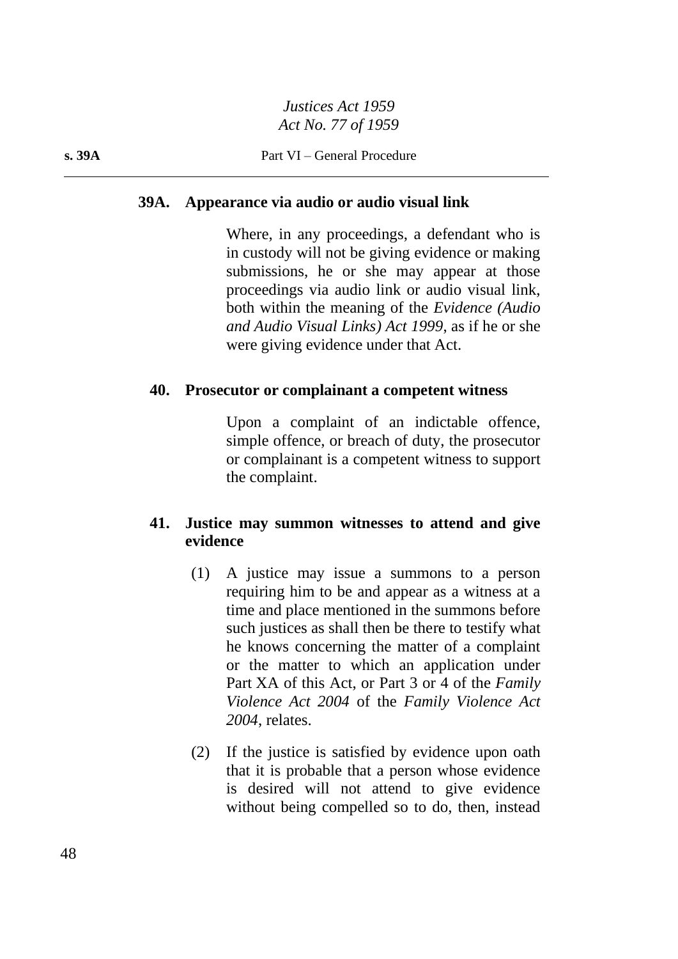#### **39A. Appearance via audio or audio visual link**

Where, in any proceedings, a defendant who is in custody will not be giving evidence or making submissions, he or she may appear at those proceedings via audio link or audio visual link, both within the meaning of the *Evidence (Audio and Audio Visual Links) Act 1999*, as if he or she were giving evidence under that Act.

#### **40. Prosecutor or complainant a competent witness**

Upon a complaint of an indictable offence, simple offence, or breach of duty, the prosecutor or complainant is a competent witness to support the complaint.

# **41. Justice may summon witnesses to attend and give evidence**

- (1) A justice may issue a summons to a person requiring him to be and appear as a witness at a time and place mentioned in the summons before such justices as shall then be there to testify what he knows concerning the matter of a complaint or the matter to which an application under Part XA of this Act, or Part 3 or 4 of the *Family Violence Act 2004* of the *Family Violence Act 2004*, relates.
- (2) If the justice is satisfied by evidence upon oath that it is probable that a person whose evidence is desired will not attend to give evidence without being compelled so to do, then, instead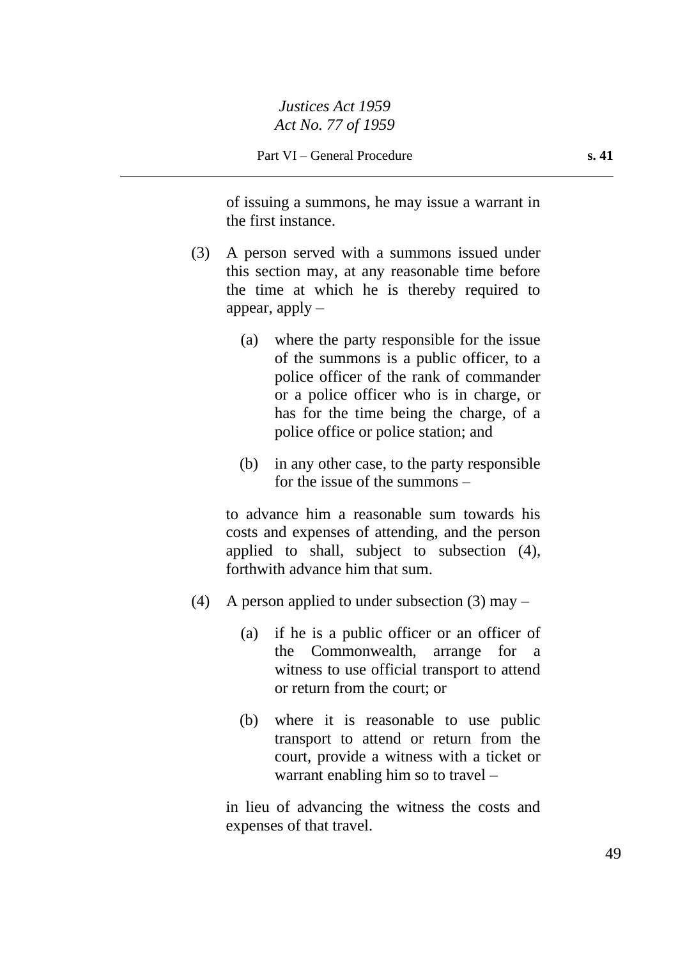of issuing a summons, he may issue a warrant in the first instance.

- (3) A person served with a summons issued under this section may, at any reasonable time before the time at which he is thereby required to appear, apply  $-$ 
	- (a) where the party responsible for the issue of the summons is a public officer, to a police officer of the rank of commander or a police officer who is in charge, or has for the time being the charge, of a police office or police station; and
	- (b) in any other case, to the party responsible for the issue of the summons –

to advance him a reasonable sum towards his costs and expenses of attending, and the person applied to shall, subject to subsection (4), forthwith advance him that sum.

- (4) A person applied to under subsection (3) may  $-$ 
	- (a) if he is a public officer or an officer of the Commonwealth, arrange for a witness to use official transport to attend or return from the court; or
	- (b) where it is reasonable to use public transport to attend or return from the court, provide a witness with a ticket or warrant enabling him so to travel –

in lieu of advancing the witness the costs and expenses of that travel.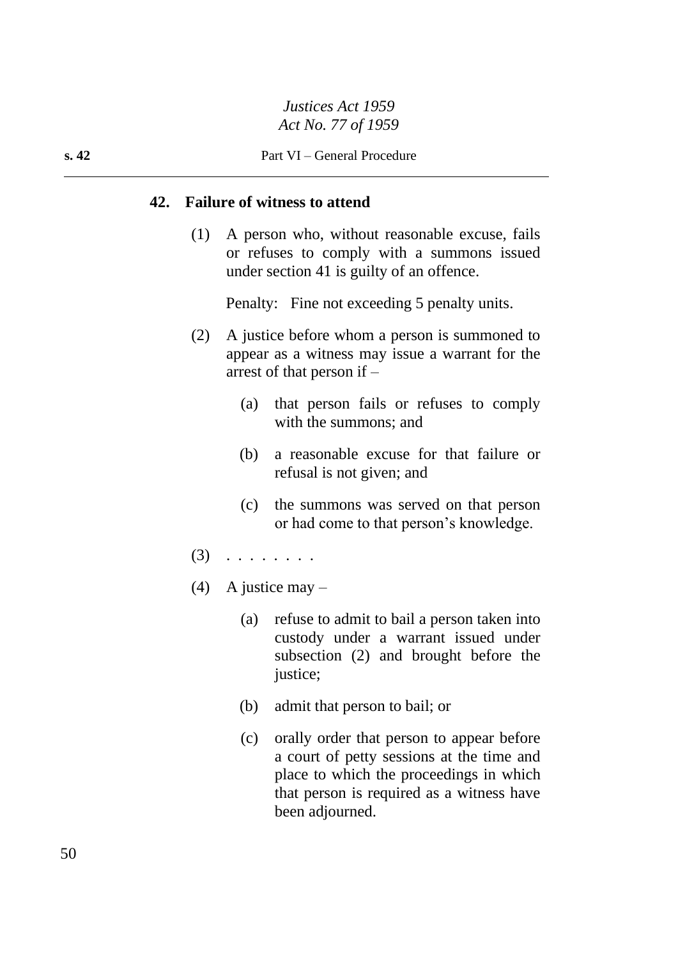#### **42. Failure of witness to attend**

(1) A person who, without reasonable excuse, fails or refuses to comply with a summons issued under section 41 is guilty of an offence.

Penalty: Fine not exceeding 5 penalty units.

- (2) A justice before whom a person is summoned to appear as a witness may issue a warrant for the arrest of that person if –
	- (a) that person fails or refuses to comply with the summons; and
	- (b) a reasonable excuse for that failure or refusal is not given; and
	- (c) the summons was served on that person or had come to that person's knowledge.
- (3) . . . . . . . .
- (4) A justice may  $-$ 
	- (a) refuse to admit to bail a person taken into custody under a warrant issued under subsection (2) and brought before the justice;
	- (b) admit that person to bail; or
	- (c) orally order that person to appear before a court of petty sessions at the time and place to which the proceedings in which that person is required as a witness have been adjourned.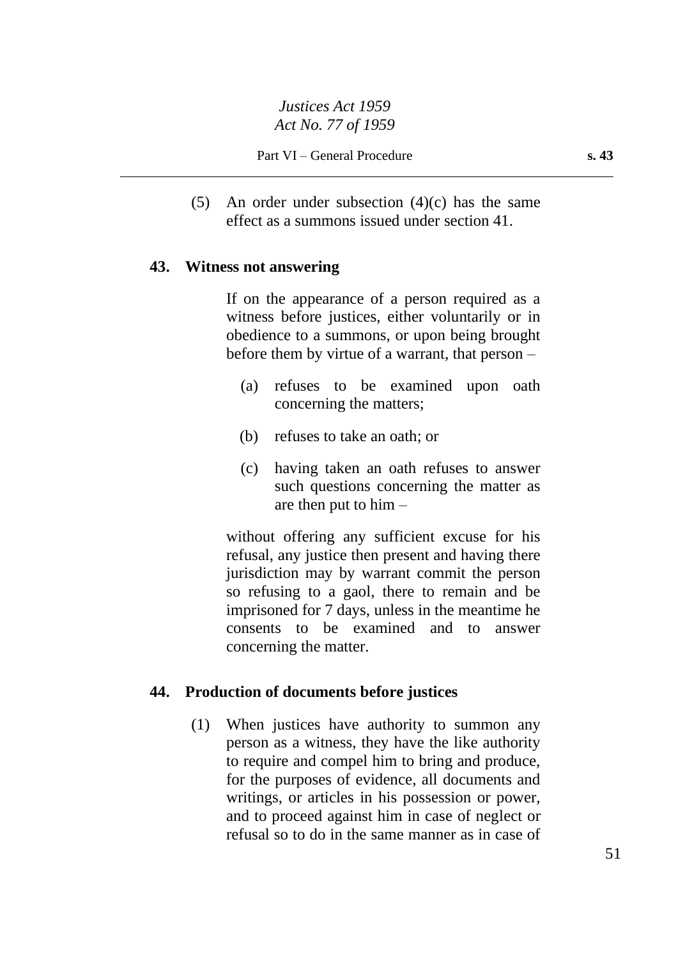(5) An order under subsection (4)(c) has the same effect as a summons issued under section 41.

#### **43. Witness not answering**

If on the appearance of a person required as a witness before justices, either voluntarily or in obedience to a summons, or upon being brought before them by virtue of a warrant, that person –

- (a) refuses to be examined upon oath concerning the matters;
- (b) refuses to take an oath; or
- (c) having taken an oath refuses to answer such questions concerning the matter as are then put to him –

without offering any sufficient excuse for his refusal, any justice then present and having there jurisdiction may by warrant commit the person so refusing to a gaol, there to remain and be imprisoned for 7 days, unless in the meantime he consents to be examined and to answer concerning the matter.

### **44. Production of documents before justices**

(1) When justices have authority to summon any person as a witness, they have the like authority to require and compel him to bring and produce, for the purposes of evidence, all documents and writings, or articles in his possession or power, and to proceed against him in case of neglect or refusal so to do in the same manner as in case of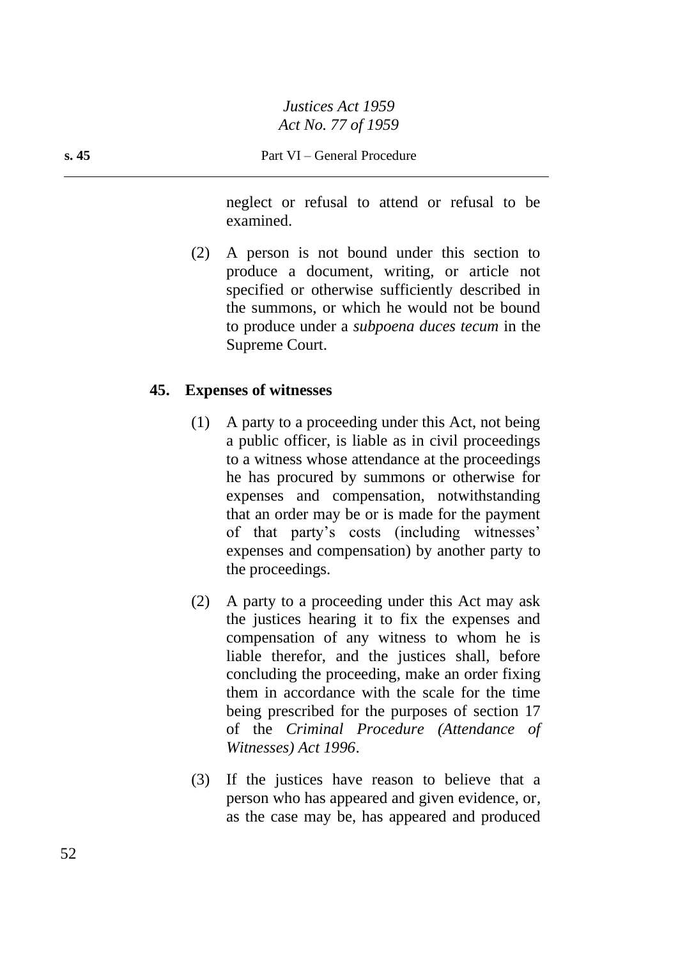neglect or refusal to attend or refusal to be examined.

(2) A person is not bound under this section to produce a document, writing, or article not specified or otherwise sufficiently described in the summons, or which he would not be bound to produce under a *subpoena duces tecum* in the Supreme Court.

# **45. Expenses of witnesses**

- (1) A party to a proceeding under this Act, not being a public officer, is liable as in civil proceedings to a witness whose attendance at the proceedings he has procured by summons or otherwise for expenses and compensation, notwithstanding that an order may be or is made for the payment of that party's costs (including witnesses' expenses and compensation) by another party to the proceedings.
- (2) A party to a proceeding under this Act may ask the justices hearing it to fix the expenses and compensation of any witness to whom he is liable therefor, and the justices shall, before concluding the proceeding, make an order fixing them in accordance with the scale for the time being prescribed for the purposes of section 17 of the *Criminal Procedure (Attendance of Witnesses) Act 1996*.
- (3) If the justices have reason to believe that a person who has appeared and given evidence, or, as the case may be, has appeared and produced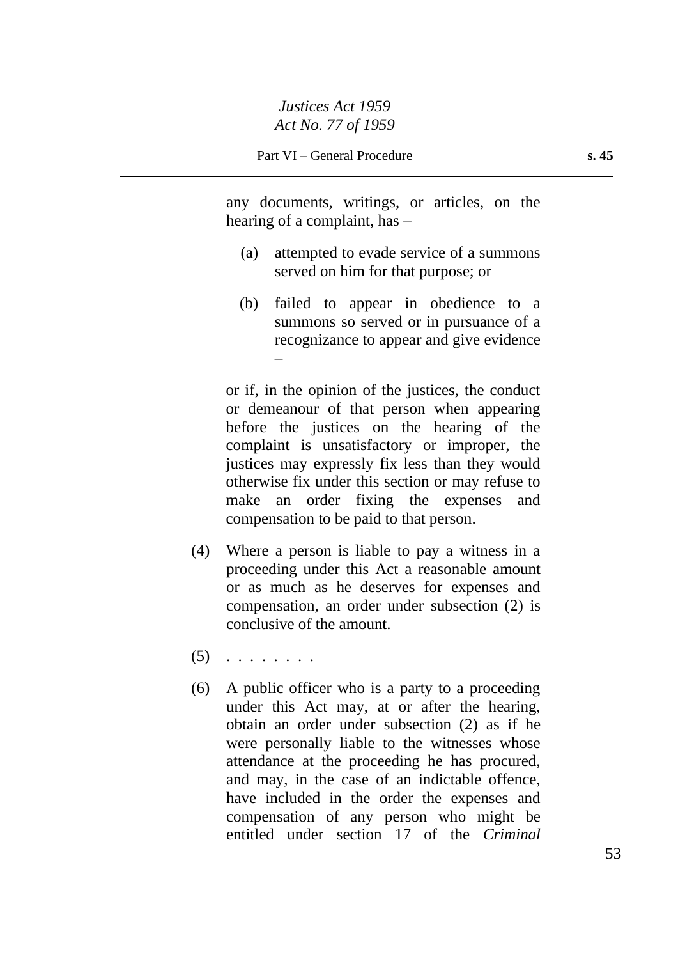any documents, writings, or articles, on the hearing of a complaint, has –

- (a) attempted to evade service of a summons served on him for that purpose; or
- (b) failed to appear in obedience to a summons so served or in pursuance of a recognizance to appear and give evidence –

or if, in the opinion of the justices, the conduct or demeanour of that person when appearing before the justices on the hearing of the complaint is unsatisfactory or improper, the justices may expressly fix less than they would otherwise fix under this section or may refuse to make an order fixing the expenses and compensation to be paid to that person.

- (4) Where a person is liable to pay a witness in a proceeding under this Act a reasonable amount or as much as he deserves for expenses and compensation, an order under subsection (2) is conclusive of the amount.
- $(5)$  . . . . . . . .
- (6) A public officer who is a party to a proceeding under this Act may, at or after the hearing, obtain an order under subsection (2) as if he were personally liable to the witnesses whose attendance at the proceeding he has procured, and may, in the case of an indictable offence, have included in the order the expenses and compensation of any person who might be entitled under section 17 of the *Criminal*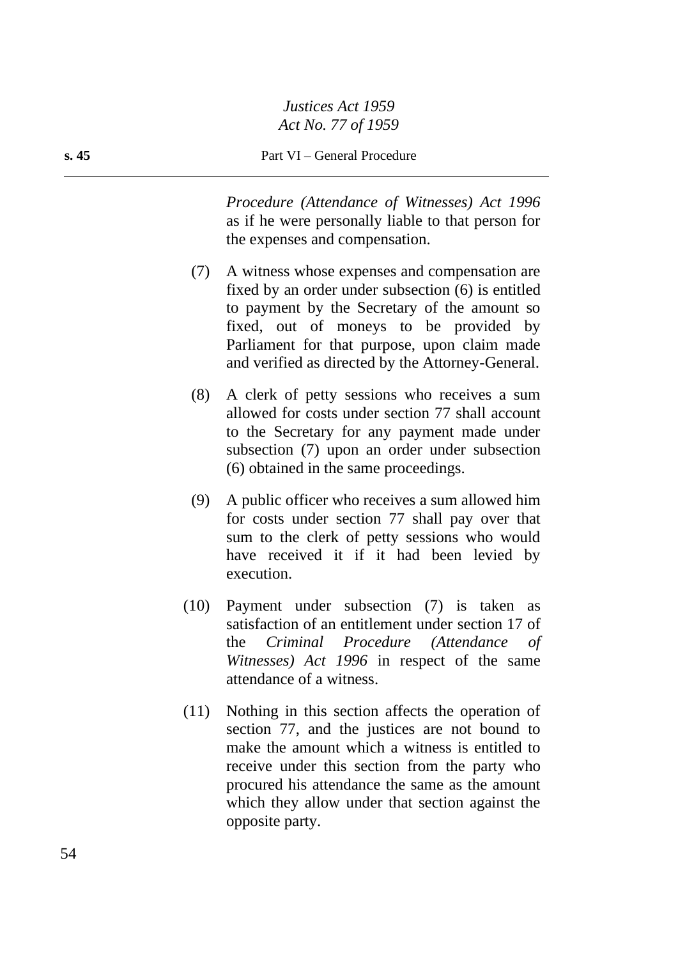*Procedure (Attendance of Witnesses) Act 1996* as if he were personally liable to that person for the expenses and compensation.

- (7) A witness whose expenses and compensation are fixed by an order under subsection (6) is entitled to payment by the Secretary of the amount so fixed, out of moneys to be provided by Parliament for that purpose, upon claim made and verified as directed by the Attorney-General.
- (8) A clerk of petty sessions who receives a sum allowed for costs under section 77 shall account to the Secretary for any payment made under subsection (7) upon an order under subsection (6) obtained in the same proceedings.
- (9) A public officer who receives a sum allowed him for costs under section 77 shall pay over that sum to the clerk of petty sessions who would have received it if it had been levied by execution.
- (10) Payment under subsection (7) is taken as satisfaction of an entitlement under section 17 of the *Criminal Procedure (Attendance of Witnesses) Act 1996* in respect of the same attendance of a witness.
- (11) Nothing in this section affects the operation of section 77, and the justices are not bound to make the amount which a witness is entitled to receive under this section from the party who procured his attendance the same as the amount which they allow under that section against the opposite party.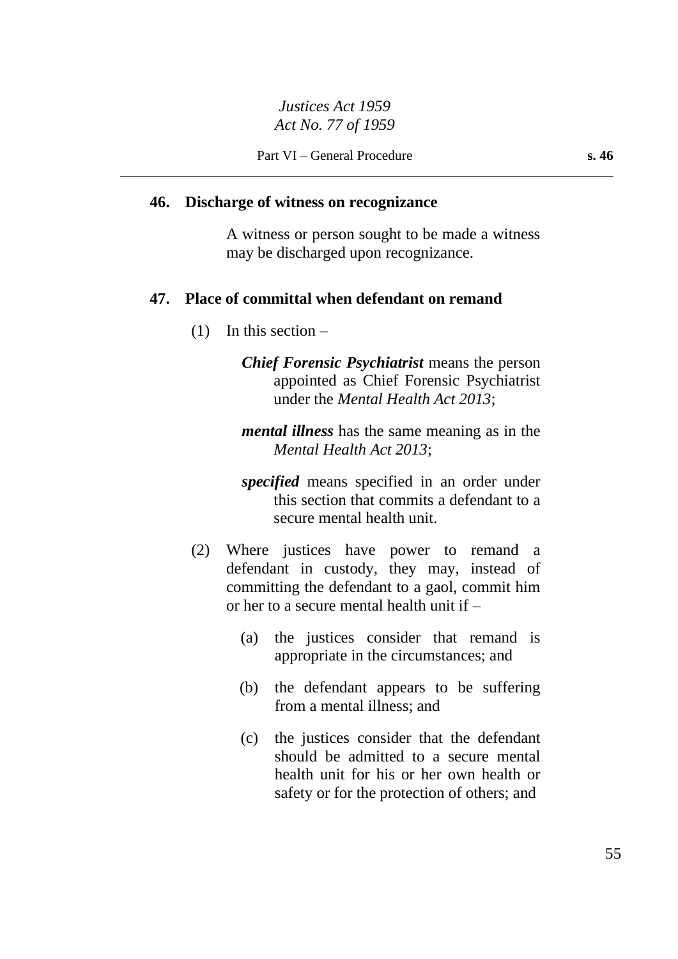## **46. Discharge of witness on recognizance**

A witness or person sought to be made a witness may be discharged upon recognizance.

# **47. Place of committal when defendant on remand**

(1) In this section –

*Chief Forensic Psychiatrist* means the person appointed as Chief Forensic Psychiatrist under the *Mental Health Act 2013*;

*mental illness* has the same meaning as in the *Mental Health Act 2013*;

*specified* means specified in an order under this section that commits a defendant to a secure mental health unit.

- (2) Where justices have power to remand a defendant in custody, they may, instead of committing the defendant to a gaol, commit him or her to a secure mental health unit if –
	- (a) the justices consider that remand is appropriate in the circumstances; and
	- (b) the defendant appears to be suffering from a mental illness; and
	- (c) the justices consider that the defendant should be admitted to a secure mental health unit for his or her own health or safety or for the protection of others; and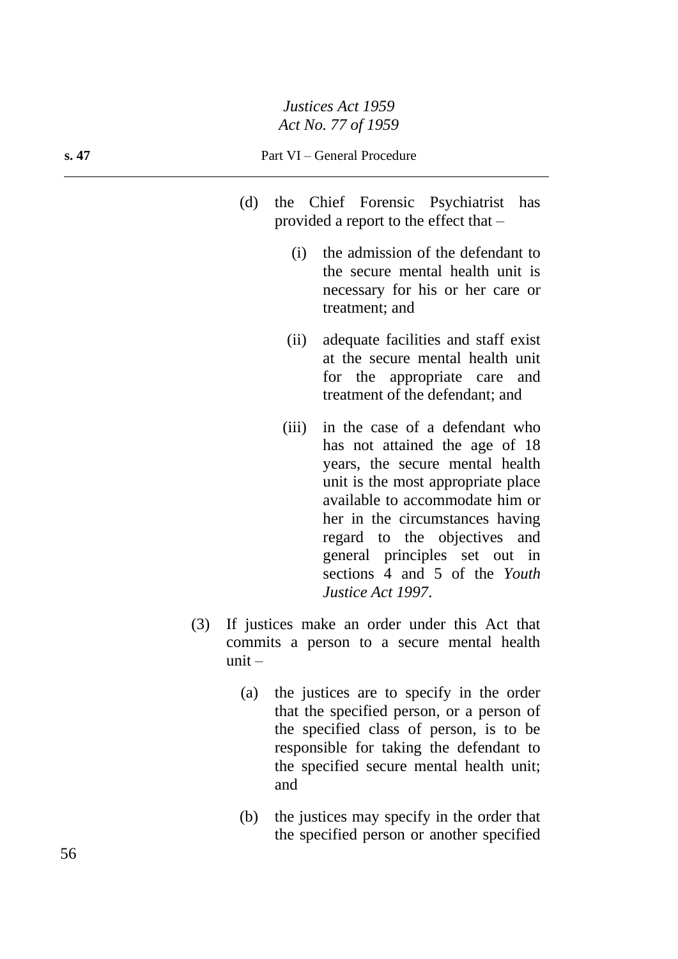#### **s. 47** Part VI – General Procedure

- (d) the Chief Forensic Psychiatrist has provided a report to the effect that –
	- (i) the admission of the defendant to the secure mental health unit is necessary for his or her care or treatment; and
	- (ii) adequate facilities and staff exist at the secure mental health unit for the appropriate care and treatment of the defendant; and
	- (iii) in the case of a defendant who has not attained the age of 18 years, the secure mental health unit is the most appropriate place available to accommodate him or her in the circumstances having regard to the objectives and general principles set out in sections 4 and 5 of the *Youth Justice Act 1997*.
- (3) If justices make an order under this Act that commits a person to a secure mental health  $unit -$ 
	- (a) the justices are to specify in the order that the specified person, or a person of the specified class of person, is to be responsible for taking the defendant to the specified secure mental health unit; and
	- (b) the justices may specify in the order that the specified person or another specified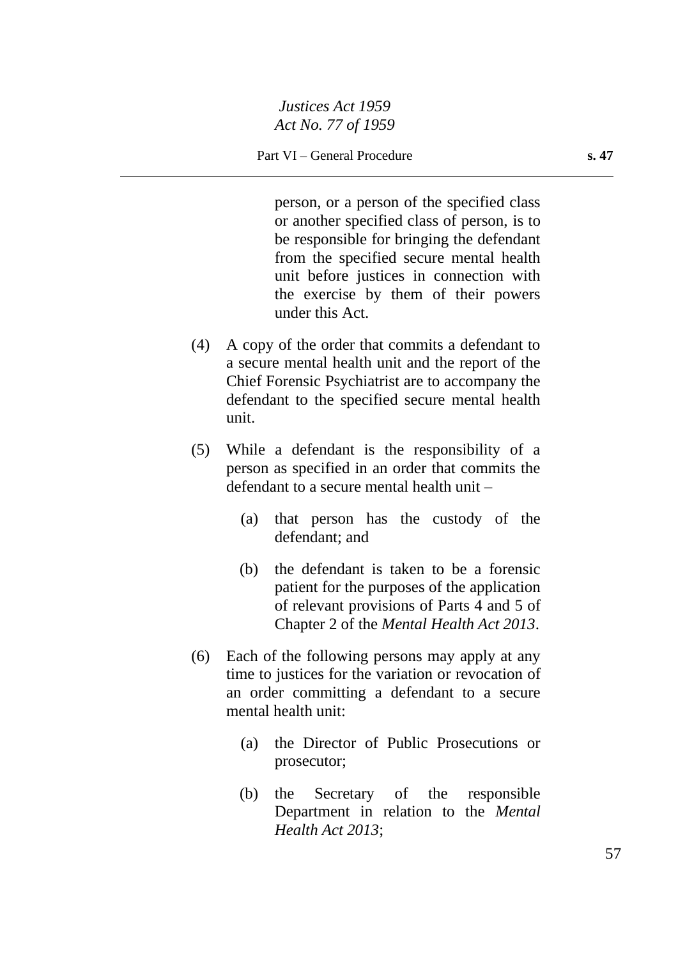person, or a person of the specified class or another specified class of person, is to be responsible for bringing the defendant from the specified secure mental health unit before justices in connection with the exercise by them of their powers under this Act.

- (4) A copy of the order that commits a defendant to a secure mental health unit and the report of the Chief Forensic Psychiatrist are to accompany the defendant to the specified secure mental health unit.
- (5) While a defendant is the responsibility of a person as specified in an order that commits the defendant to a secure mental health unit –
	- (a) that person has the custody of the defendant; and
	- (b) the defendant is taken to be a forensic patient for the purposes of the application of relevant provisions of Parts 4 and 5 of Chapter 2 of the *Mental Health Act 2013*.
- (6) Each of the following persons may apply at any time to justices for the variation or revocation of an order committing a defendant to a secure mental health unit:
	- (a) the Director of Public Prosecutions or prosecutor;
	- (b) the Secretary of the responsible Department in relation to the *Mental Health Act 2013*;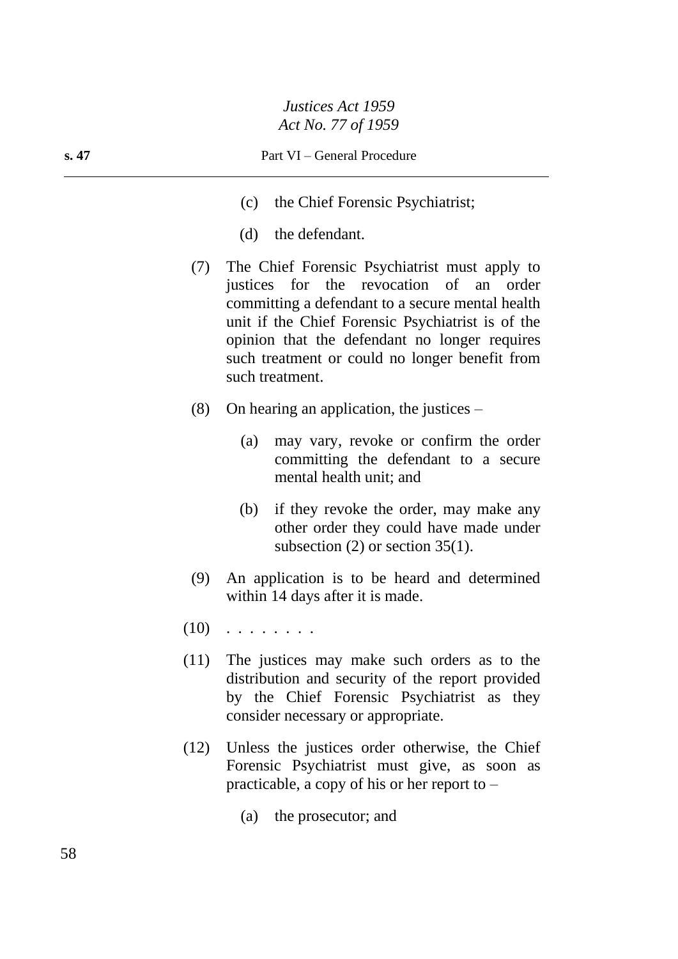- (c) the Chief Forensic Psychiatrist;
- (d) the defendant.
- (7) The Chief Forensic Psychiatrist must apply to justices for the revocation of an order committing a defendant to a secure mental health unit if the Chief Forensic Psychiatrist is of the opinion that the defendant no longer requires such treatment or could no longer benefit from such treatment.
- (8) On hearing an application, the justices
	- (a) may vary, revoke or confirm the order committing the defendant to a secure mental health unit; and
	- (b) if they revoke the order, may make any other order they could have made under subsection (2) or section 35(1).
- (9) An application is to be heard and determined within 14 days after it is made.
- $(10)$  . . . . . . . .
- (11) The justices may make such orders as to the distribution and security of the report provided by the Chief Forensic Psychiatrist as they consider necessary or appropriate.
- (12) Unless the justices order otherwise, the Chief Forensic Psychiatrist must give, as soon as practicable, a copy of his or her report to –
	- (a) the prosecutor; and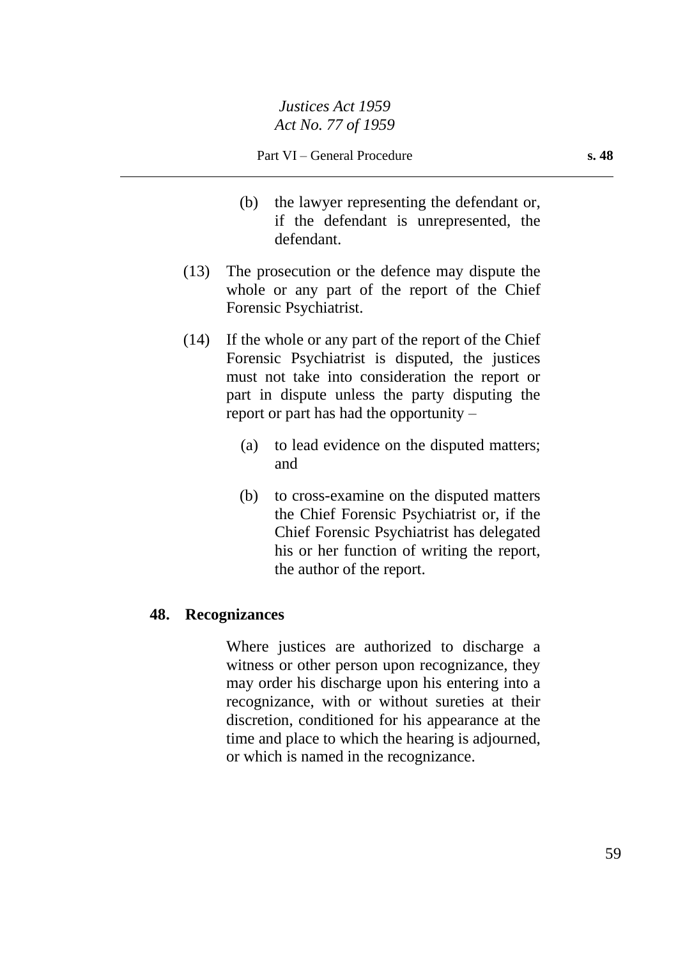- (b) the lawyer representing the defendant or, if the defendant is unrepresented, the defendant.
- (13) The prosecution or the defence may dispute the whole or any part of the report of the Chief Forensic Psychiatrist.
- (14) If the whole or any part of the report of the Chief Forensic Psychiatrist is disputed, the justices must not take into consideration the report or part in dispute unless the party disputing the report or part has had the opportunity –
	- (a) to lead evidence on the disputed matters; and
	- (b) to cross-examine on the disputed matters the Chief Forensic Psychiatrist or, if the Chief Forensic Psychiatrist has delegated his or her function of writing the report, the author of the report.

# **48. Recognizances**

Where justices are authorized to discharge a witness or other person upon recognizance, they may order his discharge upon his entering into a recognizance, with or without sureties at their discretion, conditioned for his appearance at the time and place to which the hearing is adjourned, or which is named in the recognizance.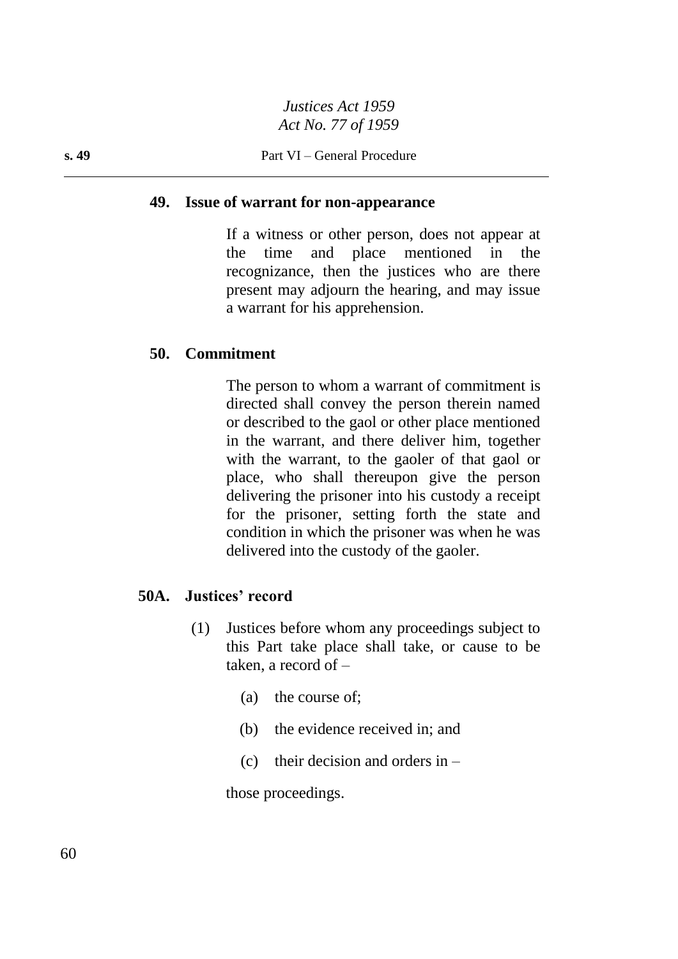#### **49. Issue of warrant for non-appearance**

If a witness or other person, does not appear at the time and place mentioned in the recognizance, then the justices who are there present may adjourn the hearing, and may issue a warrant for his apprehension.

#### **50. Commitment**

The person to whom a warrant of commitment is directed shall convey the person therein named or described to the gaol or other place mentioned in the warrant, and there deliver him, together with the warrant, to the gaoler of that gaol or place, who shall thereupon give the person delivering the prisoner into his custody a receipt for the prisoner, setting forth the state and condition in which the prisoner was when he was delivered into the custody of the gaoler.

# **50A. Justices' record**

- (1) Justices before whom any proceedings subject to this Part take place shall take, or cause to be taken, a record of –
	- (a) the course of;
	- (b) the evidence received in; and
	- (c) their decision and orders in  $-$

those proceedings.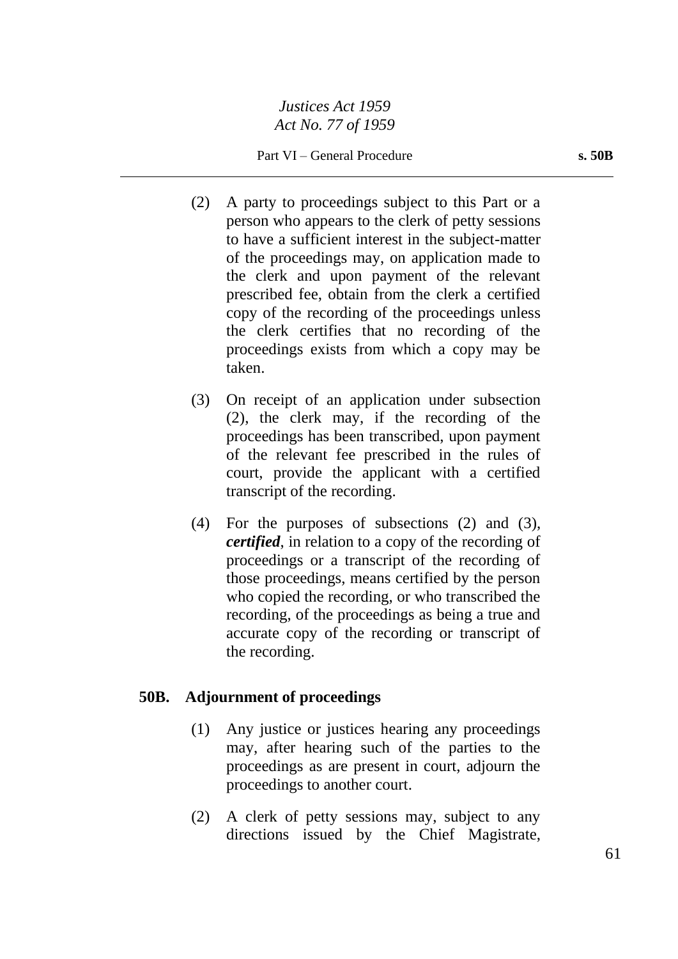Part VI – General Procedure **s. 50B** 

- (2) A party to proceedings subject to this Part or a person who appears to the clerk of petty sessions to have a sufficient interest in the subject-matter of the proceedings may, on application made to the clerk and upon payment of the relevant prescribed fee, obtain from the clerk a certified copy of the recording of the proceedings unless the clerk certifies that no recording of the proceedings exists from which a copy may be taken.
- (3) On receipt of an application under subsection (2), the clerk may, if the recording of the proceedings has been transcribed, upon payment of the relevant fee prescribed in the rules of court, provide the applicant with a certified transcript of the recording.
- (4) For the purposes of subsections (2) and (3), *certified*, in relation to a copy of the recording of proceedings or a transcript of the recording of those proceedings, means certified by the person who copied the recording, or who transcribed the recording, of the proceedings as being a true and accurate copy of the recording or transcript of the recording.

# **50B. Adjournment of proceedings**

- (1) Any justice or justices hearing any proceedings may, after hearing such of the parties to the proceedings as are present in court, adjourn the proceedings to another court.
- (2) A clerk of petty sessions may, subject to any directions issued by the Chief Magistrate,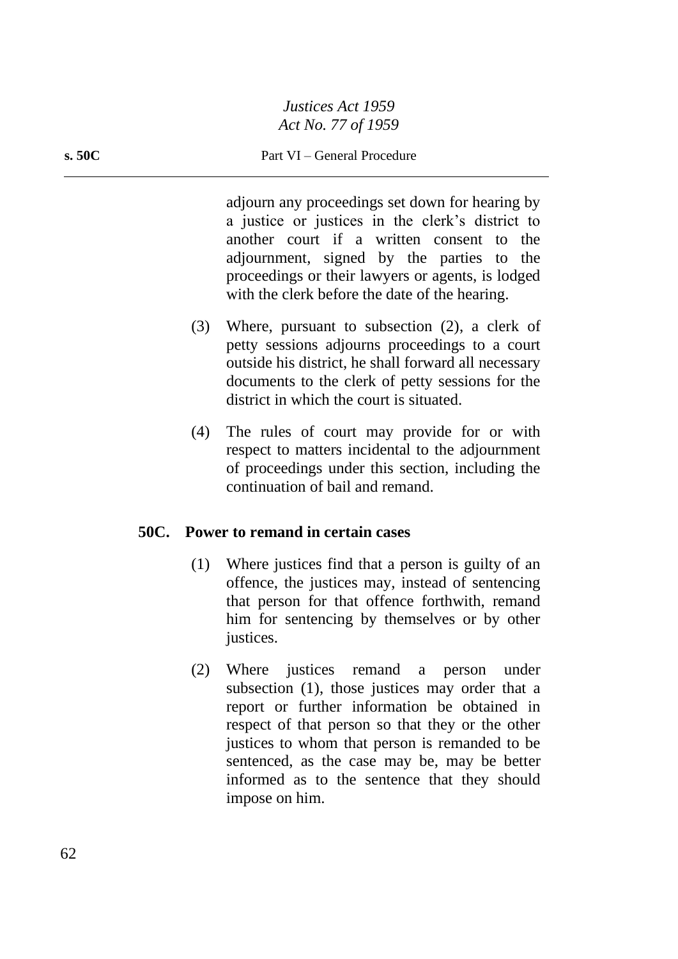#### **s. 50C** Part VI – General Procedure

adjourn any proceedings set down for hearing by a justice or justices in the clerk's district to another court if a written consent to the adjournment, signed by the parties to the proceedings or their lawyers or agents, is lodged with the clerk before the date of the hearing.

- (3) Where, pursuant to subsection (2), a clerk of petty sessions adjourns proceedings to a court outside his district, he shall forward all necessary documents to the clerk of petty sessions for the district in which the court is situated.
- (4) The rules of court may provide for or with respect to matters incidental to the adjournment of proceedings under this section, including the continuation of bail and remand.

### **50C. Power to remand in certain cases**

- (1) Where justices find that a person is guilty of an offence, the justices may, instead of sentencing that person for that offence forthwith, remand him for sentencing by themselves or by other justices.
- (2) Where justices remand a person under subsection (1), those justices may order that a report or further information be obtained in respect of that person so that they or the other justices to whom that person is remanded to be sentenced, as the case may be, may be better informed as to the sentence that they should impose on him.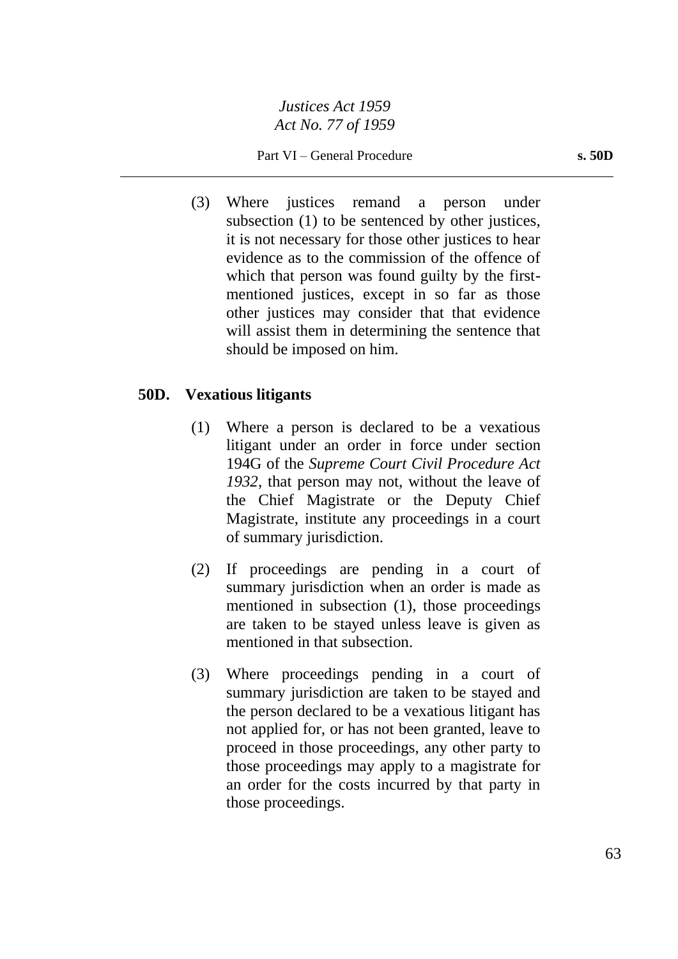Part VI – General Procedure **s. 50D** 

(3) Where justices remand a person under subsection (1) to be sentenced by other justices, it is not necessary for those other justices to hear evidence as to the commission of the offence of which that person was found guilty by the firstmentioned justices, except in so far as those other justices may consider that that evidence will assist them in determining the sentence that should be imposed on him.

## **50D. Vexatious litigants**

- (1) Where a person is declared to be a vexatious litigant under an order in force under section 194G of the *Supreme Court Civil Procedure Act 1932*, that person may not, without the leave of the Chief Magistrate or the Deputy Chief Magistrate, institute any proceedings in a court of summary jurisdiction.
- (2) If proceedings are pending in a court of summary jurisdiction when an order is made as mentioned in subsection (1), those proceedings are taken to be stayed unless leave is given as mentioned in that subsection.
- (3) Where proceedings pending in a court of summary jurisdiction are taken to be stayed and the person declared to be a vexatious litigant has not applied for, or has not been granted, leave to proceed in those proceedings, any other party to those proceedings may apply to a magistrate for an order for the costs incurred by that party in those proceedings.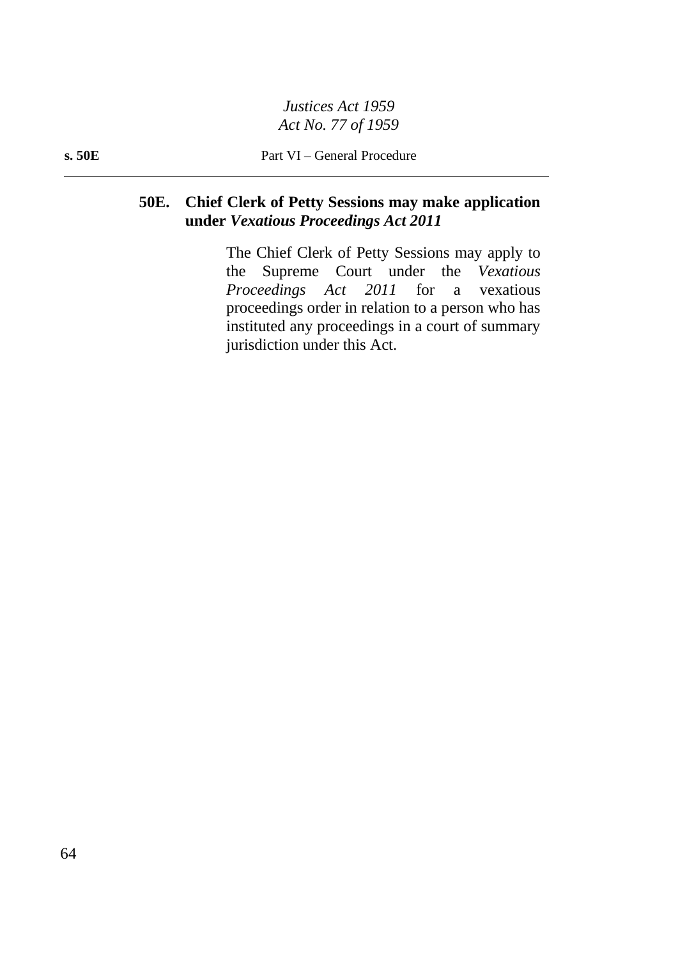# **50E. Chief Clerk of Petty Sessions may make application under** *Vexatious Proceedings Act 2011*

The Chief Clerk of Petty Sessions may apply to the Supreme Court under the *Vexatious Proceedings Act 2011* for a vexatious proceedings order in relation to a person who has instituted any proceedings in a court of summary jurisdiction under this Act.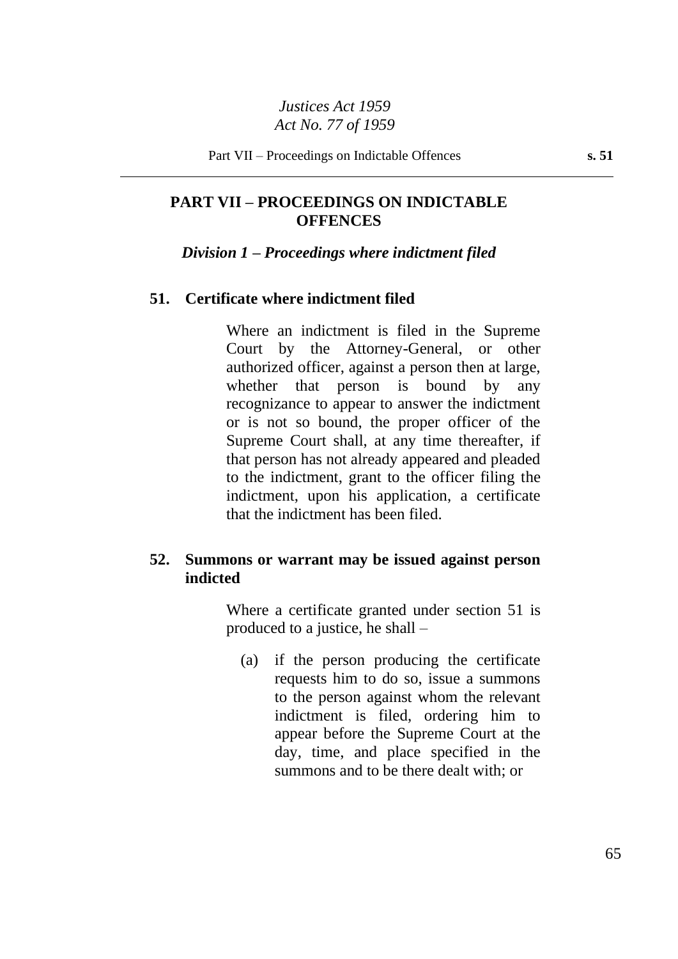# **PART VII – PROCEEDINGS ON INDICTABLE OFFENCES**

#### *Division 1 – Proceedings where indictment filed*

#### **51. Certificate where indictment filed**

Where an indictment is filed in the Supreme Court by the Attorney-General, or other authorized officer, against a person then at large, whether that person is bound by any recognizance to appear to answer the indictment or is not so bound, the proper officer of the Supreme Court shall, at any time thereafter, if that person has not already appeared and pleaded to the indictment, grant to the officer filing the indictment, upon his application, a certificate that the indictment has been filed.

# **52. Summons or warrant may be issued against person indicted**

Where a certificate granted under section 51 is produced to a justice, he shall –

(a) if the person producing the certificate requests him to do so, issue a summons to the person against whom the relevant indictment is filed, ordering him to appear before the Supreme Court at the day, time, and place specified in the summons and to be there dealt with; or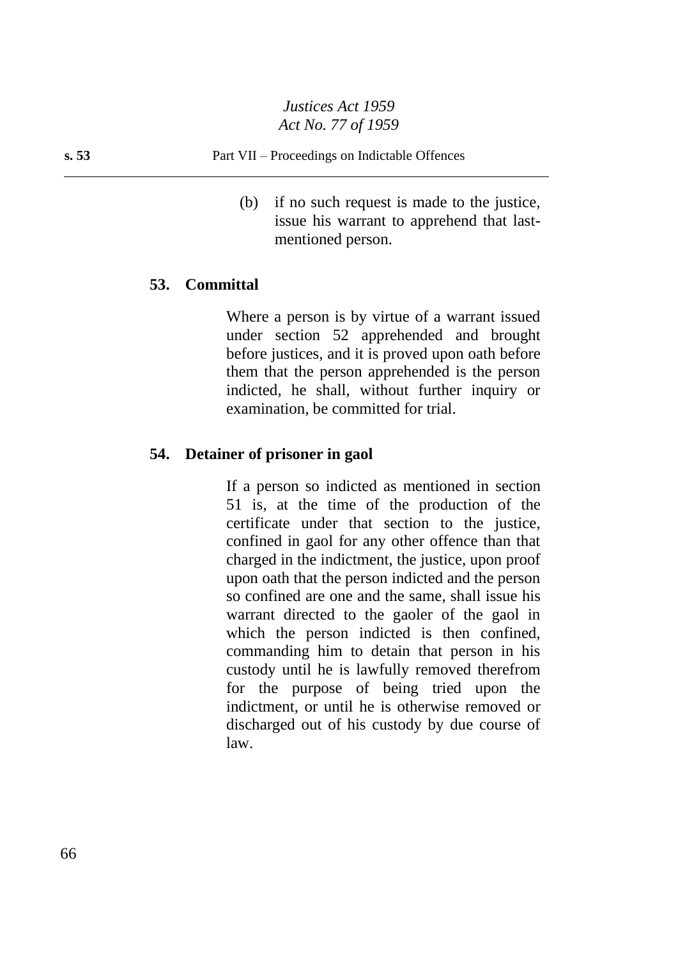#### **s. 53** Part VII – Proceedings on Indictable Offences

(b) if no such request is made to the justice, issue his warrant to apprehend that lastmentioned person.

## **53. Committal**

Where a person is by virtue of a warrant issued under section 52 apprehended and brought before justices, and it is proved upon oath before them that the person apprehended is the person indicted, he shall, without further inquiry or examination, be committed for trial.

#### **54. Detainer of prisoner in gaol**

If a person so indicted as mentioned in section 51 is, at the time of the production of the certificate under that section to the justice, confined in gaol for any other offence than that charged in the indictment, the justice, upon proof upon oath that the person indicted and the person so confined are one and the same, shall issue his warrant directed to the gaoler of the gaol in which the person indicted is then confined, commanding him to detain that person in his custody until he is lawfully removed therefrom for the purpose of being tried upon the indictment, or until he is otherwise removed or discharged out of his custody by due course of law.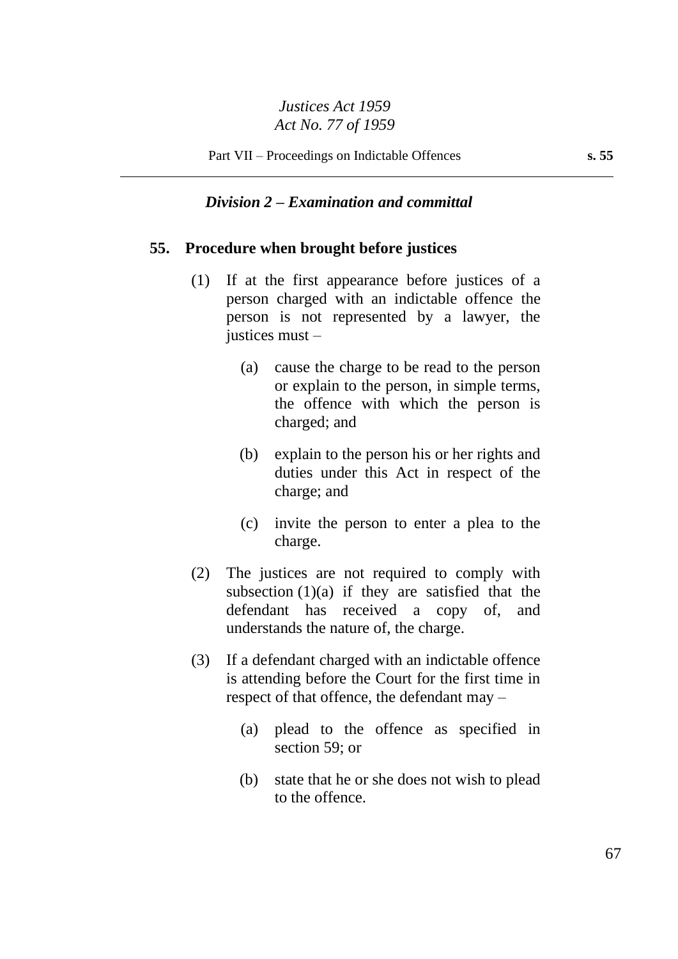### *Division 2 – Examination and committal*

#### **55. Procedure when brought before justices**

- (1) If at the first appearance before justices of a person charged with an indictable offence the person is not represented by a lawyer, the justices must –
	- (a) cause the charge to be read to the person or explain to the person, in simple terms, the offence with which the person is charged; and
	- (b) explain to the person his or her rights and duties under this Act in respect of the charge; and
	- (c) invite the person to enter a plea to the charge.
- (2) The justices are not required to comply with subsection  $(1)(a)$  if they are satisfied that the defendant has received a copy of, and understands the nature of, the charge.
- (3) If a defendant charged with an indictable offence is attending before the Court for the first time in respect of that offence, the defendant may –
	- (a) plead to the offence as specified in section 59; or
	- (b) state that he or she does not wish to plead to the offence.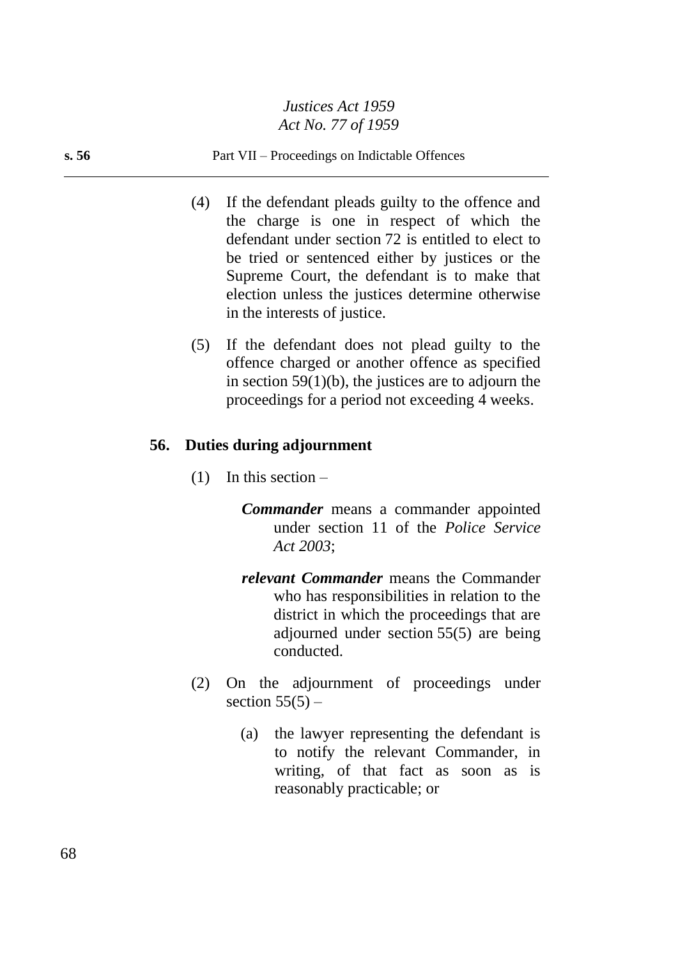#### **s. 56** Part VII – Proceedings on Indictable Offences

- (4) If the defendant pleads guilty to the offence and the charge is one in respect of which the defendant under section 72 is entitled to elect to be tried or sentenced either by justices or the Supreme Court, the defendant is to make that election unless the justices determine otherwise in the interests of justice.
- (5) If the defendant does not plead guilty to the offence charged or another offence as specified in section 59(1)(b), the justices are to adjourn the proceedings for a period not exceeding 4 weeks.

## **56. Duties during adjournment**

- $(1)$  In this section
	- *Commander* means a commander appointed under section 11 of the *Police Service Act 2003*;
	- *relevant Commander* means the Commander who has responsibilities in relation to the district in which the proceedings that are adjourned under section 55(5) are being conducted.
- (2) On the adjournment of proceedings under section  $55(5)$  –
	- (a) the lawyer representing the defendant is to notify the relevant Commander, in writing, of that fact as soon as is reasonably practicable; or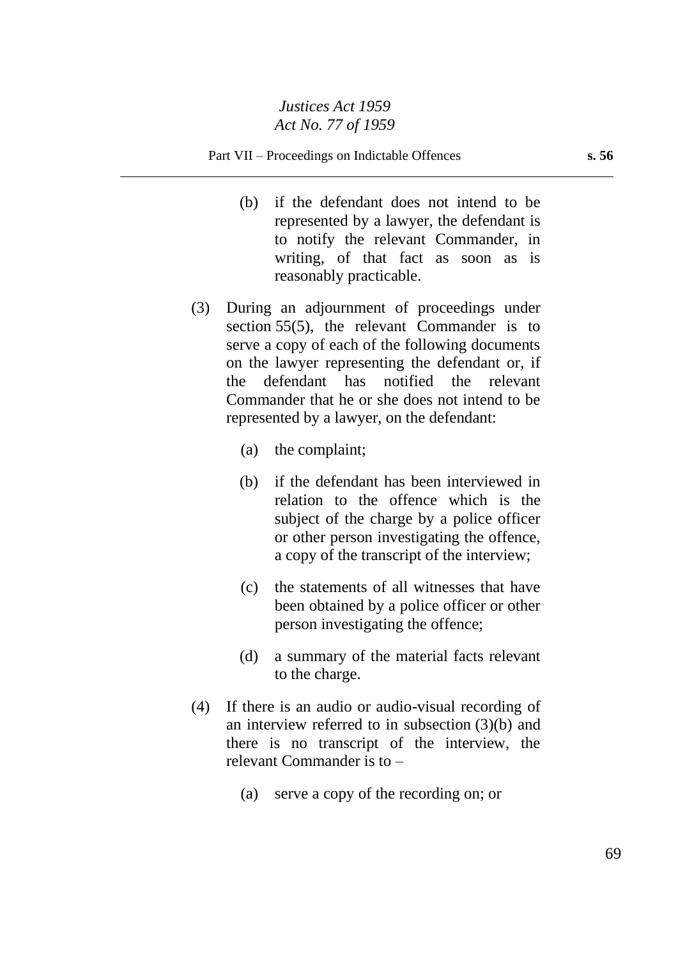- (b) if the defendant does not intend to be represented by a lawyer, the defendant is to notify the relevant Commander, in writing, of that fact as soon as is reasonably practicable.
- (3) During an adjournment of proceedings under section 55(5), the relevant Commander is to serve a copy of each of the following documents on the lawyer representing the defendant or, if the defendant has notified the relevant Commander that he or she does not intend to be represented by a lawyer, on the defendant:
	- (a) the complaint;
	- (b) if the defendant has been interviewed in relation to the offence which is the subject of the charge by a police officer or other person investigating the offence, a copy of the transcript of the interview;
	- (c) the statements of all witnesses that have been obtained by a police officer or other person investigating the offence;
	- (d) a summary of the material facts relevant to the charge.
- (4) If there is an audio or audio-visual recording of an interview referred to in subsection (3)(b) and there is no transcript of the interview, the relevant Commander is to –
	- (a) serve a copy of the recording on; or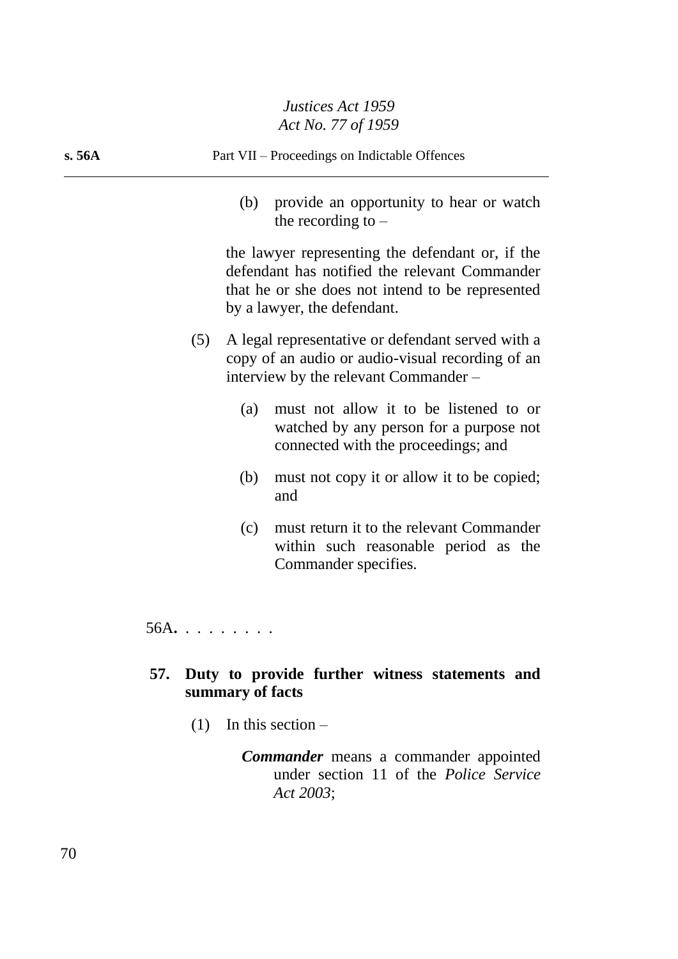| s. 56A | Part VII - Proceedings on Indictable Offences                                                                                                                                        |
|--------|--------------------------------------------------------------------------------------------------------------------------------------------------------------------------------------|
|        | provide an opportunity to hear or watch<br>(b)<br>the recording to $-$                                                                                                               |
|        | the lawyer representing the defendant or, if the<br>defendant has notified the relevant Commander<br>that he or she does not intend to be represented<br>by a lawyer, the defendant. |
|        | A legal representative or defendant served with a<br>(5)<br>copy of an audio or audio-visual recording of an<br>interview by the relevant Commander –                                |
|        | must not allow it to be listened to or<br>(a)<br>watched by any person for a purpose not<br>connected with the proceedings; and                                                      |
|        | must not copy it or allow it to be copied;<br>(b)<br>and                                                                                                                             |
|        | must return it to the relevant Commander<br>(c)<br>within such reasonable period as the<br>Commander specifies.                                                                      |
|        | $56A. \ldots \ldots$                                                                                                                                                                 |
|        |                                                                                                                                                                                      |

# **57. Duty to provide further witness statements and summary of facts**

(1) In this section –

*Commander* means a commander appointed under section 11 of the *Police Service Act 2003*;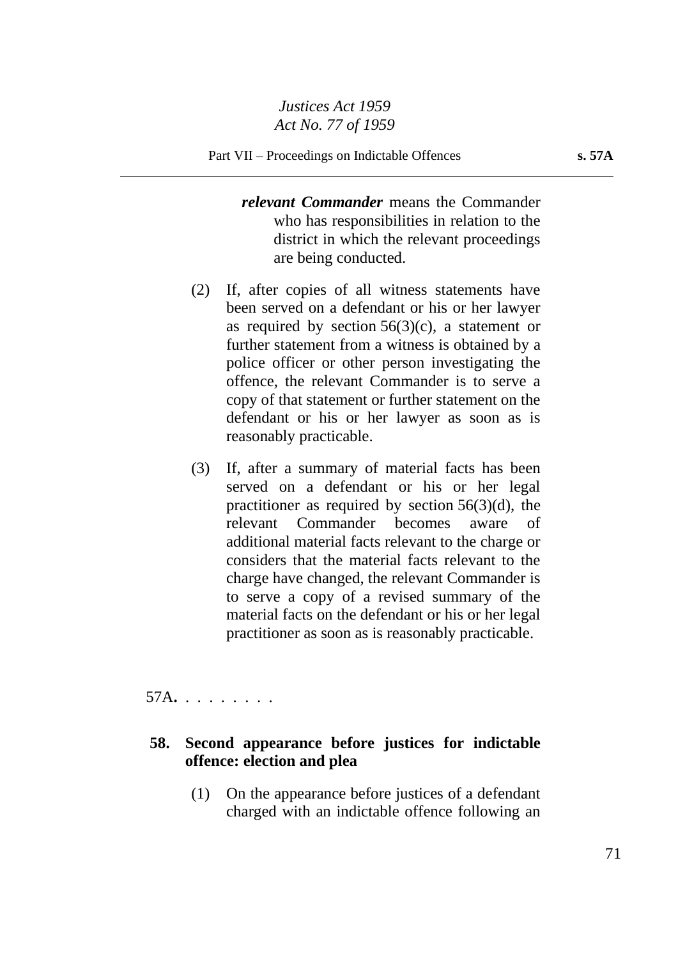*relevant Commander* means the Commander who has responsibilities in relation to the district in which the relevant proceedings are being conducted.

- (2) If, after copies of all witness statements have been served on a defendant or his or her lawyer as required by section  $56(3)(c)$ , a statement or further statement from a witness is obtained by a police officer or other person investigating the offence, the relevant Commander is to serve a copy of that statement or further statement on the defendant or his or her lawyer as soon as is reasonably practicable.
- (3) If, after a summary of material facts has been served on a defendant or his or her legal practitioner as required by section  $56(3)(d)$ , the relevant Commander becomes aware of additional material facts relevant to the charge or considers that the material facts relevant to the charge have changed, the relevant Commander is to serve a copy of a revised summary of the material facts on the defendant or his or her legal practitioner as soon as is reasonably practicable.

57A**.** . . . . . . . .

# **58. Second appearance before justices for indictable offence: election and plea**

(1) On the appearance before justices of a defendant charged with an indictable offence following an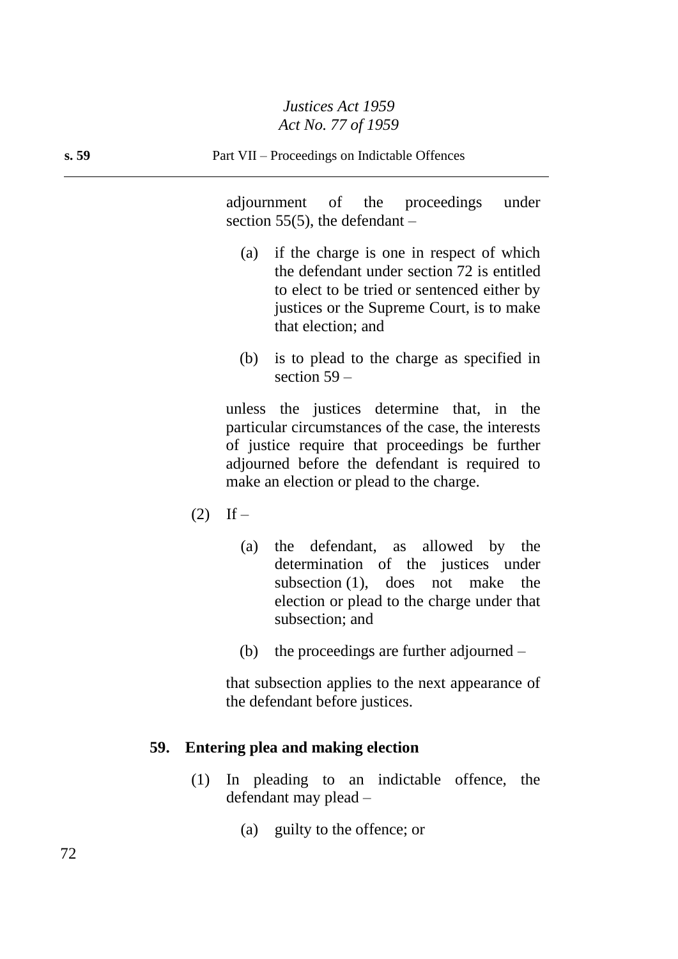adjournment of the proceedings under section 55(5), the defendant  $-$ 

- (a) if the charge is one in respect of which the defendant under section 72 is entitled to elect to be tried or sentenced either by justices or the Supreme Court, is to make that election; and
- (b) is to plead to the charge as specified in section 59 –

unless the justices determine that, in the particular circumstances of the case, the interests of justice require that proceedings be further adjourned before the defendant is required to make an election or plead to the charge.

- $(2)$  If
	- (a) the defendant, as allowed by the determination of the justices under subsection (1), does not make the election or plead to the charge under that subsection; and
	- (b) the proceedings are further adjourned  $-$

that subsection applies to the next appearance of the defendant before justices.

### **59. Entering plea and making election**

- (1) In pleading to an indictable offence, the defendant may plead –
	- (a) guilty to the offence; or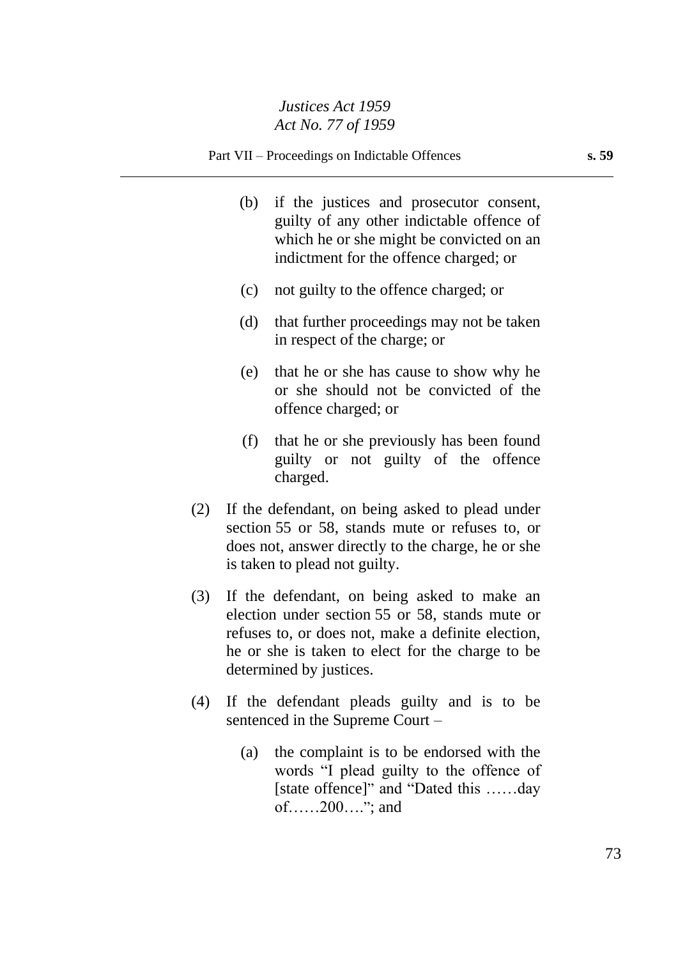- (b) if the justices and prosecutor consent, guilty of any other indictable offence of which he or she might be convicted on an indictment for the offence charged; or
- (c) not guilty to the offence charged; or
- (d) that further proceedings may not be taken in respect of the charge; or
- (e) that he or she has cause to show why he or she should not be convicted of the offence charged; or
- (f) that he or she previously has been found guilty or not guilty of the offence charged.
- (2) If the defendant, on being asked to plead under section 55 or 58, stands mute or refuses to, or does not, answer directly to the charge, he or she is taken to plead not guilty.
- (3) If the defendant, on being asked to make an election under section 55 or 58, stands mute or refuses to, or does not, make a definite election, he or she is taken to elect for the charge to be determined by justices.
- (4) If the defendant pleads guilty and is to be sentenced in the Supreme Court –
	- (a) the complaint is to be endorsed with the words "I plead guilty to the offence of [state offence]" and "Dated this ……day of……200…."; and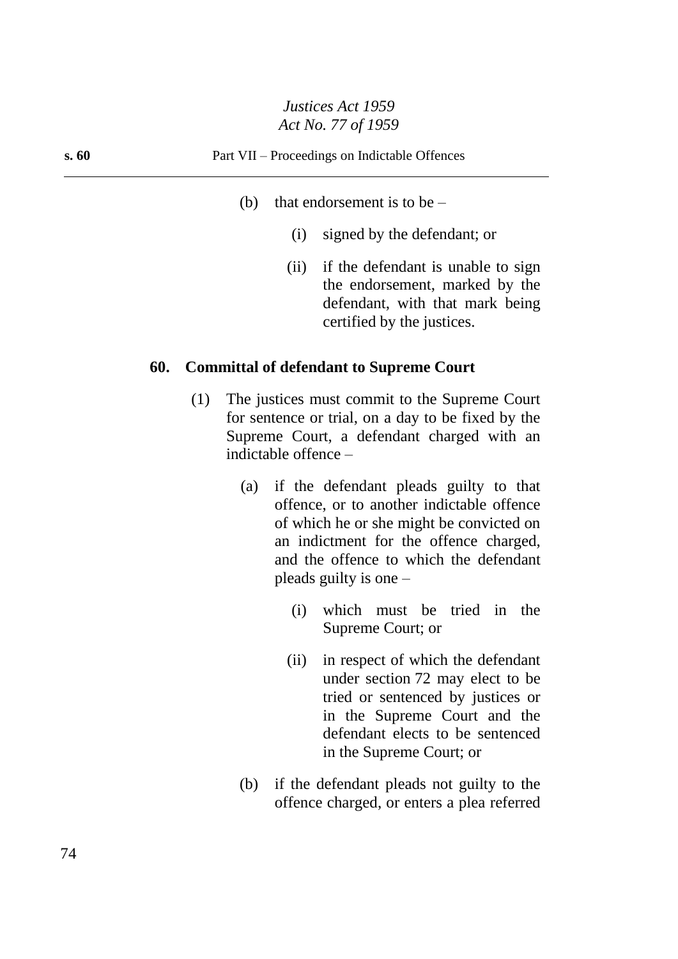- (b) that endorsement is to be  $-$ 
	- (i) signed by the defendant; or
	- (ii) if the defendant is unable to sign the endorsement, marked by the defendant, with that mark being certified by the justices.

#### **60. Committal of defendant to Supreme Court**

- (1) The justices must commit to the Supreme Court for sentence or trial, on a day to be fixed by the Supreme Court, a defendant charged with an indictable offence –
	- (a) if the defendant pleads guilty to that offence, or to another indictable offence of which he or she might be convicted on an indictment for the offence charged, and the offence to which the defendant pleads guilty is one –
		- (i) which must be tried in the Supreme Court; or
		- (ii) in respect of which the defendant under section 72 may elect to be tried or sentenced by justices or in the Supreme Court and the defendant elects to be sentenced in the Supreme Court; or
	- (b) if the defendant pleads not guilty to the offence charged, or enters a plea referred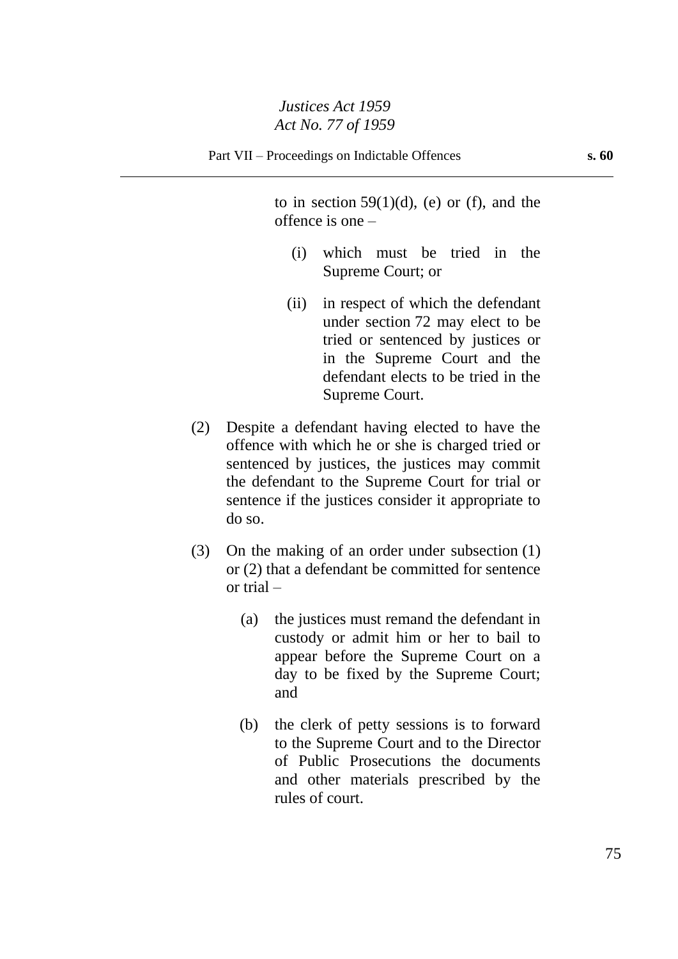to in section  $59(1)(d)$ , (e) or (f), and the offence is one –

- (i) which must be tried in the Supreme Court; or
- (ii) in respect of which the defendant under section 72 may elect to be tried or sentenced by justices or in the Supreme Court and the defendant elects to be tried in the Supreme Court.
- (2) Despite a defendant having elected to have the offence with which he or she is charged tried or sentenced by justices, the justices may commit the defendant to the Supreme Court for trial or sentence if the justices consider it appropriate to do so.
- (3) On the making of an order under subsection (1) or (2) that a defendant be committed for sentence or trial –
	- (a) the justices must remand the defendant in custody or admit him or her to bail to appear before the Supreme Court on a day to be fixed by the Supreme Court; and
	- (b) the clerk of petty sessions is to forward to the Supreme Court and to the Director of Public Prosecutions the documents and other materials prescribed by the rules of court.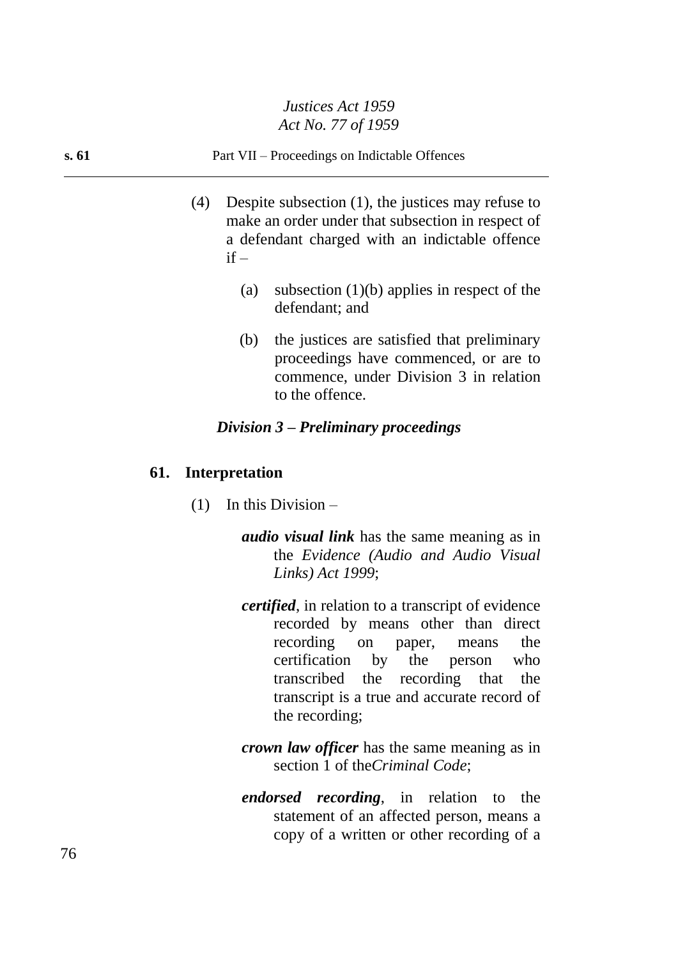## **s. 61** Part VII – Proceedings on Indictable Offences

- (4) Despite subsection (1), the justices may refuse to make an order under that subsection in respect of a defendant charged with an indictable offence  $if -$ 
	- (a) subsection (1)(b) applies in respect of the defendant; and
	- (b) the justices are satisfied that preliminary proceedings have commenced, or are to commence, under Division 3 in relation to the offence.

#### *Division 3 – Preliminary proceedings*

#### **61. Interpretation**

- (1) In this Division
	- *audio visual link* has the same meaning as in the *Evidence (Audio and Audio Visual Links) Act 1999*;
	- *certified*, in relation to a transcript of evidence recorded by means other than direct recording on paper, means the certification by the person who transcribed the recording that the transcript is a true and accurate record of the recording;
	- *crown law officer* has the same meaning as in section 1 of the*Criminal Code*;
	- *endorsed recording*, in relation to the statement of an affected person, means a copy of a written or other recording of a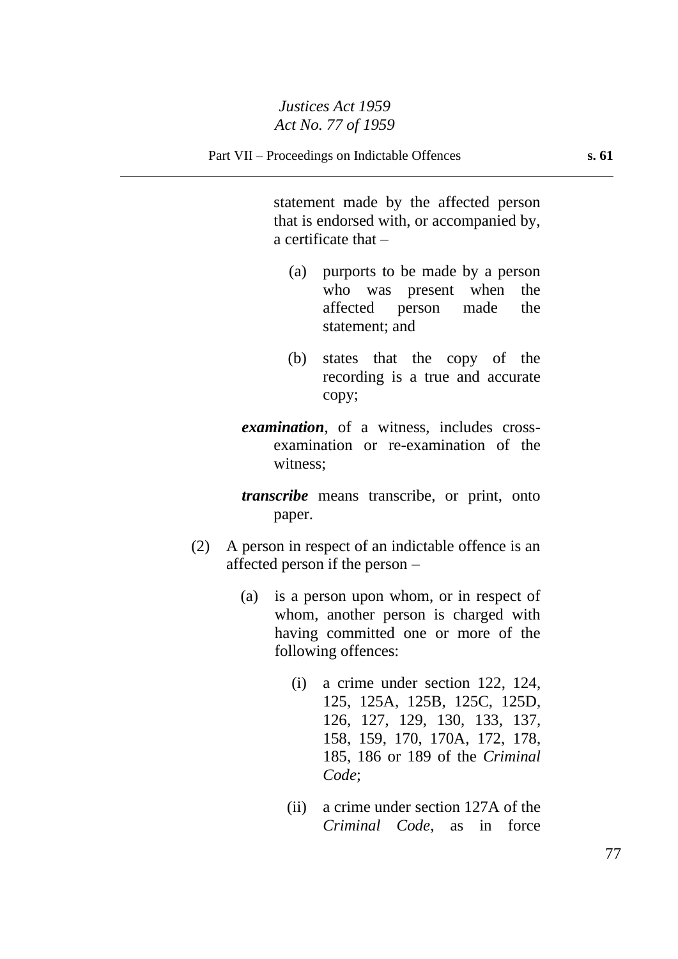statement made by the affected person that is endorsed with, or accompanied by, a certificate that –

- (a) purports to be made by a person who was present when the affected person made the statement; and
- (b) states that the copy of the recording is a true and accurate copy;
- *examination*, of a witness, includes crossexamination or re-examination of the witness;

*transcribe* means transcribe, or print, onto paper.

- (2) A person in respect of an indictable offence is an affected person if the person –
	- (a) is a person upon whom, or in respect of whom, another person is charged with having committed one or more of the following offences:
		- (i) a crime under section 122, 124, 125, 125A, 125B, 125C, 125D, 126, 127, 129, 130, 133, 137, 158, 159, 170, 170A, 172, 178, 185, 186 or 189 of the *Criminal Code*;
		- (ii) a crime under section 127A of the *Criminal Code*, as in force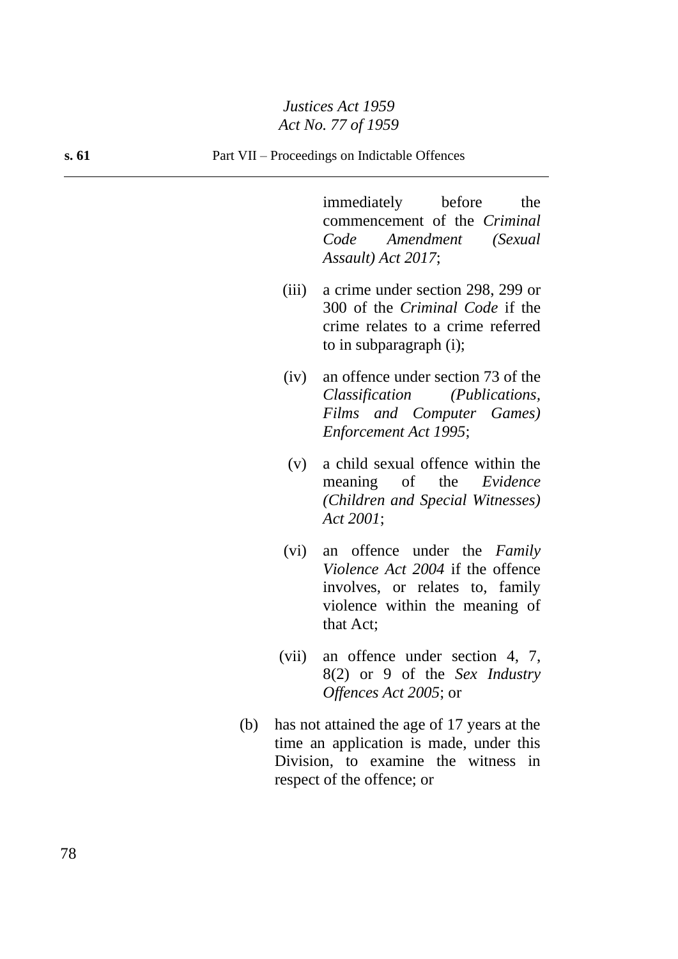immediately before the commencement of the *Criminal Code Amendment (Sexual Assault) Act 2017*;

- (iii) a crime under section 298, 299 or 300 of the *Criminal Code* if the crime relates to a crime referred to in subparagraph (i);
- (iv) an offence under section 73 of the *Classification (Publications, Films and Computer Games) Enforcement Act 1995*;
- (v) a child sexual offence within the meaning of the *Evidence (Children and Special Witnesses) Act 2001*;
- (vi) an offence under the *Family Violence Act 2004* if the offence involves, or relates to, family violence within the meaning of that Act;
- (vii) an offence under section 4, 7, 8(2) or 9 of the *Sex Industry Offences Act 2005*; or
- (b) has not attained the age of 17 years at the time an application is made, under this Division, to examine the witness in respect of the offence; or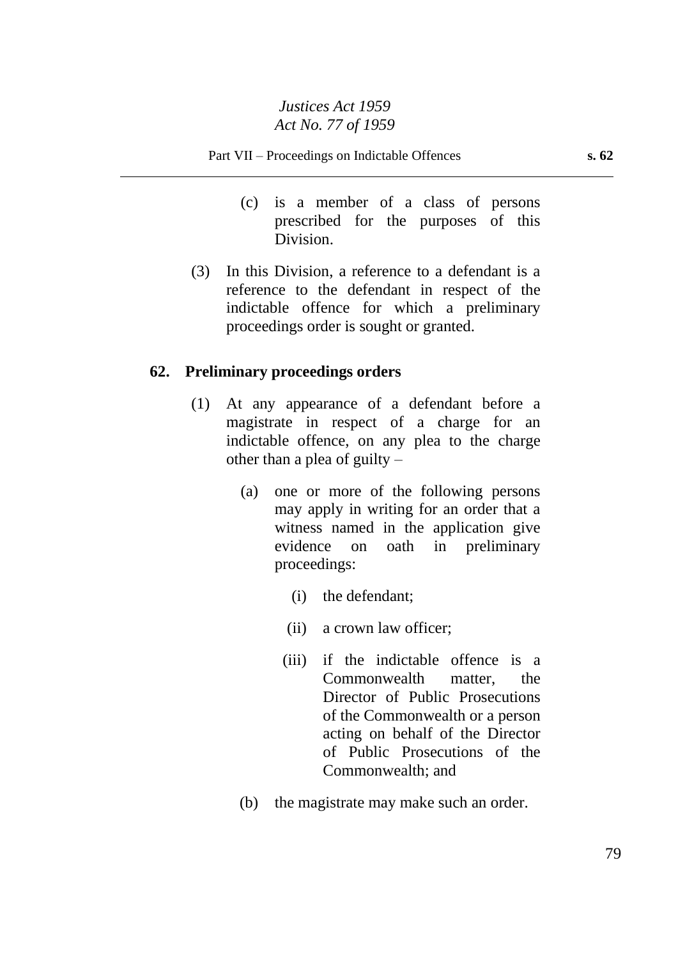- (c) is a member of a class of persons prescribed for the purposes of this Division.
- (3) In this Division, a reference to a defendant is a reference to the defendant in respect of the indictable offence for which a preliminary proceedings order is sought or granted.

## **62. Preliminary proceedings orders**

- (1) At any appearance of a defendant before a magistrate in respect of a charge for an indictable offence, on any plea to the charge other than a plea of guilty –
	- (a) one or more of the following persons may apply in writing for an order that a witness named in the application give evidence on oath in preliminary proceedings:
		- (i) the defendant;
		- (ii) a crown law officer;
		- (iii) if the indictable offence is a Commonwealth matter, the Director of Public Prosecutions of the Commonwealth or a person acting on behalf of the Director of Public Prosecutions of the Commonwealth; and
	- (b) the magistrate may make such an order.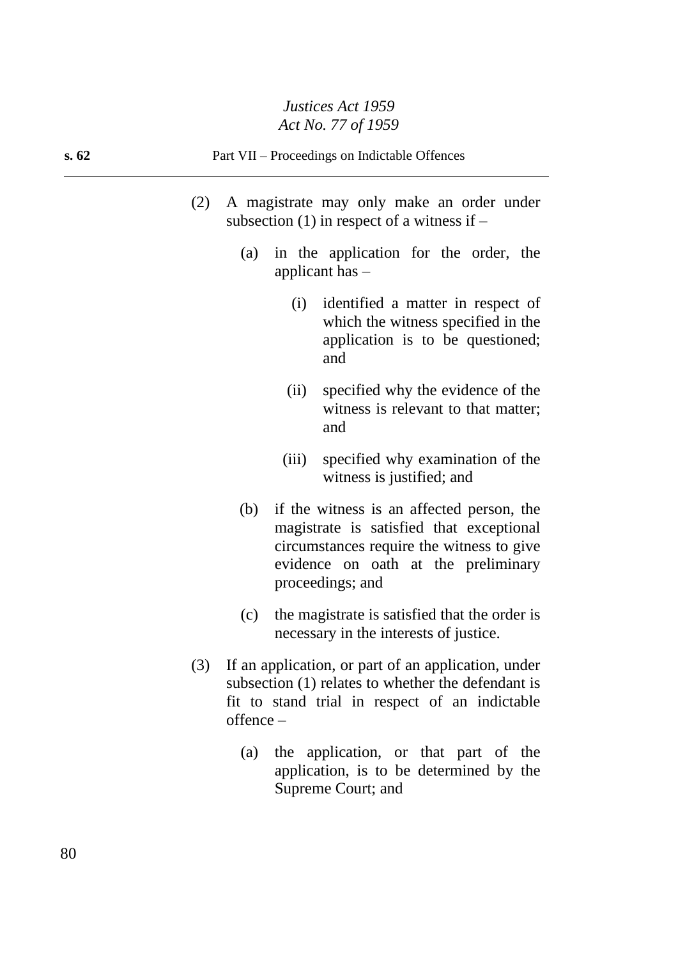- (2) A magistrate may only make an order under subsection  $(1)$  in respect of a witness if –
	- (a) in the application for the order, the applicant has –
		- (i) identified a matter in respect of which the witness specified in the application is to be questioned; and
		- (ii) specified why the evidence of the witness is relevant to that matter; and
		- (iii) specified why examination of the witness is justified; and
	- (b) if the witness is an affected person, the magistrate is satisfied that exceptional circumstances require the witness to give evidence on oath at the preliminary proceedings; and
	- (c) the magistrate is satisfied that the order is necessary in the interests of justice.
- (3) If an application, or part of an application, under subsection (1) relates to whether the defendant is fit to stand trial in respect of an indictable offence –
	- (a) the application, or that part of the application, is to be determined by the Supreme Court; and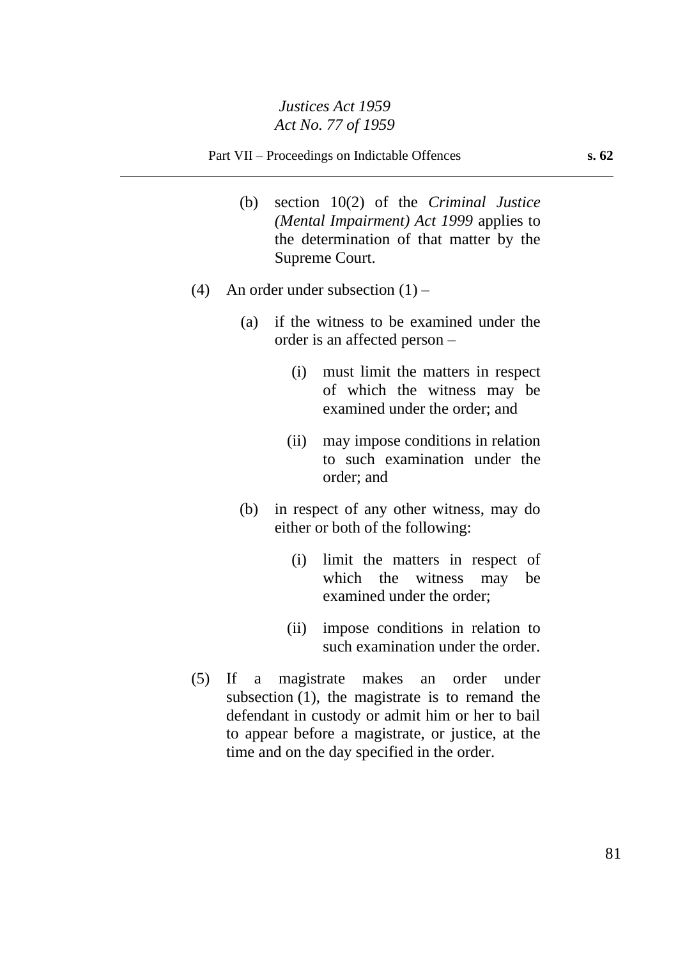Part VII – Proceedings on Indictable Offences **s. 62**

- (b) section 10(2) of the *Criminal Justice (Mental Impairment) Act 1999* applies to the determination of that matter by the Supreme Court.
- (4) An order under subsection  $(1)$ 
	- (a) if the witness to be examined under the order is an affected person –
		- (i) must limit the matters in respect of which the witness may be examined under the order; and
		- (ii) may impose conditions in relation to such examination under the order; and
	- (b) in respect of any other witness, may do either or both of the following:
		- (i) limit the matters in respect of which the witness may be examined under the order;
		- (ii) impose conditions in relation to such examination under the order.
- (5) If a magistrate makes an order under subsection (1), the magistrate is to remand the defendant in custody or admit him or her to bail to appear before a magistrate, or justice, at the time and on the day specified in the order.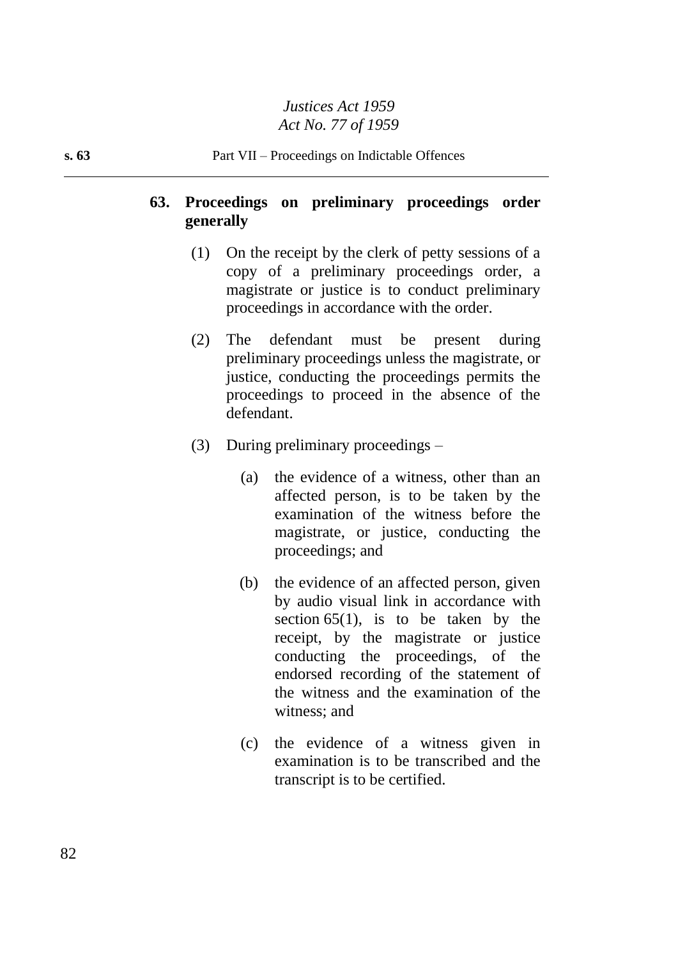# **63. Proceedings on preliminary proceedings order generally**

- (1) On the receipt by the clerk of petty sessions of a copy of a preliminary proceedings order, a magistrate or justice is to conduct preliminary proceedings in accordance with the order.
- (2) The defendant must be present during preliminary proceedings unless the magistrate, or justice, conducting the proceedings permits the proceedings to proceed in the absence of the defendant.
- (3) During preliminary proceedings
	- (a) the evidence of a witness, other than an affected person, is to be taken by the examination of the witness before the magistrate, or justice, conducting the proceedings; and
	- (b) the evidence of an affected person, given by audio visual link in accordance with section  $65(1)$ , is to be taken by the receipt, by the magistrate or justice conducting the proceedings, of the endorsed recording of the statement of the witness and the examination of the witness; and
	- (c) the evidence of a witness given in examination is to be transcribed and the transcript is to be certified.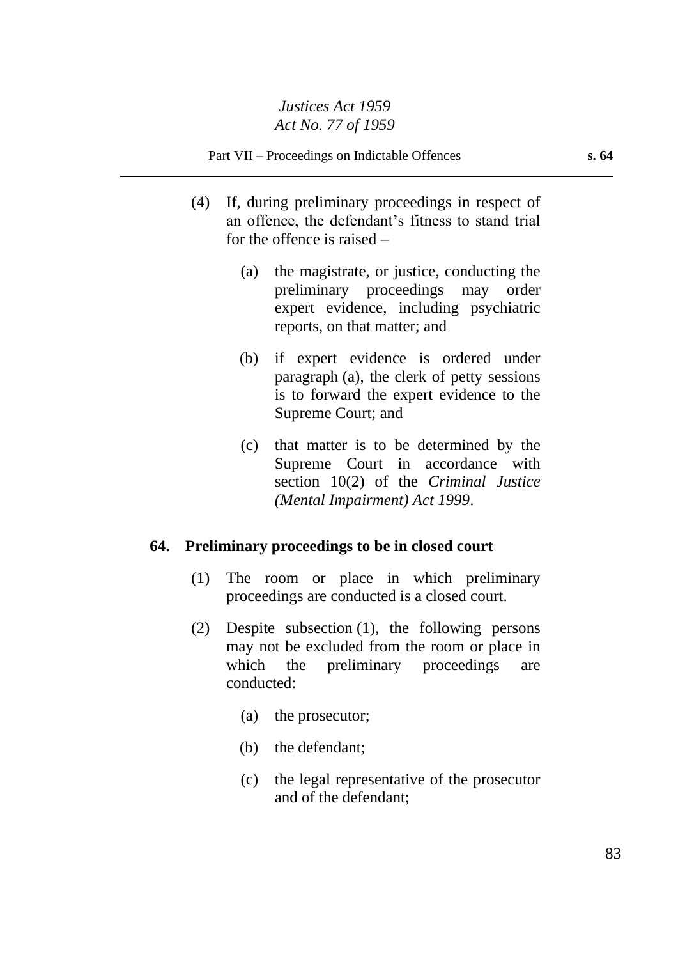- (4) If, during preliminary proceedings in respect of an offence, the defendant's fitness to stand trial for the offence is raised –
	- (a) the magistrate, or justice, conducting the preliminary proceedings may order expert evidence, including psychiatric reports, on that matter; and
	- (b) if expert evidence is ordered under paragraph (a), the clerk of petty sessions is to forward the expert evidence to the Supreme Court; and
	- (c) that matter is to be determined by the Supreme Court in accordance with section 10(2) of the *Criminal Justice (Mental Impairment) Act 1999*.

## **64. Preliminary proceedings to be in closed court**

- (1) The room or place in which preliminary proceedings are conducted is a closed court.
- (2) Despite subsection (1), the following persons may not be excluded from the room or place in which the preliminary proceedings are conducted:
	- (a) the prosecutor;
	- (b) the defendant;
	- (c) the legal representative of the prosecutor and of the defendant;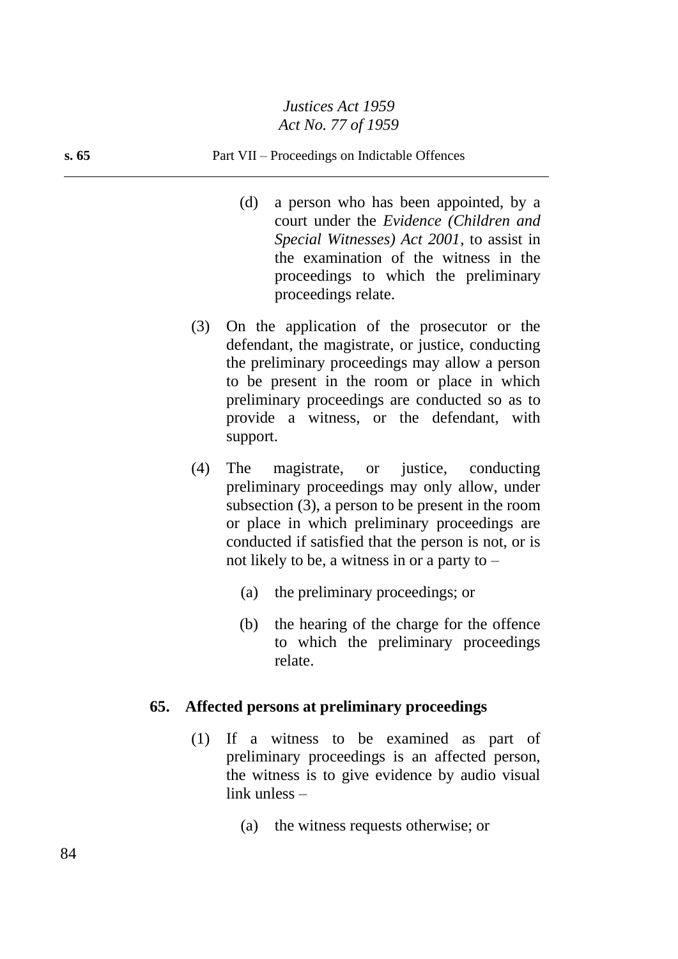#### **s. 65** Part VII – Proceedings on Indictable Offences

- (d) a person who has been appointed, by a court under the *Evidence (Children and Special Witnesses) Act 2001*, to assist in the examination of the witness in the proceedings to which the preliminary proceedings relate.
- (3) On the application of the prosecutor or the defendant, the magistrate, or justice, conducting the preliminary proceedings may allow a person to be present in the room or place in which preliminary proceedings are conducted so as to provide a witness, or the defendant, with support.
- (4) The magistrate, or justice, conducting preliminary proceedings may only allow, under subsection (3), a person to be present in the room or place in which preliminary proceedings are conducted if satisfied that the person is not, or is not likely to be, a witness in or a party to –
	- (a) the preliminary proceedings; or
	- (b) the hearing of the charge for the offence to which the preliminary proceedings relate.

#### **65. Affected persons at preliminary proceedings**

- (1) If a witness to be examined as part of preliminary proceedings is an affected person, the witness is to give evidence by audio visual link unless –
	- (a) the witness requests otherwise; or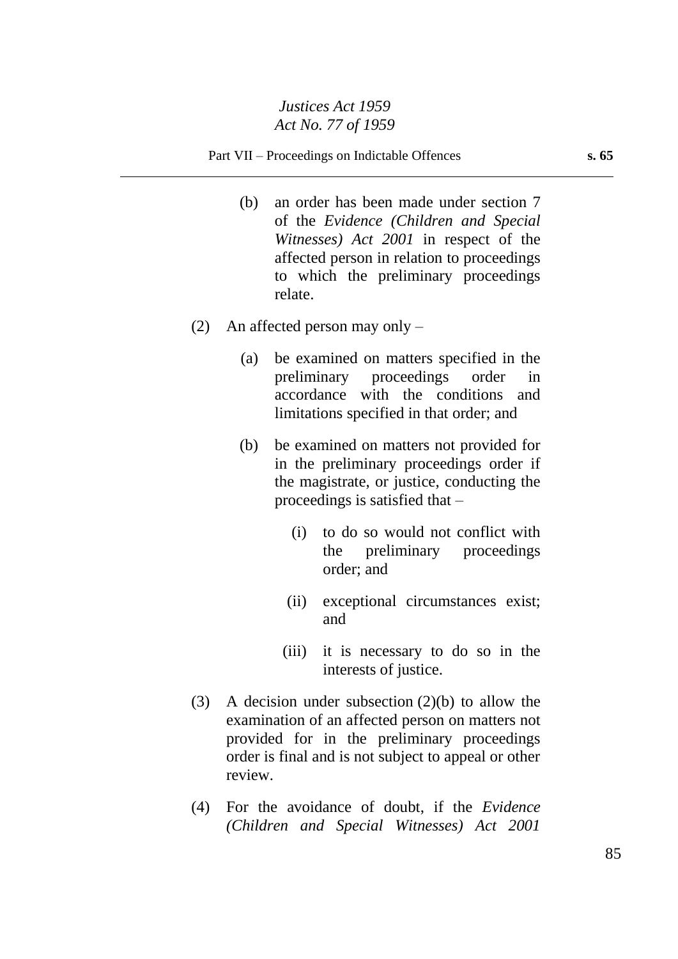- (b) an order has been made under section 7 of the *Evidence (Children and Special Witnesses) Act 2001* in respect of the affected person in relation to proceedings to which the preliminary proceedings relate.
- (2) An affected person may only
	- (a) be examined on matters specified in the preliminary proceedings order in accordance with the conditions and limitations specified in that order; and
	- (b) be examined on matters not provided for in the preliminary proceedings order if the magistrate, or justice, conducting the proceedings is satisfied that –
		- (i) to do so would not conflict with the preliminary proceedings order; and
		- (ii) exceptional circumstances exist; and
		- (iii) it is necessary to do so in the interests of justice.
- (3) A decision under subsection (2)(b) to allow the examination of an affected person on matters not provided for in the preliminary proceedings order is final and is not subject to appeal or other review.
- (4) For the avoidance of doubt, if the *Evidence (Children and Special Witnesses) Act 2001*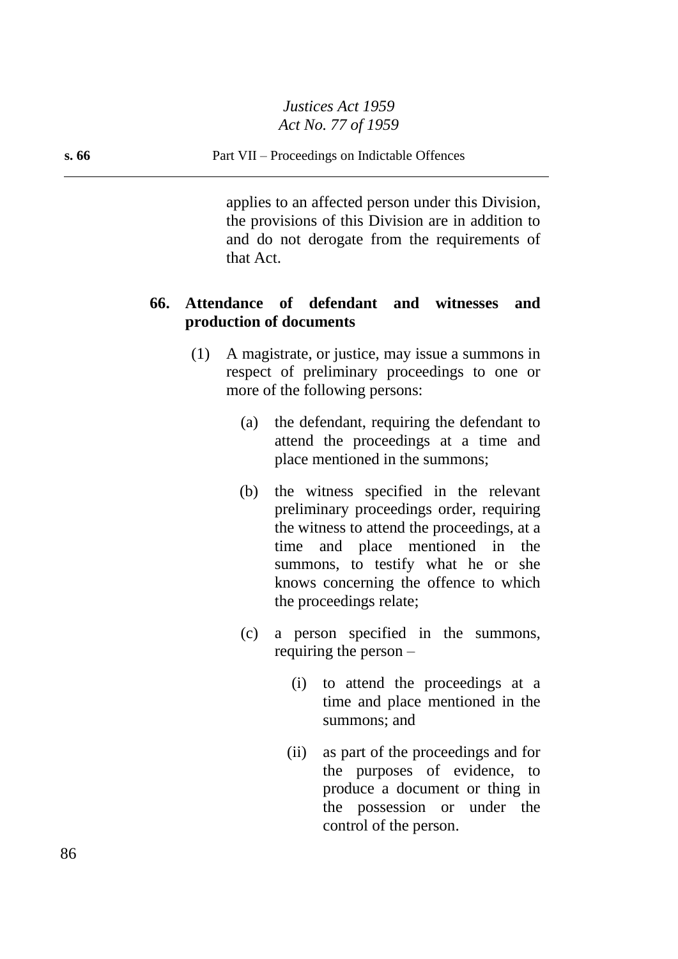#### **s. 66** Part VII – Proceedings on Indictable Offences

applies to an affected person under this Division, the provisions of this Division are in addition to and do not derogate from the requirements of that Act.

## **66. Attendance of defendant and witnesses and production of documents**

- (1) A magistrate, or justice, may issue a summons in respect of preliminary proceedings to one or more of the following persons:
	- (a) the defendant, requiring the defendant to attend the proceedings at a time and place mentioned in the summons;
	- (b) the witness specified in the relevant preliminary proceedings order, requiring the witness to attend the proceedings, at a time and place mentioned in the summons, to testify what he or she knows concerning the offence to which the proceedings relate;
	- (c) a person specified in the summons, requiring the person –
		- (i) to attend the proceedings at a time and place mentioned in the summons; and
		- (ii) as part of the proceedings and for the purposes of evidence, to produce a document or thing in the possession or under the control of the person.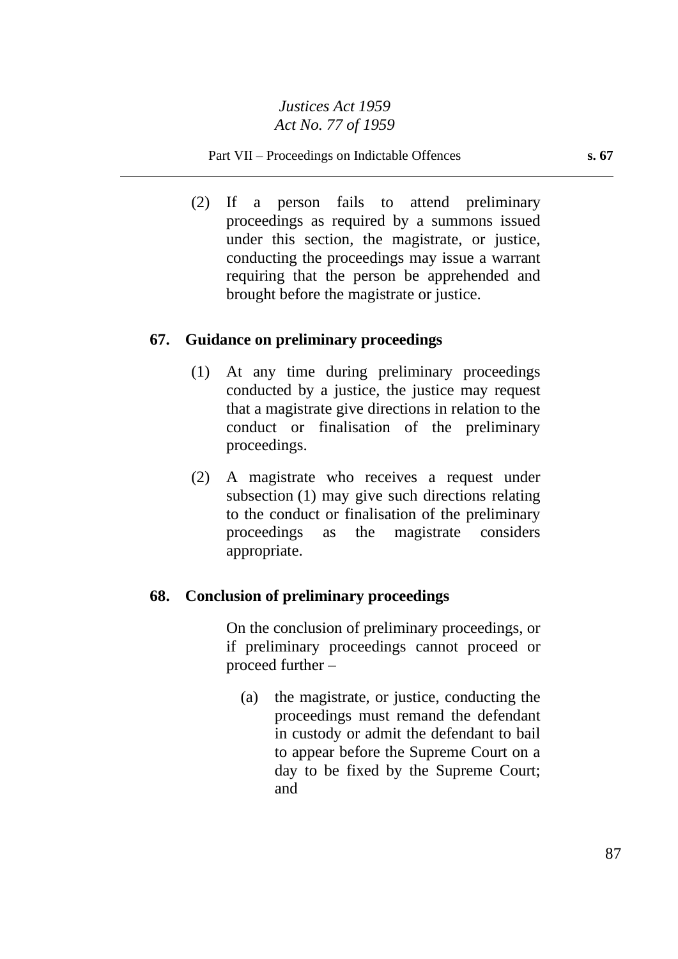#### Part VII – Proceedings on Indictable Offences **s. 67**

(2) If a person fails to attend preliminary proceedings as required by a summons issued under this section, the magistrate, or justice, conducting the proceedings may issue a warrant requiring that the person be apprehended and brought before the magistrate or justice.

## **67. Guidance on preliminary proceedings**

- (1) At any time during preliminary proceedings conducted by a justice, the justice may request that a magistrate give directions in relation to the conduct or finalisation of the preliminary proceedings.
- (2) A magistrate who receives a request under subsection (1) may give such directions relating to the conduct or finalisation of the preliminary proceedings as the magistrate considers appropriate.

## **68. Conclusion of preliminary proceedings**

On the conclusion of preliminary proceedings, or if preliminary proceedings cannot proceed or proceed further –

(a) the magistrate, or justice, conducting the proceedings must remand the defendant in custody or admit the defendant to bail to appear before the Supreme Court on a day to be fixed by the Supreme Court; and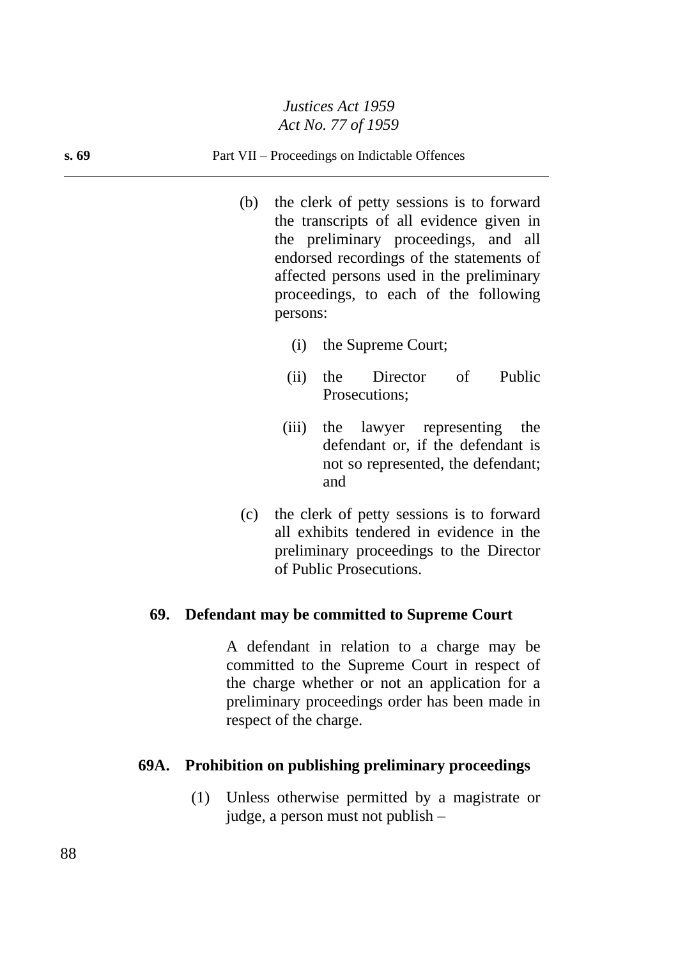#### **s. 69** Part VII – Proceedings on Indictable Offences

- (b) the clerk of petty sessions is to forward the transcripts of all evidence given in the preliminary proceedings, and all endorsed recordings of the statements of affected persons used in the preliminary proceedings, to each of the following persons:
	- (i) the Supreme Court;
	- (ii) the Director of Public Prosecutions;
	- (iii) the lawyer representing the defendant or, if the defendant is not so represented, the defendant; and
- (c) the clerk of petty sessions is to forward all exhibits tendered in evidence in the preliminary proceedings to the Director of Public Prosecutions.

#### **69. Defendant may be committed to Supreme Court**

A defendant in relation to a charge may be committed to the Supreme Court in respect of the charge whether or not an application for a preliminary proceedings order has been made in respect of the charge.

#### **69A. Prohibition on publishing preliminary proceedings**

(1) Unless otherwise permitted by a magistrate or judge, a person must not publish –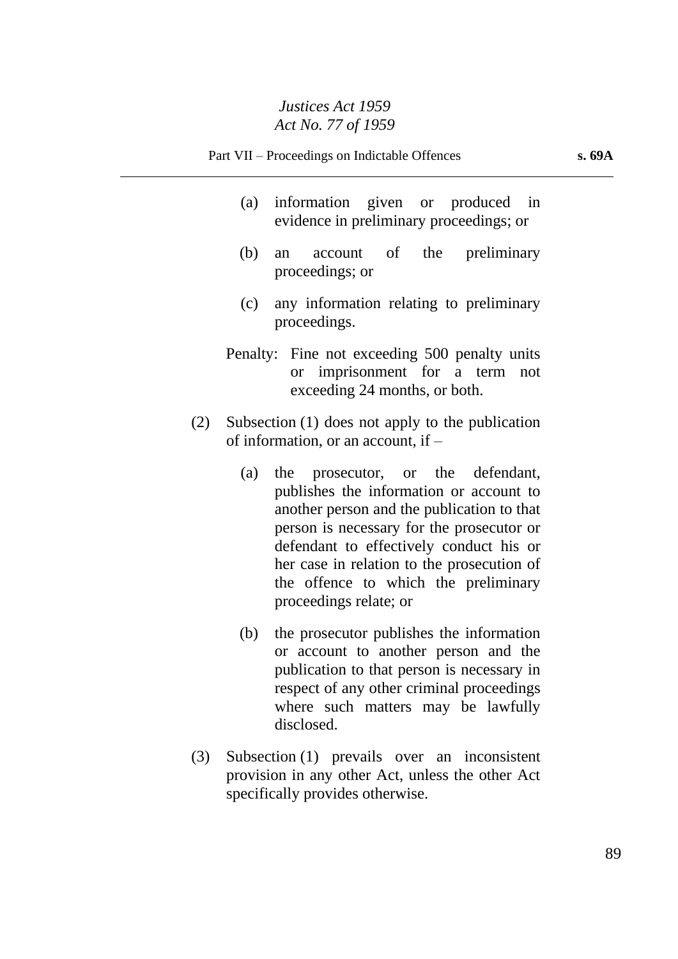- (a) information given or produced in evidence in preliminary proceedings; or
- (b) an account of the preliminary proceedings; or
- (c) any information relating to preliminary proceedings.
- Penalty: Fine not exceeding 500 penalty units or imprisonment for a term not exceeding 24 months, or both.
- (2) Subsection (1) does not apply to the publication of information, or an account, if –
	- (a) the prosecutor, or the defendant, publishes the information or account to another person and the publication to that person is necessary for the prosecutor or defendant to effectively conduct his or her case in relation to the prosecution of the offence to which the preliminary proceedings relate; or
	- (b) the prosecutor publishes the information or account to another person and the publication to that person is necessary in respect of any other criminal proceedings where such matters may be lawfully disclosed.
- (3) Subsection (1) prevails over an inconsistent provision in any other Act, unless the other Act specifically provides otherwise.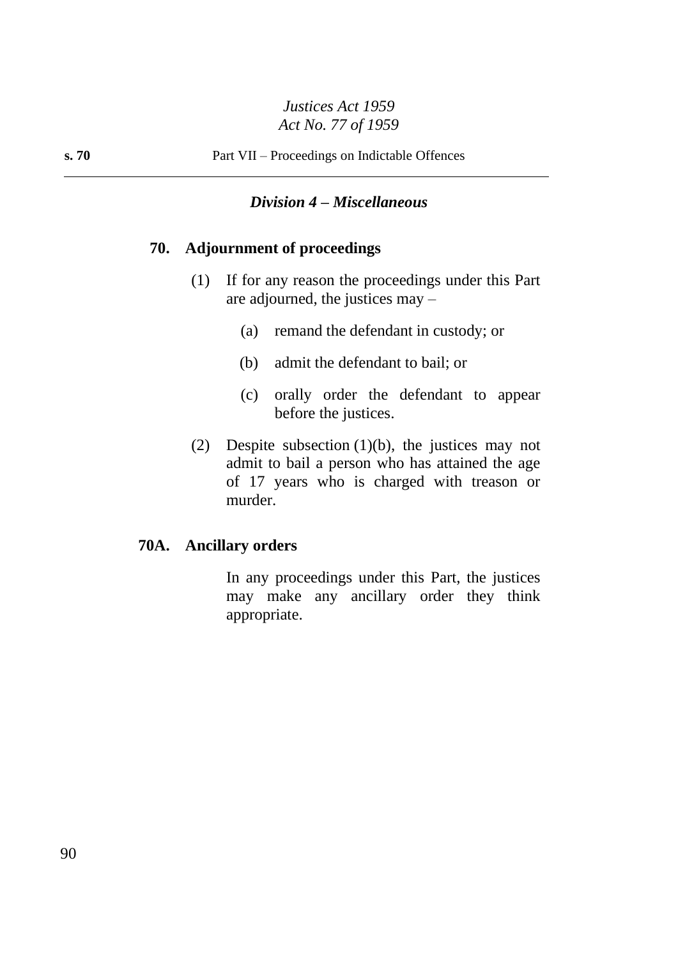## *Division 4 – Miscellaneous*

# **70. Adjournment of proceedings**

- (1) If for any reason the proceedings under this Part are adjourned, the justices may –
	- (a) remand the defendant in custody; or
	- (b) admit the defendant to bail; or
	- (c) orally order the defendant to appear before the justices.
- (2) Despite subsection (1)(b), the justices may not admit to bail a person who has attained the age of 17 years who is charged with treason or murder.

#### **70A. Ancillary orders**

In any proceedings under this Part, the justices may make any ancillary order they think appropriate.

90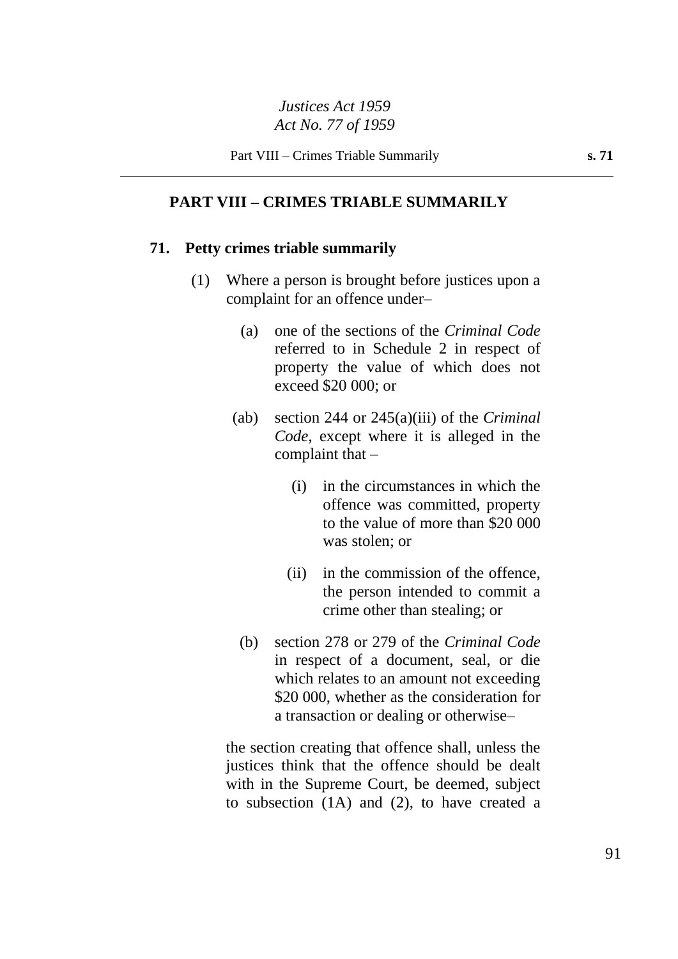#### **PART VIII – CRIMES TRIABLE SUMMARILY**

#### **71. Petty crimes triable summarily**

- (1) Where a person is brought before justices upon a complaint for an offence under–
	- (a) one of the sections of the *Criminal Code* referred to in Schedule 2 in respect of property the value of which does not exceed \$20 000; or
	- (ab) section 244 or 245(a)(iii) of the *Criminal Code*, except where it is alleged in the complaint that  $-$ 
		- (i) in the circumstances in which the offence was committed, property to the value of more than \$20 000 was stolen; or
		- (ii) in the commission of the offence, the person intended to commit a crime other than stealing; or
	- (b) section 278 or 279 of the *Criminal Code* in respect of a document, seal, or die which relates to an amount not exceeding \$20 000, whether as the consideration for a transaction or dealing or otherwise–

the section creating that offence shall, unless the justices think that the offence should be dealt with in the Supreme Court, be deemed, subject to subsection (1A) and (2), to have created a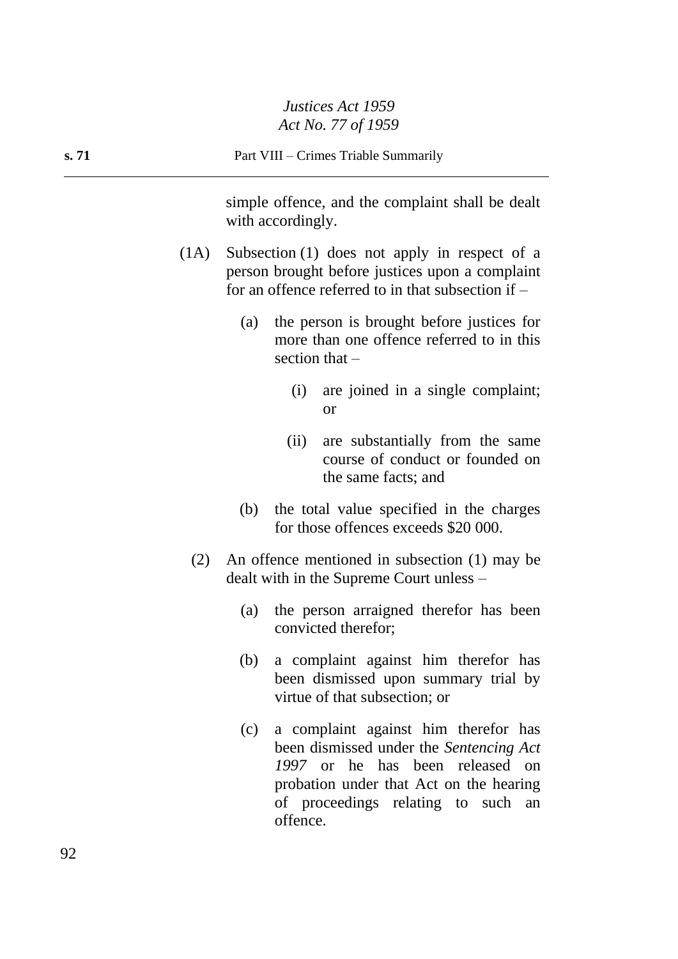|       |      | ACI NO. 77 OJ 1939                                                                                                                                                                                                        |
|-------|------|---------------------------------------------------------------------------------------------------------------------------------------------------------------------------------------------------------------------------|
| s. 71 |      | Part VIII – Crimes Triable Summarily                                                                                                                                                                                      |
|       |      | simple offence, and the complaint shall be dealt<br>with accordingly.                                                                                                                                                     |
|       | (1A) | Subsection (1) does not apply in respect of a<br>person brought before justices upon a complaint<br>for an offence referred to in that subsection if $-$                                                                  |
|       |      | the person is brought before justices for<br>(a)<br>more than one offence referred to in this<br>section that $-$                                                                                                         |
|       |      | are joined in a single complaint;<br>(i)<br><b>or</b>                                                                                                                                                                     |
|       |      | (ii)<br>are substantially from the same<br>course of conduct or founded on<br>the same facts; and                                                                                                                         |
|       |      | the total value specified in the charges<br>(b)<br>for those offences exceeds \$20 000.                                                                                                                                   |
|       | (2)  | An offence mentioned in subsection (1) may be<br>dealt with in the Supreme Court unless -                                                                                                                                 |
|       |      | the person arraigned therefor has been<br>(a)<br>convicted therefor;                                                                                                                                                      |
|       |      | a complaint against him therefor has<br>(b)<br>been dismissed upon summary trial by<br>virtue of that subsection; or                                                                                                      |
|       |      | a complaint against him therefor has<br>(c)<br>been dismissed under the Sentencing Act<br>1997 or he has been released on<br>probation under that Act on the hearing<br>of proceedings relating to such<br>an<br>offence. |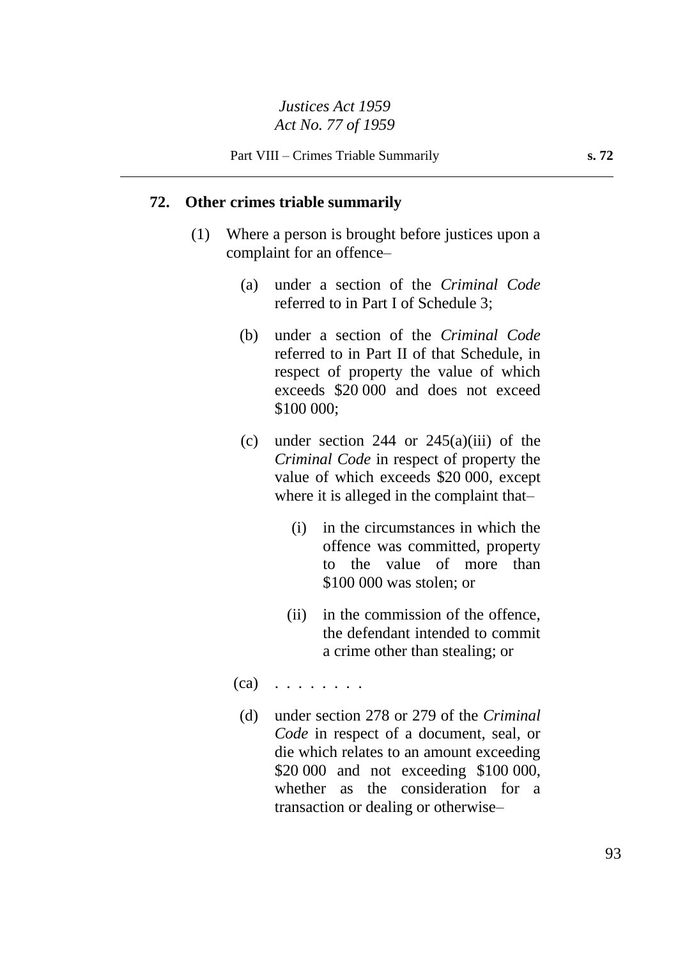#### **72. Other crimes triable summarily**

- (1) Where a person is brought before justices upon a complaint for an offence–
	- (a) under a section of the *Criminal Code* referred to in Part I of Schedule 3;
	- (b) under a section of the *Criminal Code* referred to in Part II of that Schedule, in respect of property the value of which exceeds \$20 000 and does not exceed \$100 000;
	- (c) under section 244 or  $245(a)(iii)$  of the *Criminal Code* in respect of property the value of which exceeds \$20 000, except where it is alleged in the complaint that–
		- (i) in the circumstances in which the offence was committed, property to the value of more than \$100 000 was stolen; or
		- (ii) in the commission of the offence, the defendant intended to commit a crime other than stealing; or
	- $(ca)$  . . . . . . . .
		- (d) under section 278 or 279 of the *Criminal Code* in respect of a document, seal, or die which relates to an amount exceeding \$20 000 and not exceeding \$100 000, whether as the consideration for a transaction or dealing or otherwise–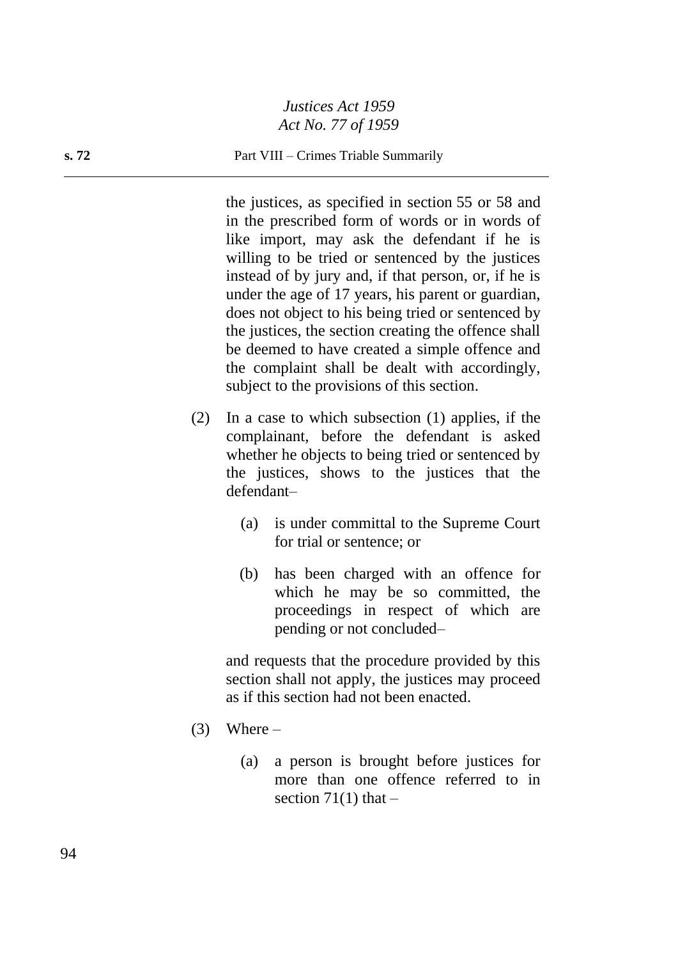#### **s. 72** Part VIII – Crimes Triable Summarily

the justices, as specified in section 55 or 58 and in the prescribed form of words or in words of like import, may ask the defendant if he is willing to be tried or sentenced by the justices instead of by jury and, if that person, or, if he is under the age of 17 years, his parent or guardian, does not object to his being tried or sentenced by the justices, the section creating the offence shall be deemed to have created a simple offence and the complaint shall be dealt with accordingly, subject to the provisions of this section.

- (2) In a case to which subsection (1) applies, if the complainant, before the defendant is asked whether he objects to being tried or sentenced by the justices, shows to the justices that the defendant–
	- (a) is under committal to the Supreme Court for trial or sentence; or
	- (b) has been charged with an offence for which he may be so committed, the proceedings in respect of which are pending or not concluded–

and requests that the procedure provided by this section shall not apply, the justices may proceed as if this section had not been enacted.

- $(3)$  Where
	- (a) a person is brought before justices for more than one offence referred to in section  $71(1)$  that  $-$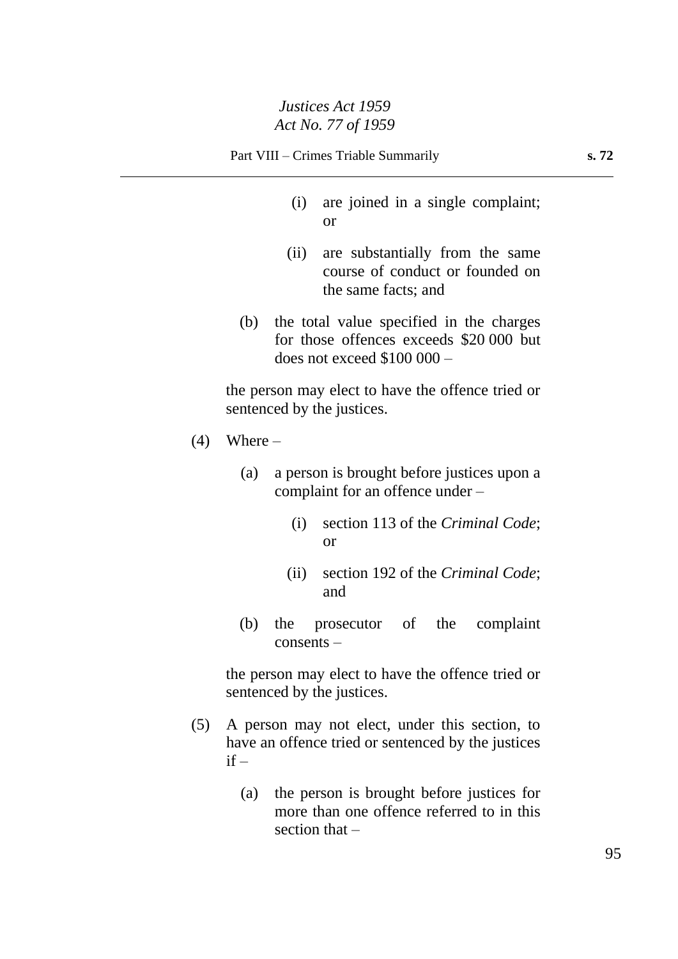- (i) are joined in a single complaint; or
- (ii) are substantially from the same course of conduct or founded on the same facts; and
- (b) the total value specified in the charges for those offences exceeds \$20 000 but does not exceed \$100 000 –

the person may elect to have the offence tried or sentenced by the justices.

- $(4)$  Where
	- (a) a person is brought before justices upon a complaint for an offence under –
		- (i) section 113 of the *Criminal Code*; or
		- (ii) section 192 of the *Criminal Code*; and
	- (b) the prosecutor of the complaint consents –

the person may elect to have the offence tried or sentenced by the justices.

- (5) A person may not elect, under this section, to have an offence tried or sentenced by the justices  $if -$ 
	- (a) the person is brought before justices for more than one offence referred to in this section that –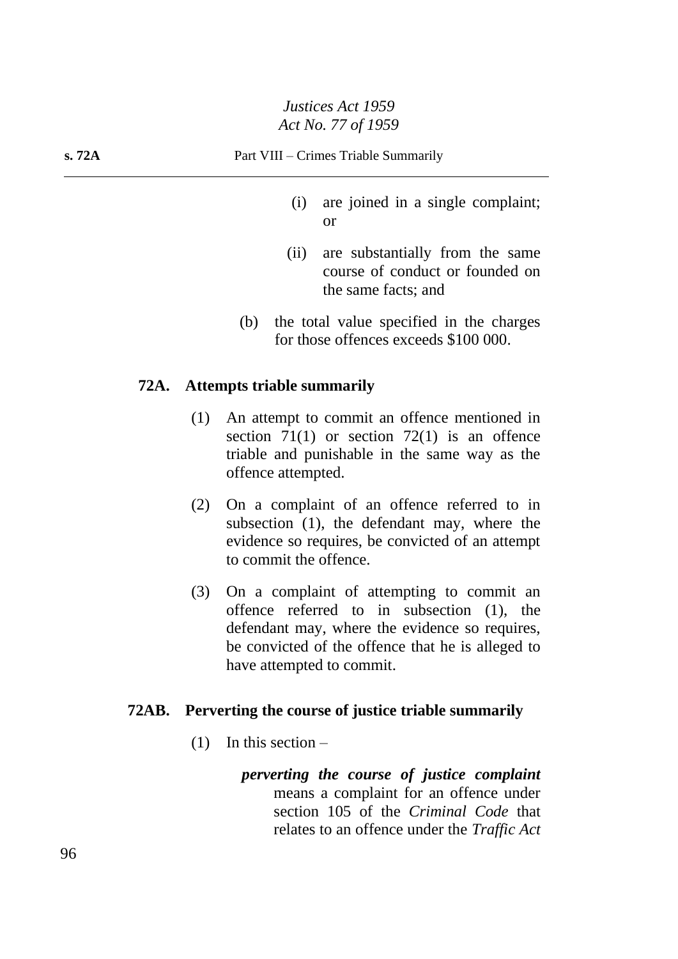- (i) are joined in a single complaint; or
- (ii) are substantially from the same course of conduct or founded on the same facts; and
- (b) the total value specified in the charges for those offences exceeds \$100 000.

#### **72A. Attempts triable summarily**

- (1) An attempt to commit an offence mentioned in section  $71(1)$  or section  $72(1)$  is an offence triable and punishable in the same way as the offence attempted.
- (2) On a complaint of an offence referred to in subsection (1), the defendant may, where the evidence so requires, be convicted of an attempt to commit the offence.
- (3) On a complaint of attempting to commit an offence referred to in subsection (1), the defendant may, where the evidence so requires, be convicted of the offence that he is alleged to have attempted to commit.

#### **72AB. Perverting the course of justice triable summarily**

- $(1)$  In this section
	- *perverting the course of justice complaint* means a complaint for an offence under section 105 of the *Criminal Code* that relates to an offence under the *Traffic Act*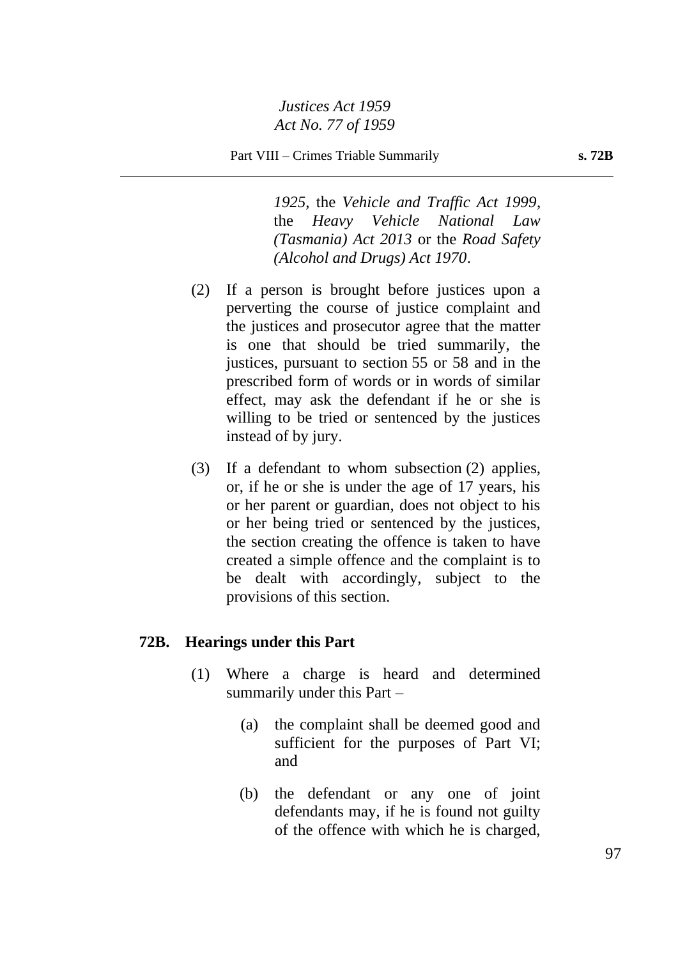*1925*, the *Vehicle and Traffic Act 1999*, the *Heavy Vehicle National Law (Tasmania) Act 2013* or the *Road Safety (Alcohol and Drugs) Act 1970*.

- (2) If a person is brought before justices upon a perverting the course of justice complaint and the justices and prosecutor agree that the matter is one that should be tried summarily, the justices, pursuant to section 55 or 58 and in the prescribed form of words or in words of similar effect, may ask the defendant if he or she is willing to be tried or sentenced by the justices instead of by jury.
- (3) If a defendant to whom subsection (2) applies, or, if he or she is under the age of 17 years, his or her parent or guardian, does not object to his or her being tried or sentenced by the justices, the section creating the offence is taken to have created a simple offence and the complaint is to be dealt with accordingly, subject to the provisions of this section.

#### **72B. Hearings under this Part**

- (1) Where a charge is heard and determined summarily under this Part –
	- (a) the complaint shall be deemed good and sufficient for the purposes of Part VI; and
	- (b) the defendant or any one of joint defendants may, if he is found not guilty of the offence with which he is charged,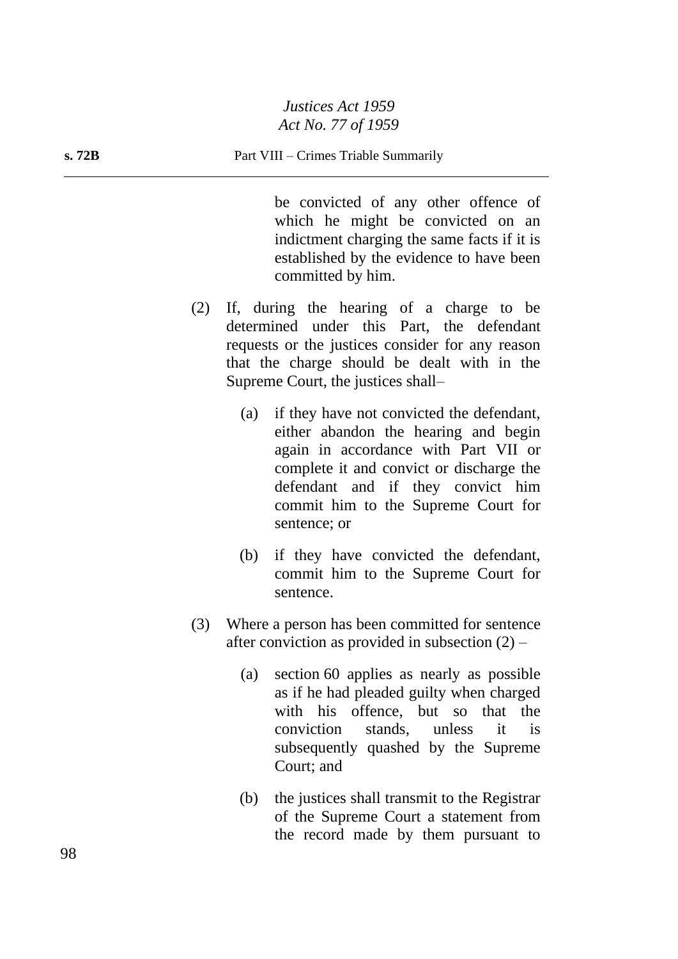be convicted of any other offence of which he might be convicted on an indictment charging the same facts if it is established by the evidence to have been committed by him.

- (2) If, during the hearing of a charge to be determined under this Part, the defendant requests or the justices consider for any reason that the charge should be dealt with in the Supreme Court, the justices shall–
	- (a) if they have not convicted the defendant, either abandon the hearing and begin again in accordance with Part VII or complete it and convict or discharge the defendant and if they convict him commit him to the Supreme Court for sentence; or
	- (b) if they have convicted the defendant, commit him to the Supreme Court for sentence.
- (3) Where a person has been committed for sentence after conviction as provided in subsection  $(2)$  –
	- (a) section 60 applies as nearly as possible as if he had pleaded guilty when charged with his offence, but so that the conviction stands, unless it is subsequently quashed by the Supreme Court; and
	- (b) the justices shall transmit to the Registrar of the Supreme Court a statement from the record made by them pursuant to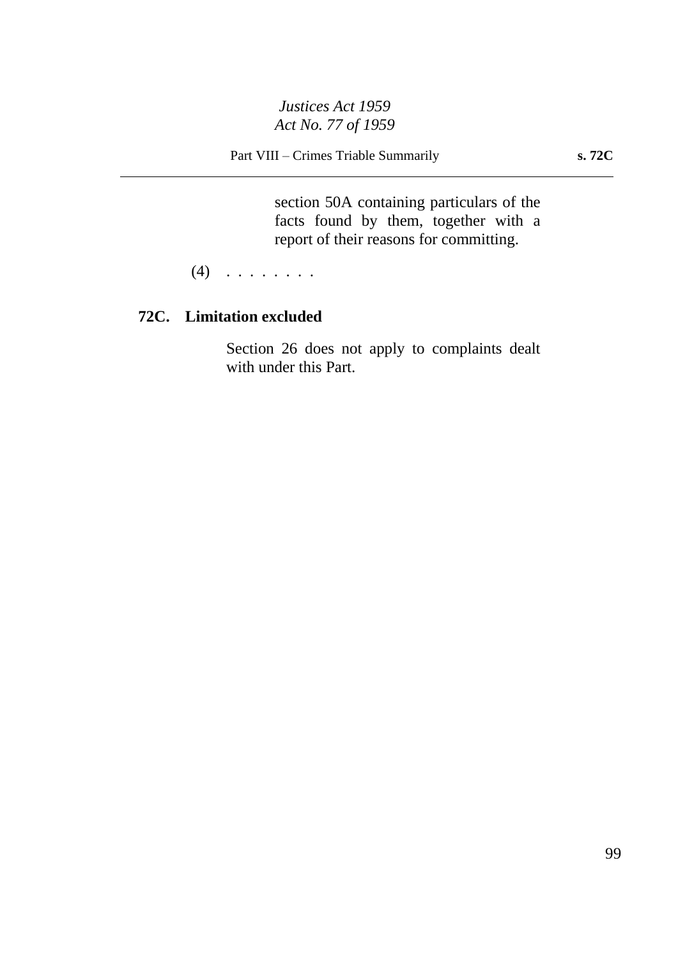Part VIII – Crimes Triable Summarily **s. 72C**

section 50A containing particulars of the facts found by them, together with a report of their reasons for committing.

 $(4)$   $\ldots$  . . . . . .

# **72C. Limitation excluded**

Section 26 does not apply to complaints dealt with under this Part.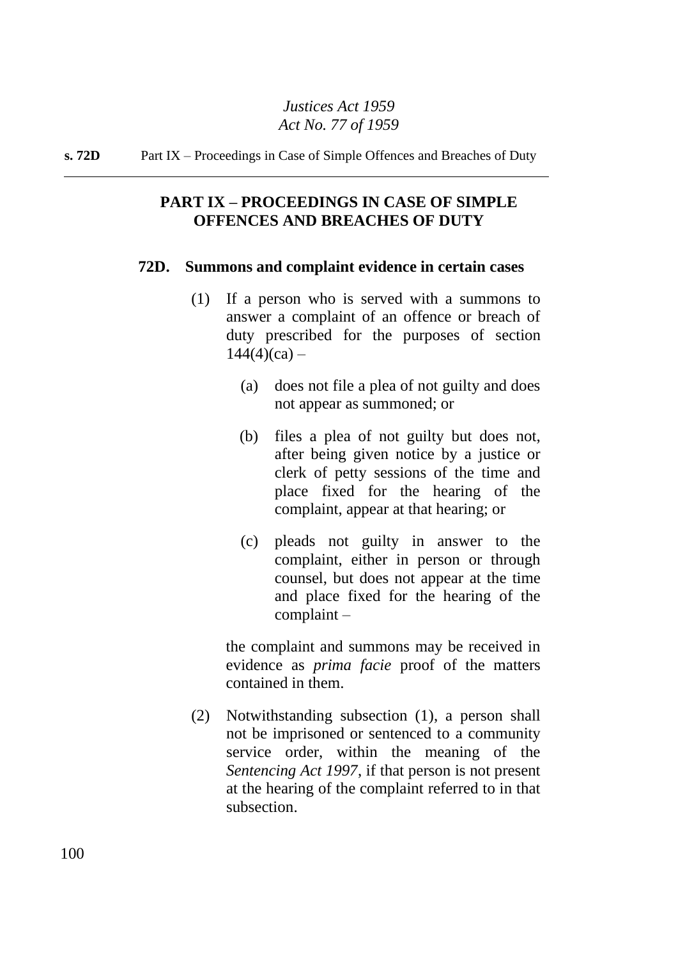**s. 72D** Part IX – Proceedings in Case of Simple Offences and Breaches of Duty

# **PART IX – PROCEEDINGS IN CASE OF SIMPLE OFFENCES AND BREACHES OF DUTY**

#### **72D. Summons and complaint evidence in certain cases**

- (1) If a person who is served with a summons to answer a complaint of an offence or breach of duty prescribed for the purposes of section  $144(4)(ca) -$ 
	- (a) does not file a plea of not guilty and does not appear as summoned; or
	- (b) files a plea of not guilty but does not, after being given notice by a justice or clerk of petty sessions of the time and place fixed for the hearing of the complaint, appear at that hearing; or
	- (c) pleads not guilty in answer to the complaint, either in person or through counsel, but does not appear at the time and place fixed for the hearing of the complaint –

the complaint and summons may be received in evidence as *prima facie* proof of the matters contained in them.

(2) Notwithstanding subsection (1), a person shall not be imprisoned or sentenced to a community service order, within the meaning of the *Sentencing Act 1997*, if that person is not present at the hearing of the complaint referred to in that subsection.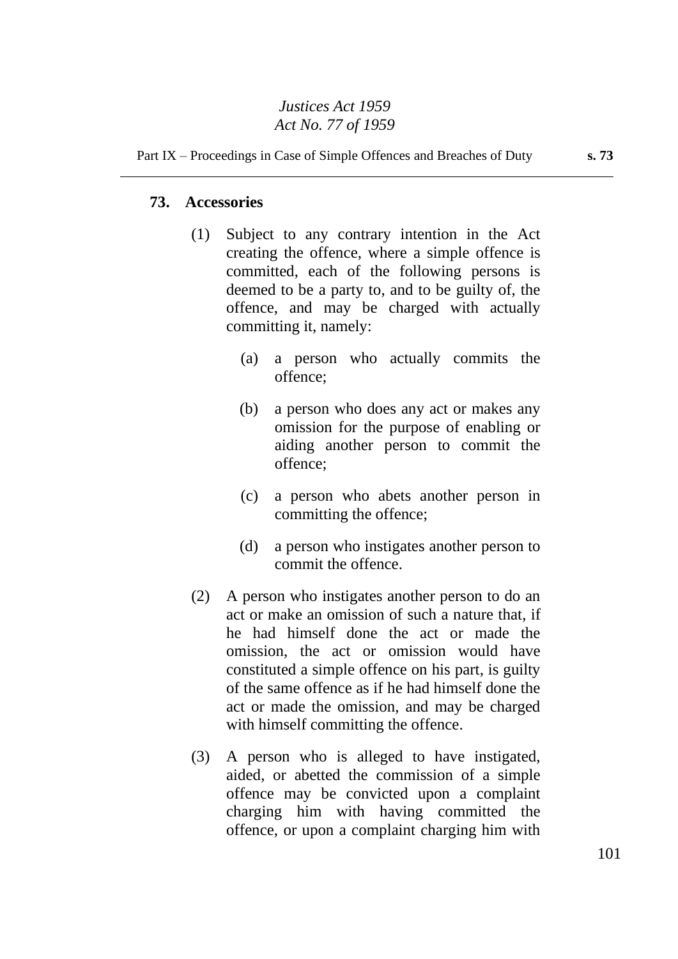#### Part IX – Proceedings in Case of Simple Offences and Breaches of Duty **s. 73**

## **73. Accessories**

- (1) Subject to any contrary intention in the Act creating the offence, where a simple offence is committed, each of the following persons is deemed to be a party to, and to be guilty of, the offence, and may be charged with actually committing it, namely:
	- (a) a person who actually commits the offence;
	- (b) a person who does any act or makes any omission for the purpose of enabling or aiding another person to commit the offence;
	- (c) a person who abets another person in committing the offence;
	- (d) a person who instigates another person to commit the offence.
- (2) A person who instigates another person to do an act or make an omission of such a nature that, if he had himself done the act or made the omission, the act or omission would have constituted a simple offence on his part, is guilty of the same offence as if he had himself done the act or made the omission, and may be charged with himself committing the offence.
- (3) A person who is alleged to have instigated, aided, or abetted the commission of a simple offence may be convicted upon a complaint charging him with having committed the offence, or upon a complaint charging him with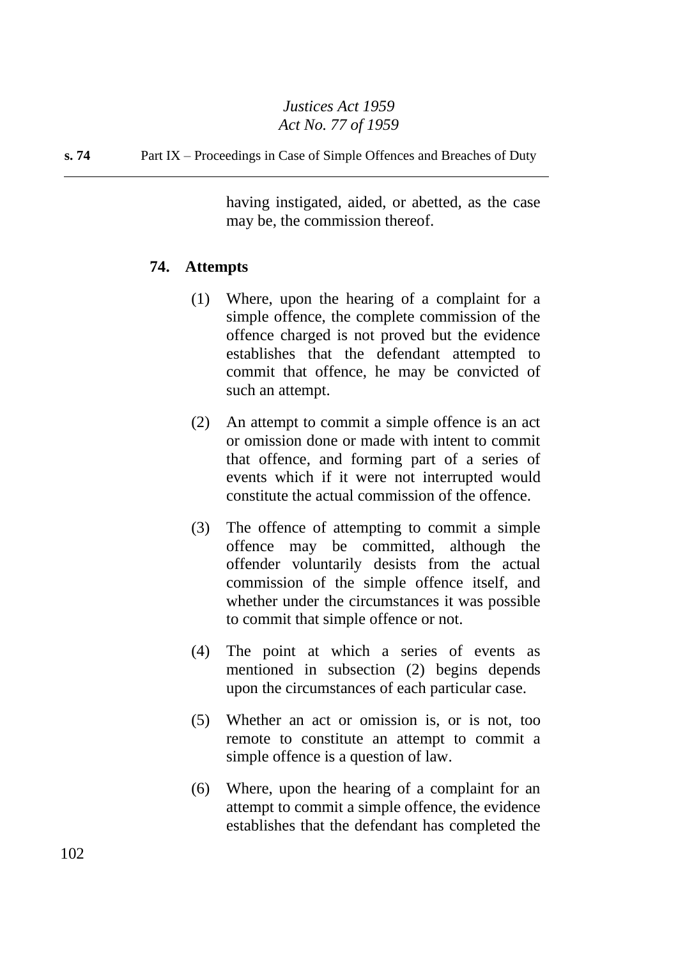**s. 74** Part IX – Proceedings in Case of Simple Offences and Breaches of Duty

having instigated, aided, or abetted, as the case may be, the commission thereof.

## **74. Attempts**

- (1) Where, upon the hearing of a complaint for a simple offence, the complete commission of the offence charged is not proved but the evidence establishes that the defendant attempted to commit that offence, he may be convicted of such an attempt.
- (2) An attempt to commit a simple offence is an act or omission done or made with intent to commit that offence, and forming part of a series of events which if it were not interrupted would constitute the actual commission of the offence.
- (3) The offence of attempting to commit a simple offence may be committed, although the offender voluntarily desists from the actual commission of the simple offence itself, and whether under the circumstances it was possible to commit that simple offence or not.
- (4) The point at which a series of events as mentioned in subsection (2) begins depends upon the circumstances of each particular case.
- (5) Whether an act or omission is, or is not, too remote to constitute an attempt to commit a simple offence is a question of law.
- (6) Where, upon the hearing of a complaint for an attempt to commit a simple offence, the evidence establishes that the defendant has completed the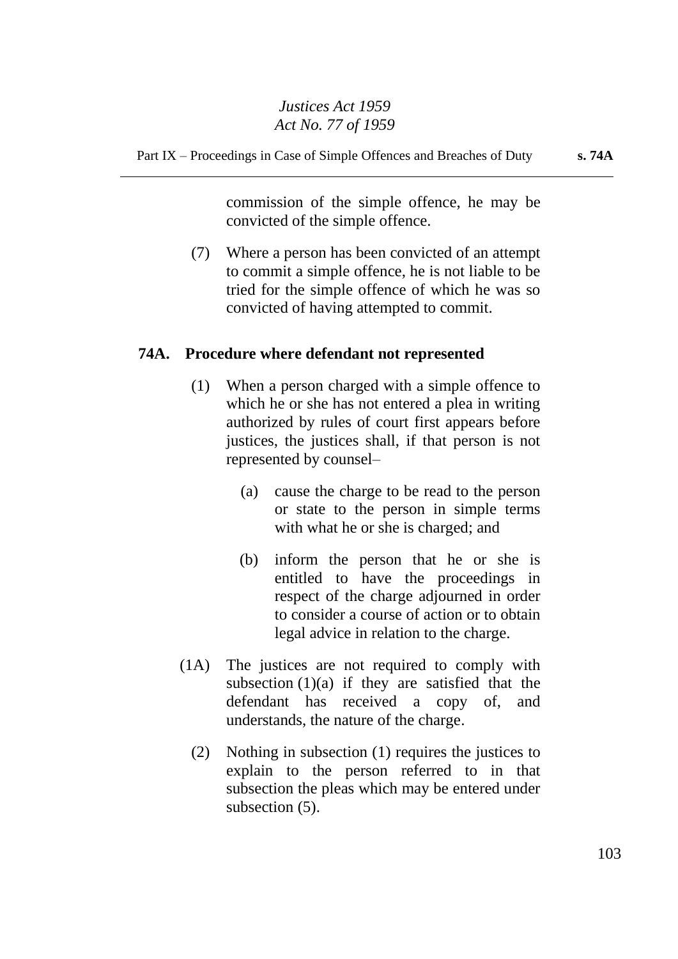commission of the simple offence, he may be convicted of the simple offence.

(7) Where a person has been convicted of an attempt to commit a simple offence, he is not liable to be tried for the simple offence of which he was so convicted of having attempted to commit.

# **74A. Procedure where defendant not represented**

- (1) When a person charged with a simple offence to which he or she has not entered a plea in writing authorized by rules of court first appears before justices, the justices shall, if that person is not represented by counsel–
	- (a) cause the charge to be read to the person or state to the person in simple terms with what he or she is charged; and
	- (b) inform the person that he or she is entitled to have the proceedings in respect of the charge adjourned in order to consider a course of action or to obtain legal advice in relation to the charge.
- (1A) The justices are not required to comply with subsection  $(1)(a)$  if they are satisfied that the defendant has received a copy of, and understands, the nature of the charge.
	- (2) Nothing in subsection (1) requires the justices to explain to the person referred to in that subsection the pleas which may be entered under subsection  $(5)$ .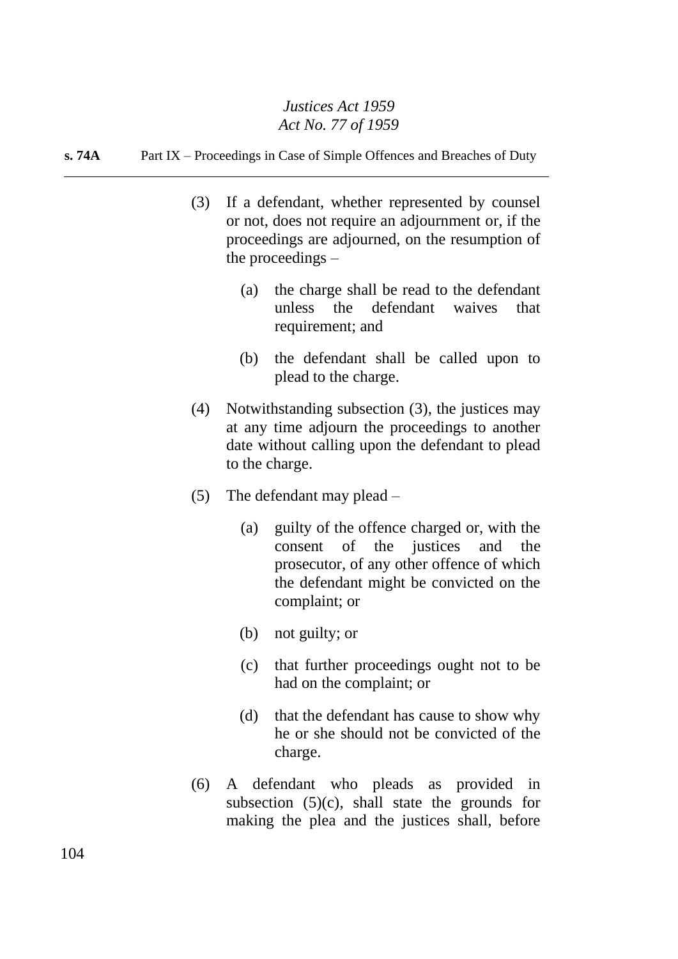#### **s. 74A** Part IX – Proceedings in Case of Simple Offences and Breaches of Duty

- (3) If a defendant, whether represented by counsel or not, does not require an adjournment or, if the proceedings are adjourned, on the resumption of the proceedings –
	- (a) the charge shall be read to the defendant unless the defendant waives that requirement; and
	- (b) the defendant shall be called upon to plead to the charge.
- (4) Notwithstanding subsection (3), the justices may at any time adjourn the proceedings to another date without calling upon the defendant to plead to the charge.
- (5) The defendant may plead
	- (a) guilty of the offence charged or, with the consent of the justices and the prosecutor, of any other offence of which the defendant might be convicted on the complaint; or
	- (b) not guilty; or
	- (c) that further proceedings ought not to be had on the complaint; or
	- (d) that the defendant has cause to show why he or she should not be convicted of the charge.
- (6) A defendant who pleads as provided in subsection  $(5)(c)$ , shall state the grounds for making the plea and the justices shall, before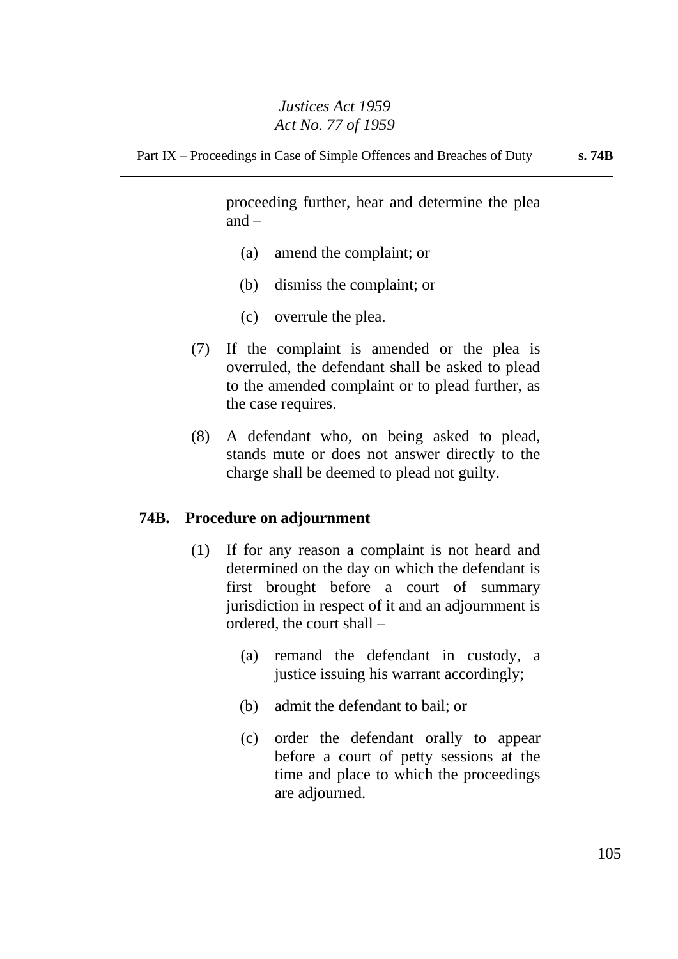proceeding further, hear and determine the plea  $and -$ 

- (a) amend the complaint; or
- (b) dismiss the complaint; or
- (c) overrule the plea.
- (7) If the complaint is amended or the plea is overruled, the defendant shall be asked to plead to the amended complaint or to plead further, as the case requires.
- (8) A defendant who, on being asked to plead, stands mute or does not answer directly to the charge shall be deemed to plead not guilty.

## **74B. Procedure on adjournment**

- (1) If for any reason a complaint is not heard and determined on the day on which the defendant is first brought before a court of summary jurisdiction in respect of it and an adjournment is ordered, the court shall –
	- (a) remand the defendant in custody, a justice issuing his warrant accordingly;
	- (b) admit the defendant to bail; or
	- (c) order the defendant orally to appear before a court of petty sessions at the time and place to which the proceedings are adjourned.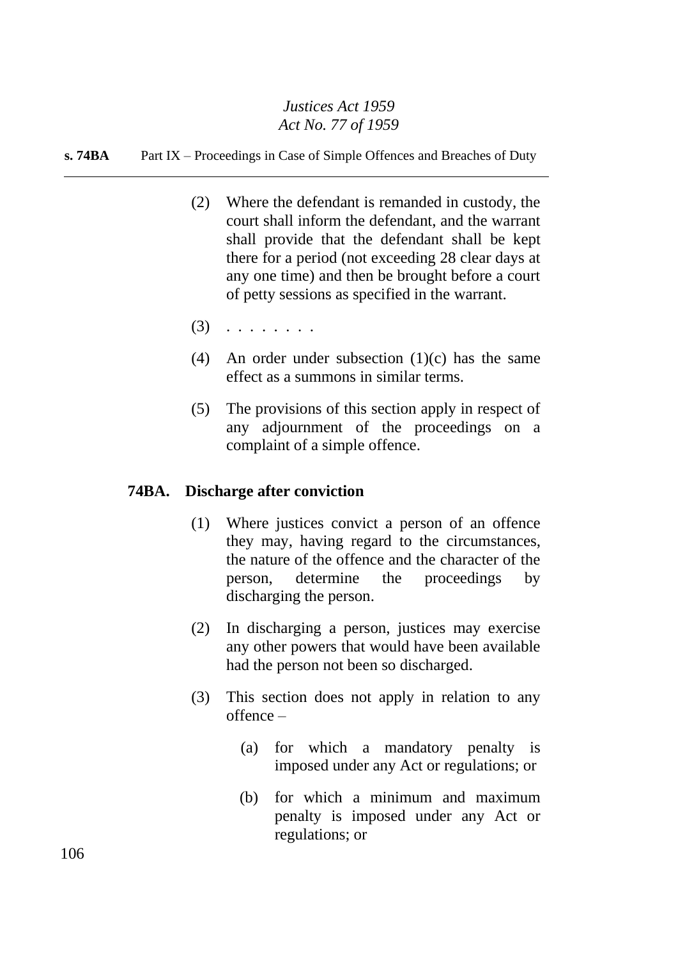#### **s. 74BA** Part IX – Proceedings in Case of Simple Offences and Breaches of Duty

- (2) Where the defendant is remanded in custody, the court shall inform the defendant, and the warrant shall provide that the defendant shall be kept there for a period (not exceeding 28 clear days at any one time) and then be brought before a court of petty sessions as specified in the warrant.
- $(3)$  . . . . . . . .
- (4) An order under subsection  $(1)(c)$  has the same effect as a summons in similar terms.
- (5) The provisions of this section apply in respect of any adjournment of the proceedings on a complaint of a simple offence.

## **74BA. Discharge after conviction**

- (1) Where justices convict a person of an offence they may, having regard to the circumstances, the nature of the offence and the character of the person, determine the proceedings by discharging the person.
- (2) In discharging a person, justices may exercise any other powers that would have been available had the person not been so discharged.
- (3) This section does not apply in relation to any offence –
	- (a) for which a mandatory penalty is imposed under any Act or regulations; or
	- (b) for which a minimum and maximum penalty is imposed under any Act or regulations; or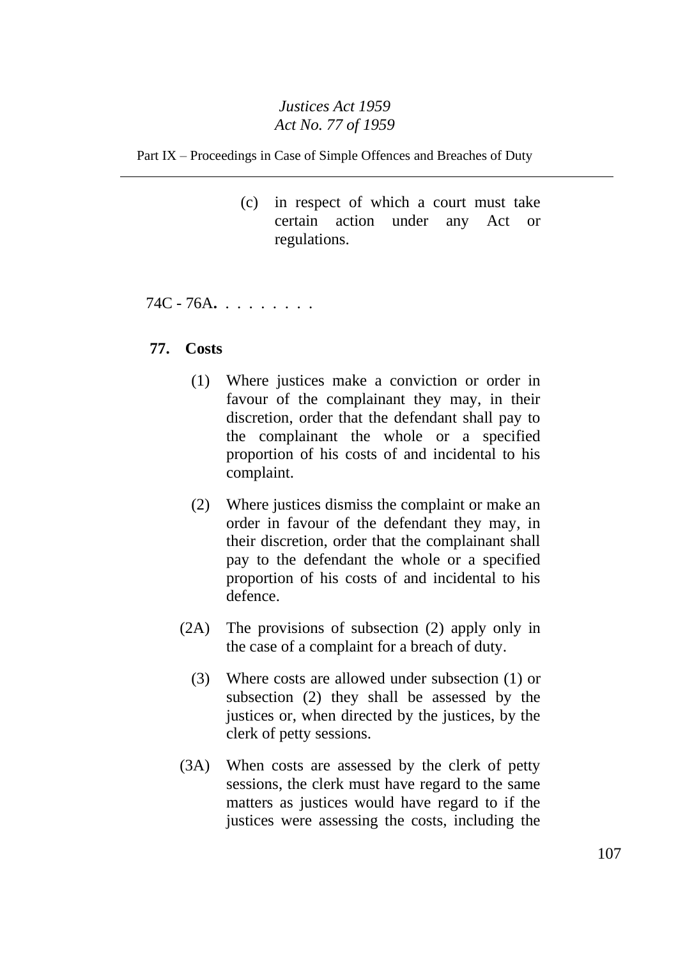Part IX – Proceedings in Case of Simple Offences and Breaches of Duty

(c) in respect of which a court must take certain action under any Act or regulations.

74C - 76A**.** . . . . . . . .

# **77. Costs**

- (1) Where justices make a conviction or order in favour of the complainant they may, in their discretion, order that the defendant shall pay to the complainant the whole or a specified proportion of his costs of and incidental to his complaint.
- (2) Where justices dismiss the complaint or make an order in favour of the defendant they may, in their discretion, order that the complainant shall pay to the defendant the whole or a specified proportion of his costs of and incidental to his defence.
- (2A) The provisions of subsection (2) apply only in the case of a complaint for a breach of duty.
	- (3) Where costs are allowed under subsection (1) or subsection (2) they shall be assessed by the justices or, when directed by the justices, by the clerk of petty sessions.
- (3A) When costs are assessed by the clerk of petty sessions, the clerk must have regard to the same matters as justices would have regard to if the justices were assessing the costs, including the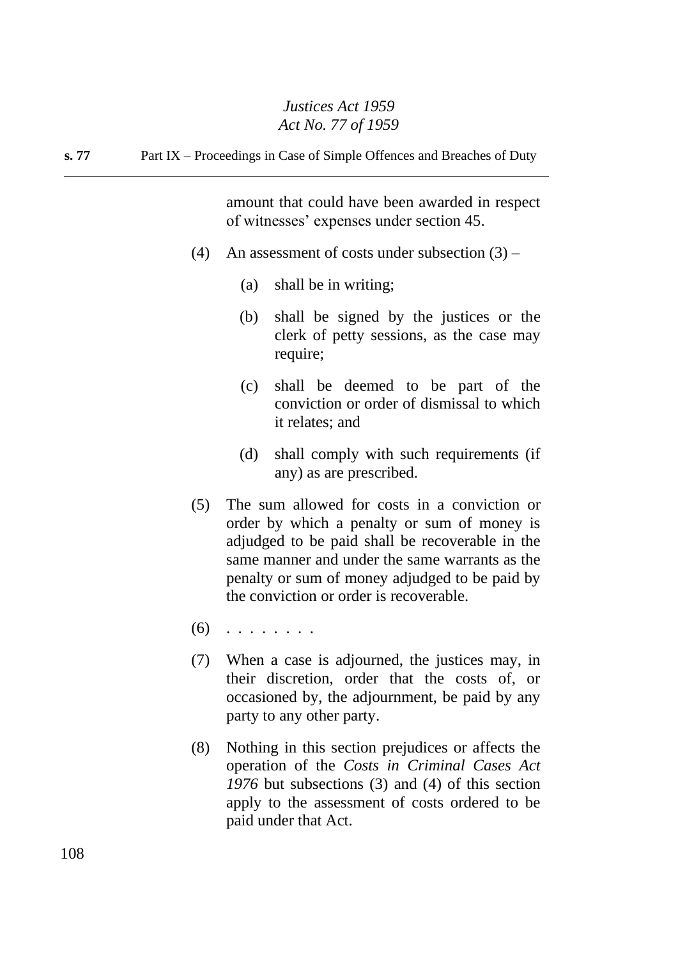**s. 77** Part IX – Proceedings in Case of Simple Offences and Breaches of Duty

amount that could have been awarded in respect of witnesses' expenses under section 45.

- (4) An assessment of costs under subsection  $(3)$ 
	- (a) shall be in writing;
	- (b) shall be signed by the justices or the clerk of petty sessions, as the case may require;
	- (c) shall be deemed to be part of the conviction or order of dismissal to which it relates; and
	- (d) shall comply with such requirements (if any) as are prescribed.
- (5) The sum allowed for costs in a conviction or order by which a penalty or sum of money is adjudged to be paid shall be recoverable in the same manner and under the same warrants as the penalty or sum of money adjudged to be paid by the conviction or order is recoverable.
- $(6)$  . . . . . . . .
- (7) When a case is adjourned, the justices may, in their discretion, order that the costs of, or occasioned by, the adjournment, be paid by any party to any other party.
- (8) Nothing in this section prejudices or affects the operation of the *Costs in Criminal Cases Act 1976* but subsections (3) and (4) of this section apply to the assessment of costs ordered to be paid under that Act.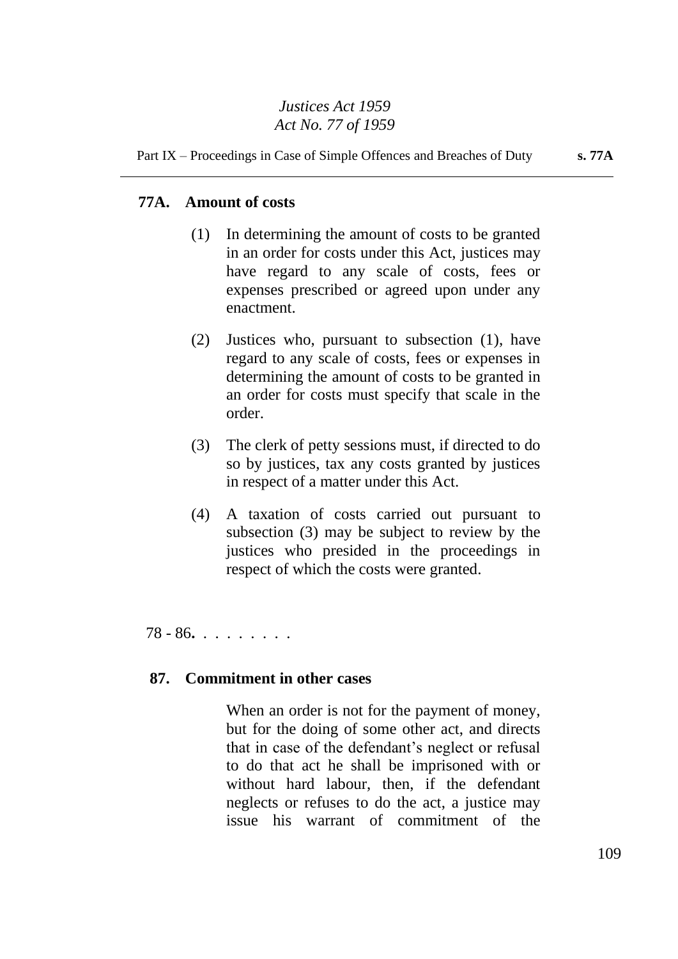#### Part IX – Proceedings in Case of Simple Offences and Breaches of Duty **s. 77A**

## **77A. Amount of costs**

- (1) In determining the amount of costs to be granted in an order for costs under this Act, justices may have regard to any scale of costs, fees or expenses prescribed or agreed upon under any enactment.
- (2) Justices who, pursuant to subsection (1), have regard to any scale of costs, fees or expenses in determining the amount of costs to be granted in an order for costs must specify that scale in the order.
- (3) The clerk of petty sessions must, if directed to do so by justices, tax any costs granted by justices in respect of a matter under this Act.
- (4) A taxation of costs carried out pursuant to subsection (3) may be subject to review by the justices who presided in the proceedings in respect of which the costs were granted.

78 - 86**.** . . . . . . . .

# **87. Commitment in other cases**

When an order is not for the payment of money, but for the doing of some other act, and directs that in case of the defendant's neglect or refusal to do that act he shall be imprisoned with or without hard labour, then, if the defendant neglects or refuses to do the act, a justice may issue his warrant of commitment of the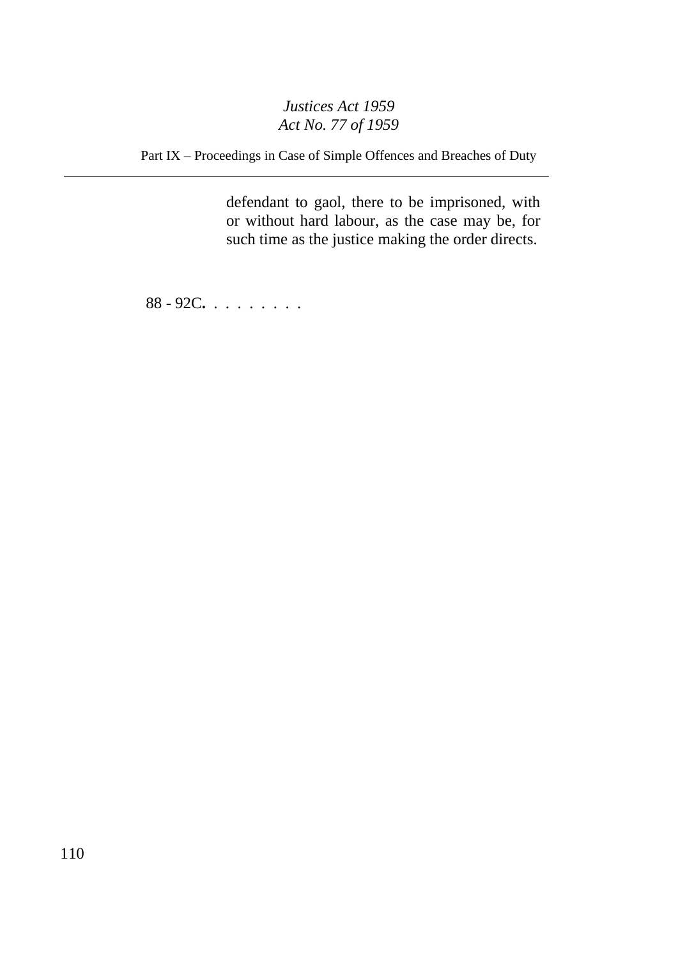Part IX – Proceedings in Case of Simple Offences and Breaches of Duty

defendant to gaol, there to be imprisoned, with or without hard labour, as the case may be, for such time as the justice making the order directs.

88 - 92C**.** . . . . . . . .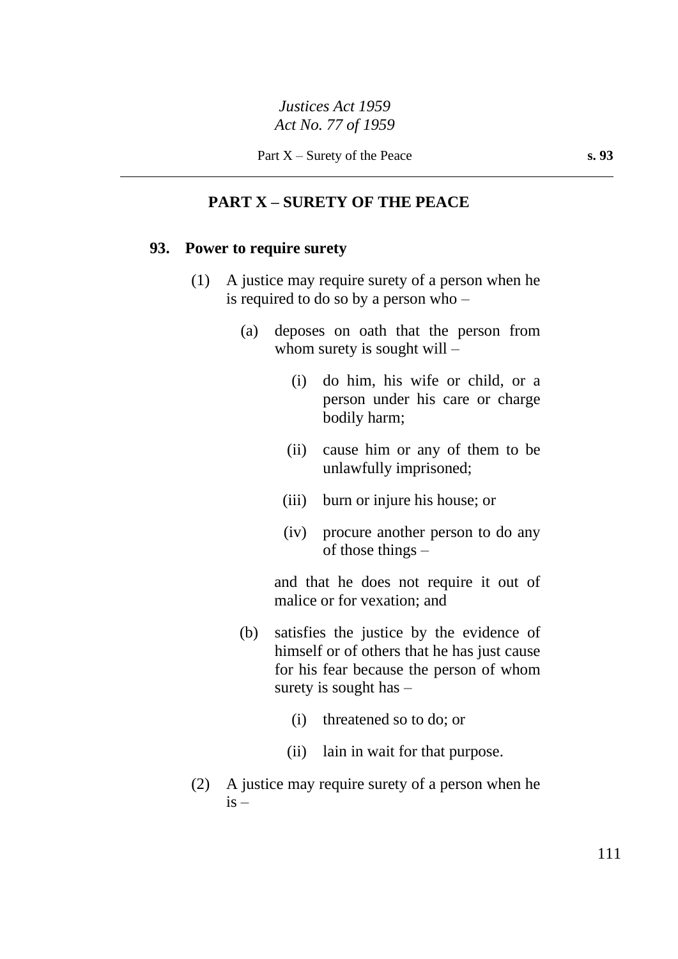# **PART X – SURETY OF THE PEACE**

#### **93. Power to require surety**

- (1) A justice may require surety of a person when he is required to do so by a person who –
	- (a) deposes on oath that the person from whom surety is sought will –
		- (i) do him, his wife or child, or a person under his care or charge bodily harm;
		- (ii) cause him or any of them to be unlawfully imprisoned;
		- (iii) burn or injure his house; or
		- (iv) procure another person to do any of those things –

and that he does not require it out of malice or for vexation; and

- (b) satisfies the justice by the evidence of himself or of others that he has just cause for his fear because the person of whom surety is sought has –
	- (i) threatened so to do; or
	- (ii) lain in wait for that purpose.
- (2) A justice may require surety of a person when he  $is -$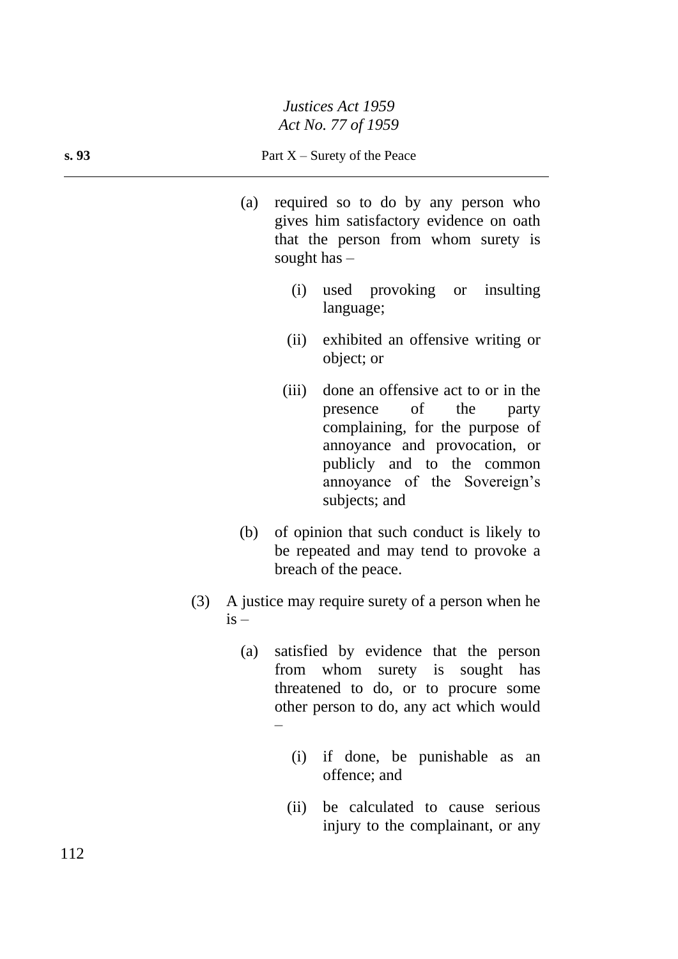- (a) required so to do by any person who gives him satisfactory evidence on oath that the person from whom surety is sought has –
	- (i) used provoking or insulting language;
	- (ii) exhibited an offensive writing or object; or
	- (iii) done an offensive act to or in the presence of the party complaining, for the purpose of annoyance and provocation, or publicly and to the common annoyance of the Sovereign's subjects; and
- (b) of opinion that such conduct is likely to be repeated and may tend to provoke a breach of the peace.
- (3) A justice may require surety of a person when he  $i\bar{s}$  –
	- (a) satisfied by evidence that the person from whom surety is sought has threatened to do, or to procure some other person to do, any act which would –
		- (i) if done, be punishable as an offence; and
		- (ii) be calculated to cause serious injury to the complainant, or any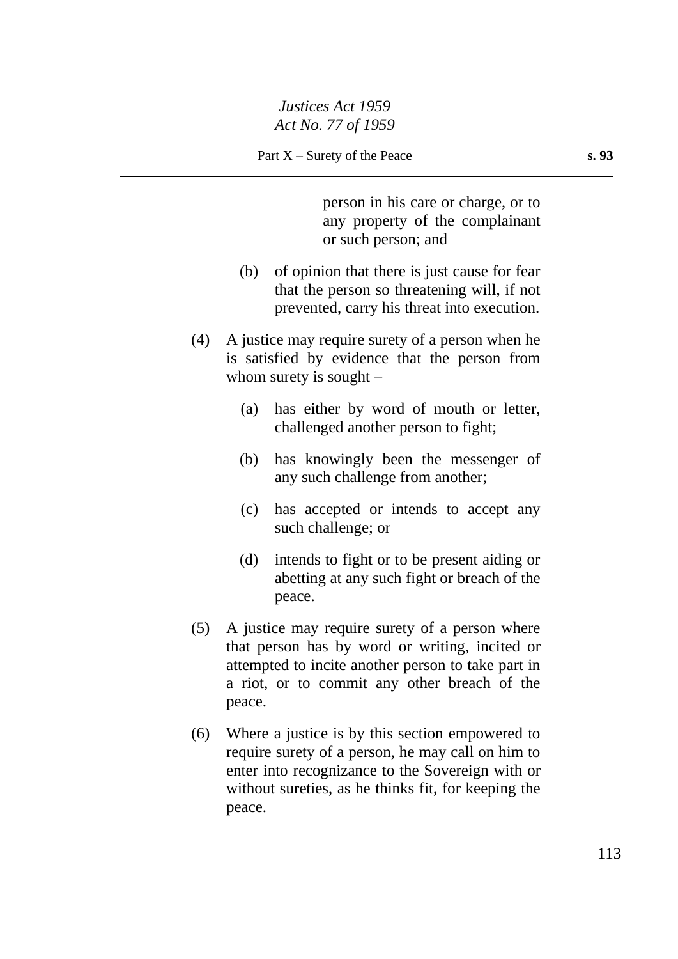person in his care or charge, or to any property of the complainant or such person; and

- (b) of opinion that there is just cause for fear that the person so threatening will, if not prevented, carry his threat into execution.
- (4) A justice may require surety of a person when he is satisfied by evidence that the person from whom surety is sought  $-$ 
	- (a) has either by word of mouth or letter, challenged another person to fight;
	- (b) has knowingly been the messenger of any such challenge from another;
	- (c) has accepted or intends to accept any such challenge; or
	- (d) intends to fight or to be present aiding or abetting at any such fight or breach of the peace.
- (5) A justice may require surety of a person where that person has by word or writing, incited or attempted to incite another person to take part in a riot, or to commit any other breach of the peace.
- (6) Where a justice is by this section empowered to require surety of a person, he may call on him to enter into recognizance to the Sovereign with or without sureties, as he thinks fit, for keeping the peace.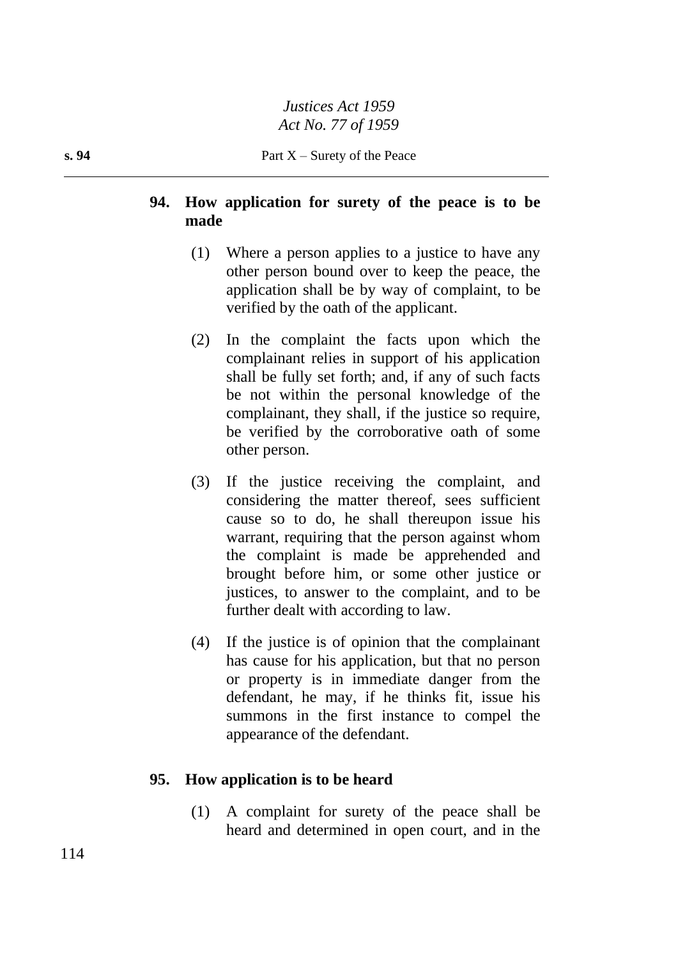# **94. How application for surety of the peace is to be made**

- (1) Where a person applies to a justice to have any other person bound over to keep the peace, the application shall be by way of complaint, to be verified by the oath of the applicant.
- (2) In the complaint the facts upon which the complainant relies in support of his application shall be fully set forth; and, if any of such facts be not within the personal knowledge of the complainant, they shall, if the justice so require, be verified by the corroborative oath of some other person.
- (3) If the justice receiving the complaint, and considering the matter thereof, sees sufficient cause so to do, he shall thereupon issue his warrant, requiring that the person against whom the complaint is made be apprehended and brought before him, or some other justice or justices, to answer to the complaint, and to be further dealt with according to law.
- (4) If the justice is of opinion that the complainant has cause for his application, but that no person or property is in immediate danger from the defendant, he may, if he thinks fit, issue his summons in the first instance to compel the appearance of the defendant.

# **95. How application is to be heard**

(1) A complaint for surety of the peace shall be heard and determined in open court, and in the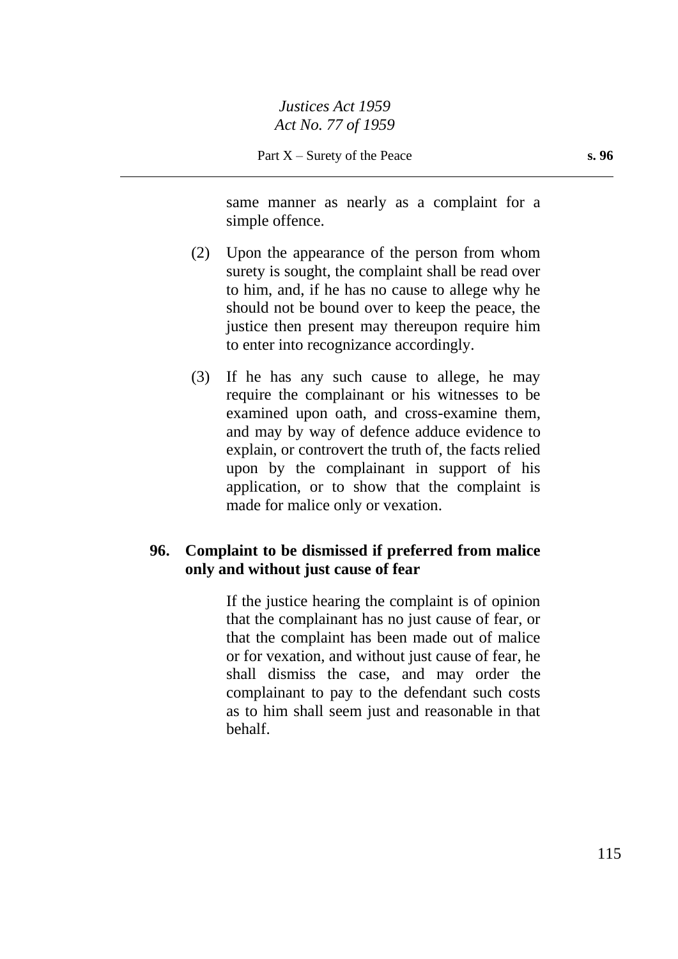same manner as nearly as a complaint for a simple offence.

- (2) Upon the appearance of the person from whom surety is sought, the complaint shall be read over to him, and, if he has no cause to allege why he should not be bound over to keep the peace, the justice then present may thereupon require him to enter into recognizance accordingly.
- (3) If he has any such cause to allege, he may require the complainant or his witnesses to be examined upon oath, and cross-examine them, and may by way of defence adduce evidence to explain, or controvert the truth of, the facts relied upon by the complainant in support of his application, or to show that the complaint is made for malice only or vexation.

## **96. Complaint to be dismissed if preferred from malice only and without just cause of fear**

If the justice hearing the complaint is of opinion that the complainant has no just cause of fear, or that the complaint has been made out of malice or for vexation, and without just cause of fear, he shall dismiss the case, and may order the complainant to pay to the defendant such costs as to him shall seem just and reasonable in that behalf.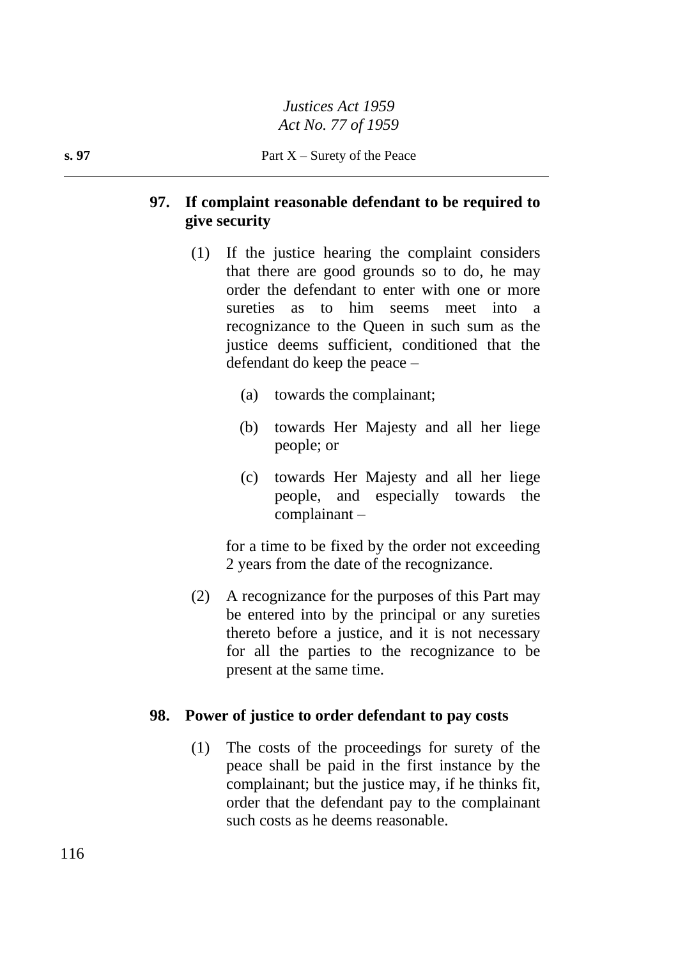# **97. If complaint reasonable defendant to be required to give security**

- (1) If the justice hearing the complaint considers that there are good grounds so to do, he may order the defendant to enter with one or more sureties as to him seems meet into a recognizance to the Queen in such sum as the justice deems sufficient, conditioned that the defendant do keep the peace –
	- (a) towards the complainant;
	- (b) towards Her Majesty and all her liege people; or
	- (c) towards Her Majesty and all her liege people, and especially towards the complainant –

for a time to be fixed by the order not exceeding 2 years from the date of the recognizance.

(2) A recognizance for the purposes of this Part may be entered into by the principal or any sureties thereto before a justice, and it is not necessary for all the parties to the recognizance to be present at the same time.

#### **98. Power of justice to order defendant to pay costs**

(1) The costs of the proceedings for surety of the peace shall be paid in the first instance by the complainant; but the justice may, if he thinks fit, order that the defendant pay to the complainant such costs as he deems reasonable.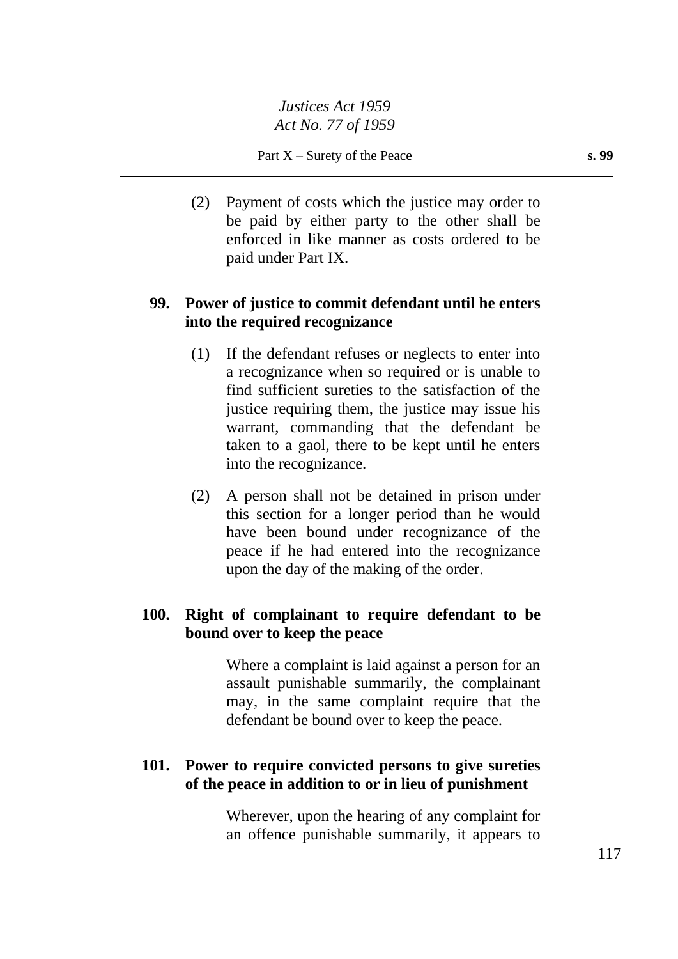(2) Payment of costs which the justice may order to be paid by either party to the other shall be enforced in like manner as costs ordered to be paid under Part IX.

# **99. Power of justice to commit defendant until he enters into the required recognizance**

- (1) If the defendant refuses or neglects to enter into a recognizance when so required or is unable to find sufficient sureties to the satisfaction of the justice requiring them, the justice may issue his warrant, commanding that the defendant be taken to a gaol, there to be kept until he enters into the recognizance.
- (2) A person shall not be detained in prison under this section for a longer period than he would have been bound under recognizance of the peace if he had entered into the recognizance upon the day of the making of the order.

#### **100. Right of complainant to require defendant to be bound over to keep the peace**

Where a complaint is laid against a person for an assault punishable summarily, the complainant may, in the same complaint require that the defendant be bound over to keep the peace.

## **101. Power to require convicted persons to give sureties of the peace in addition to or in lieu of punishment**

Wherever, upon the hearing of any complaint for an offence punishable summarily, it appears to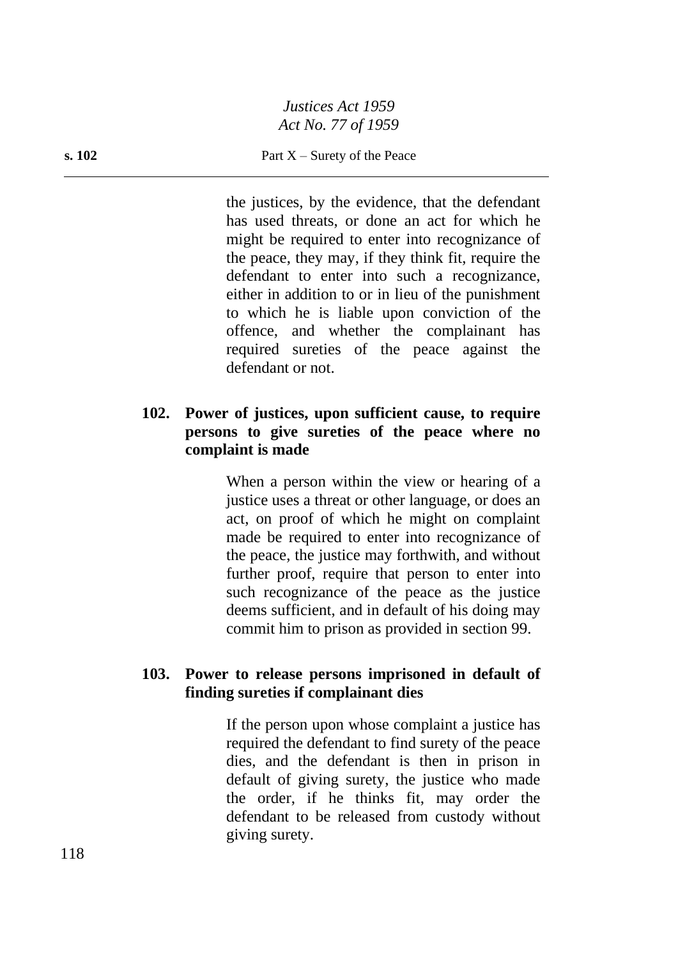#### **s. 102** Part X – Surety of the Peace

the justices, by the evidence, that the defendant has used threats, or done an act for which he might be required to enter into recognizance of the peace, they may, if they think fit, require the defendant to enter into such a recognizance, either in addition to or in lieu of the punishment to which he is liable upon conviction of the offence, and whether the complainant has required sureties of the peace against the defendant or not.

## **102. Power of justices, upon sufficient cause, to require persons to give sureties of the peace where no complaint is made**

When a person within the view or hearing of a justice uses a threat or other language, or does an act, on proof of which he might on complaint made be required to enter into recognizance of the peace, the justice may forthwith, and without further proof, require that person to enter into such recognizance of the peace as the justice deems sufficient, and in default of his doing may commit him to prison as provided in section 99.

#### **103. Power to release persons imprisoned in default of finding sureties if complainant dies**

If the person upon whose complaint a justice has required the defendant to find surety of the peace dies, and the defendant is then in prison in default of giving surety, the justice who made the order, if he thinks fit, may order the defendant to be released from custody without giving surety.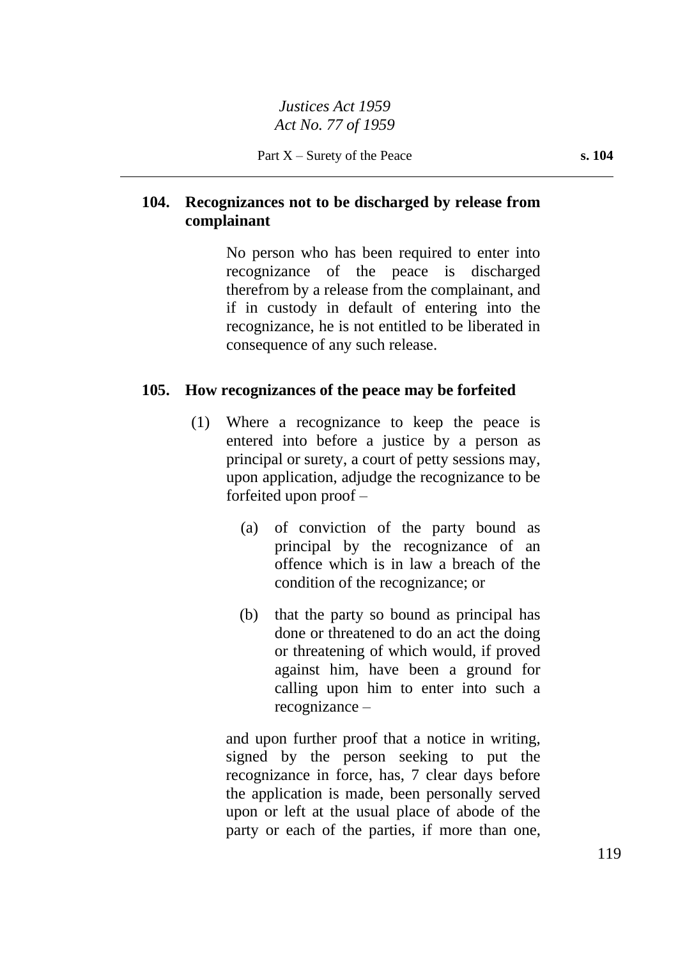# **104. Recognizances not to be discharged by release from complainant**

No person who has been required to enter into recognizance of the peace is discharged therefrom by a release from the complainant, and if in custody in default of entering into the recognizance, he is not entitled to be liberated in consequence of any such release.

# **105. How recognizances of the peace may be forfeited**

- (1) Where a recognizance to keep the peace is entered into before a justice by a person as principal or surety, a court of petty sessions may, upon application, adjudge the recognizance to be forfeited upon proof –
	- (a) of conviction of the party bound as principal by the recognizance of an offence which is in law a breach of the condition of the recognizance; or
	- (b) that the party so bound as principal has done or threatened to do an act the doing or threatening of which would, if proved against him, have been a ground for calling upon him to enter into such a recognizance –

and upon further proof that a notice in writing, signed by the person seeking to put the recognizance in force, has, 7 clear days before the application is made, been personally served upon or left at the usual place of abode of the party or each of the parties, if more than one,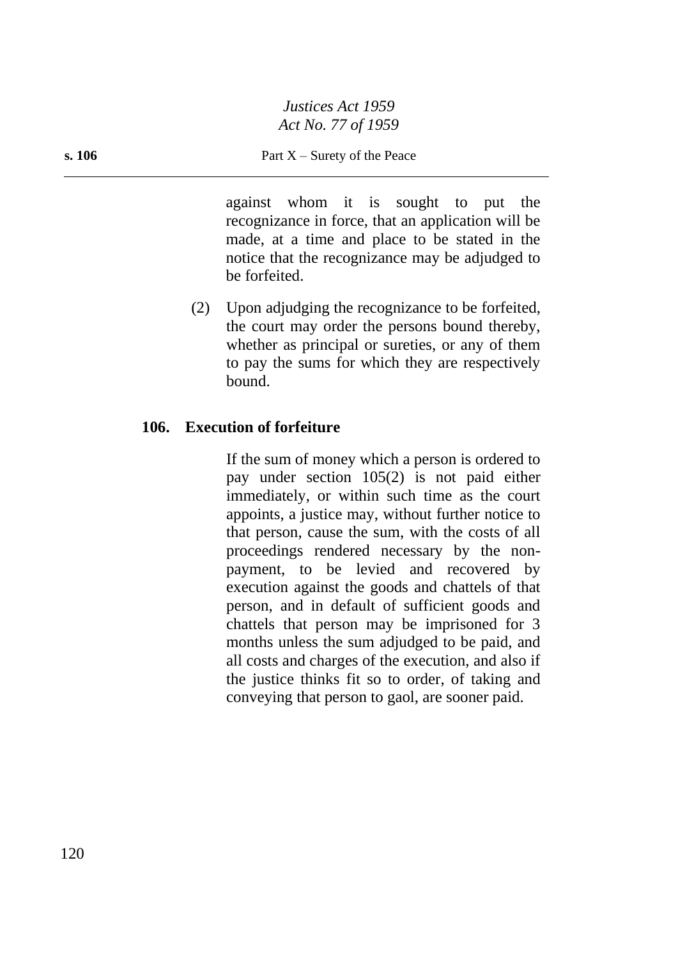against whom it is sought to put the recognizance in force, that an application will be made, at a time and place to be stated in the notice that the recognizance may be adjudged to be forfeited.

(2) Upon adjudging the recognizance to be forfeited, the court may order the persons bound thereby, whether as principal or sureties, or any of them to pay the sums for which they are respectively bound.

# **106. Execution of forfeiture**

If the sum of money which a person is ordered to pay under section 105(2) is not paid either immediately, or within such time as the court appoints, a justice may, without further notice to that person, cause the sum, with the costs of all proceedings rendered necessary by the nonpayment, to be levied and recovered by execution against the goods and chattels of that person, and in default of sufficient goods and chattels that person may be imprisoned for 3 months unless the sum adjudged to be paid, and all costs and charges of the execution, and also if the justice thinks fit so to order, of taking and conveying that person to gaol, are sooner paid.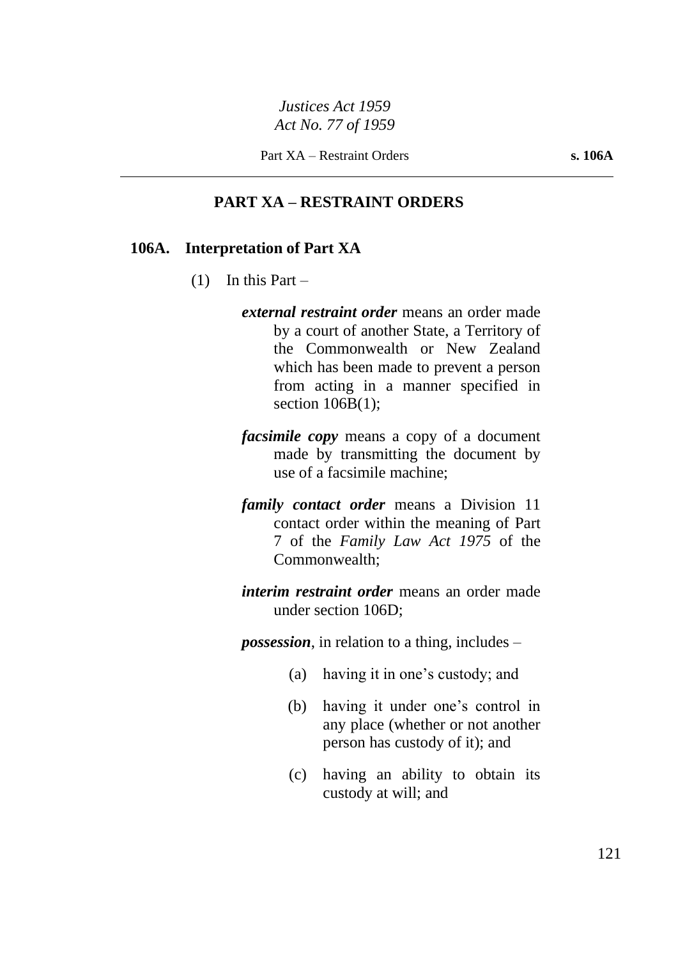#### **PART XA – RESTRAINT ORDERS**

#### **106A. Interpretation of Part XA**

- $(1)$  In this Part
	- *external restraint order* means an order made by a court of another State, a Territory of the Commonwealth or New Zealand which has been made to prevent a person from acting in a manner specified in section  $106B(1)$ ;
	- *facsimile copy* means a copy of a document made by transmitting the document by use of a facsimile machine;
	- *family contact order* means a Division 11 contact order within the meaning of Part 7 of the *Family Law Act 1975* of the Commonwealth;
	- *interim restraint order* means an order made under section 106D;

*possession*, in relation to a thing, includes –

- (a) having it in one's custody; and
- (b) having it under one's control in any place (whether or not another person has custody of it); and
- (c) having an ability to obtain its custody at will; and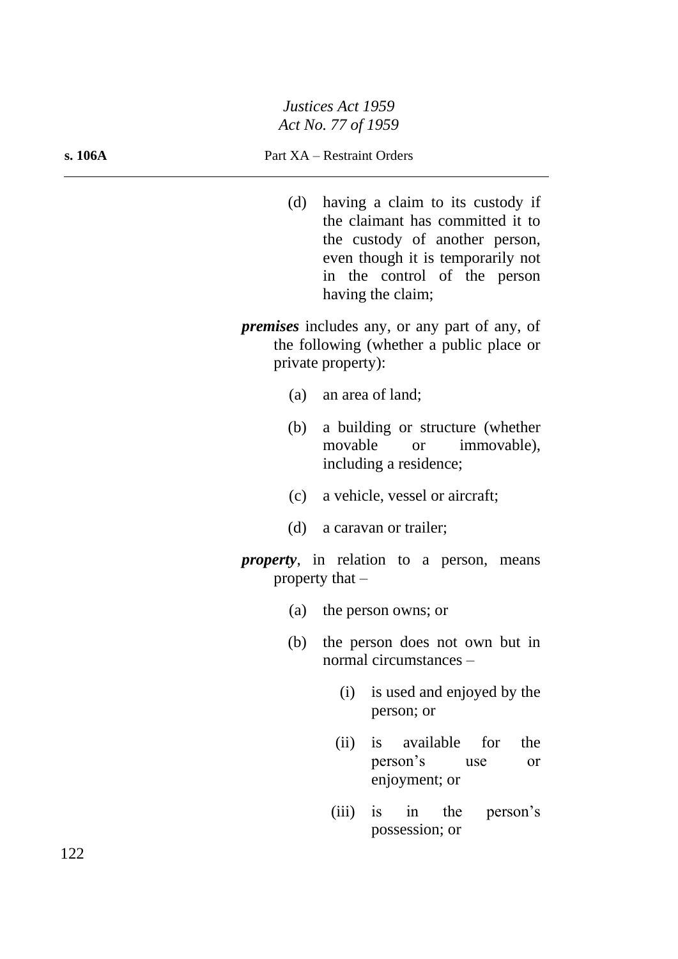#### **s. 106A** Part XA – Restraint Orders

- (d) having a claim to its custody if the claimant has committed it to the custody of another person, even though it is temporarily not in the control of the person having the claim;
- *premises* includes any, or any part of any, of the following (whether a public place or private property):
	- (a) an area of land;
	- (b) a building or structure (whether movable or immovable), including a residence;
	- (c) a vehicle, vessel or aircraft;
	- (d) a caravan or trailer;
- *property*, in relation to a person, means property that –
	- (a) the person owns; or
	- (b) the person does not own but in normal circumstances –
		- (i) is used and enjoyed by the person; or
		- (ii) is available for the person's use or enjoyment; or
		- (iii) is in the person's possession; or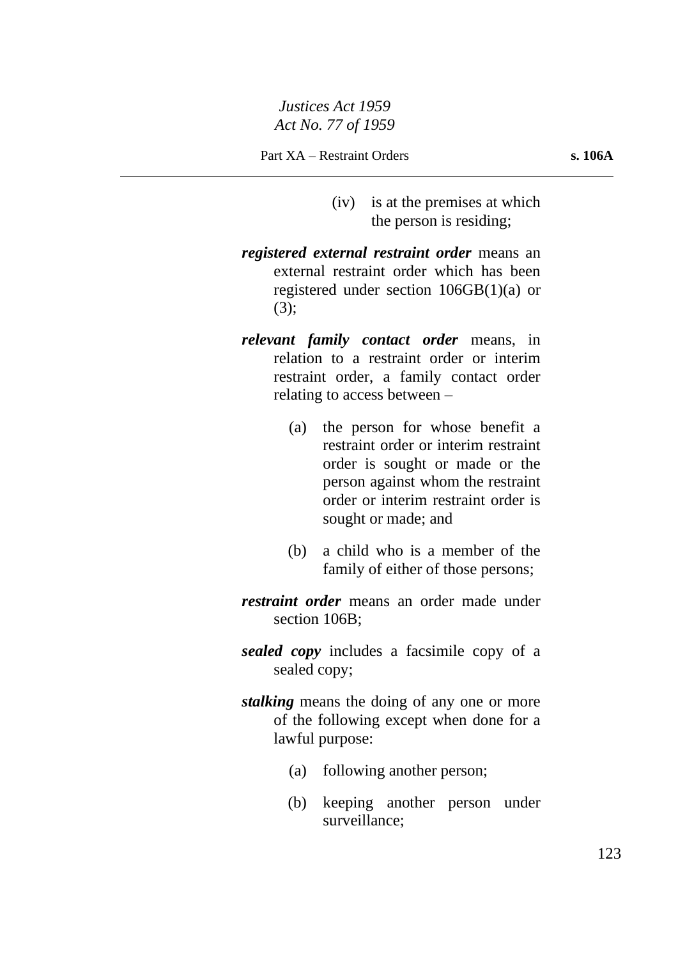- (iv) is at the premises at which the person is residing;
- *registered external restraint order* means an external restraint order which has been registered under section 106GB(1)(a) or (3);
- *relevant family contact order* means, in relation to a restraint order or interim restraint order, a family contact order relating to access between –
	- (a) the person for whose benefit a restraint order or interim restraint order is sought or made or the person against whom the restraint order or interim restraint order is sought or made; and
	- (b) a child who is a member of the family of either of those persons;
- *restraint order* means an order made under section 106B:
- *sealed copy* includes a facsimile copy of a sealed copy;
- *stalking* means the doing of any one or more of the following except when done for a lawful purpose:
	- (a) following another person;
	- (b) keeping another person under surveillance;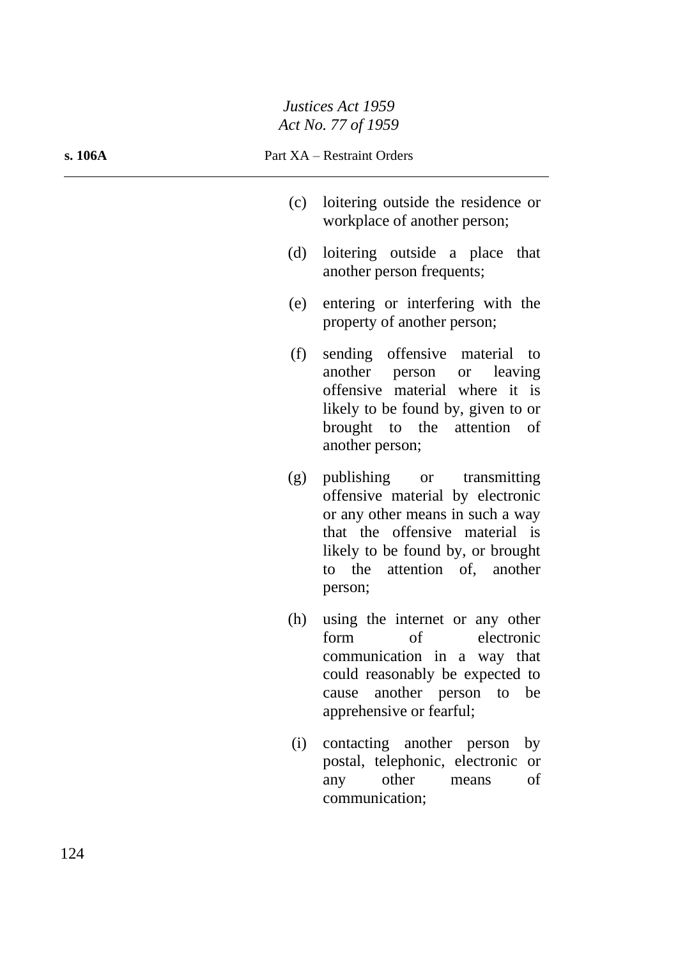#### **s. 106A** Part XA – Restraint Orders

- (c) loitering outside the residence or workplace of another person;
- (d) loitering outside a place that another person frequents;
- (e) entering or interfering with the property of another person;
- (f) sending offensive material to another person or leaving offensive material where it is likely to be found by, given to or brought to the attention of another person;
- (g) publishing or transmitting offensive material by electronic or any other means in such a way that the offensive material is likely to be found by, or brought to the attention of, another person;
- (h) using the internet or any other form of electronic communication in a way that could reasonably be expected to cause another person to be apprehensive or fearful;
- (i) contacting another person by postal, telephonic, electronic or any other means of communication;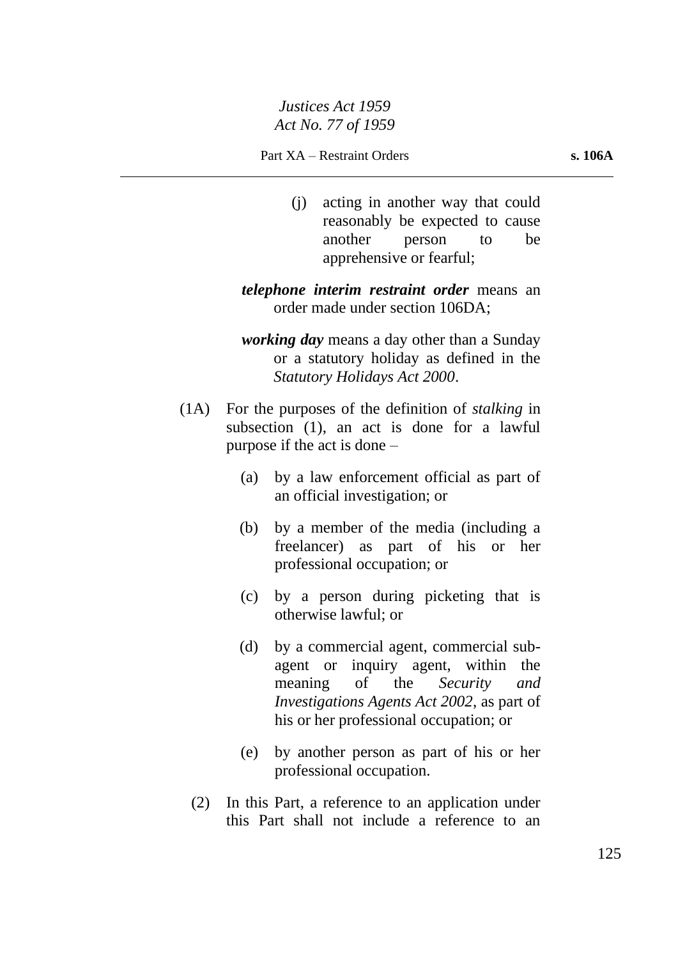(j) acting in another way that could reasonably be expected to cause another person to be apprehensive or fearful;

*telephone interim restraint order* means an order made under section 106DA;

- *working day* means a day other than a Sunday or a statutory holiday as defined in the *Statutory Holidays Act 2000*.
- (1A) For the purposes of the definition of *stalking* in subsection (1), an act is done for a lawful purpose if the act is done –
	- (a) by a law enforcement official as part of an official investigation; or
	- (b) by a member of the media (including a freelancer) as part of his or her professional occupation; or
	- (c) by a person during picketing that is otherwise lawful; or
	- (d) by a commercial agent, commercial subagent or inquiry agent, within the meaning of the *Security and Investigations Agents Act 2002*, as part of his or her professional occupation; or
	- (e) by another person as part of his or her professional occupation.
	- (2) In this Part, a reference to an application under this Part shall not include a reference to an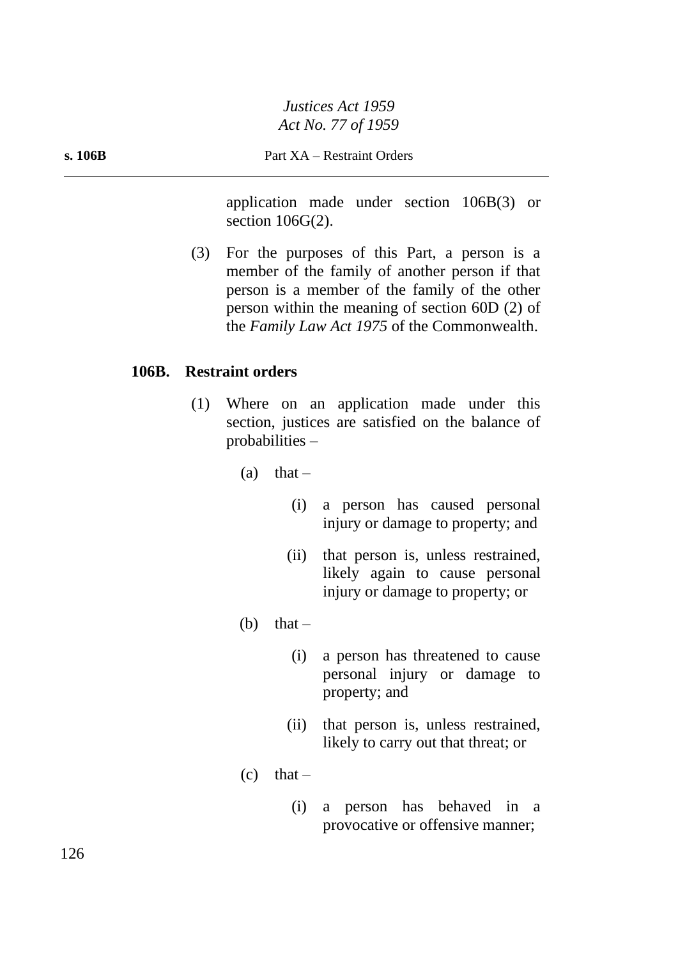application made under section 106B(3) or section 106G(2).

(3) For the purposes of this Part, a person is a member of the family of another person if that person is a member of the family of the other person within the meaning of section 60D (2) of the *Family Law Act 1975* of the Commonwealth.

#### **106B. Restraint orders**

- (1) Where on an application made under this section, justices are satisfied on the balance of probabilities –
	- (a) that  $-$ 
		- (i) a person has caused personal injury or damage to property; and
		- (ii) that person is, unless restrained, likely again to cause personal injury or damage to property; or
	- (b) that  $-$ 
		- (i) a person has threatened to cause personal injury or damage to property; and
		- (ii) that person is, unless restrained, likely to carry out that threat; or
	- $(c)$  that
		- (i) a person has behaved in a provocative or offensive manner;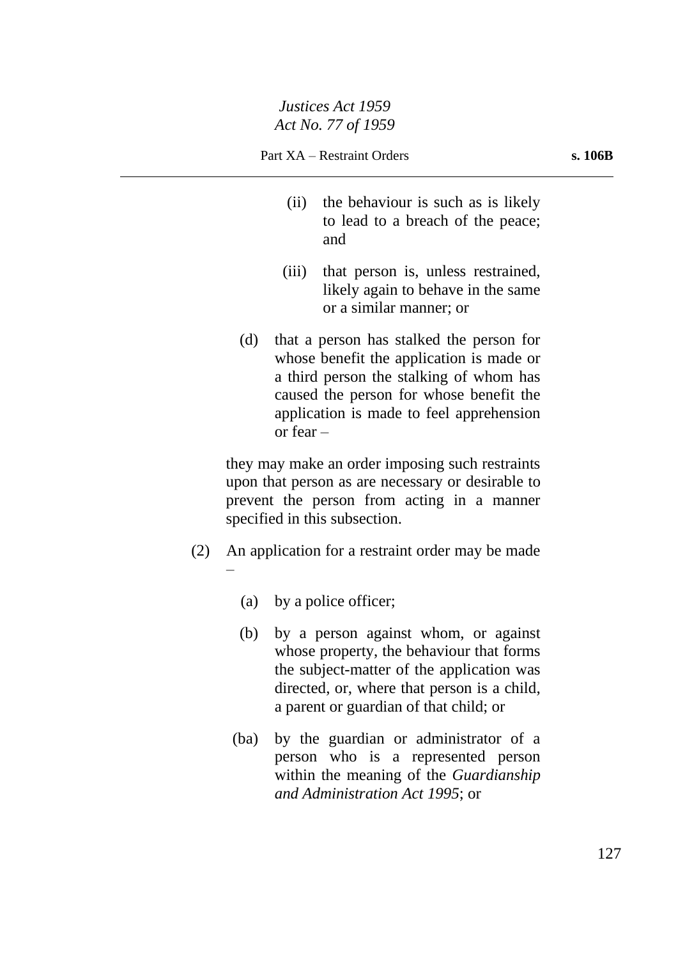- (ii) the behaviour is such as is likely to lead to a breach of the peace; and
- (iii) that person is, unless restrained, likely again to behave in the same or a similar manner; or
- (d) that a person has stalked the person for whose benefit the application is made or a third person the stalking of whom has caused the person for whose benefit the application is made to feel apprehension or fear –

they may make an order imposing such restraints upon that person as are necessary or desirable to prevent the person from acting in a manner specified in this subsection.

- (2) An application for a restraint order may be made –
	- (a) by a police officer;
	- (b) by a person against whom, or against whose property, the behaviour that forms the subject-matter of the application was directed, or, where that person is a child, a parent or guardian of that child; or
	- (ba) by the guardian or administrator of a person who is a represented person within the meaning of the *Guardianship and Administration Act 1995*; or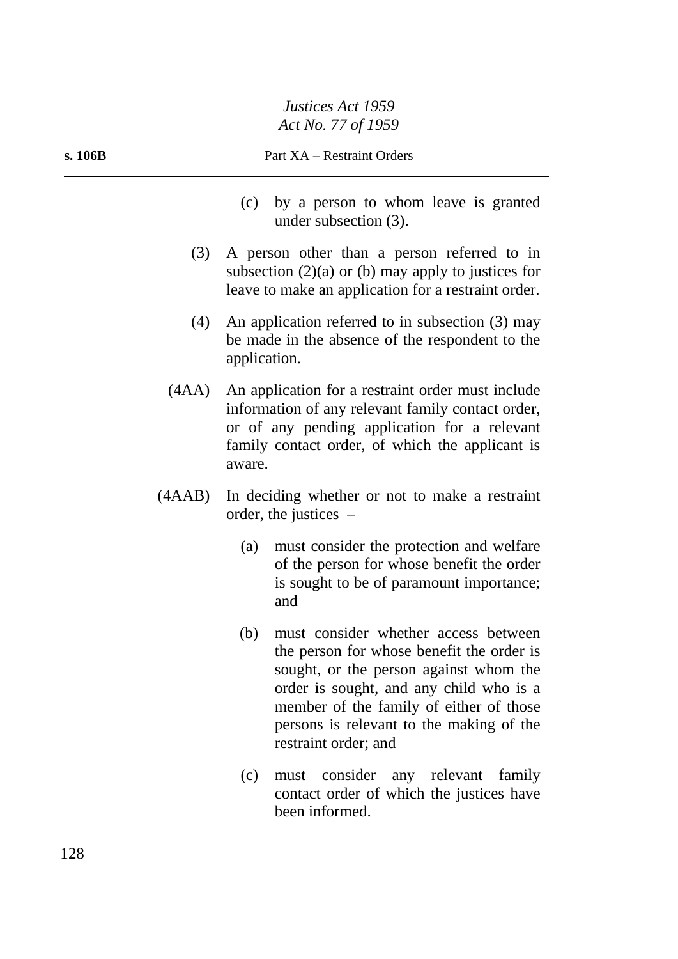#### **s. 106B** Part XA – Restraint Orders

- (c) by a person to whom leave is granted under subsection (3).
- (3) A person other than a person referred to in subsection  $(2)(a)$  or  $(b)$  may apply to justices for leave to make an application for a restraint order.
- (4) An application referred to in subsection (3) may be made in the absence of the respondent to the application.
- (4AA) An application for a restraint order must include information of any relevant family contact order, or of any pending application for a relevant family contact order, of which the applicant is aware.
- (4AAB) In deciding whether or not to make a restraint order, the justices –
	- (a) must consider the protection and welfare of the person for whose benefit the order is sought to be of paramount importance; and
	- (b) must consider whether access between the person for whose benefit the order is sought, or the person against whom the order is sought, and any child who is a member of the family of either of those persons is relevant to the making of the restraint order; and
	- (c) must consider any relevant family contact order of which the justices have been informed.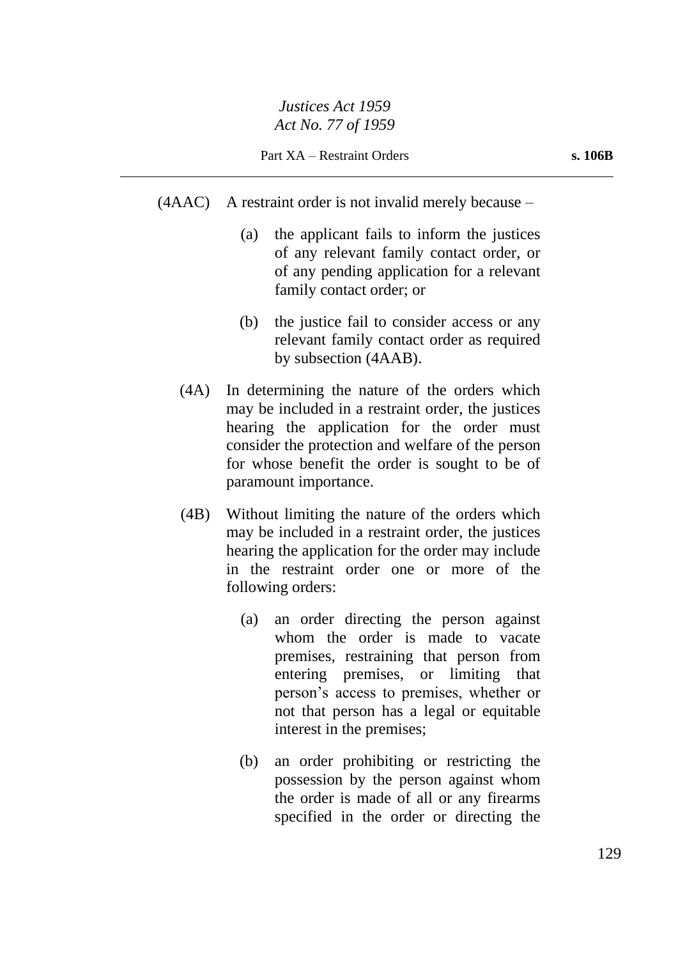- (4AAC) A restraint order is not invalid merely because
	- (a) the applicant fails to inform the justices of any relevant family contact order, or of any pending application for a relevant family contact order; or
	- (b) the justice fail to consider access or any relevant family contact order as required by subsection (4AAB).
	- (4A) In determining the nature of the orders which may be included in a restraint order, the justices hearing the application for the order must consider the protection and welfare of the person for whose benefit the order is sought to be of paramount importance.
	- (4B) Without limiting the nature of the orders which may be included in a restraint order, the justices hearing the application for the order may include in the restraint order one or more of the following orders:
		- (a) an order directing the person against whom the order is made to vacate premises, restraining that person from entering premises, or limiting that person's access to premises, whether or not that person has a legal or equitable interest in the premises;
		- (b) an order prohibiting or restricting the possession by the person against whom the order is made of all or any firearms specified in the order or directing the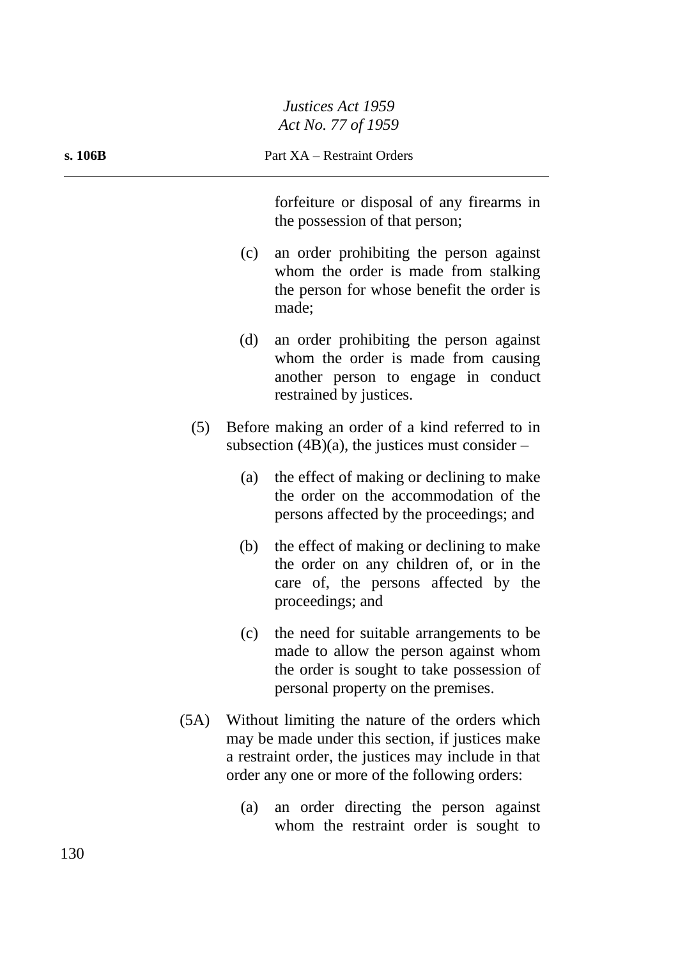| s. 106B |     | Part XA - Restraint Orders                                                                                                                                                                                   |  |
|---------|-----|--------------------------------------------------------------------------------------------------------------------------------------------------------------------------------------------------------------|--|
|         |     | forfeiture or disposal of any firearms in<br>the possession of that person;                                                                                                                                  |  |
|         | (c) | an order prohibiting the person against<br>whom the order is made from stalking<br>the person for whose benefit the order is<br>made;                                                                        |  |
|         | (d) | an order prohibiting the person against<br>whom the order is made from causing<br>another person to engage in conduct<br>restrained by justices.                                                             |  |
| (5)     |     | Before making an order of a kind referred to in<br>subsection $(4B)(a)$ , the justices must consider –                                                                                                       |  |
|         | (a) | the effect of making or declining to make<br>the order on the accommodation of the<br>persons affected by the proceedings; and                                                                               |  |
|         | (b) | the effect of making or declining to make<br>the order on any children of, or in the<br>care of, the persons affected by the<br>proceedings; and                                                             |  |
|         | (c) | the need for suitable arrangements to be<br>made to allow the person against whom<br>the order is sought to take possession of<br>personal property on the premises.                                         |  |
| (5A)    |     | Without limiting the nature of the orders which<br>may be made under this section, if justices make<br>a restraint order, the justices may include in that<br>order any one or more of the following orders: |  |
|         | (a) | an order directing the person against<br>whom the restraint order is sought to                                                                                                                               |  |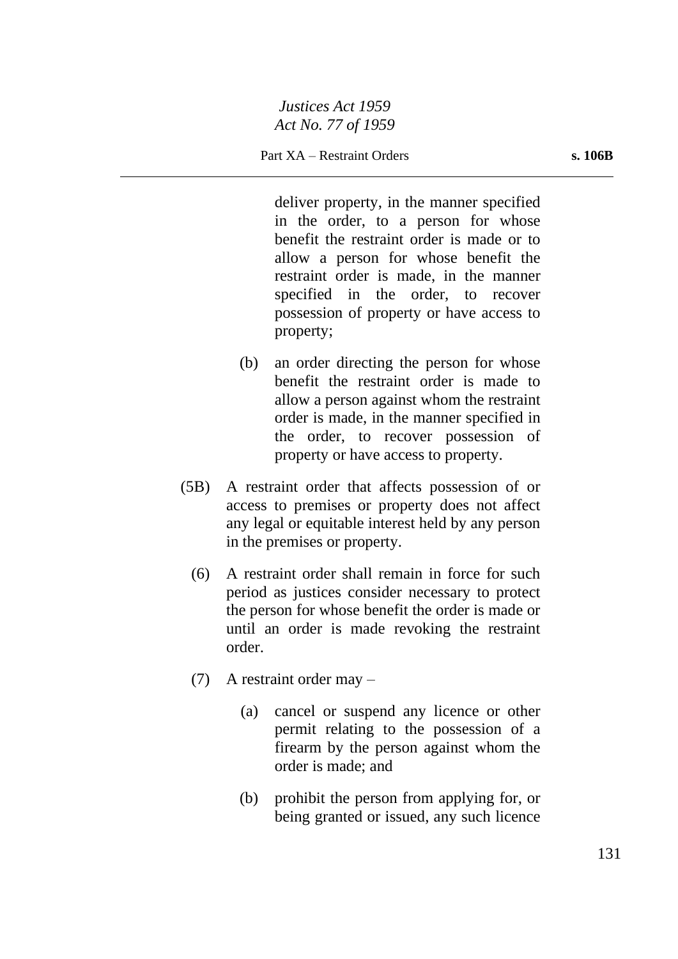deliver property, in the manner specified in the order, to a person for whose benefit the restraint order is made or to allow a person for whose benefit the restraint order is made, in the manner specified in the order, to recover possession of property or have access to property;

- (b) an order directing the person for whose benefit the restraint order is made to allow a person against whom the restraint order is made, in the manner specified in the order, to recover possession of property or have access to property.
- (5B) A restraint order that affects possession of or access to premises or property does not affect any legal or equitable interest held by any person in the premises or property.
	- (6) A restraint order shall remain in force for such period as justices consider necessary to protect the person for whose benefit the order is made or until an order is made revoking the restraint order.
	- (7) A restraint order may
		- (a) cancel or suspend any licence or other permit relating to the possession of a firearm by the person against whom the order is made; and
		- (b) prohibit the person from applying for, or being granted or issued, any such licence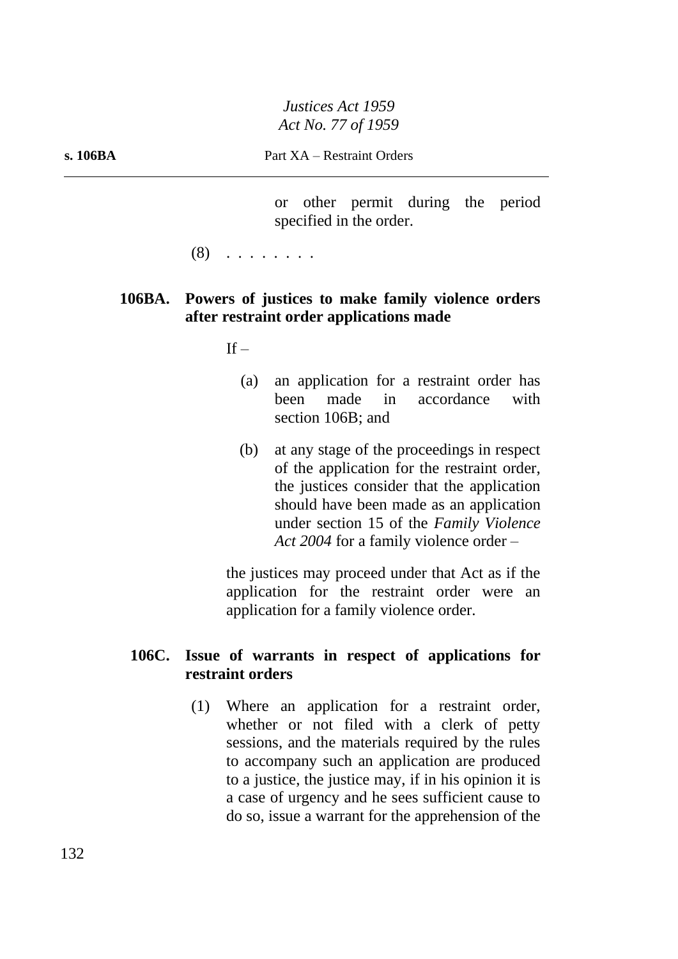or other permit during the period specified in the order.

(8) . . . . . . . .

## **106BA. Powers of justices to make family violence orders after restraint order applications made**

 $If -$ 

- (a) an application for a restraint order has been made in accordance with section 106B; and
- (b) at any stage of the proceedings in respect of the application for the restraint order, the justices consider that the application should have been made as an application under section 15 of the *Family Violence Act 2004* for a family violence order –

the justices may proceed under that Act as if the application for the restraint order were an application for a family violence order.

## **106C. Issue of warrants in respect of applications for restraint orders**

(1) Where an application for a restraint order, whether or not filed with a clerk of petty sessions, and the materials required by the rules to accompany such an application are produced to a justice, the justice may, if in his opinion it is a case of urgency and he sees sufficient cause to do so, issue a warrant for the apprehension of the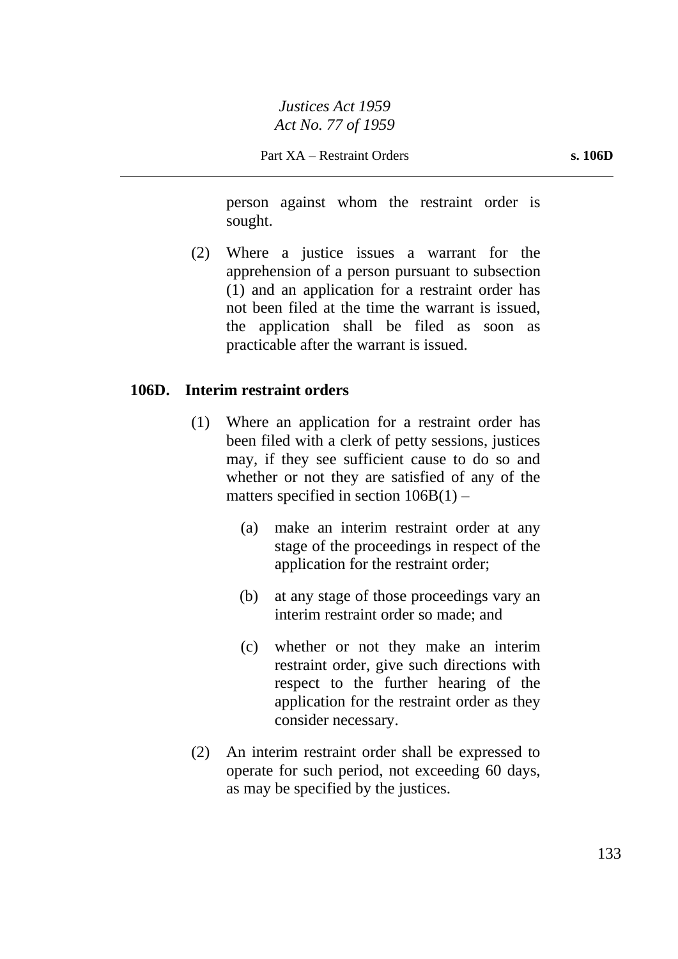person against whom the restraint order is sought.

(2) Where a justice issues a warrant for the apprehension of a person pursuant to subsection (1) and an application for a restraint order has not been filed at the time the warrant is issued, the application shall be filed as soon as practicable after the warrant is issued.

#### **106D. Interim restraint orders**

- (1) Where an application for a restraint order has been filed with a clerk of petty sessions, justices may, if they see sufficient cause to do so and whether or not they are satisfied of any of the matters specified in section  $106B(1)$  –
	- (a) make an interim restraint order at any stage of the proceedings in respect of the application for the restraint order;
	- (b) at any stage of those proceedings vary an interim restraint order so made; and
	- (c) whether or not they make an interim restraint order, give such directions with respect to the further hearing of the application for the restraint order as they consider necessary.
- (2) An interim restraint order shall be expressed to operate for such period, not exceeding 60 days, as may be specified by the justices.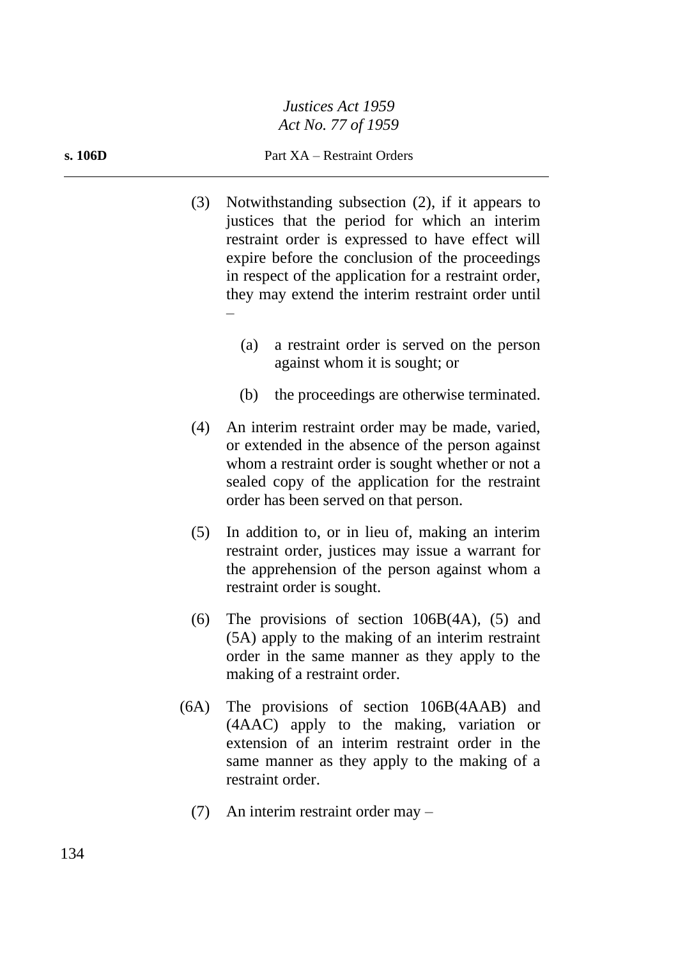#### **s. 106D** Part XA – Restraint Orders

- (3) Notwithstanding subsection (2), if it appears to justices that the period for which an interim restraint order is expressed to have effect will expire before the conclusion of the proceedings in respect of the application for a restraint order, they may extend the interim restraint order until –
	- (a) a restraint order is served on the person against whom it is sought; or
	- (b) the proceedings are otherwise terminated.
- (4) An interim restraint order may be made, varied, or extended in the absence of the person against whom a restraint order is sought whether or not a sealed copy of the application for the restraint order has been served on that person.
- (5) In addition to, or in lieu of, making an interim restraint order, justices may issue a warrant for the apprehension of the person against whom a restraint order is sought.
- (6) The provisions of section 106B(4A), (5) and (5A) apply to the making of an interim restraint order in the same manner as they apply to the making of a restraint order.
- (6A) The provisions of section 106B(4AAB) and (4AAC) apply to the making, variation or extension of an interim restraint order in the same manner as they apply to the making of a restraint order.
	- (7) An interim restraint order may –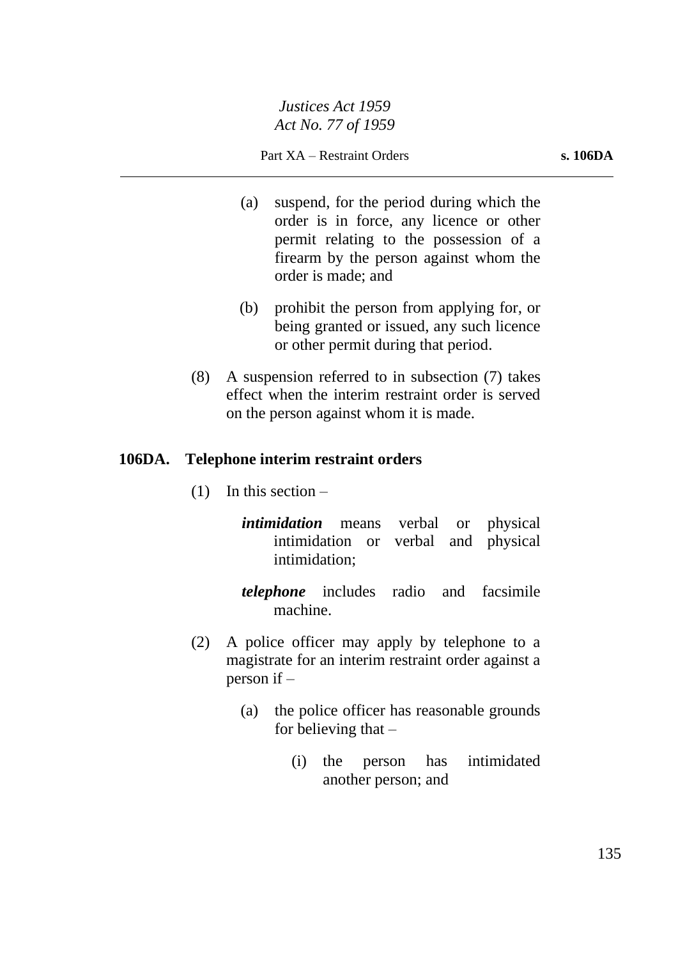- (a) suspend, for the period during which the order is in force, any licence or other permit relating to the possession of a firearm by the person against whom the order is made; and
- (b) prohibit the person from applying for, or being granted or issued, any such licence or other permit during that period.
- (8) A suspension referred to in subsection (7) takes effect when the interim restraint order is served on the person against whom it is made.

## **106DA. Telephone interim restraint orders**

 $(1)$  In this section –

*intimidation* means verbal or physical intimidation or verbal and physical intimidation;

- *telephone* includes radio and facsimile machine.
- (2) A police officer may apply by telephone to a magistrate for an interim restraint order against a person if –
	- (a) the police officer has reasonable grounds for believing that  $-$ 
		- (i) the person has intimidated another person; and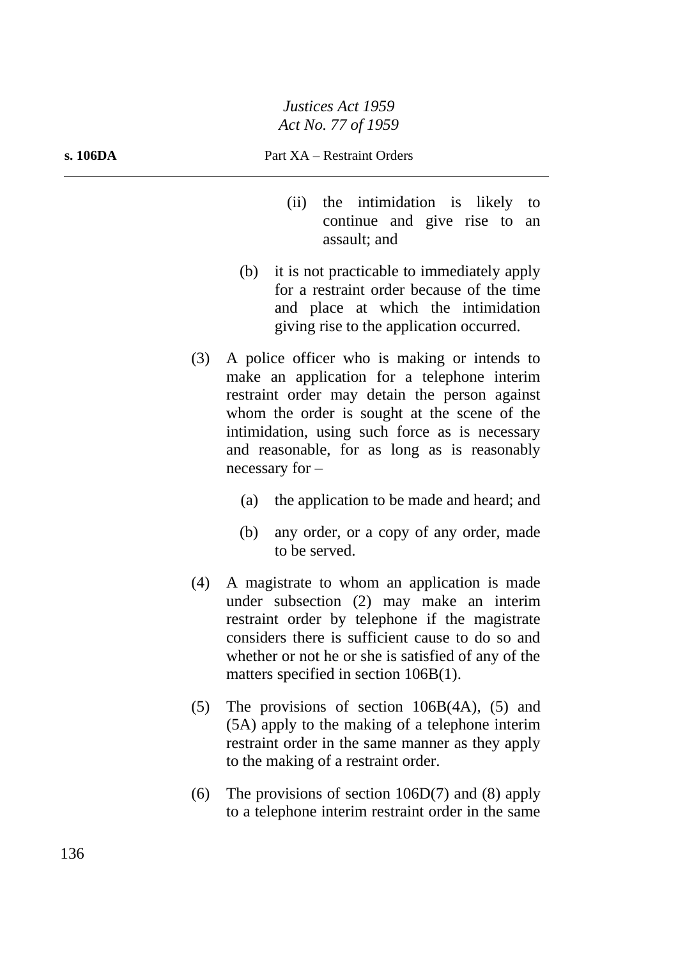- (ii) the intimidation is likely to continue and give rise to an assault; and
- (b) it is not practicable to immediately apply for a restraint order because of the time and place at which the intimidation giving rise to the application occurred.
- (3) A police officer who is making or intends to make an application for a telephone interim restraint order may detain the person against whom the order is sought at the scene of the intimidation, using such force as is necessary and reasonable, for as long as is reasonably necessary for –
	- (a) the application to be made and heard; and
	- (b) any order, or a copy of any order, made to be served.
- (4) A magistrate to whom an application is made under subsection (2) may make an interim restraint order by telephone if the magistrate considers there is sufficient cause to do so and whether or not he or she is satisfied of any of the matters specified in section 106B(1).
- (5) The provisions of section 106B(4A), (5) and (5A) apply to the making of a telephone interim restraint order in the same manner as they apply to the making of a restraint order.
- (6) The provisions of section 106D(7) and (8) apply to a telephone interim restraint order in the same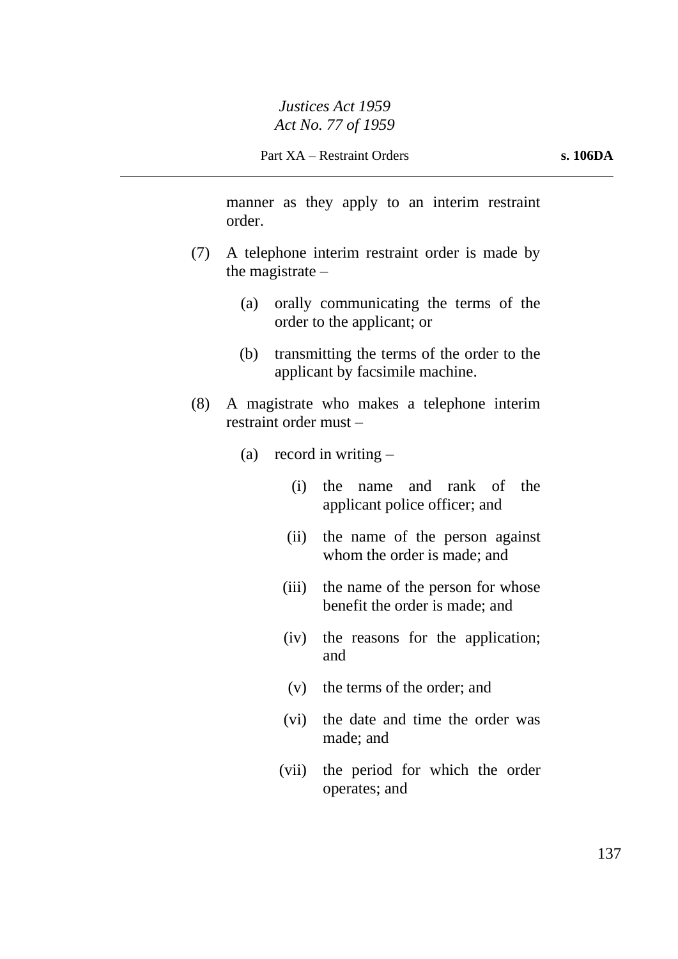manner as they apply to an interim restraint order.

- (7) A telephone interim restraint order is made by the magistrate –
	- (a) orally communicating the terms of the order to the applicant; or
	- (b) transmitting the terms of the order to the applicant by facsimile machine.
- (8) A magistrate who makes a telephone interim restraint order must –
	- (a) record in writing  $-$ 
		- (i) the name and rank of the applicant police officer; and
		- (ii) the name of the person against whom the order is made; and
		- (iii) the name of the person for whose benefit the order is made; and
		- (iv) the reasons for the application; and
		- (v) the terms of the order; and
		- (vi) the date and time the order was made; and
		- (vii) the period for which the order operates; and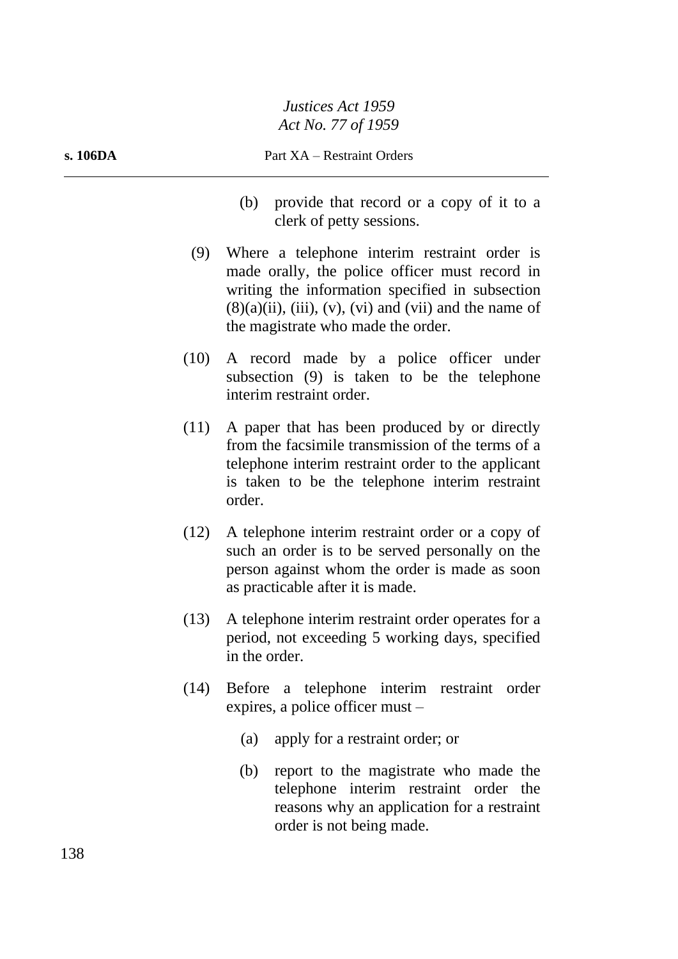- (b) provide that record or a copy of it to a clerk of petty sessions.
- (9) Where a telephone interim restraint order is made orally, the police officer must record in writing the information specified in subsection  $(8)(a)(ii)$ , (iii), (v), (vi) and (vii) and the name of the magistrate who made the order.
- (10) A record made by a police officer under subsection (9) is taken to be the telephone interim restraint order.
- (11) A paper that has been produced by or directly from the facsimile transmission of the terms of a telephone interim restraint order to the applicant is taken to be the telephone interim restraint order.
- (12) A telephone interim restraint order or a copy of such an order is to be served personally on the person against whom the order is made as soon as practicable after it is made.
- (13) A telephone interim restraint order operates for a period, not exceeding 5 working days, specified in the order.
- (14) Before a telephone interim restraint order expires, a police officer must –
	- (a) apply for a restraint order; or
	- (b) report to the magistrate who made the telephone interim restraint order the reasons why an application for a restraint order is not being made.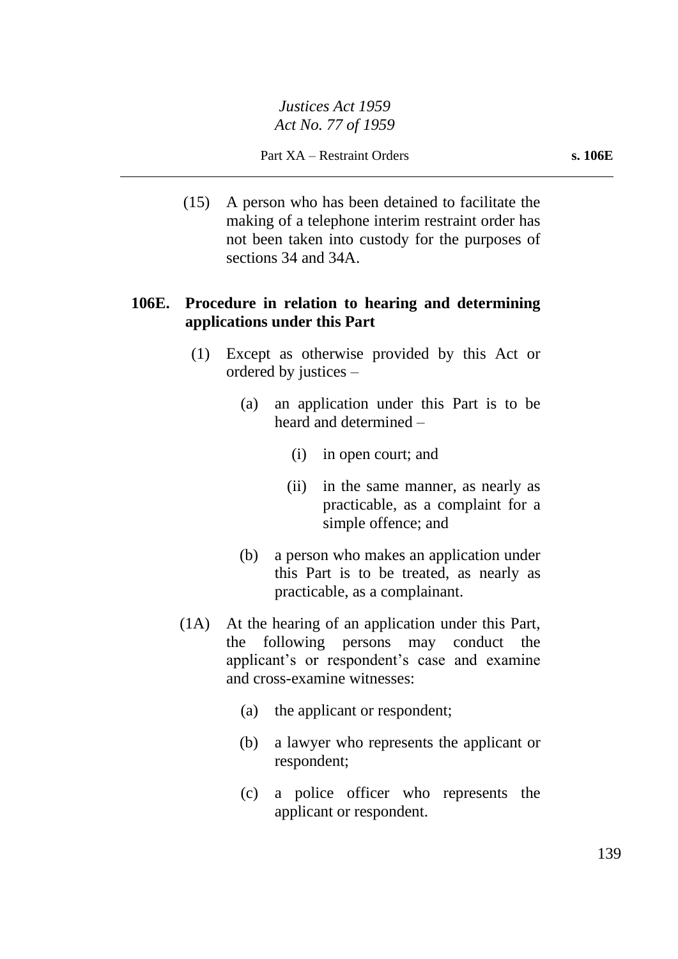Part XA – Restraint Orders **s. 106E**

(15) A person who has been detained to facilitate the making of a telephone interim restraint order has not been taken into custody for the purposes of sections 34 and 34A.

# **106E. Procedure in relation to hearing and determining applications under this Part**

- (1) Except as otherwise provided by this Act or ordered by justices –
	- (a) an application under this Part is to be heard and determined –
		- (i) in open court; and
		- (ii) in the same manner, as nearly as practicable, as a complaint for a simple offence; and
	- (b) a person who makes an application under this Part is to be treated, as nearly as practicable, as a complainant.
- (1A) At the hearing of an application under this Part, the following persons may conduct the applicant's or respondent's case and examine and cross-examine witnesses:
	- (a) the applicant or respondent;
	- (b) a lawyer who represents the applicant or respondent;
	- (c) a police officer who represents the applicant or respondent.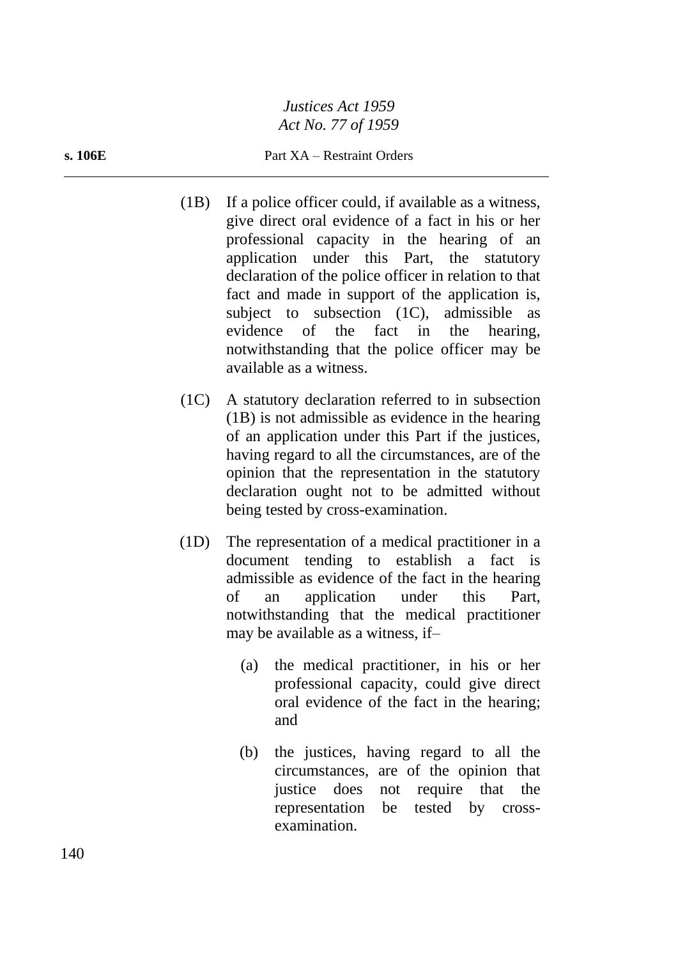#### **s. 106E** Part XA – Restraint Orders

- (1B) If a police officer could, if available as a witness, give direct oral evidence of a fact in his or her professional capacity in the hearing of an application under this Part, the statutory declaration of the police officer in relation to that fact and made in support of the application is, subject to subsection (1C), admissible as evidence of the fact in the hearing, notwithstanding that the police officer may be available as a witness.
- (1C) A statutory declaration referred to in subsection (1B) is not admissible as evidence in the hearing of an application under this Part if the justices, having regard to all the circumstances, are of the opinion that the representation in the statutory declaration ought not to be admitted without being tested by cross-examination.
- (1D) The representation of a medical practitioner in a document tending to establish a fact is admissible as evidence of the fact in the hearing of an application under this Part, notwithstanding that the medical practitioner may be available as a witness, if–
	- (a) the medical practitioner, in his or her professional capacity, could give direct oral evidence of the fact in the hearing; and
	- (b) the justices, having regard to all the circumstances, are of the opinion that justice does not require that the representation be tested by crossexamination.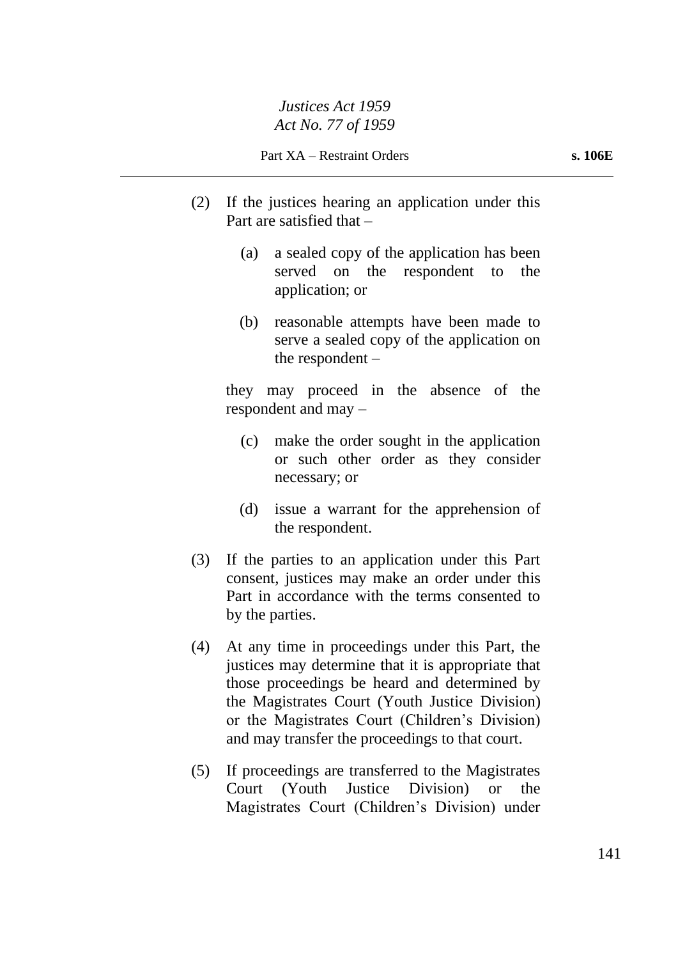- (2) If the justices hearing an application under this Part are satisfied that –
	- (a) a sealed copy of the application has been served on the respondent to the application; or
	- (b) reasonable attempts have been made to serve a sealed copy of the application on the respondent –

they may proceed in the absence of the respondent and may –

- (c) make the order sought in the application or such other order as they consider necessary; or
- (d) issue a warrant for the apprehension of the respondent.
- (3) If the parties to an application under this Part consent, justices may make an order under this Part in accordance with the terms consented to by the parties.
- (4) At any time in proceedings under this Part, the justices may determine that it is appropriate that those proceedings be heard and determined by the Magistrates Court (Youth Justice Division) or the Magistrates Court (Children's Division) and may transfer the proceedings to that court.
- (5) If proceedings are transferred to the Magistrates Court (Youth Justice Division) or the Magistrates Court (Children's Division) under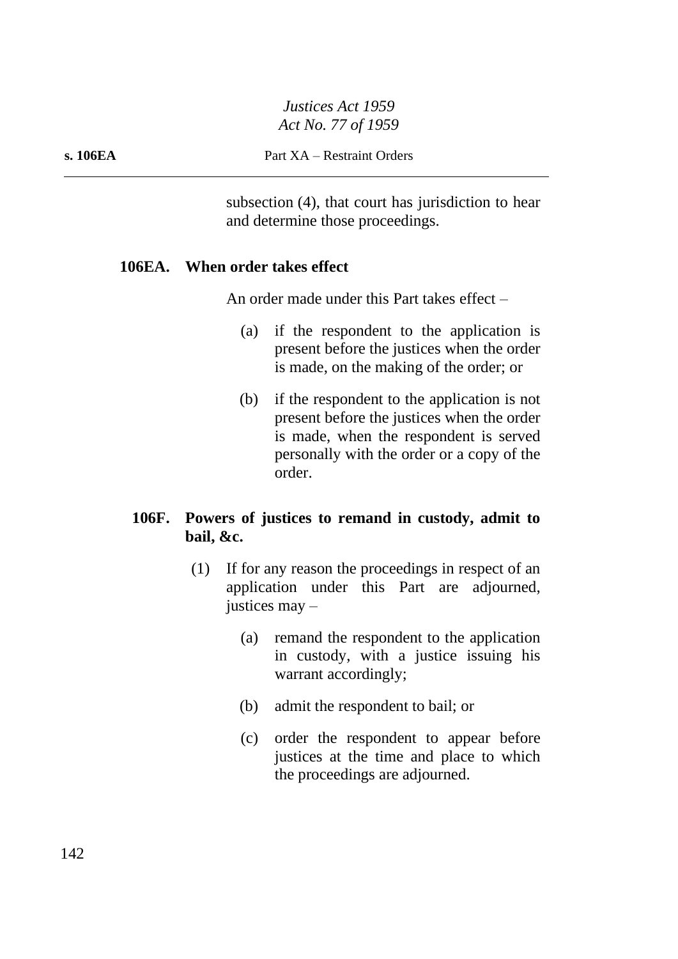**s. 106EA** Part XA – Restraint Orders

subsection (4), that court has jurisdiction to hear and determine those proceedings.

#### **106EA. When order takes effect**

An order made under this Part takes effect –

- (a) if the respondent to the application is present before the justices when the order is made, on the making of the order; or
- (b) if the respondent to the application is not present before the justices when the order is made, when the respondent is served personally with the order or a copy of the order.

## **106F. Powers of justices to remand in custody, admit to bail, &c.**

- (1) If for any reason the proceedings in respect of an application under this Part are adjourned, justices may –
	- (a) remand the respondent to the application in custody, with a justice issuing his warrant accordingly;
	- (b) admit the respondent to bail; or
	- (c) order the respondent to appear before justices at the time and place to which the proceedings are adjourned.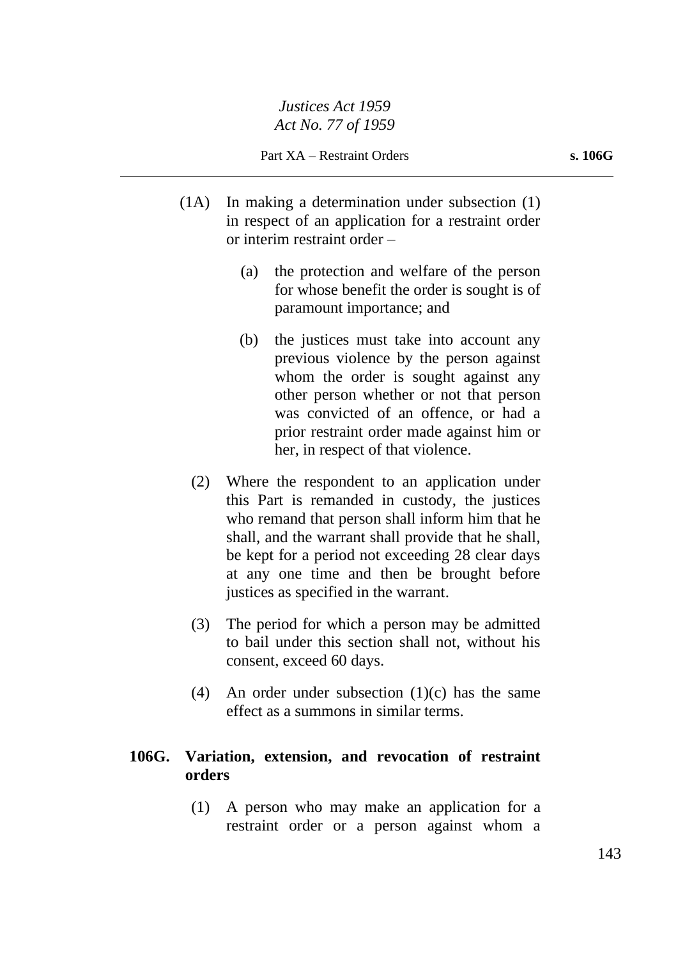- (1A) In making a determination under subsection (1) in respect of an application for a restraint order or interim restraint order –
	- (a) the protection and welfare of the person for whose benefit the order is sought is of paramount importance; and
	- (b) the justices must take into account any previous violence by the person against whom the order is sought against any other person whether or not that person was convicted of an offence, or had a prior restraint order made against him or her, in respect of that violence.
	- (2) Where the respondent to an application under this Part is remanded in custody, the justices who remand that person shall inform him that he shall, and the warrant shall provide that he shall, be kept for a period not exceeding 28 clear days at any one time and then be brought before justices as specified in the warrant.
	- (3) The period for which a person may be admitted to bail under this section shall not, without his consent, exceed 60 days.
	- (4) An order under subsection (1)(c) has the same effect as a summons in similar terms.

## **106G. Variation, extension, and revocation of restraint orders**

(1) A person who may make an application for a restraint order or a person against whom a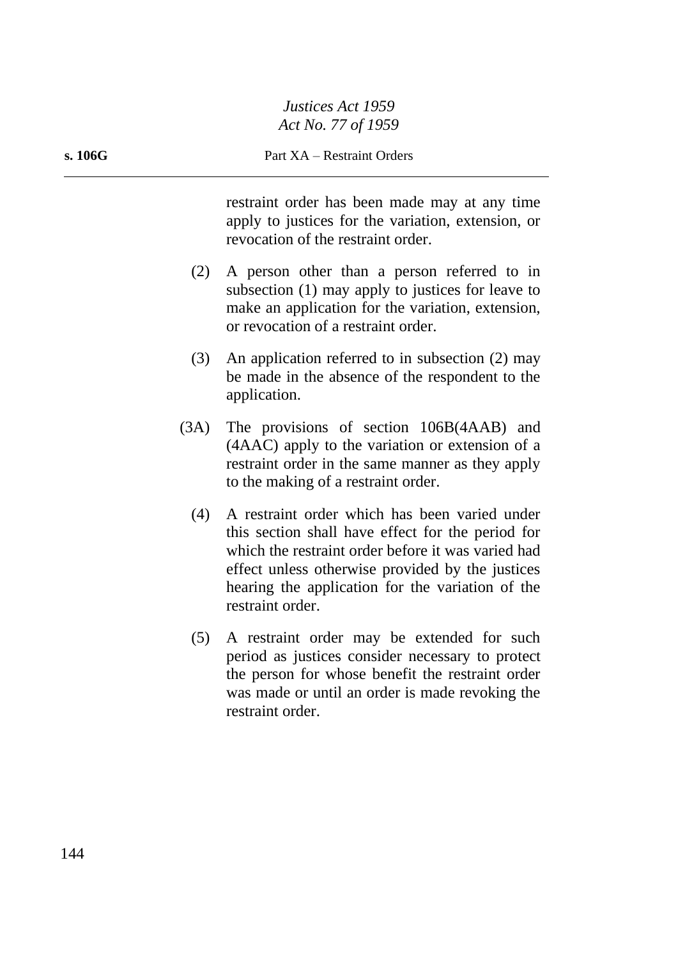restraint order has been made may at any time apply to justices for the variation, extension, or revocation of the restraint order.

- (2) A person other than a person referred to in subsection (1) may apply to justices for leave to make an application for the variation, extension, or revocation of a restraint order.
- (3) An application referred to in subsection (2) may be made in the absence of the respondent to the application.
- (3A) The provisions of section 106B(4AAB) and (4AAC) apply to the variation or extension of a restraint order in the same manner as they apply to the making of a restraint order.
	- (4) A restraint order which has been varied under this section shall have effect for the period for which the restraint order before it was varied had effect unless otherwise provided by the justices hearing the application for the variation of the restraint order.
	- (5) A restraint order may be extended for such period as justices consider necessary to protect the person for whose benefit the restraint order was made or until an order is made revoking the restraint order.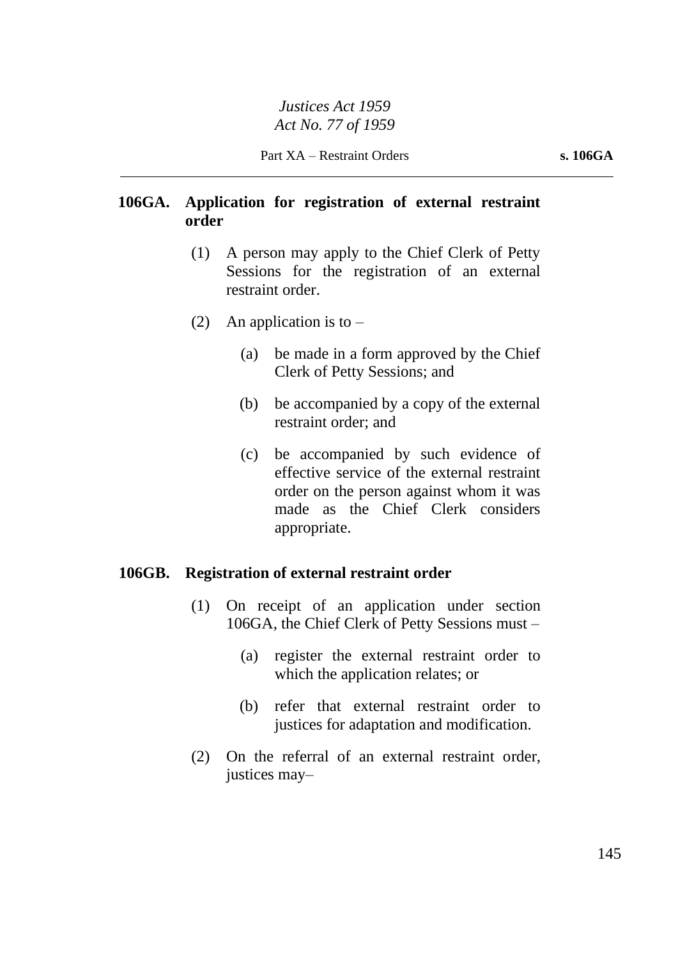# **106GA. Application for registration of external restraint order**

- (1) A person may apply to the Chief Clerk of Petty Sessions for the registration of an external restraint order.
- (2) An application is to  $-$ 
	- (a) be made in a form approved by the Chief Clerk of Petty Sessions; and
	- (b) be accompanied by a copy of the external restraint order; and
	- (c) be accompanied by such evidence of effective service of the external restraint order on the person against whom it was made as the Chief Clerk considers appropriate.

## **106GB. Registration of external restraint order**

- (1) On receipt of an application under section 106GA, the Chief Clerk of Petty Sessions must –
	- (a) register the external restraint order to which the application relates; or
	- (b) refer that external restraint order to justices for adaptation and modification.
- (2) On the referral of an external restraint order, justices may–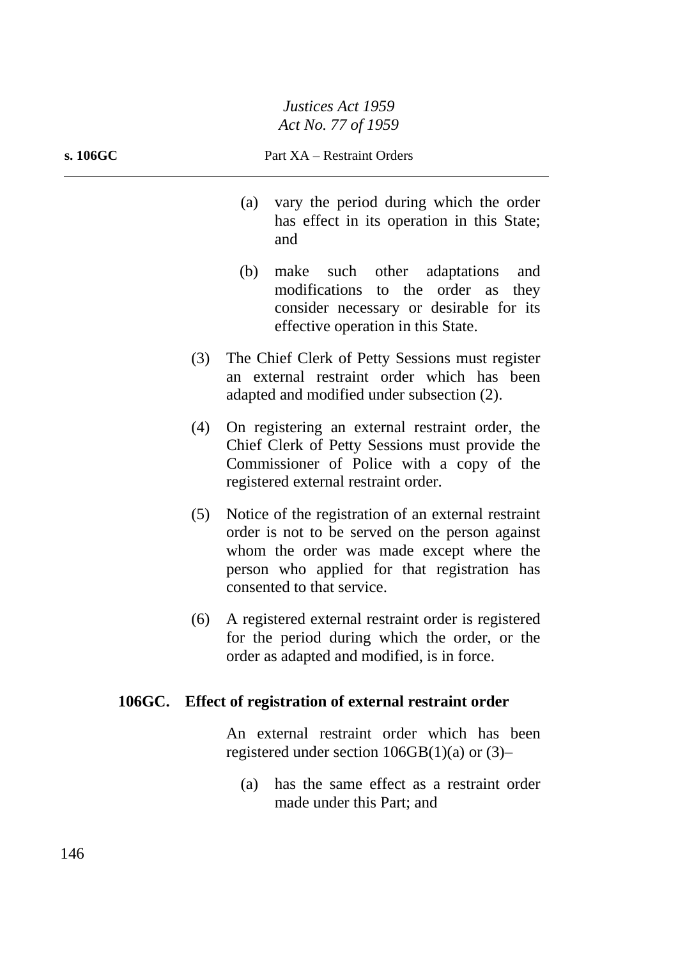#### **s. 106GC** Part XA – Restraint Orders

- (a) vary the period during which the order has effect in its operation in this State; and
- (b) make such other adaptations and modifications to the order as they consider necessary or desirable for its effective operation in this State.
- (3) The Chief Clerk of Petty Sessions must register an external restraint order which has been adapted and modified under subsection (2).
- (4) On registering an external restraint order, the Chief Clerk of Petty Sessions must provide the Commissioner of Police with a copy of the registered external restraint order.
- (5) Notice of the registration of an external restraint order is not to be served on the person against whom the order was made except where the person who applied for that registration has consented to that service.
- (6) A registered external restraint order is registered for the period during which the order, or the order as adapted and modified, is in force.

# **106GC. Effect of registration of external restraint order**

An external restraint order which has been registered under section  $106GB(1)(a)$  or  $(3)$ –

(a) has the same effect as a restraint order made under this Part; and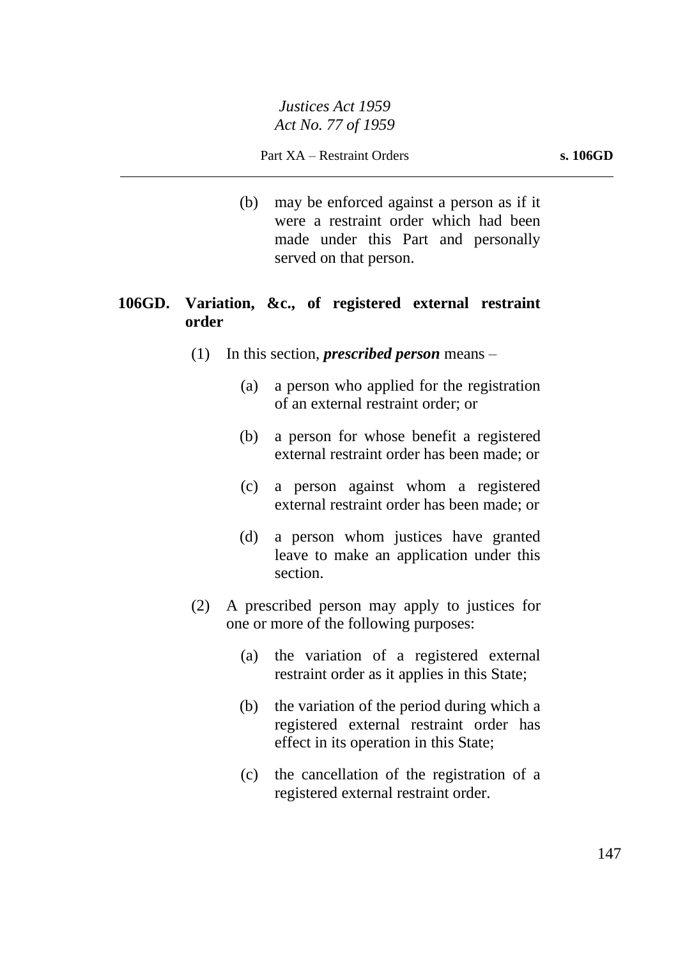(b) may be enforced against a person as if it were a restraint order which had been made under this Part and personally served on that person.

# **106GD. Variation, &c., of registered external restraint order**

- (1) In this section, *prescribed person* means
	- (a) a person who applied for the registration of an external restraint order; or
	- (b) a person for whose benefit a registered external restraint order has been made; or
	- (c) a person against whom a registered external restraint order has been made; or
	- (d) a person whom justices have granted leave to make an application under this section.
- (2) A prescribed person may apply to justices for one or more of the following purposes:
	- (a) the variation of a registered external restraint order as it applies in this State;
	- (b) the variation of the period during which a registered external restraint order has effect in its operation in this State;
	- (c) the cancellation of the registration of a registered external restraint order.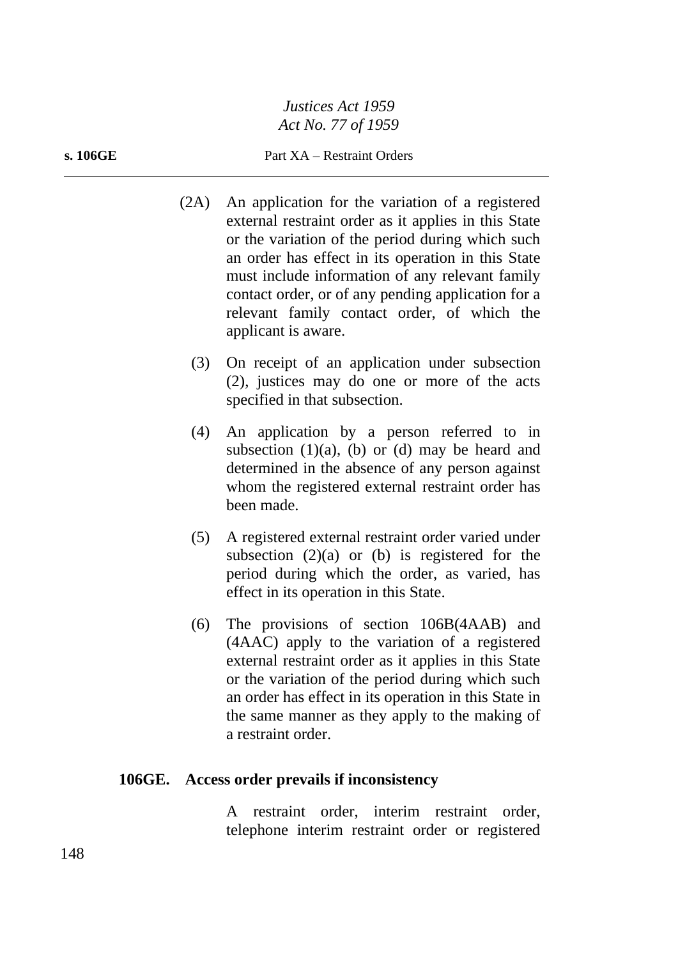#### **s. 106GE** Part XA – Restraint Orders

- (2A) An application for the variation of a registered external restraint order as it applies in this State or the variation of the period during which such an order has effect in its operation in this State must include information of any relevant family contact order, or of any pending application for a relevant family contact order, of which the applicant is aware.
	- (3) On receipt of an application under subsection (2), justices may do one or more of the acts specified in that subsection.
	- (4) An application by a person referred to in subsection  $(1)(a)$ ,  $(b)$  or  $(d)$  may be heard and determined in the absence of any person against whom the registered external restraint order has been made.
	- (5) A registered external restraint order varied under subsection  $(2)(a)$  or  $(b)$  is registered for the period during which the order, as varied, has effect in its operation in this State.
	- (6) The provisions of section 106B(4AAB) and (4AAC) apply to the variation of a registered external restraint order as it applies in this State or the variation of the period during which such an order has effect in its operation in this State in the same manner as they apply to the making of a restraint order.

#### **106GE. Access order prevails if inconsistency**

A restraint order, interim restraint order, telephone interim restraint order or registered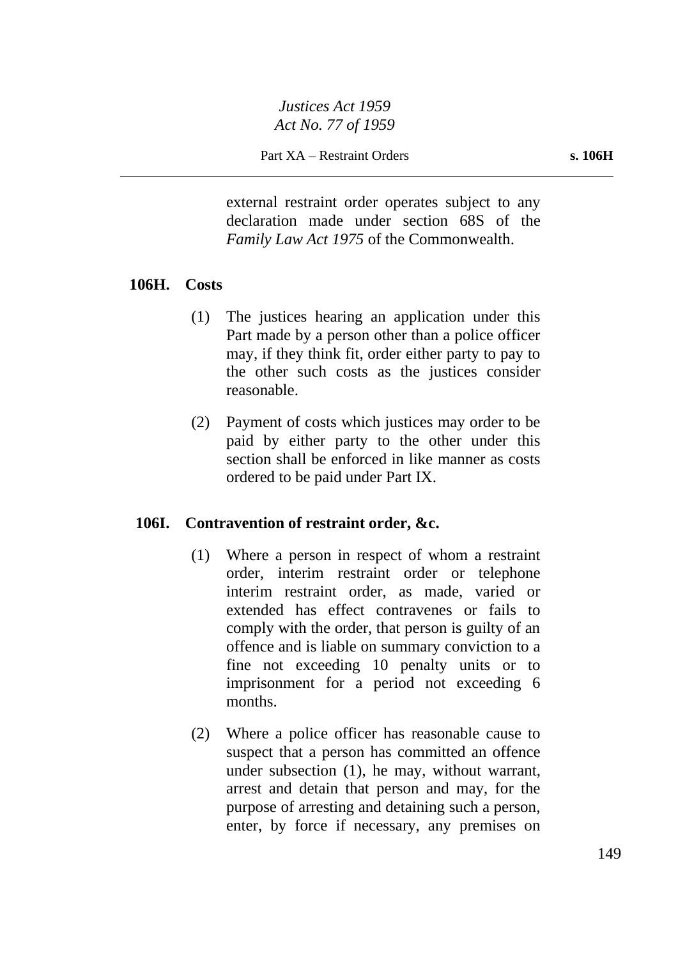external restraint order operates subject to any declaration made under section 68S of the *Family Law Act 1975* of the Commonwealth.

## **106H. Costs**

- (1) The justices hearing an application under this Part made by a person other than a police officer may, if they think fit, order either party to pay to the other such costs as the justices consider reasonable.
- (2) Payment of costs which justices may order to be paid by either party to the other under this section shall be enforced in like manner as costs ordered to be paid under Part IX.

## **106I. Contravention of restraint order, &c.**

- (1) Where a person in respect of whom a restraint order, interim restraint order or telephone interim restraint order, as made, varied or extended has effect contravenes or fails to comply with the order, that person is guilty of an offence and is liable on summary conviction to a fine not exceeding 10 penalty units or to imprisonment for a period not exceeding 6 months.
- (2) Where a police officer has reasonable cause to suspect that a person has committed an offence under subsection (1), he may, without warrant, arrest and detain that person and may, for the purpose of arresting and detaining such a person, enter, by force if necessary, any premises on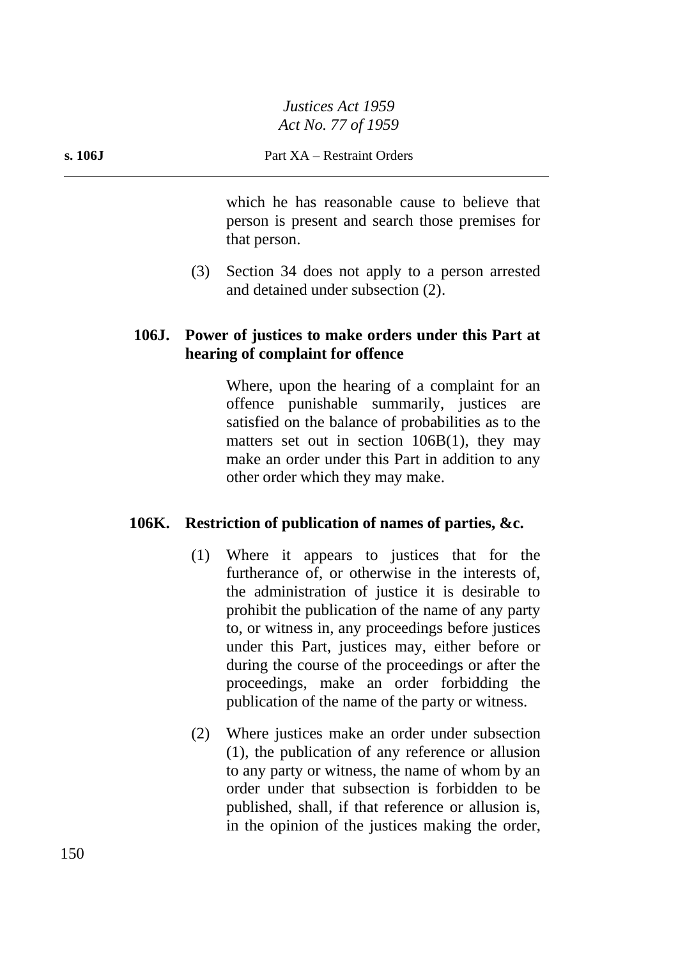which he has reasonable cause to believe that person is present and search those premises for that person.

(3) Section 34 does not apply to a person arrested and detained under subsection (2).

# **106J. Power of justices to make orders under this Part at hearing of complaint for offence**

Where, upon the hearing of a complaint for an offence punishable summarily, justices are satisfied on the balance of probabilities as to the matters set out in section 106B(1), they may make an order under this Part in addition to any other order which they may make.

# **106K. Restriction of publication of names of parties, &c.**

- (1) Where it appears to justices that for the furtherance of, or otherwise in the interests of, the administration of justice it is desirable to prohibit the publication of the name of any party to, or witness in, any proceedings before justices under this Part, justices may, either before or during the course of the proceedings or after the proceedings, make an order forbidding the publication of the name of the party or witness.
- (2) Where justices make an order under subsection (1), the publication of any reference or allusion to any party or witness, the name of whom by an order under that subsection is forbidden to be published, shall, if that reference or allusion is, in the opinion of the justices making the order,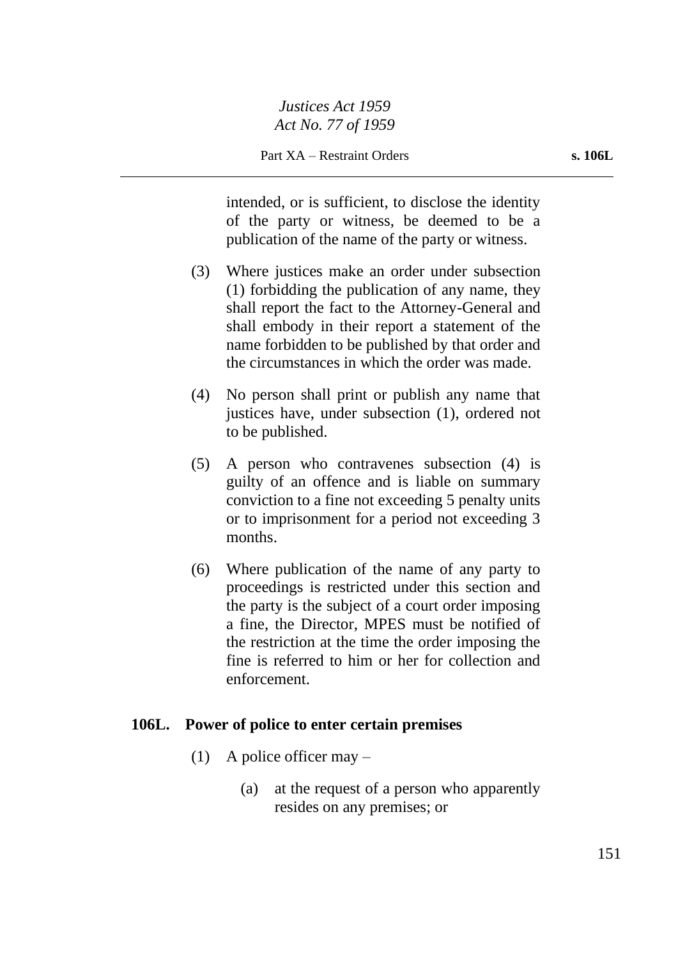intended, or is sufficient, to disclose the identity of the party or witness, be deemed to be a publication of the name of the party or witness.

- (3) Where justices make an order under subsection (1) forbidding the publication of any name, they shall report the fact to the Attorney-General and shall embody in their report a statement of the name forbidden to be published by that order and the circumstances in which the order was made.
- (4) No person shall print or publish any name that justices have, under subsection (1), ordered not to be published.
- (5) A person who contravenes subsection (4) is guilty of an offence and is liable on summary conviction to a fine not exceeding 5 penalty units or to imprisonment for a period not exceeding 3 months.
- (6) Where publication of the name of any party to proceedings is restricted under this section and the party is the subject of a court order imposing a fine, the Director, MPES must be notified of the restriction at the time the order imposing the fine is referred to him or her for collection and enforcement.

#### **106L. Power of police to enter certain premises**

- (1) A police officer may  $-$ 
	- (a) at the request of a person who apparently resides on any premises; or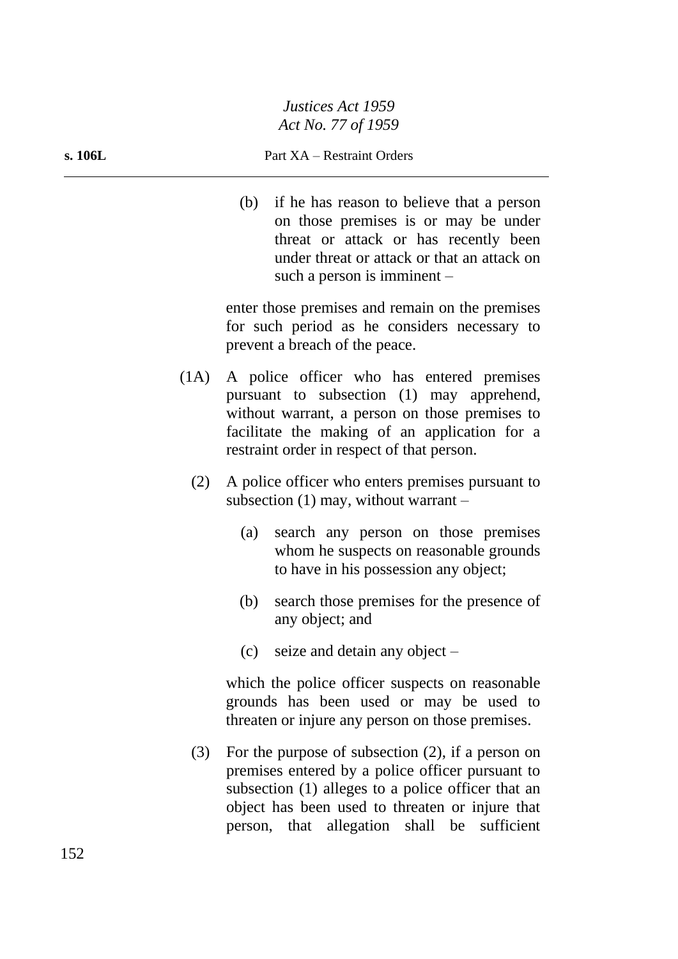#### **s. 106L** Part XA – Restraint Orders

(b) if he has reason to believe that a person on those premises is or may be under threat or attack or has recently been under threat or attack or that an attack on such a person is imminent –

enter those premises and remain on the premises for such period as he considers necessary to prevent a breach of the peace.

- (1A) A police officer who has entered premises pursuant to subsection (1) may apprehend, without warrant, a person on those premises to facilitate the making of an application for a restraint order in respect of that person.
	- (2) A police officer who enters premises pursuant to subsection  $(1)$  may, without warrant –
		- (a) search any person on those premises whom he suspects on reasonable grounds to have in his possession any object;
		- (b) search those premises for the presence of any object; and
		- (c) seize and detain any object –

which the police officer suspects on reasonable grounds has been used or may be used to threaten or injure any person on those premises.

(3) For the purpose of subsection (2), if a person on premises entered by a police officer pursuant to subsection (1) alleges to a police officer that an object has been used to threaten or injure that person, that allegation shall be sufficient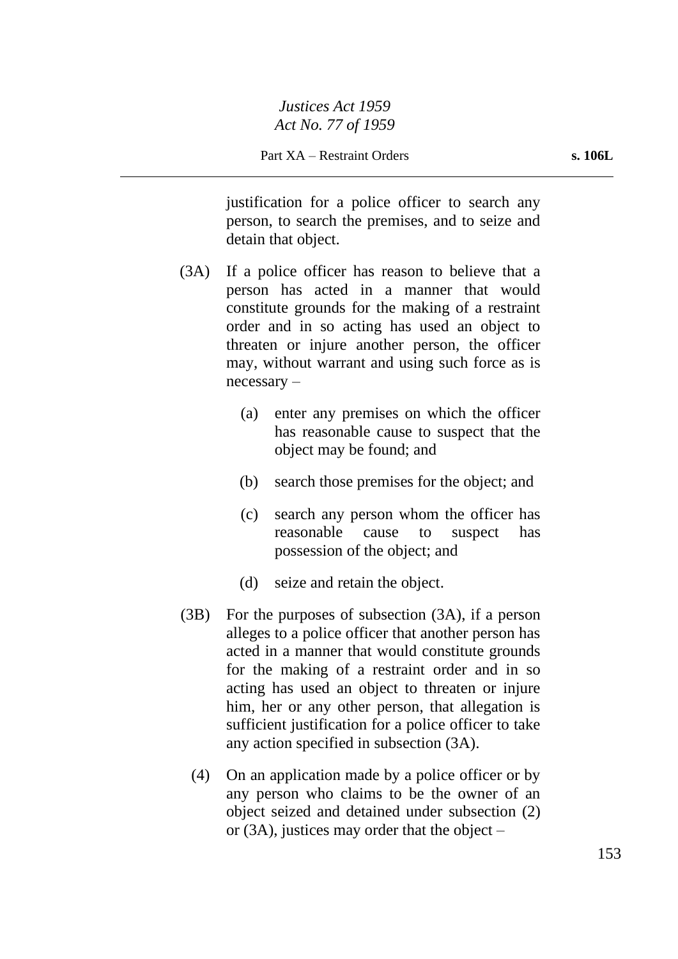justification for a police officer to search any person, to search the premises, and to seize and detain that object.

- (3A) If a police officer has reason to believe that a person has acted in a manner that would constitute grounds for the making of a restraint order and in so acting has used an object to threaten or injure another person, the officer may, without warrant and using such force as is necessary –
	- (a) enter any premises on which the officer has reasonable cause to suspect that the object may be found; and
	- (b) search those premises for the object; and
	- (c) search any person whom the officer has reasonable cause to suspect has possession of the object; and
	- (d) seize and retain the object.
- (3B) For the purposes of subsection (3A), if a person alleges to a police officer that another person has acted in a manner that would constitute grounds for the making of a restraint order and in so acting has used an object to threaten or injure him, her or any other person, that allegation is sufficient justification for a police officer to take any action specified in subsection (3A).
	- (4) On an application made by a police officer or by any person who claims to be the owner of an object seized and detained under subsection (2) or (3A), justices may order that the object –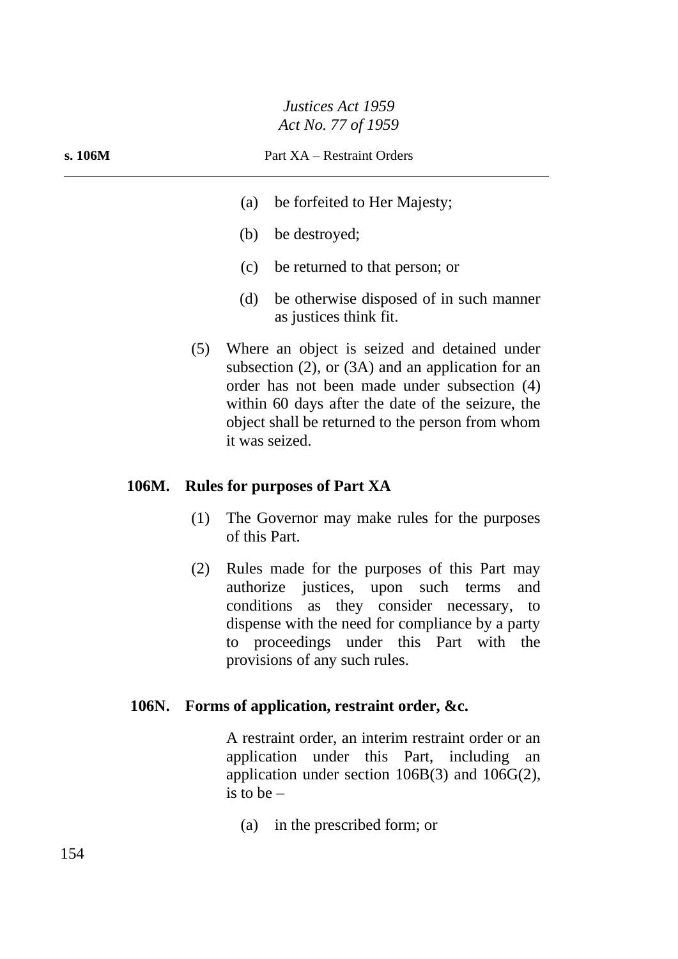#### **s. 106M** Part XA – Restraint Orders

- (a) be forfeited to Her Majesty;
- (b) be destroyed;
- (c) be returned to that person; or
- (d) be otherwise disposed of in such manner as justices think fit.
- (5) Where an object is seized and detained under subsection (2), or (3A) and an application for an order has not been made under subsection (4) within 60 days after the date of the seizure, the object shall be returned to the person from whom it was seized.

#### **106M. Rules for purposes of Part XA**

- (1) The Governor may make rules for the purposes of this Part.
- (2) Rules made for the purposes of this Part may authorize justices, upon such terms and conditions as they consider necessary, to dispense with the need for compliance by a party to proceedings under this Part with the provisions of any such rules.

#### **106N. Forms of application, restraint order, &c.**

A restraint order, an interim restraint order or an application under this Part, including an application under section 106B(3) and 106G(2), is to be –

(a) in the prescribed form; or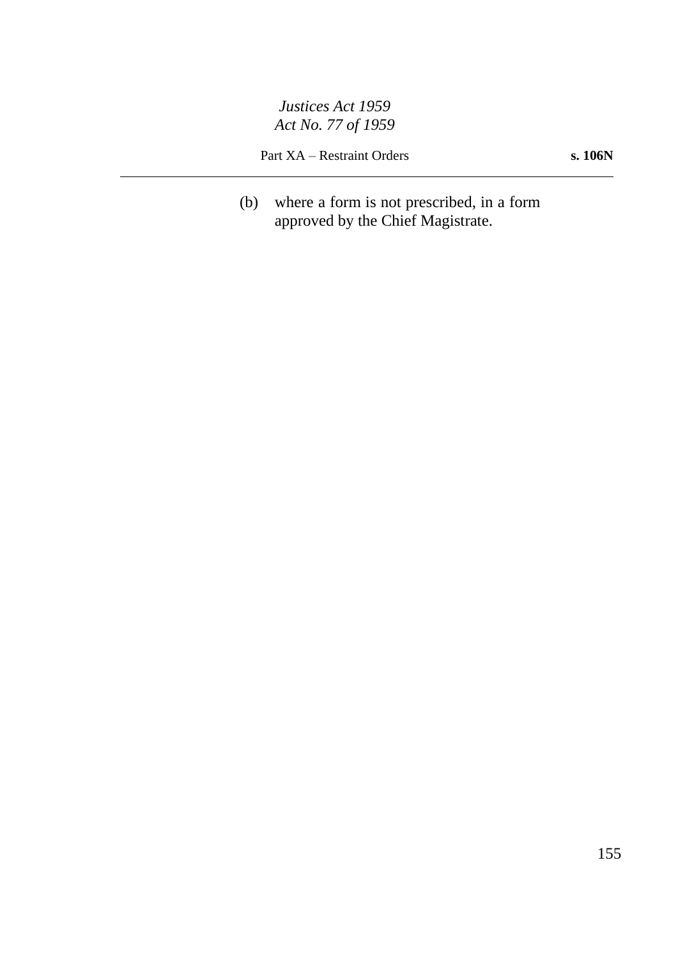Part XA – Restraint Orders **s. 106N**

(b) where a form is not prescribed, in a form approved by the Chief Magistrate.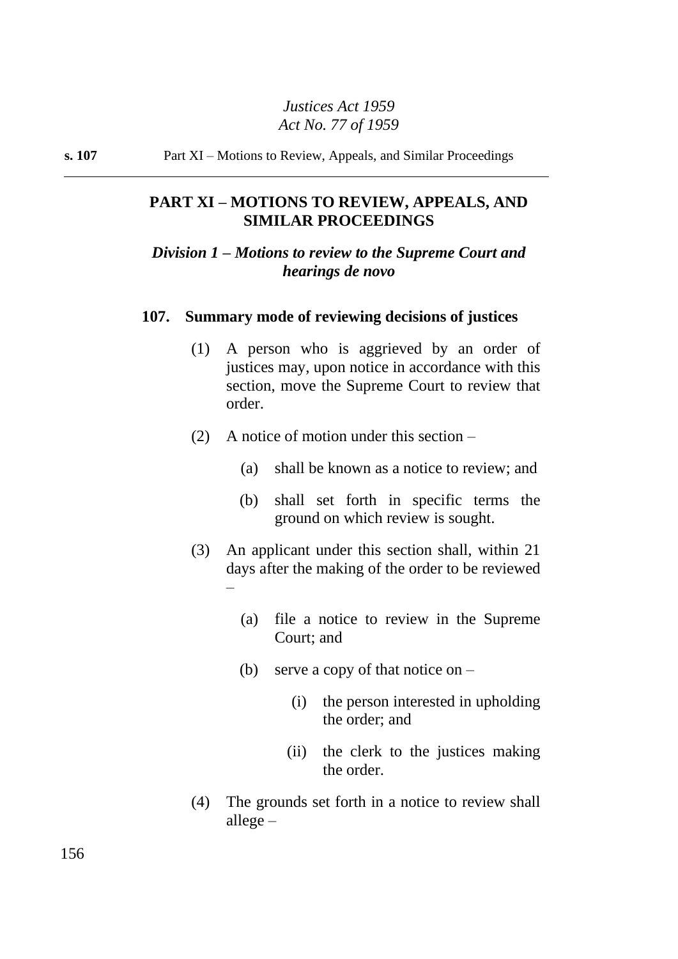**s. 107** Part XI – Motions to Review, Appeals, and Similar Proceedings

# **PART XI – MOTIONS TO REVIEW, APPEALS, AND SIMILAR PROCEEDINGS**

# *Division 1 – Motions to review to the Supreme Court and hearings de novo*

#### **107. Summary mode of reviewing decisions of justices**

- (1) A person who is aggrieved by an order of justices may, upon notice in accordance with this section, move the Supreme Court to review that order.
- (2) A notice of motion under this section
	- (a) shall be known as a notice to review; and
	- (b) shall set forth in specific terms the ground on which review is sought.
- (3) An applicant under this section shall, within 21 days after the making of the order to be reviewed –
	- (a) file a notice to review in the Supreme Court; and
	- (b) serve a copy of that notice on  $-$ 
		- (i) the person interested in upholding the order; and
		- (ii) the clerk to the justices making the order.
- (4) The grounds set forth in a notice to review shall allege –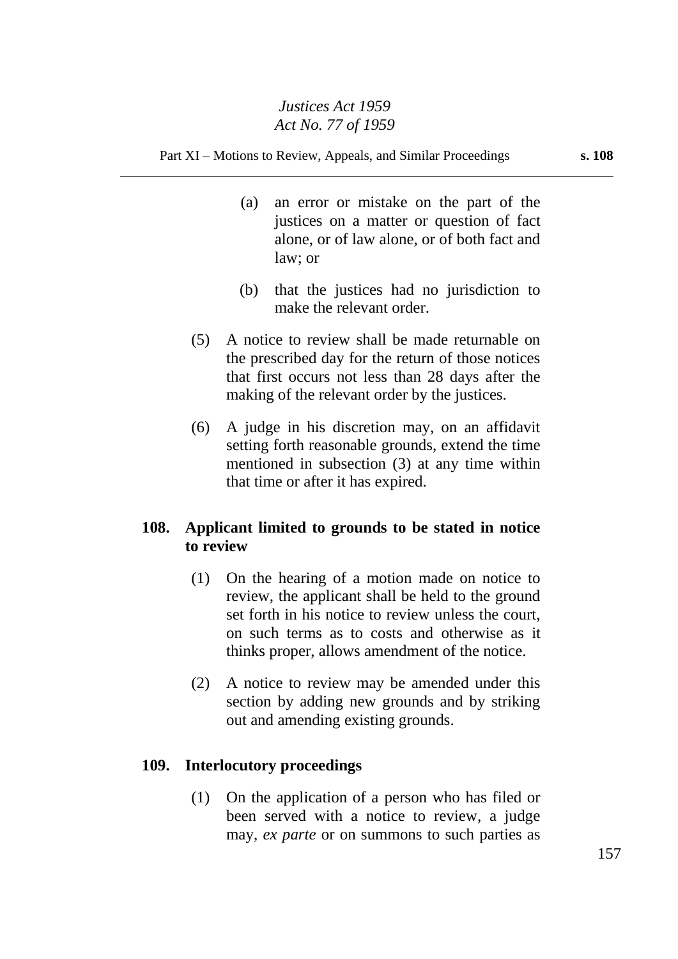Part XI – Motions to Review, Appeals, and Similar Proceedings **s. 108**

- (a) an error or mistake on the part of the justices on a matter or question of fact alone, or of law alone, or of both fact and law; or
- (b) that the justices had no jurisdiction to make the relevant order.
- (5) A notice to review shall be made returnable on the prescribed day for the return of those notices that first occurs not less than 28 days after the making of the relevant order by the justices.
- (6) A judge in his discretion may, on an affidavit setting forth reasonable grounds, extend the time mentioned in subsection (3) at any time within that time or after it has expired.

# **108. Applicant limited to grounds to be stated in notice to review**

- (1) On the hearing of a motion made on notice to review, the applicant shall be held to the ground set forth in his notice to review unless the court, on such terms as to costs and otherwise as it thinks proper, allows amendment of the notice.
- (2) A notice to review may be amended under this section by adding new grounds and by striking out and amending existing grounds.

## **109. Interlocutory proceedings**

(1) On the application of a person who has filed or been served with a notice to review, a judge may, *ex parte* or on summons to such parties as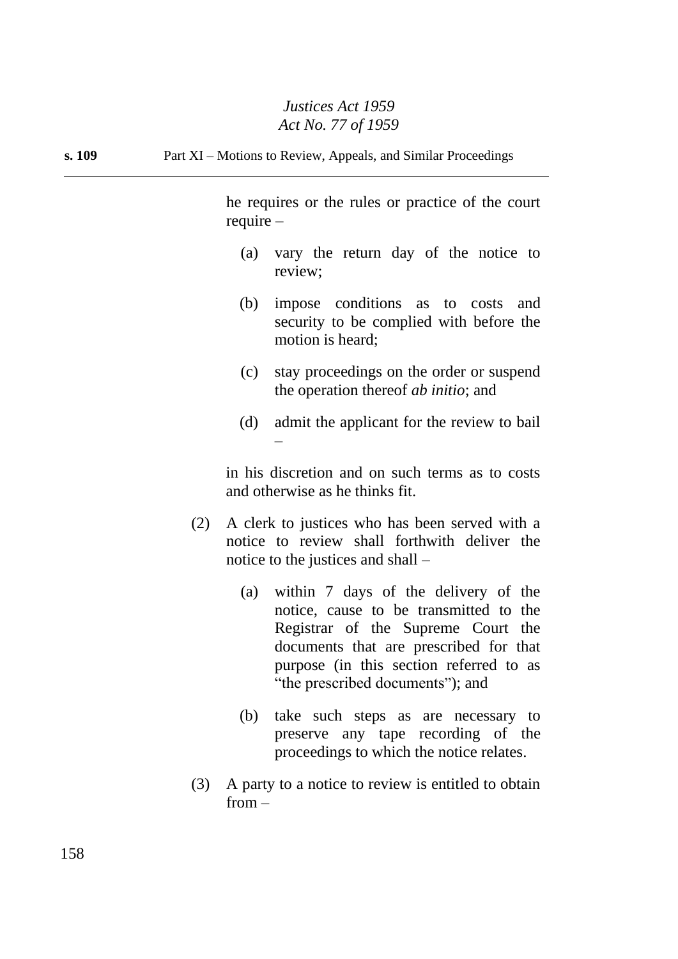**s. 109** Part XI – Motions to Review, Appeals, and Similar Proceedings

he requires or the rules or practice of the court require –

- (a) vary the return day of the notice to review;
- (b) impose conditions as to costs and security to be complied with before the motion is heard;
- (c) stay proceedings on the order or suspend the operation thereof *ab initio*; and
- (d) admit the applicant for the review to bail –

in his discretion and on such terms as to costs and otherwise as he thinks fit.

- (2) A clerk to justices who has been served with a notice to review shall forthwith deliver the notice to the justices and shall –
	- (a) within 7 days of the delivery of the notice, cause to be transmitted to the Registrar of the Supreme Court the documents that are prescribed for that purpose (in this section referred to as "the prescribed documents"); and
	- (b) take such steps as are necessary to preserve any tape recording of the proceedings to which the notice relates.
- (3) A party to a notice to review is entitled to obtain from –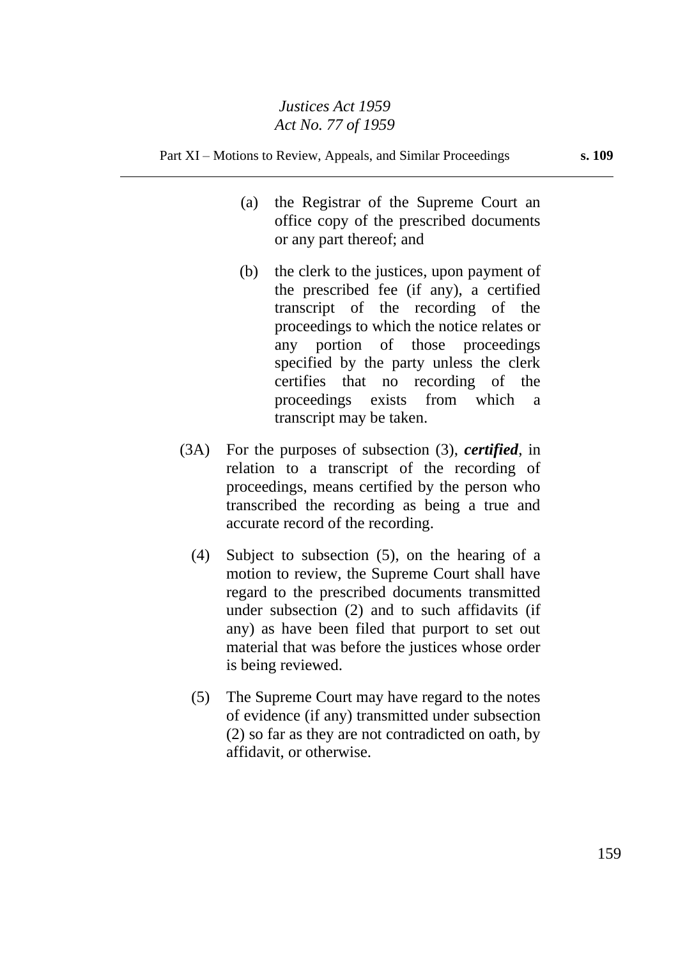Part XI – Motions to Review, Appeals, and Similar Proceedings **s. 109**

- (a) the Registrar of the Supreme Court an office copy of the prescribed documents or any part thereof; and
- (b) the clerk to the justices, upon payment of the prescribed fee (if any), a certified transcript of the recording of the proceedings to which the notice relates or any portion of those proceedings specified by the party unless the clerk certifies that no recording of the proceedings exists from which a transcript may be taken.
- (3A) For the purposes of subsection (3), *certified*, in relation to a transcript of the recording of proceedings, means certified by the person who transcribed the recording as being a true and accurate record of the recording.
	- (4) Subject to subsection (5), on the hearing of a motion to review, the Supreme Court shall have regard to the prescribed documents transmitted under subsection (2) and to such affidavits (if any) as have been filed that purport to set out material that was before the justices whose order is being reviewed.
	- (5) The Supreme Court may have regard to the notes of evidence (if any) transmitted under subsection (2) so far as they are not contradicted on oath, by affidavit, or otherwise.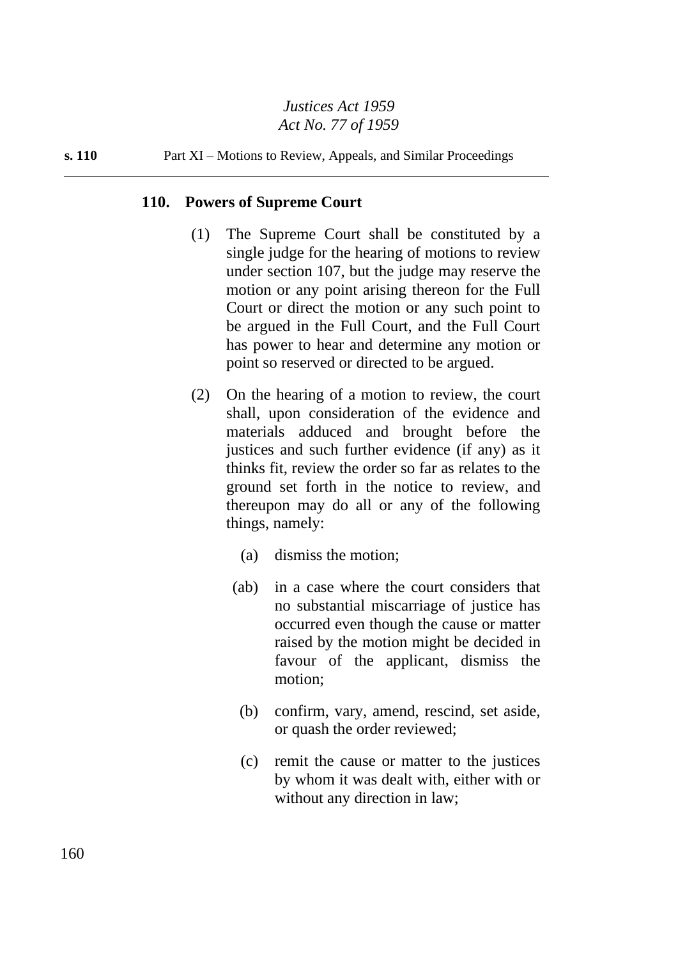**s. 110** Part XI – Motions to Review, Appeals, and Similar Proceedings

#### **110. Powers of Supreme Court**

- (1) The Supreme Court shall be constituted by a single judge for the hearing of motions to review under section 107, but the judge may reserve the motion or any point arising thereon for the Full Court or direct the motion or any such point to be argued in the Full Court, and the Full Court has power to hear and determine any motion or point so reserved or directed to be argued.
- (2) On the hearing of a motion to review, the court shall, upon consideration of the evidence and materials adduced and brought before the justices and such further evidence (if any) as it thinks fit, review the order so far as relates to the ground set forth in the notice to review, and thereupon may do all or any of the following things, namely:
	- (a) dismiss the motion;
	- (ab) in a case where the court considers that no substantial miscarriage of justice has occurred even though the cause or matter raised by the motion might be decided in favour of the applicant, dismiss the motion;
		- (b) confirm, vary, amend, rescind, set aside, or quash the order reviewed;
		- (c) remit the cause or matter to the justices by whom it was dealt with, either with or without any direction in law;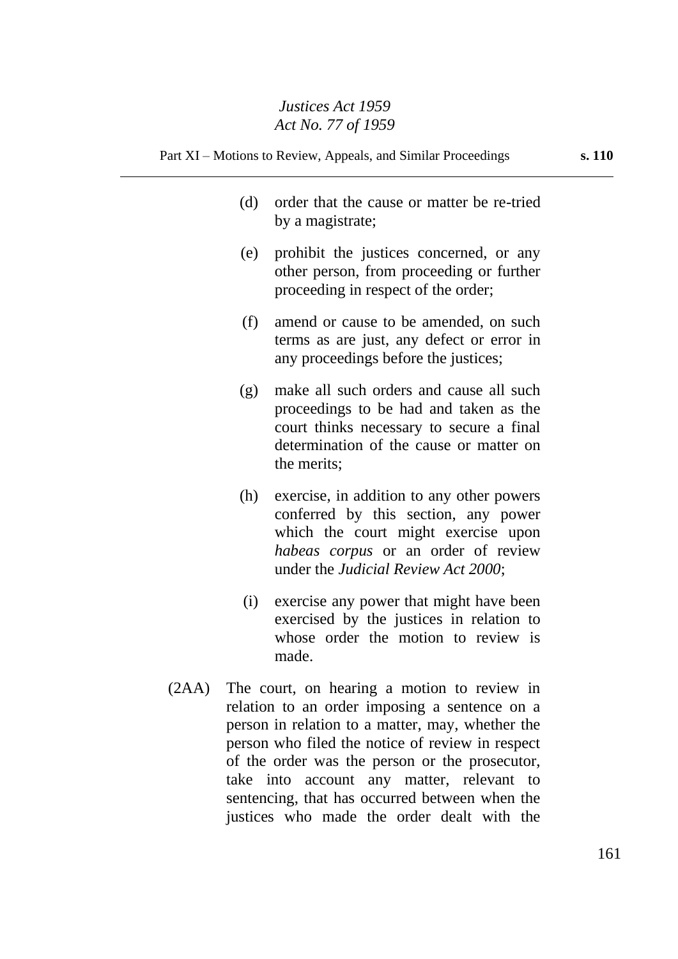- (d) order that the cause or matter be re-tried by a magistrate;
- (e) prohibit the justices concerned, or any other person, from proceeding or further proceeding in respect of the order;
- (f) amend or cause to be amended, on such terms as are just, any defect or error in any proceedings before the justices;
- (g) make all such orders and cause all such proceedings to be had and taken as the court thinks necessary to secure a final determination of the cause or matter on the merits;
- (h) exercise, in addition to any other powers conferred by this section, any power which the court might exercise upon *habeas corpus* or an order of review under the *Judicial Review Act 2000*;
- (i) exercise any power that might have been exercised by the justices in relation to whose order the motion to review is made.
- (2AA) The court, on hearing a motion to review in relation to an order imposing a sentence on a person in relation to a matter, may, whether the person who filed the notice of review in respect of the order was the person or the prosecutor, take into account any matter, relevant to sentencing, that has occurred between when the justices who made the order dealt with the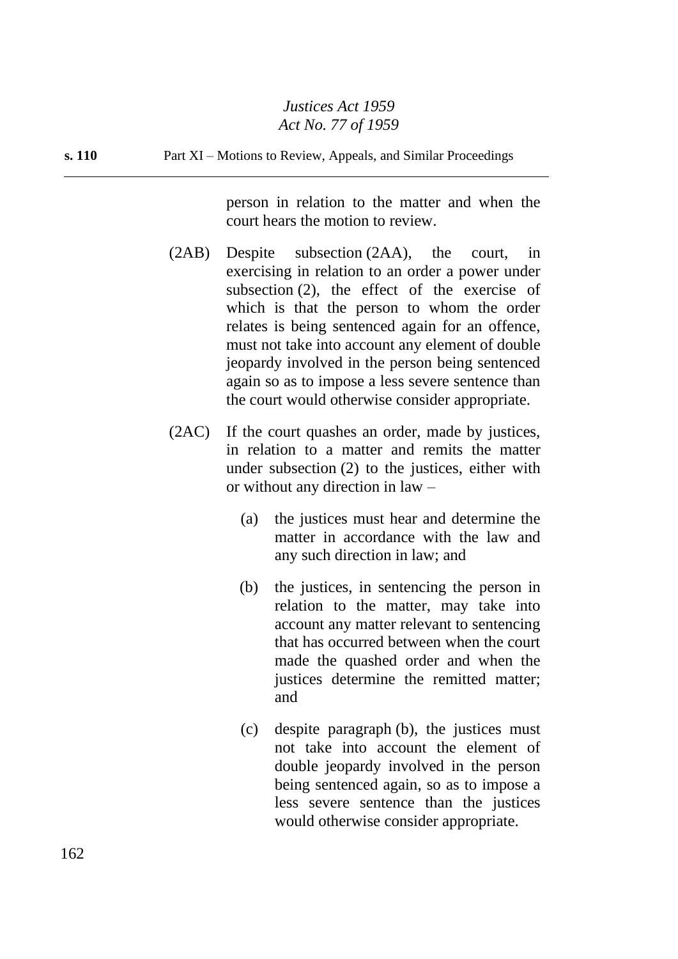**s. 110** Part XI – Motions to Review, Appeals, and Similar Proceedings

person in relation to the matter and when the court hears the motion to review.

- (2AB) Despite subsection (2AA), the court, in exercising in relation to an order a power under subsection (2), the effect of the exercise of which is that the person to whom the order relates is being sentenced again for an offence, must not take into account any element of double jeopardy involved in the person being sentenced again so as to impose a less severe sentence than the court would otherwise consider appropriate.
- (2AC) If the court quashes an order, made by justices, in relation to a matter and remits the matter under subsection (2) to the justices, either with or without any direction in law –
	- (a) the justices must hear and determine the matter in accordance with the law and any such direction in law; and
	- (b) the justices, in sentencing the person in relation to the matter, may take into account any matter relevant to sentencing that has occurred between when the court made the quashed order and when the justices determine the remitted matter; and
	- (c) despite paragraph (b), the justices must not take into account the element of double jeopardy involved in the person being sentenced again, so as to impose a less severe sentence than the justices would otherwise consider appropriate.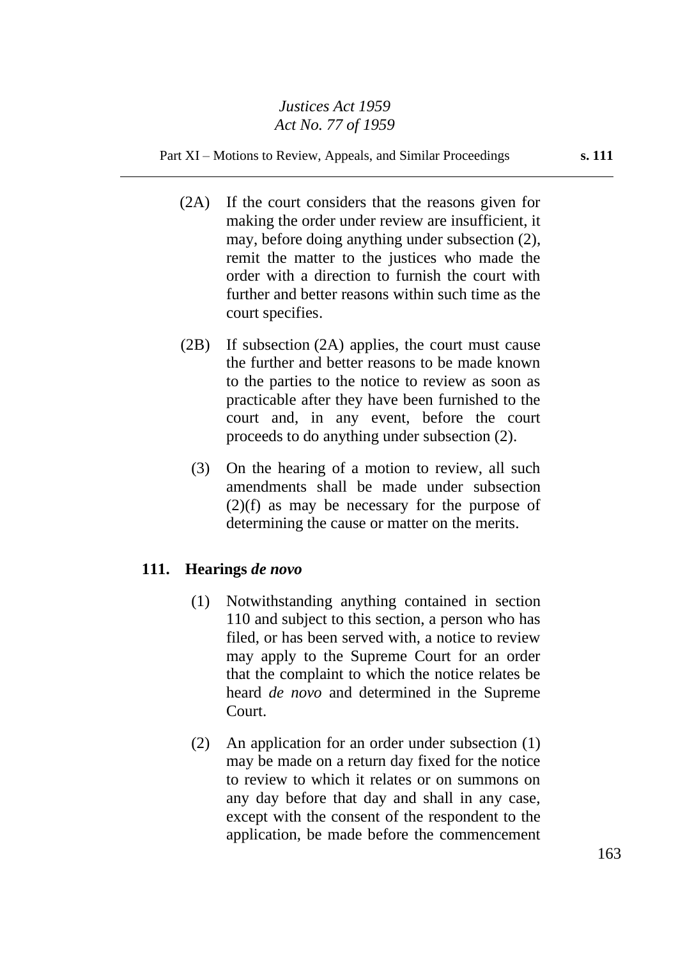Part XI – Motions to Review, Appeals, and Similar Proceedings **s. 111**

- (2A) If the court considers that the reasons given for making the order under review are insufficient, it may, before doing anything under subsection (2), remit the matter to the justices who made the order with a direction to furnish the court with further and better reasons within such time as the court specifies.
- (2B) If subsection (2A) applies, the court must cause the further and better reasons to be made known to the parties to the notice to review as soon as practicable after they have been furnished to the court and, in any event, before the court proceeds to do anything under subsection (2).
	- (3) On the hearing of a motion to review, all such amendments shall be made under subsection (2)(f) as may be necessary for the purpose of determining the cause or matter on the merits.

## **111. Hearings** *de novo*

- (1) Notwithstanding anything contained in section 110 and subject to this section, a person who has filed, or has been served with, a notice to review may apply to the Supreme Court for an order that the complaint to which the notice relates be heard *de novo* and determined in the Supreme Court.
- (2) An application for an order under subsection (1) may be made on a return day fixed for the notice to review to which it relates or on summons on any day before that day and shall in any case, except with the consent of the respondent to the application, be made before the commencement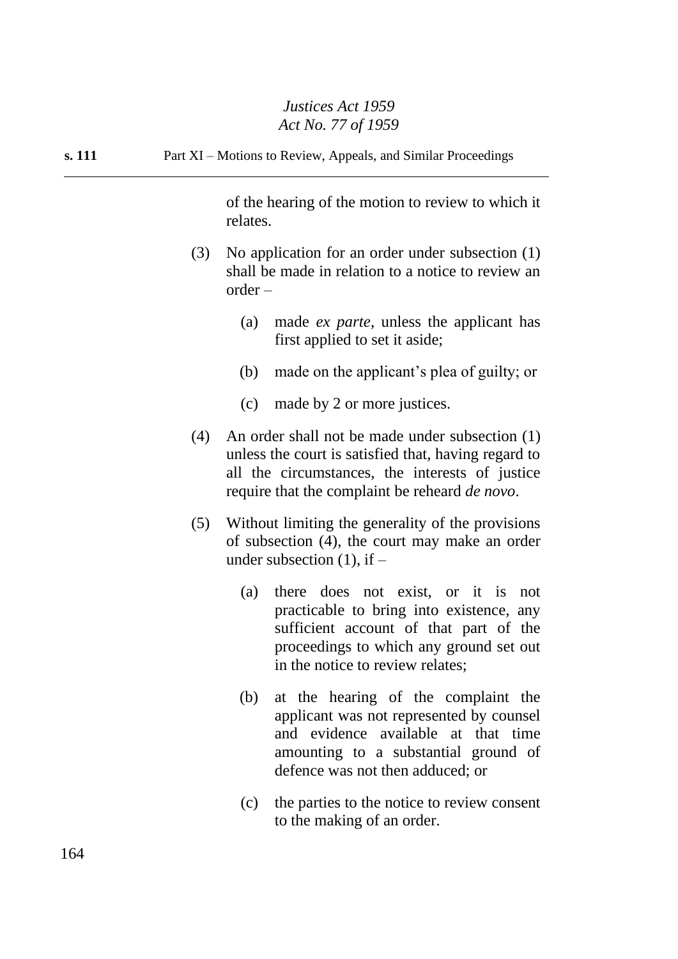**s. 111** Part XI – Motions to Review, Appeals, and Similar Proceedings

of the hearing of the motion to review to which it relates.

- (3) No application for an order under subsection (1) shall be made in relation to a notice to review an order –
	- (a) made *ex parte*, unless the applicant has first applied to set it aside;
	- (b) made on the applicant's plea of guilty; or
	- (c) made by 2 or more justices.
- (4) An order shall not be made under subsection (1) unless the court is satisfied that, having regard to all the circumstances, the interests of justice require that the complaint be reheard *de novo*.
- (5) Without limiting the generality of the provisions of subsection (4), the court may make an order under subsection  $(1)$ , if  $-$ 
	- (a) there does not exist, or it is not practicable to bring into existence, any sufficient account of that part of the proceedings to which any ground set out in the notice to review relates;
	- (b) at the hearing of the complaint the applicant was not represented by counsel and evidence available at that time amounting to a substantial ground of defence was not then adduced; or
	- (c) the parties to the notice to review consent to the making of an order.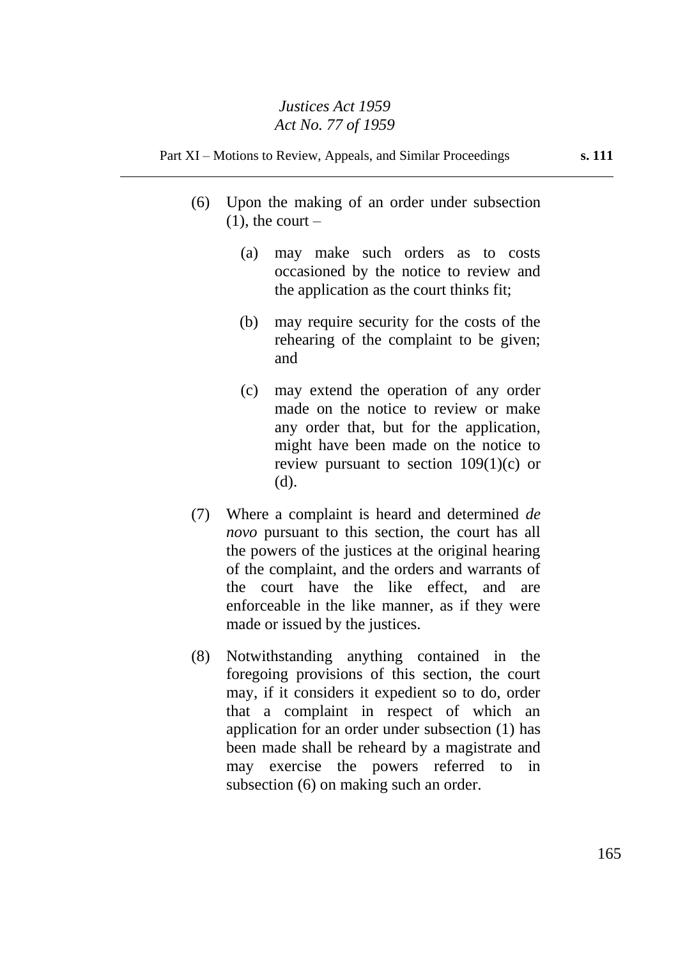- (6) Upon the making of an order under subsection  $(1)$ , the court –
	- (a) may make such orders as to costs occasioned by the notice to review and the application as the court thinks fit;
	- (b) may require security for the costs of the rehearing of the complaint to be given; and
	- (c) may extend the operation of any order made on the notice to review or make any order that, but for the application, might have been made on the notice to review pursuant to section  $109(1)(c)$  or (d).
- (7) Where a complaint is heard and determined *de novo* pursuant to this section, the court has all the powers of the justices at the original hearing of the complaint, and the orders and warrants of the court have the like effect, and are enforceable in the like manner, as if they were made or issued by the justices.
- (8) Notwithstanding anything contained in the foregoing provisions of this section, the court may, if it considers it expedient so to do, order that a complaint in respect of which an application for an order under subsection (1) has been made shall be reheard by a magistrate and may exercise the powers referred to in subsection (6) on making such an order.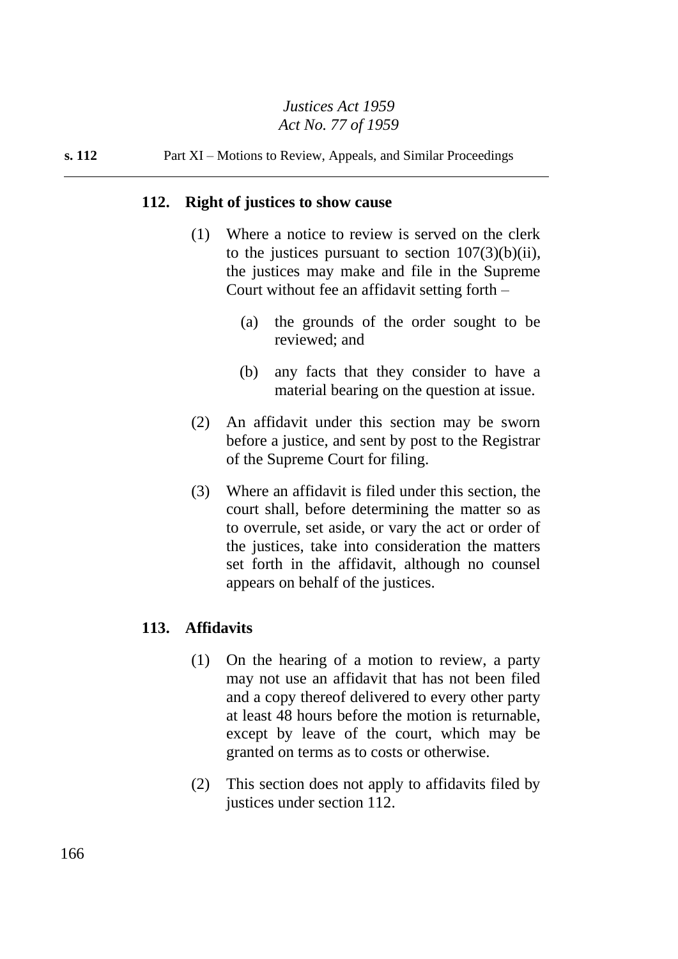#### **s. 112** Part XI – Motions to Review, Appeals, and Similar Proceedings

#### **112. Right of justices to show cause**

- (1) Where a notice to review is served on the clerk to the justices pursuant to section  $107(3)(b)(ii)$ , the justices may make and file in the Supreme Court without fee an affidavit setting forth –
	- (a) the grounds of the order sought to be reviewed; and
	- (b) any facts that they consider to have a material bearing on the question at issue.
- (2) An affidavit under this section may be sworn before a justice, and sent by post to the Registrar of the Supreme Court for filing.
- (3) Where an affidavit is filed under this section, the court shall, before determining the matter so as to overrule, set aside, or vary the act or order of the justices, take into consideration the matters set forth in the affidavit, although no counsel appears on behalf of the justices.

#### **113. Affidavits**

- (1) On the hearing of a motion to review, a party may not use an affidavit that has not been filed and a copy thereof delivered to every other party at least 48 hours before the motion is returnable, except by leave of the court, which may be granted on terms as to costs or otherwise.
- (2) This section does not apply to affidavits filed by justices under section 112.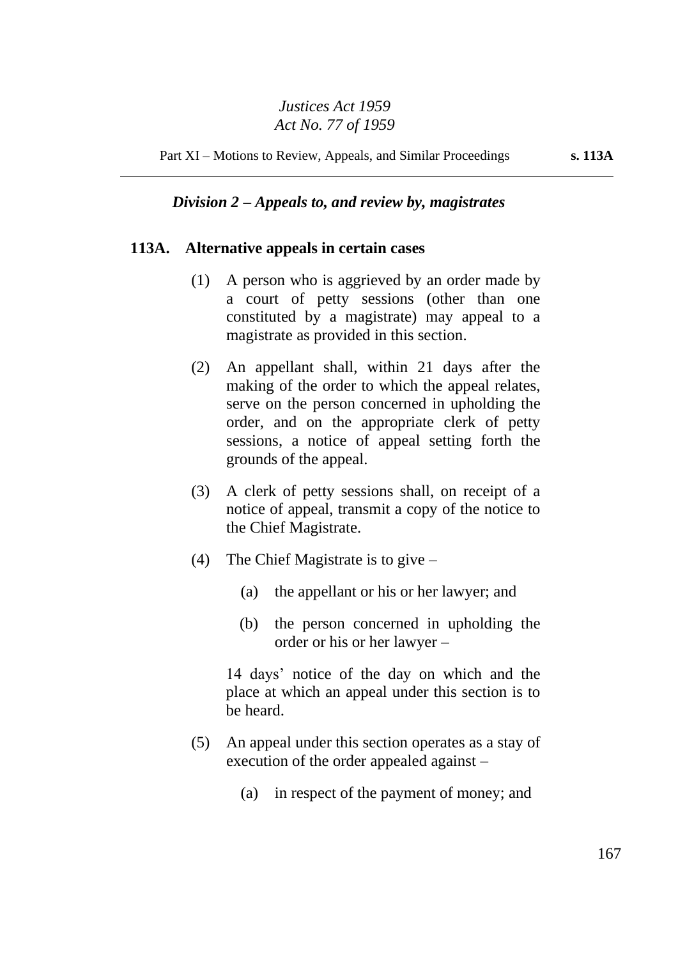Part XI – Motions to Review, Appeals, and Similar Proceedings **s. 113A**

# *Division 2 – Appeals to, and review by, magistrates*

#### **113A. Alternative appeals in certain cases**

- (1) A person who is aggrieved by an order made by a court of petty sessions (other than one constituted by a magistrate) may appeal to a magistrate as provided in this section.
- (2) An appellant shall, within 21 days after the making of the order to which the appeal relates, serve on the person concerned in upholding the order, and on the appropriate clerk of petty sessions, a notice of appeal setting forth the grounds of the appeal.
- (3) A clerk of petty sessions shall, on receipt of a notice of appeal, transmit a copy of the notice to the Chief Magistrate.
- (4) The Chief Magistrate is to give  $-$ 
	- (a) the appellant or his or her lawyer; and
	- (b) the person concerned in upholding the order or his or her lawyer –

14 days' notice of the day on which and the place at which an appeal under this section is to be heard.

- (5) An appeal under this section operates as a stay of execution of the order appealed against –
	- (a) in respect of the payment of money; and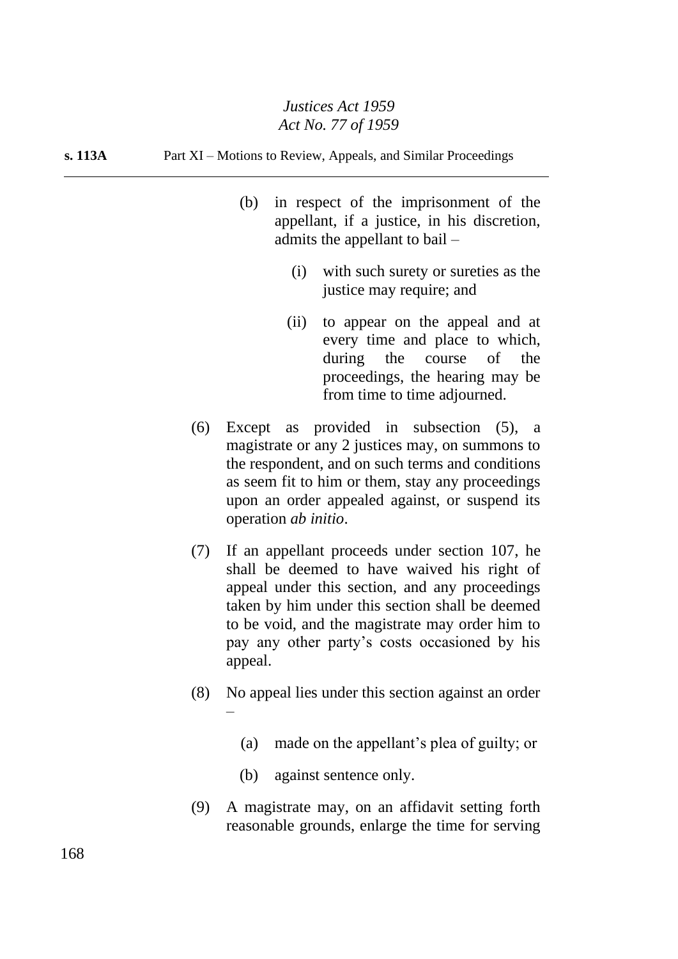**s. 113A** Part XI – Motions to Review, Appeals, and Similar Proceedings

- (b) in respect of the imprisonment of the appellant, if a justice, in his discretion, admits the appellant to bail –
	- (i) with such surety or sureties as the justice may require; and
	- (ii) to appear on the appeal and at every time and place to which, during the course of the proceedings, the hearing may be from time to time adjourned.
- (6) Except as provided in subsection (5), a magistrate or any 2 justices may, on summons to the respondent, and on such terms and conditions as seem fit to him or them, stay any proceedings upon an order appealed against, or suspend its operation *ab initio*.
- (7) If an appellant proceeds under section 107, he shall be deemed to have waived his right of appeal under this section, and any proceedings taken by him under this section shall be deemed to be void, and the magistrate may order him to pay any other party's costs occasioned by his appeal.
- (8) No appeal lies under this section against an order –
	- (a) made on the appellant's plea of guilty; or
	- (b) against sentence only.
- (9) A magistrate may, on an affidavit setting forth reasonable grounds, enlarge the time for serving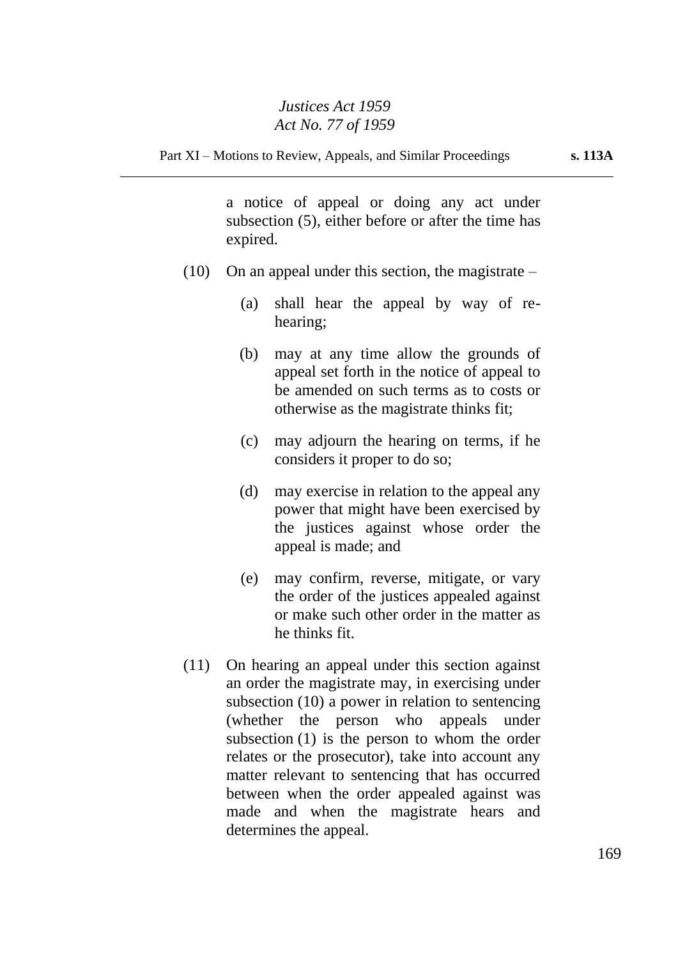a notice of appeal or doing any act under subsection (5), either before or after the time has expired.

- $(10)$  On an appeal under this section, the magistrate
	- (a) shall hear the appeal by way of rehearing;
	- (b) may at any time allow the grounds of appeal set forth in the notice of appeal to be amended on such terms as to costs or otherwise as the magistrate thinks fit;
	- (c) may adjourn the hearing on terms, if he considers it proper to do so;
	- (d) may exercise in relation to the appeal any power that might have been exercised by the justices against whose order the appeal is made; and
	- (e) may confirm, reverse, mitigate, or vary the order of the justices appealed against or make such other order in the matter as he thinks fit.
- (11) On hearing an appeal under this section against an order the magistrate may, in exercising under subsection (10) a power in relation to sentencing (whether the person who appeals under subsection (1) is the person to whom the order relates or the prosecutor), take into account any matter relevant to sentencing that has occurred between when the order appealed against was made and when the magistrate hears and determines the appeal.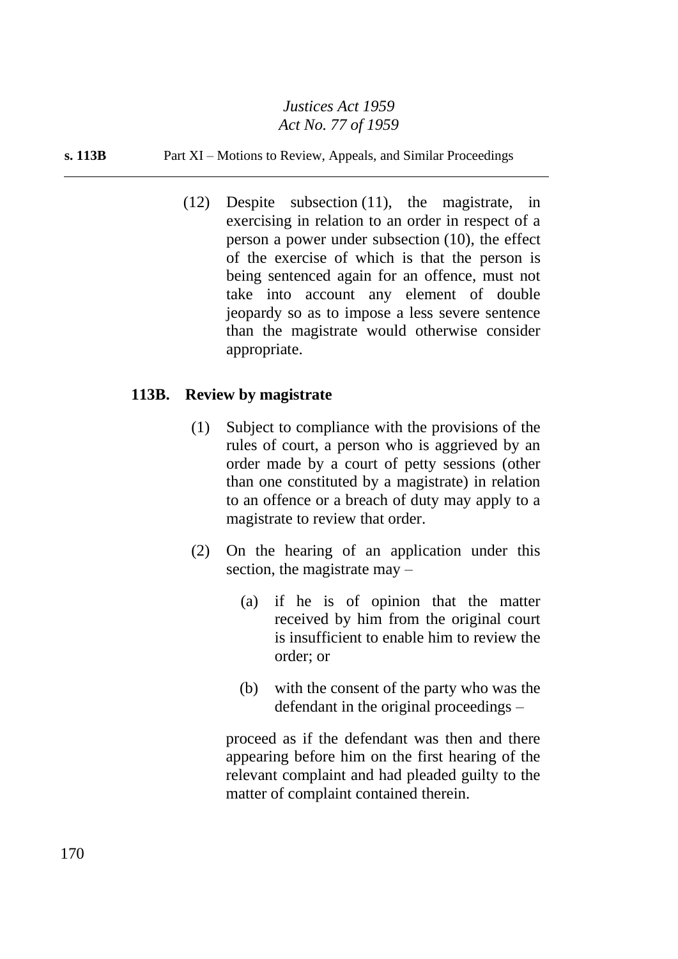#### **s. 113B** Part XI – Motions to Review, Appeals, and Similar Proceedings

(12) Despite subsection (11), the magistrate, in exercising in relation to an order in respect of a person a power under subsection (10), the effect of the exercise of which is that the person is being sentenced again for an offence, must not take into account any element of double jeopardy so as to impose a less severe sentence than the magistrate would otherwise consider appropriate.

## **113B. Review by magistrate**

- (1) Subject to compliance with the provisions of the rules of court, a person who is aggrieved by an order made by a court of petty sessions (other than one constituted by a magistrate) in relation to an offence or a breach of duty may apply to a magistrate to review that order.
- (2) On the hearing of an application under this section, the magistrate may –
	- (a) if he is of opinion that the matter received by him from the original court is insufficient to enable him to review the order; or
	- (b) with the consent of the party who was the defendant in the original proceedings –

proceed as if the defendant was then and there appearing before him on the first hearing of the relevant complaint and had pleaded guilty to the matter of complaint contained therein.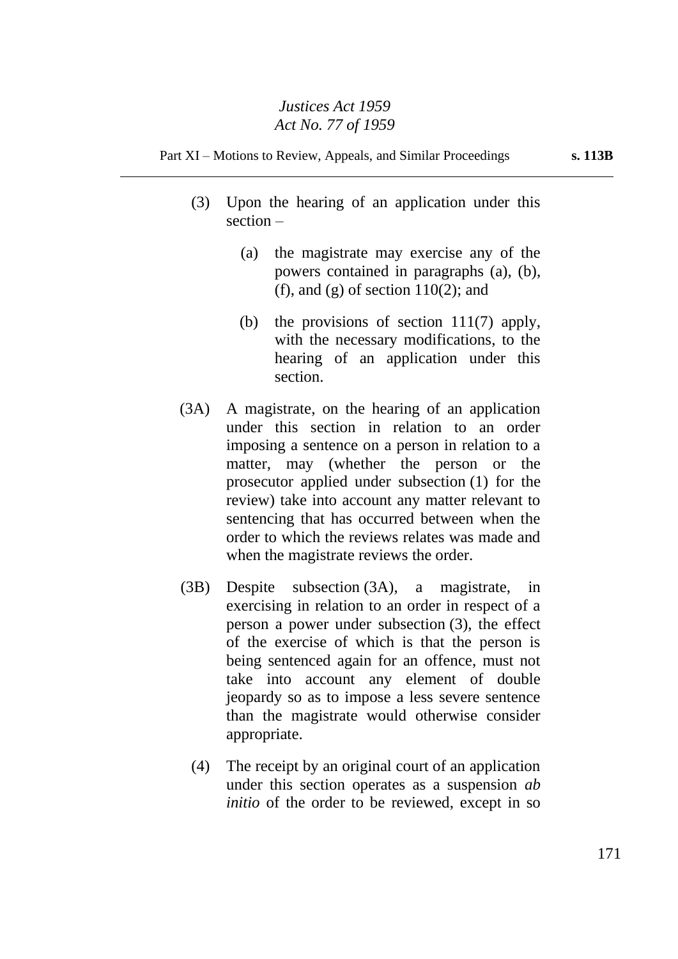- (3) Upon the hearing of an application under this section –
	- (a) the magistrate may exercise any of the powers contained in paragraphs (a), (b), (f), and (g) of section  $110(2)$ ; and
	- (b) the provisions of section 111(7) apply, with the necessary modifications, to the hearing of an application under this section.
- (3A) A magistrate, on the hearing of an application under this section in relation to an order imposing a sentence on a person in relation to a matter, may (whether the person or the prosecutor applied under subsection (1) for the review) take into account any matter relevant to sentencing that has occurred between when the order to which the reviews relates was made and when the magistrate reviews the order.
- (3B) Despite subsection (3A), a magistrate, in exercising in relation to an order in respect of a person a power under subsection (3), the effect of the exercise of which is that the person is being sentenced again for an offence, must not take into account any element of double jeopardy so as to impose a less severe sentence than the magistrate would otherwise consider appropriate.
	- (4) The receipt by an original court of an application under this section operates as a suspension *ab initio* of the order to be reviewed, except in so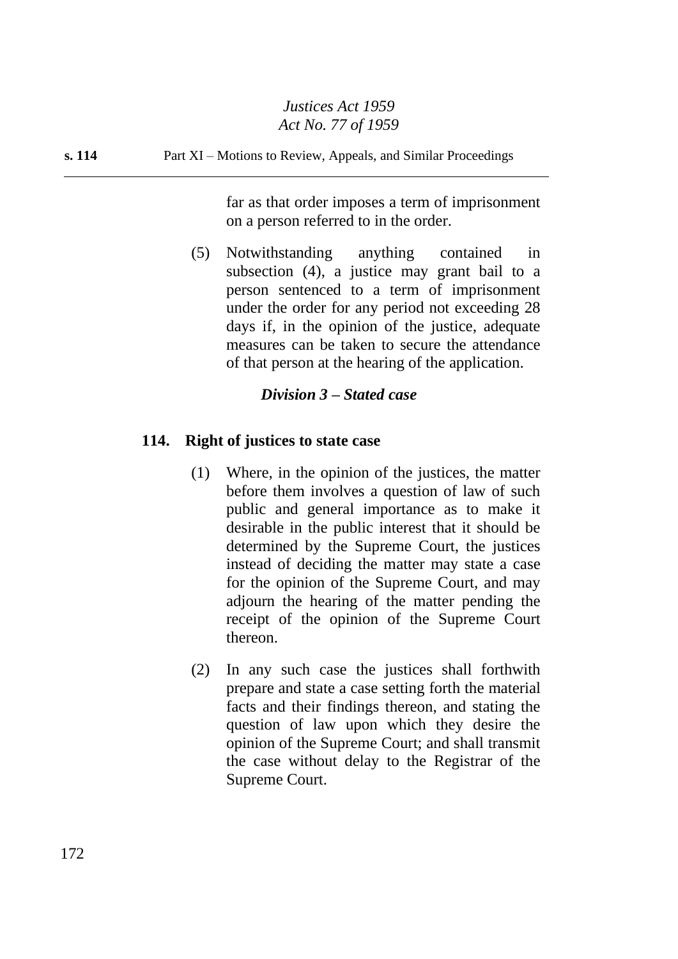#### **s. 114** Part XI – Motions to Review, Appeals, and Similar Proceedings

far as that order imposes a term of imprisonment on a person referred to in the order.

(5) Notwithstanding anything contained in subsection (4), a justice may grant bail to a person sentenced to a term of imprisonment under the order for any period not exceeding 28 days if, in the opinion of the justice, adequate measures can be taken to secure the attendance of that person at the hearing of the application.

# *Division 3 – Stated case*

## **114. Right of justices to state case**

- (1) Where, in the opinion of the justices, the matter before them involves a question of law of such public and general importance as to make it desirable in the public interest that it should be determined by the Supreme Court, the justices instead of deciding the matter may state a case for the opinion of the Supreme Court, and may adjourn the hearing of the matter pending the receipt of the opinion of the Supreme Court thereon.
- (2) In any such case the justices shall forthwith prepare and state a case setting forth the material facts and their findings thereon, and stating the question of law upon which they desire the opinion of the Supreme Court; and shall transmit the case without delay to the Registrar of the Supreme Court.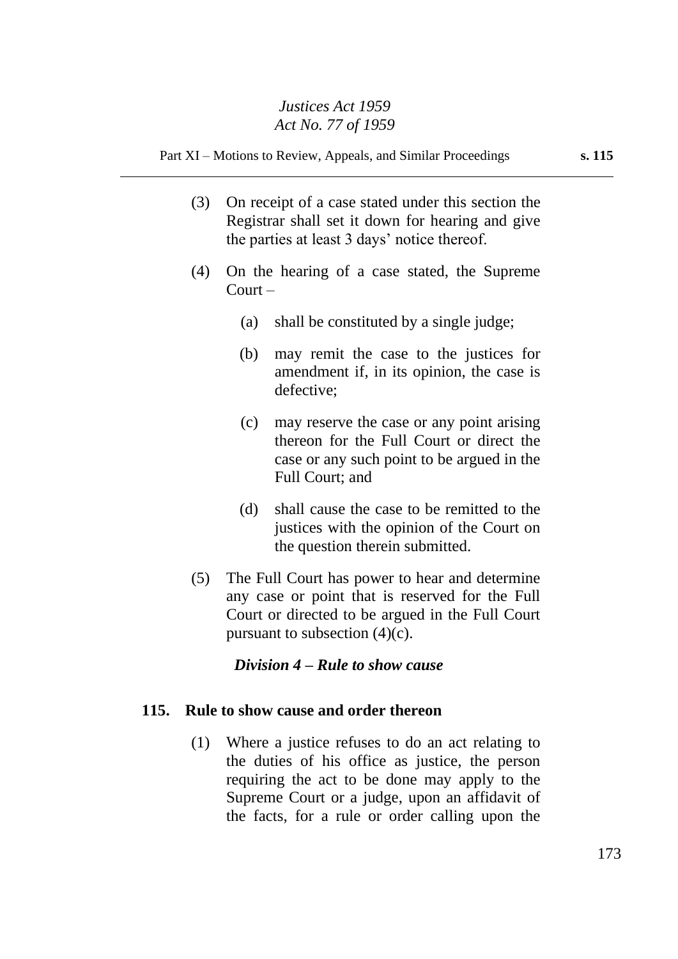Part XI – Motions to Review, Appeals, and Similar Proceedings **s. 115**

- (3) On receipt of a case stated under this section the Registrar shall set it down for hearing and give the parties at least 3 days' notice thereof.
- (4) On the hearing of a case stated, the Supreme Court –
	- (a) shall be constituted by a single judge;
	- (b) may remit the case to the justices for amendment if, in its opinion, the case is defective;
	- (c) may reserve the case or any point arising thereon for the Full Court or direct the case or any such point to be argued in the Full Court; and
	- (d) shall cause the case to be remitted to the justices with the opinion of the Court on the question therein submitted.
- (5) The Full Court has power to hear and determine any case or point that is reserved for the Full Court or directed to be argued in the Full Court pursuant to subsection  $(4)(c)$ .

## *Division 4 – Rule to show cause*

## **115. Rule to show cause and order thereon**

(1) Where a justice refuses to do an act relating to the duties of his office as justice, the person requiring the act to be done may apply to the Supreme Court or a judge, upon an affidavit of the facts, for a rule or order calling upon the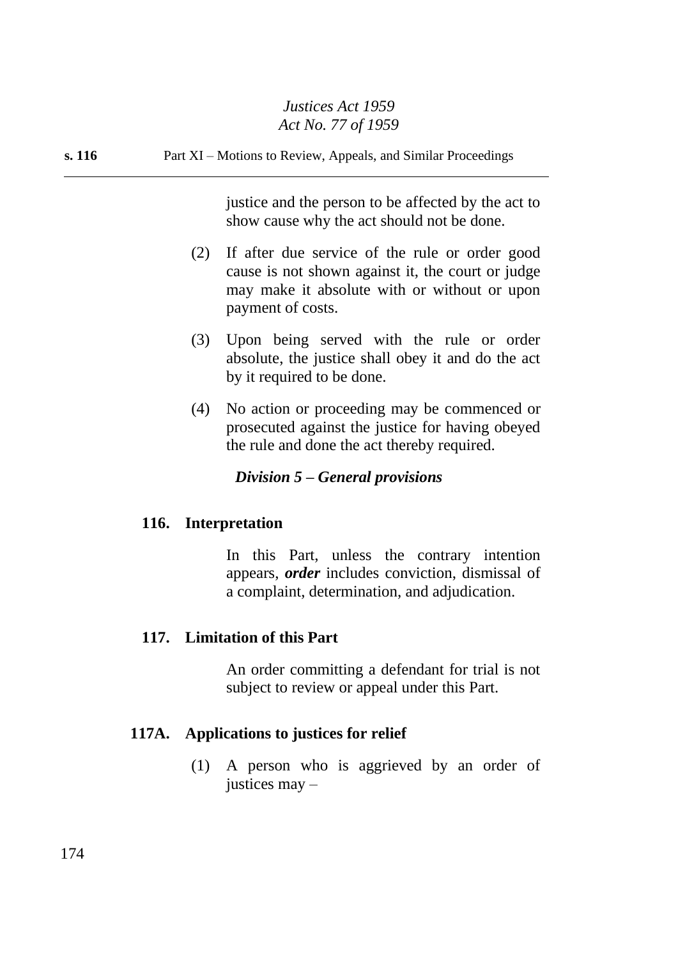**s. 116** Part XI – Motions to Review, Appeals, and Similar Proceedings

justice and the person to be affected by the act to show cause why the act should not be done.

- (2) If after due service of the rule or order good cause is not shown against it, the court or judge may make it absolute with or without or upon payment of costs.
- (3) Upon being served with the rule or order absolute, the justice shall obey it and do the act by it required to be done.
- (4) No action or proceeding may be commenced or prosecuted against the justice for having obeyed the rule and done the act thereby required.

# *Division 5 – General provisions*

## **116. Interpretation**

In this Part, unless the contrary intention appears, *order* includes conviction, dismissal of a complaint, determination, and adjudication.

# **117. Limitation of this Part**

An order committing a defendant for trial is not subject to review or appeal under this Part.

## **117A. Applications to justices for relief**

(1) A person who is aggrieved by an order of justices may –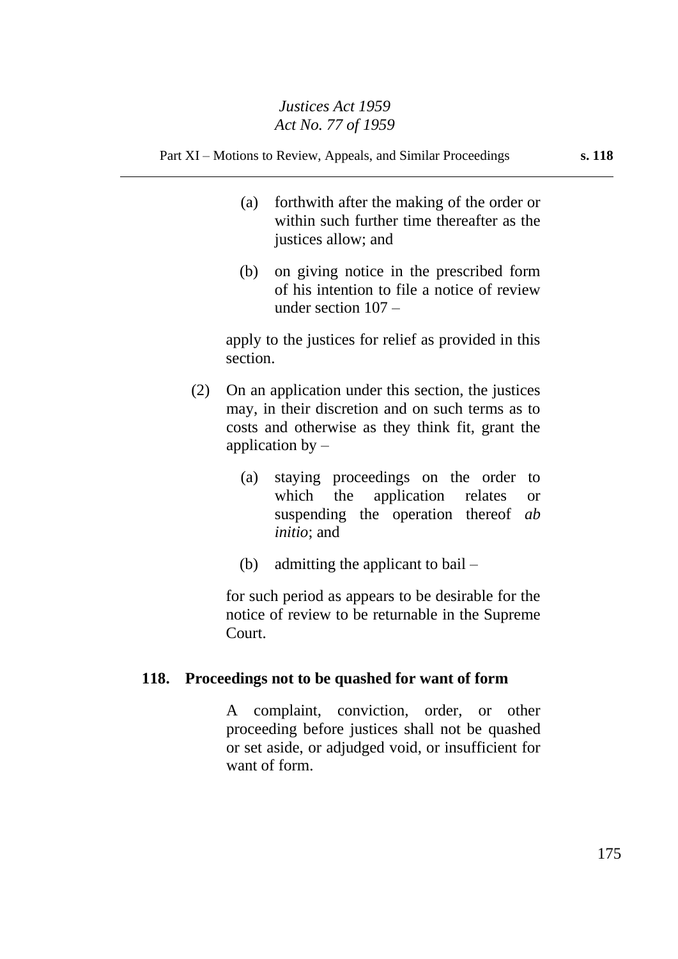Part XI – Motions to Review, Appeals, and Similar Proceedings **s. 118**

- (a) forthwith after the making of the order or within such further time thereafter as the justices allow; and
- (b) on giving notice in the prescribed form of his intention to file a notice of review under section 107 –

apply to the justices for relief as provided in this section.

- (2) On an application under this section, the justices may, in their discretion and on such terms as to costs and otherwise as they think fit, grant the application by  $-$ 
	- (a) staying proceedings on the order to which the application relates or suspending the operation thereof *ab initio*; and
	- (b) admitting the applicant to bail –

for such period as appears to be desirable for the notice of review to be returnable in the Supreme Court.

## **118. Proceedings not to be quashed for want of form**

A complaint, conviction, order, or other proceeding before justices shall not be quashed or set aside, or adjudged void, or insufficient for want of form.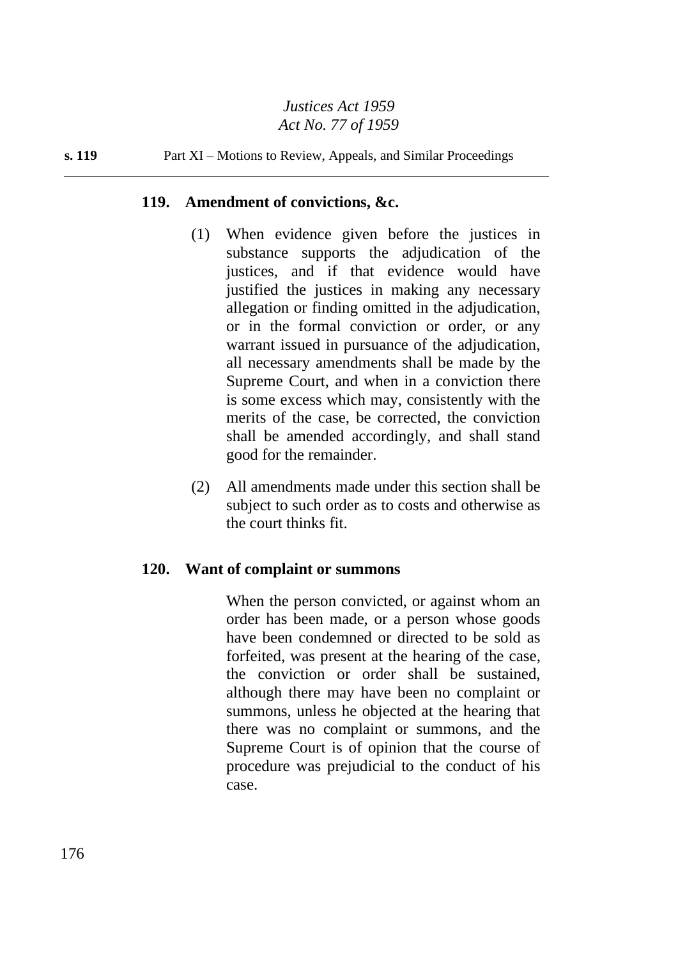#### **s. 119** Part XI – Motions to Review, Appeals, and Similar Proceedings

#### **119. Amendment of convictions, &c.**

- (1) When evidence given before the justices in substance supports the adjudication of the justices, and if that evidence would have justified the justices in making any necessary allegation or finding omitted in the adjudication, or in the formal conviction or order, or any warrant issued in pursuance of the adjudication, all necessary amendments shall be made by the Supreme Court, and when in a conviction there is some excess which may, consistently with the merits of the case, be corrected, the conviction shall be amended accordingly, and shall stand good for the remainder.
- (2) All amendments made under this section shall be subject to such order as to costs and otherwise as the court thinks fit.

#### **120. Want of complaint or summons**

When the person convicted, or against whom an order has been made, or a person whose goods have been condemned or directed to be sold as forfeited, was present at the hearing of the case, the conviction or order shall be sustained, although there may have been no complaint or summons, unless he objected at the hearing that there was no complaint or summons, and the Supreme Court is of opinion that the course of procedure was prejudicial to the conduct of his case.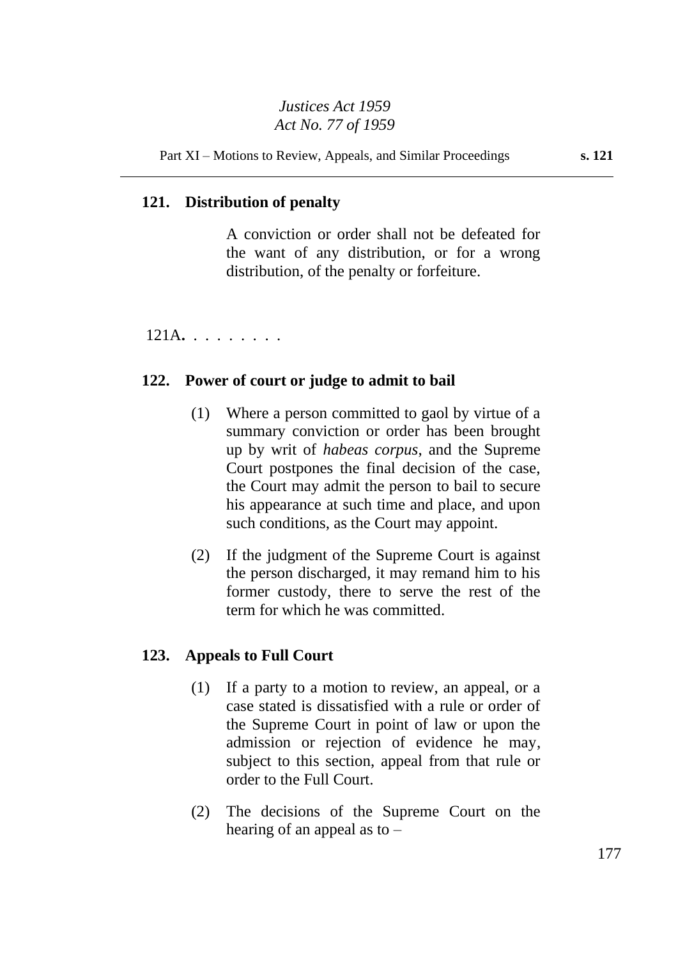# **121. Distribution of penalty**

A conviction or order shall not be defeated for the want of any distribution, or for a wrong distribution, of the penalty or forfeiture.

121A**.** . . . . . . . .

## **122. Power of court or judge to admit to bail**

- (1) Where a person committed to gaol by virtue of a summary conviction or order has been brought up by writ of *habeas corpus*, and the Supreme Court postpones the final decision of the case, the Court may admit the person to bail to secure his appearance at such time and place, and upon such conditions, as the Court may appoint.
- (2) If the judgment of the Supreme Court is against the person discharged, it may remand him to his former custody, there to serve the rest of the term for which he was committed.

## **123. Appeals to Full Court**

- (1) If a party to a motion to review, an appeal, or a case stated is dissatisfied with a rule or order of the Supreme Court in point of law or upon the admission or rejection of evidence he may, subject to this section, appeal from that rule or order to the Full Court.
- (2) The decisions of the Supreme Court on the hearing of an appeal as to –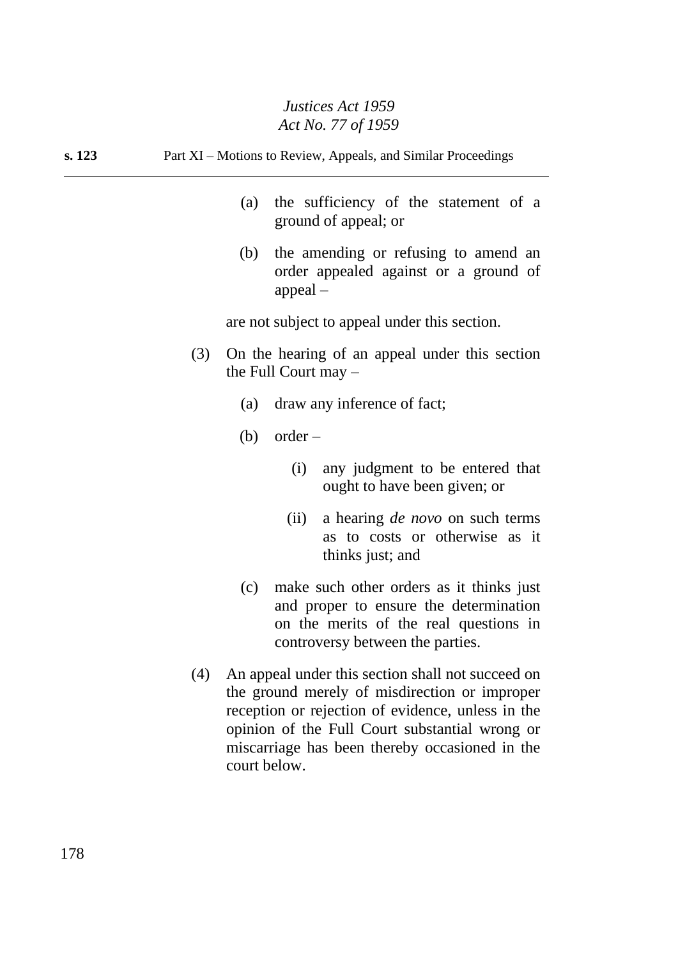**s. 123** Part XI – Motions to Review, Appeals, and Similar Proceedings

- (a) the sufficiency of the statement of a ground of appeal; or
- (b) the amending or refusing to amend an order appealed against or a ground of appeal –

are not subject to appeal under this section.

- (3) On the hearing of an appeal under this section the Full Court may –
	- (a) draw any inference of fact;
	- (b) order  $-$ 
		- (i) any judgment to be entered that ought to have been given; or
		- (ii) a hearing *de novo* on such terms as to costs or otherwise as it thinks just; and
	- (c) make such other orders as it thinks just and proper to ensure the determination on the merits of the real questions in controversy between the parties.
- (4) An appeal under this section shall not succeed on the ground merely of misdirection or improper reception or rejection of evidence, unless in the opinion of the Full Court substantial wrong or miscarriage has been thereby occasioned in the court below.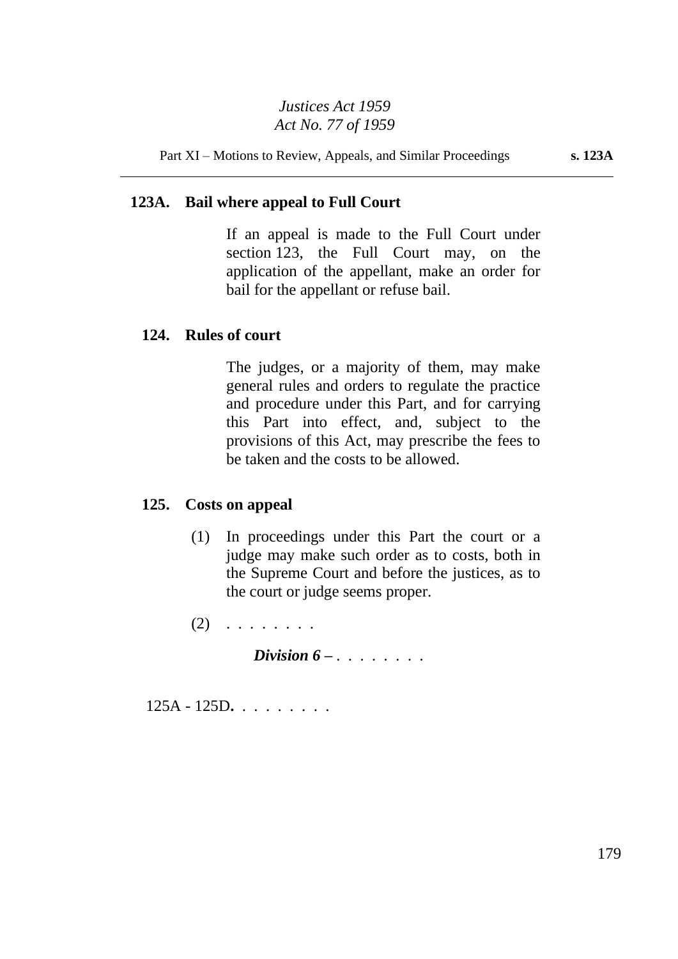Part XI – Motions to Review, Appeals, and Similar Proceedings **s. 123A**

# **123A. Bail where appeal to Full Court**

If an appeal is made to the Full Court under section 123, the Full Court may, on the application of the appellant, make an order for bail for the appellant or refuse bail.

## **124. Rules of court**

The judges, or a majority of them, may make general rules and orders to regulate the practice and procedure under this Part, and for carrying this Part into effect, and, subject to the provisions of this Act, may prescribe the fees to be taken and the costs to be allowed.

## **125. Costs on appeal**

(1) In proceedings under this Part the court or a judge may make such order as to costs, both in the Supreme Court and before the justices, as to the court or judge seems proper.

 $(2)$  . . . . . . . .

*Division 6 – . . . . . . . .*

125A - 125D**.** . . . . . . . .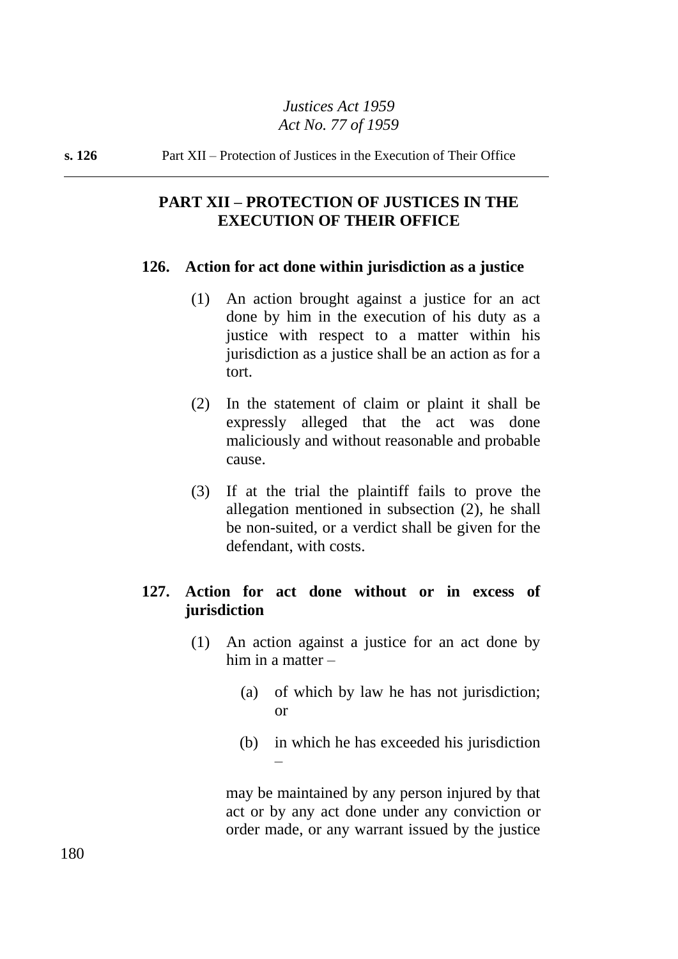**s. 126** Part XII – Protection of Justices in the Execution of Their Office

# **PART XII – PROTECTION OF JUSTICES IN THE EXECUTION OF THEIR OFFICE**

#### **126. Action for act done within jurisdiction as a justice**

- (1) An action brought against a justice for an act done by him in the execution of his duty as a justice with respect to a matter within his jurisdiction as a justice shall be an action as for a tort.
- (2) In the statement of claim or plaint it shall be expressly alleged that the act was done maliciously and without reasonable and probable cause.
- (3) If at the trial the plaintiff fails to prove the allegation mentioned in subsection (2), he shall be non-suited, or a verdict shall be given for the defendant, with costs.

# **127. Action for act done without or in excess of jurisdiction**

- (1) An action against a justice for an act done by him in a matter  $-$ 
	- (a) of which by law he has not jurisdiction; or
	- (b) in which he has exceeded his jurisdiction –

may be maintained by any person injured by that act or by any act done under any conviction or order made, or any warrant issued by the justice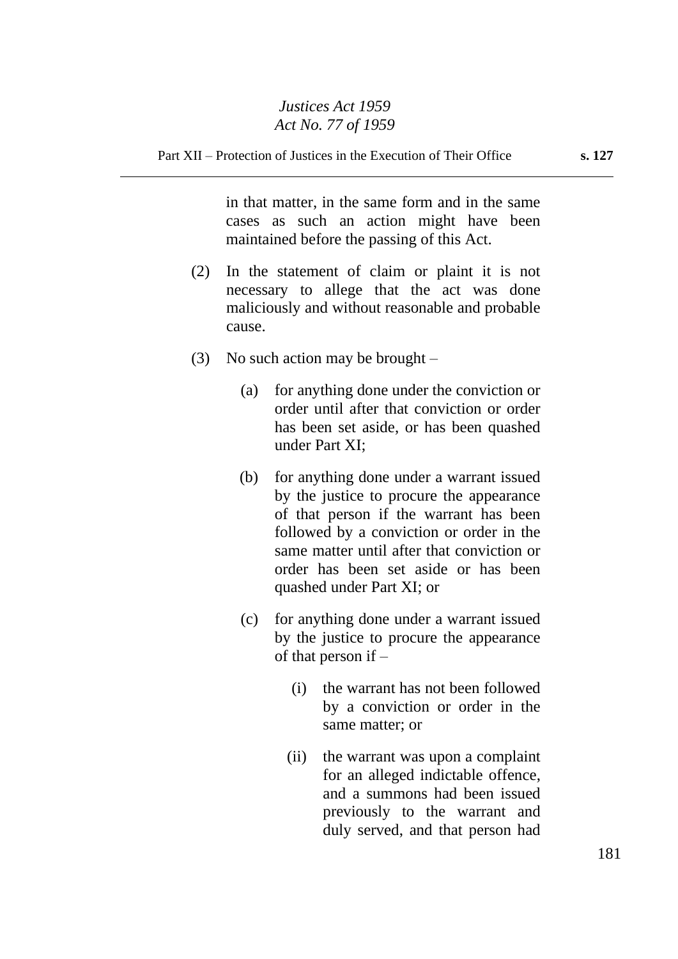in that matter, in the same form and in the same cases as such an action might have been maintained before the passing of this Act.

- (2) In the statement of claim or plaint it is not necessary to allege that the act was done maliciously and without reasonable and probable cause.
- (3) No such action may be brought  $-$ 
	- (a) for anything done under the conviction or order until after that conviction or order has been set aside, or has been quashed under Part XI;
	- (b) for anything done under a warrant issued by the justice to procure the appearance of that person if the warrant has been followed by a conviction or order in the same matter until after that conviction or order has been set aside or has been quashed under Part XI; or
	- (c) for anything done under a warrant issued by the justice to procure the appearance of that person if –
		- (i) the warrant has not been followed by a conviction or order in the same matter; or
		- (ii) the warrant was upon a complaint for an alleged indictable offence, and a summons had been issued previously to the warrant and duly served, and that person had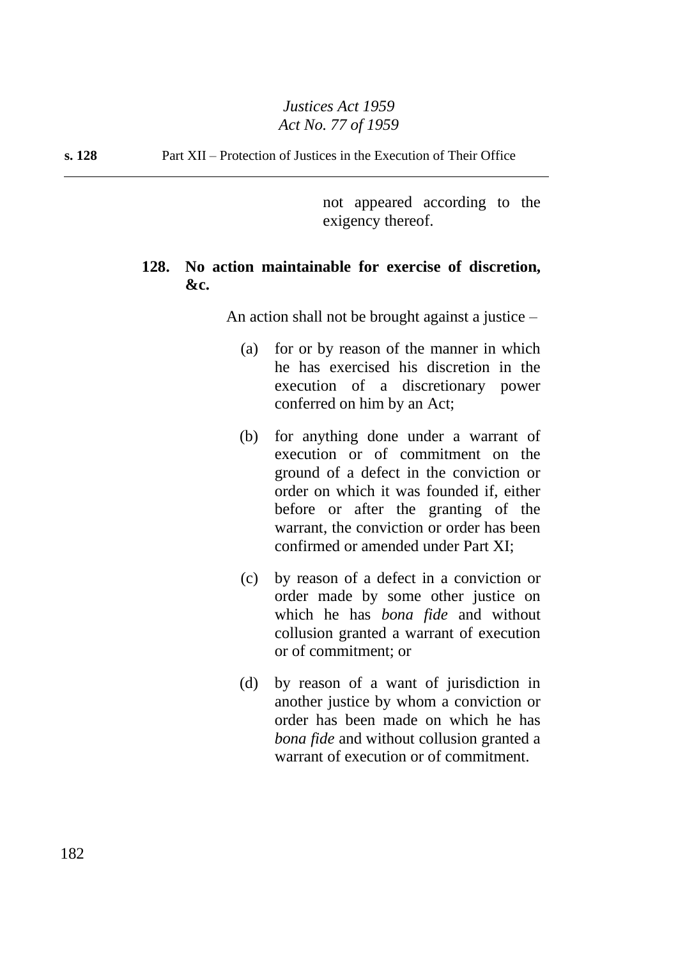**s. 128** Part XII – Protection of Justices in the Execution of Their Office

not appeared according to the exigency thereof.

## **128. No action maintainable for exercise of discretion, &c.**

An action shall not be brought against a justice –

- (a) for or by reason of the manner in which he has exercised his discretion in the execution of a discretionary power conferred on him by an Act;
- (b) for anything done under a warrant of execution or of commitment on the ground of a defect in the conviction or order on which it was founded if, either before or after the granting of the warrant, the conviction or order has been confirmed or amended under Part XI;
- (c) by reason of a defect in a conviction or order made by some other justice on which he has *bona fide* and without collusion granted a warrant of execution or of commitment; or
- (d) by reason of a want of jurisdiction in another justice by whom a conviction or order has been made on which he has *bona fide* and without collusion granted a warrant of execution or of commitment.

182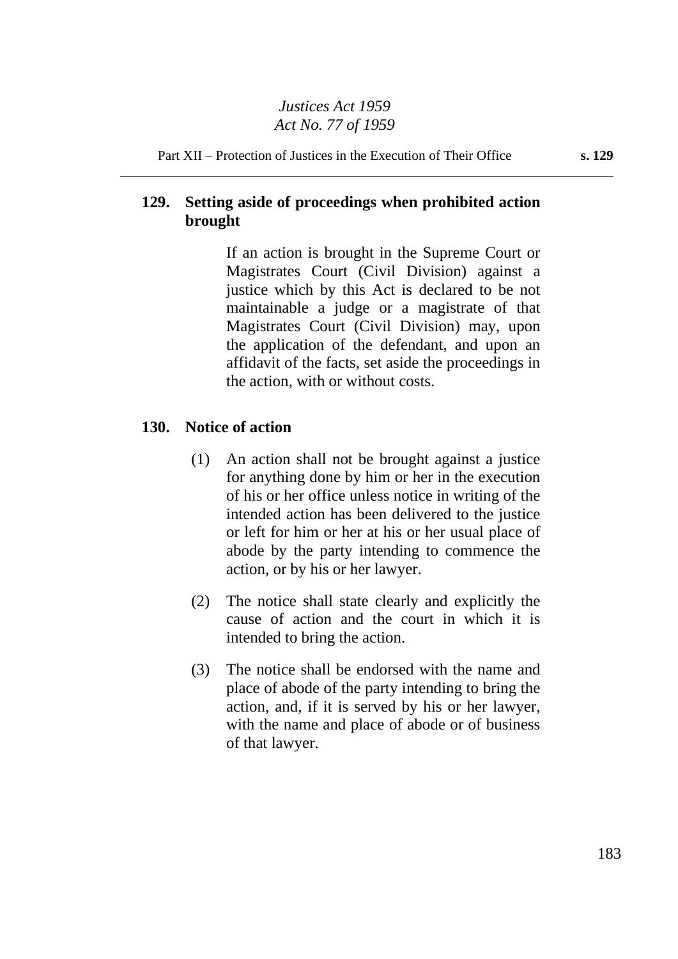Part XII – Protection of Justices in the Execution of Their Office **s. 129**

# **129. Setting aside of proceedings when prohibited action brought**

If an action is brought in the Supreme Court or Magistrates Court (Civil Division) against a justice which by this Act is declared to be not maintainable a judge or a magistrate of that Magistrates Court (Civil Division) may, upon the application of the defendant, and upon an affidavit of the facts, set aside the proceedings in the action, with or without costs.

## **130. Notice of action**

- (1) An action shall not be brought against a justice for anything done by him or her in the execution of his or her office unless notice in writing of the intended action has been delivered to the justice or left for him or her at his or her usual place of abode by the party intending to commence the action, or by his or her lawyer.
- (2) The notice shall state clearly and explicitly the cause of action and the court in which it is intended to bring the action.
- (3) The notice shall be endorsed with the name and place of abode of the party intending to bring the action, and, if it is served by his or her lawyer, with the name and place of abode or of business of that lawyer.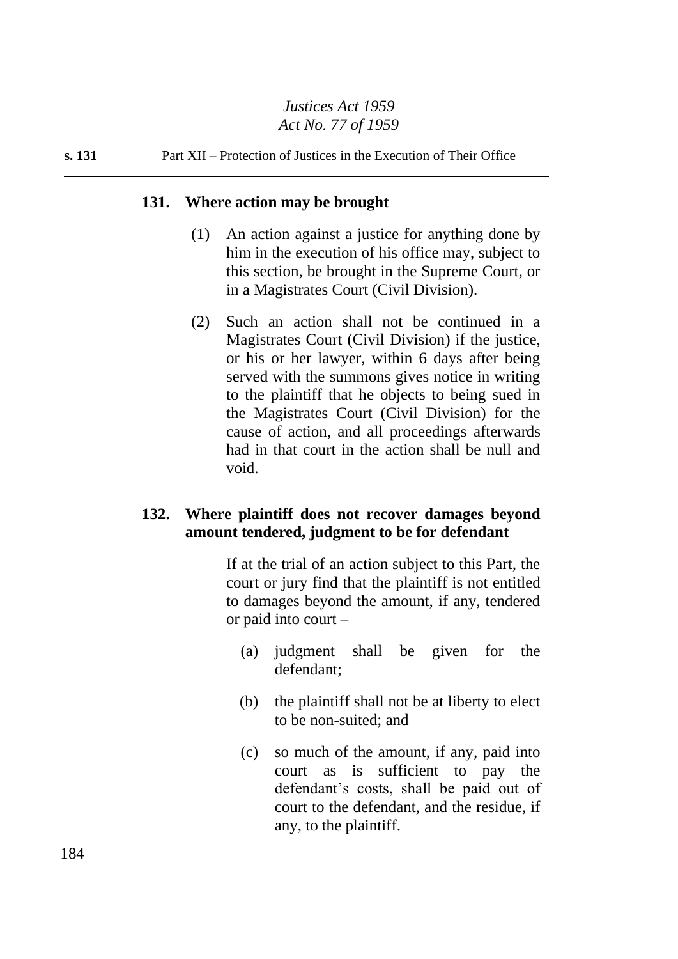**s. 131** Part XII – Protection of Justices in the Execution of Their Office

#### **131. Where action may be brought**

- (1) An action against a justice for anything done by him in the execution of his office may, subject to this section, be brought in the Supreme Court, or in a Magistrates Court (Civil Division).
- (2) Such an action shall not be continued in a Magistrates Court (Civil Division) if the justice, or his or her lawyer, within 6 days after being served with the summons gives notice in writing to the plaintiff that he objects to being sued in the Magistrates Court (Civil Division) for the cause of action, and all proceedings afterwards had in that court in the action shall be null and void.

## **132. Where plaintiff does not recover damages beyond amount tendered, judgment to be for defendant**

If at the trial of an action subject to this Part, the court or jury find that the plaintiff is not entitled to damages beyond the amount, if any, tendered or paid into court –

- (a) judgment shall be given for the defendant;
- (b) the plaintiff shall not be at liberty to elect to be non-suited; and
- (c) so much of the amount, if any, paid into court as is sufficient to pay the defendant's costs, shall be paid out of court to the defendant, and the residue, if any, to the plaintiff.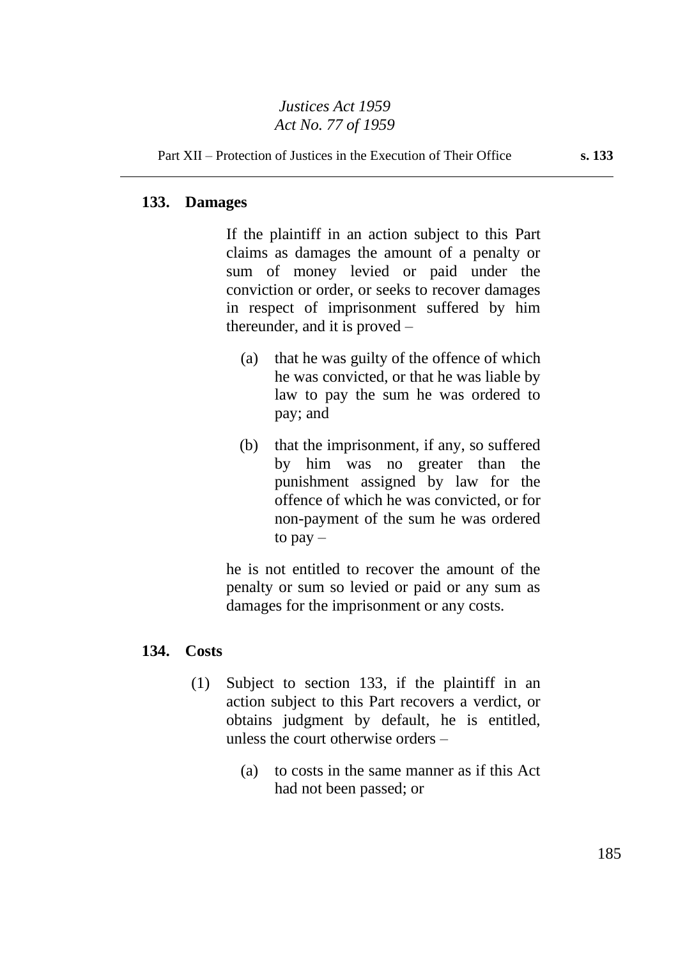#### **133. Damages**

If the plaintiff in an action subject to this Part claims as damages the amount of a penalty or sum of money levied or paid under the conviction or order, or seeks to recover damages in respect of imprisonment suffered by him thereunder, and it is proved –

- (a) that he was guilty of the offence of which he was convicted, or that he was liable by law to pay the sum he was ordered to pay; and
- (b) that the imprisonment, if any, so suffered by him was no greater than the punishment assigned by law for the offence of which he was convicted, or for non-payment of the sum he was ordered to pay –

he is not entitled to recover the amount of the penalty or sum so levied or paid or any sum as damages for the imprisonment or any costs.

#### **134. Costs**

- (1) Subject to section 133, if the plaintiff in an action subject to this Part recovers a verdict, or obtains judgment by default, he is entitled, unless the court otherwise orders –
	- (a) to costs in the same manner as if this Act had not been passed; or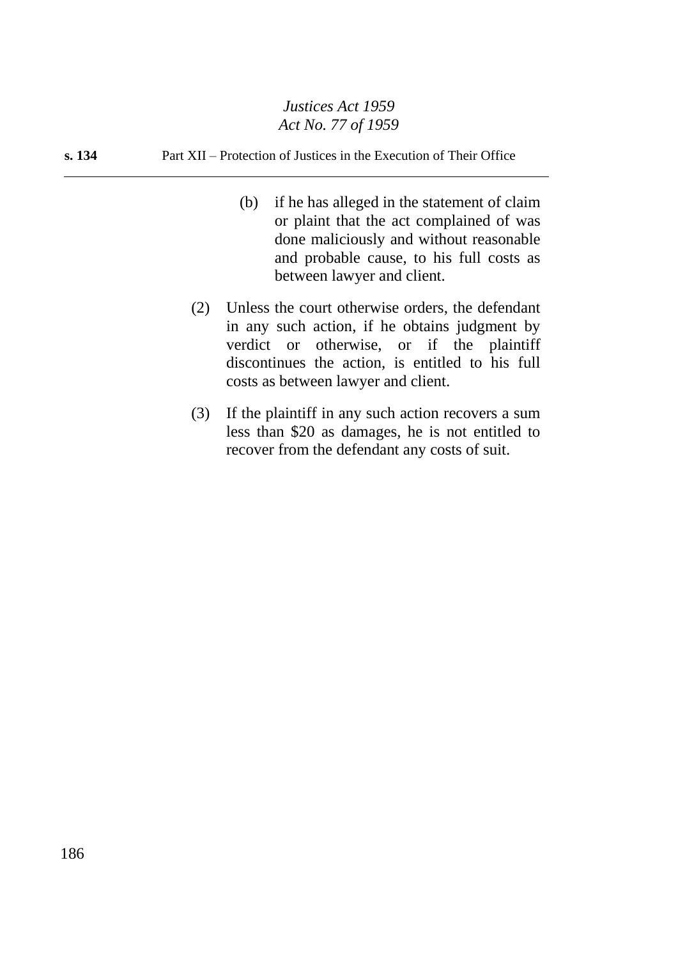#### **s. 134** Part XII – Protection of Justices in the Execution of Their Office

- (b) if he has alleged in the statement of claim or plaint that the act complained of was done maliciously and without reasonable and probable cause, to his full costs as between lawyer and client.
- (2) Unless the court otherwise orders, the defendant in any such action, if he obtains judgment by verdict or otherwise, or if the plaintiff discontinues the action, is entitled to his full costs as between lawyer and client.
- (3) If the plaintiff in any such action recovers a sum less than \$20 as damages, he is not entitled to recover from the defendant any costs of suit.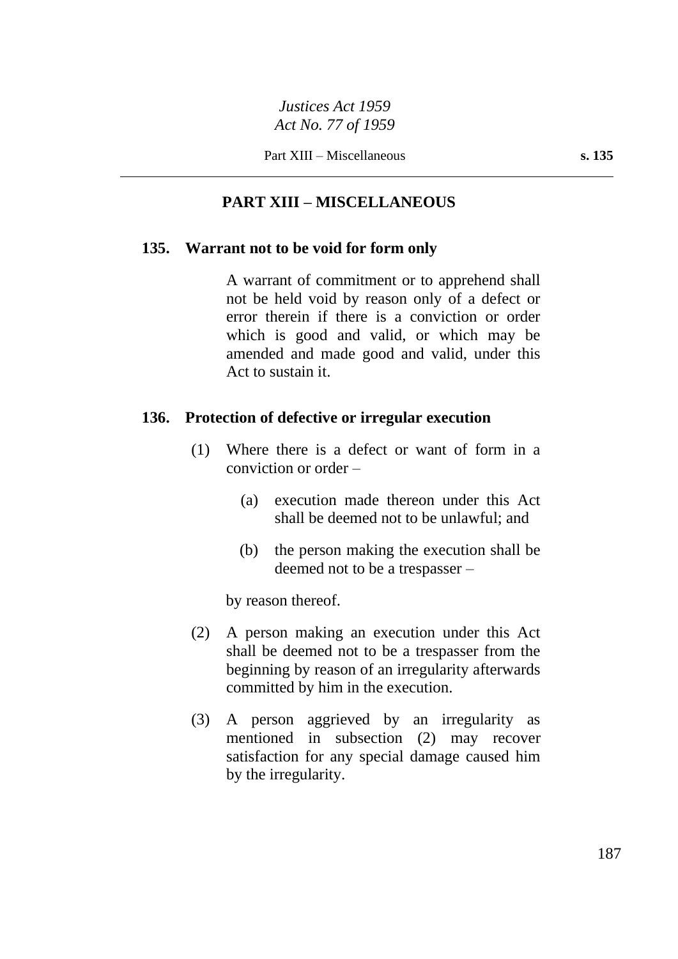# **PART XIII – MISCELLANEOUS**

#### **135. Warrant not to be void for form only**

A warrant of commitment or to apprehend shall not be held void by reason only of a defect or error therein if there is a conviction or order which is good and valid, or which may be amended and made good and valid, under this Act to sustain it.

#### **136. Protection of defective or irregular execution**

- (1) Where there is a defect or want of form in a conviction or order –
	- (a) execution made thereon under this Act shall be deemed not to be unlawful; and
	- (b) the person making the execution shall be deemed not to be a trespasser –

by reason thereof.

- (2) A person making an execution under this Act shall be deemed not to be a trespasser from the beginning by reason of an irregularity afterwards committed by him in the execution.
- (3) A person aggrieved by an irregularity as mentioned in subsection (2) may recover satisfaction for any special damage caused him by the irregularity.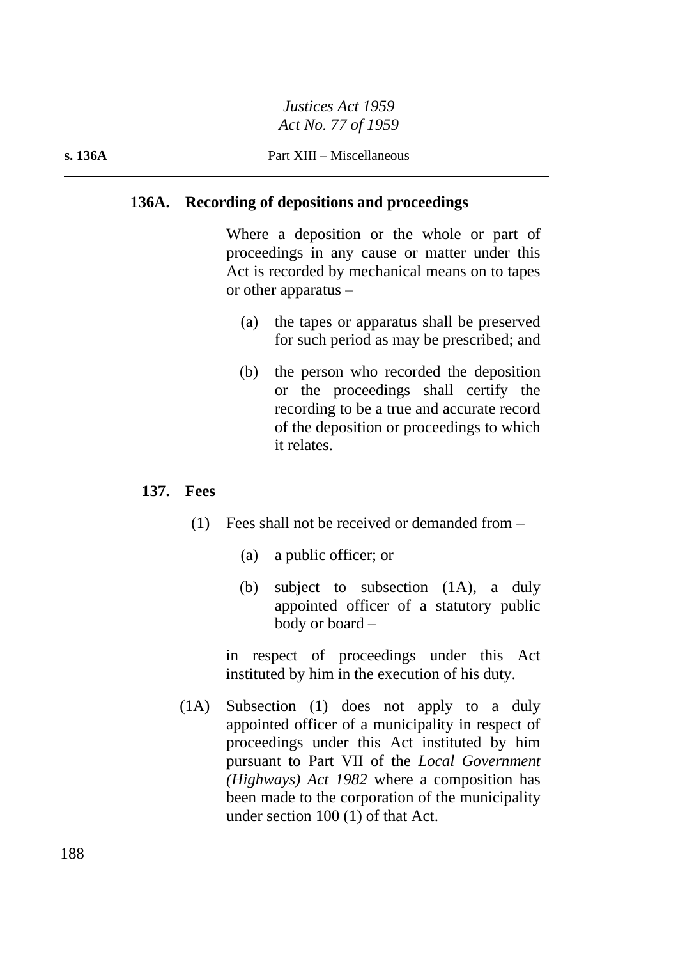#### **s. 136A** Part XIII – Miscellaneous

#### **136A. Recording of depositions and proceedings**

Where a deposition or the whole or part of proceedings in any cause or matter under this Act is recorded by mechanical means on to tapes or other apparatus –

- (a) the tapes or apparatus shall be preserved for such period as may be prescribed; and
- (b) the person who recorded the deposition or the proceedings shall certify the recording to be a true and accurate record of the deposition or proceedings to which it relates.

#### **137. Fees**

- (1) Fees shall not be received or demanded from
	- (a) a public officer; or
	- (b) subject to subsection (1A), a duly appointed officer of a statutory public body or board –

in respect of proceedings under this Act instituted by him in the execution of his duty.

(1A) Subsection (1) does not apply to a duly appointed officer of a municipality in respect of proceedings under this Act instituted by him pursuant to Part VII of the *Local Government (Highways) Act 1982* where a composition has been made to the corporation of the municipality under section 100 (1) of that Act.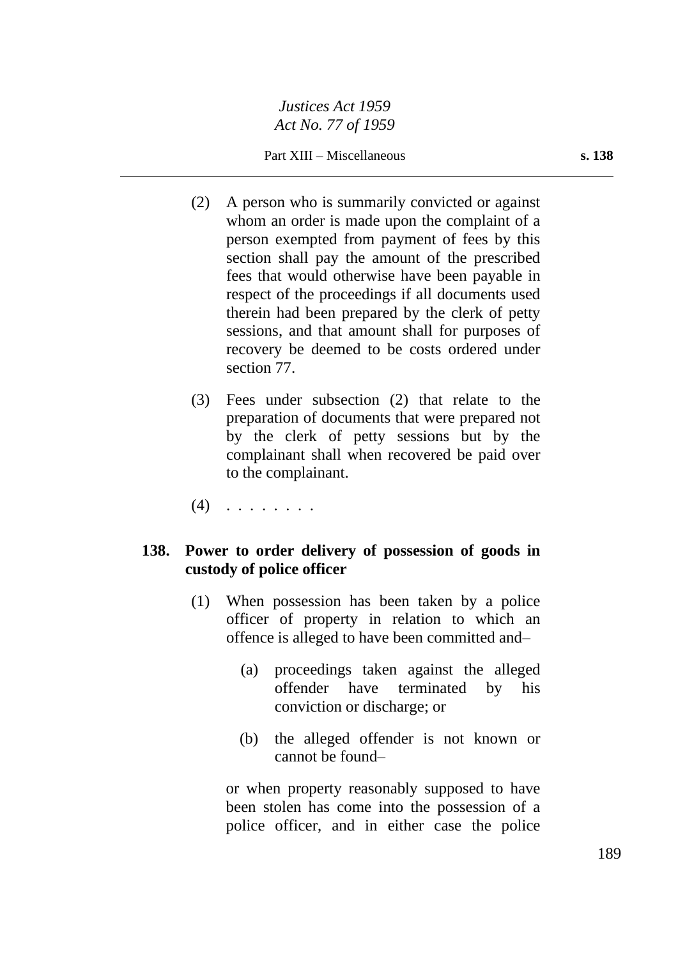Part XIII – Miscellaneous **s. 138**

- (2) A person who is summarily convicted or against whom an order is made upon the complaint of a person exempted from payment of fees by this section shall pay the amount of the prescribed fees that would otherwise have been payable in respect of the proceedings if all documents used therein had been prepared by the clerk of petty sessions, and that amount shall for purposes of recovery be deemed to be costs ordered under section 77.
- (3) Fees under subsection (2) that relate to the preparation of documents that were prepared not by the clerk of petty sessions but by the complainant shall when recovered be paid over to the complainant.
- $(4)$  . . . . . . . .

## **138. Power to order delivery of possession of goods in custody of police officer**

- (1) When possession has been taken by a police officer of property in relation to which an offence is alleged to have been committed and–
	- (a) proceedings taken against the alleged offender have terminated by his conviction or discharge; or
	- (b) the alleged offender is not known or cannot be found–

or when property reasonably supposed to have been stolen has come into the possession of a police officer, and in either case the police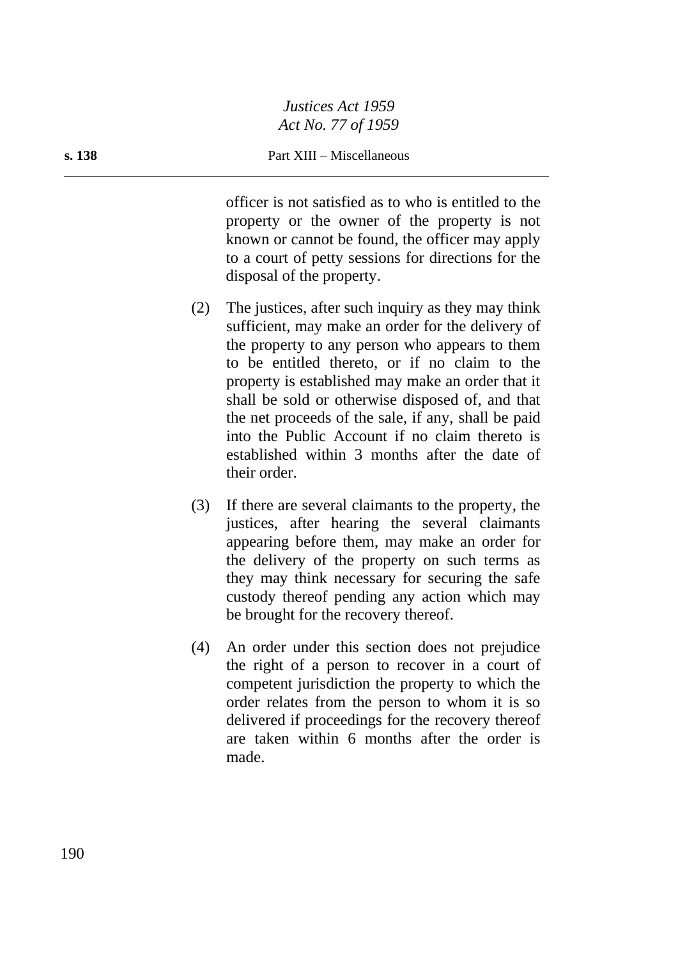#### **s. 138** Part XIII – Miscellaneous

officer is not satisfied as to who is entitled to the property or the owner of the property is not known or cannot be found, the officer may apply to a court of petty sessions for directions for the disposal of the property.

- (2) The justices, after such inquiry as they may think sufficient, may make an order for the delivery of the property to any person who appears to them to be entitled thereto, or if no claim to the property is established may make an order that it shall be sold or otherwise disposed of, and that the net proceeds of the sale, if any, shall be paid into the Public Account if no claim thereto is established within 3 months after the date of their order.
- (3) If there are several claimants to the property, the justices, after hearing the several claimants appearing before them, may make an order for the delivery of the property on such terms as they may think necessary for securing the safe custody thereof pending any action which may be brought for the recovery thereof.
- (4) An order under this section does not prejudice the right of a person to recover in a court of competent jurisdiction the property to which the order relates from the person to whom it is so delivered if proceedings for the recovery thereof are taken within 6 months after the order is made.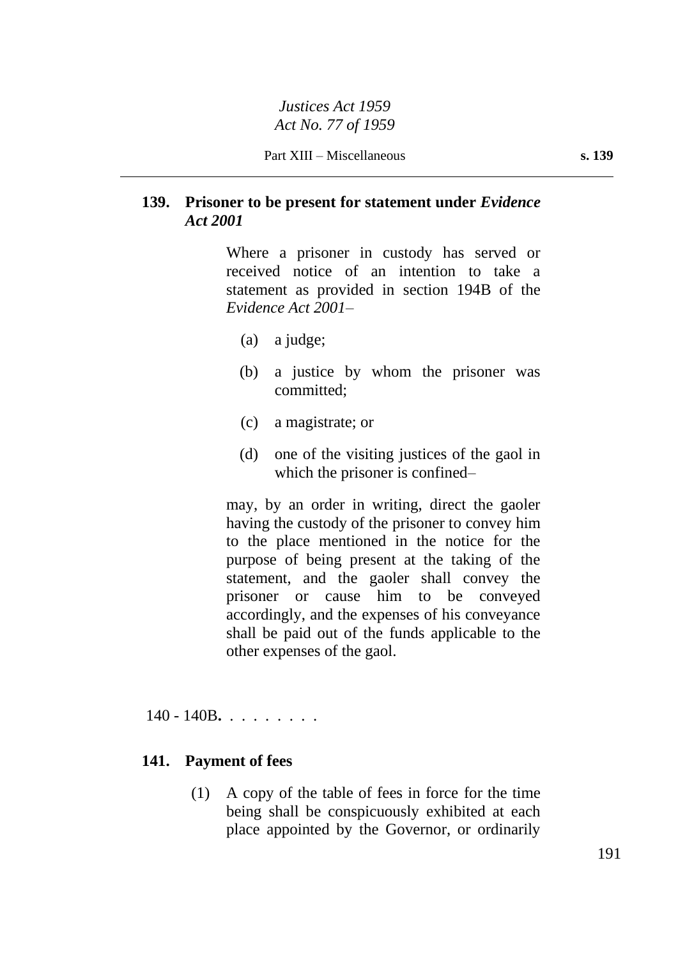# **139. Prisoner to be present for statement under** *Evidence Act 2001*

Where a prisoner in custody has served or received notice of an intention to take a statement as provided in section 194B of the *Evidence Act 2001*–

- (a) a judge;
- (b) a justice by whom the prisoner was committed;
- (c) a magistrate; or
- (d) one of the visiting justices of the gaol in which the prisoner is confined–

may, by an order in writing, direct the gaoler having the custody of the prisoner to convey him to the place mentioned in the notice for the purpose of being present at the taking of the statement, and the gaoler shall convey the prisoner or cause him to be conveyed accordingly, and the expenses of his conveyance shall be paid out of the funds applicable to the other expenses of the gaol.

140 - 140B**.** . . . . . . . .

#### **141. Payment of fees**

(1) A copy of the table of fees in force for the time being shall be conspicuously exhibited at each place appointed by the Governor, or ordinarily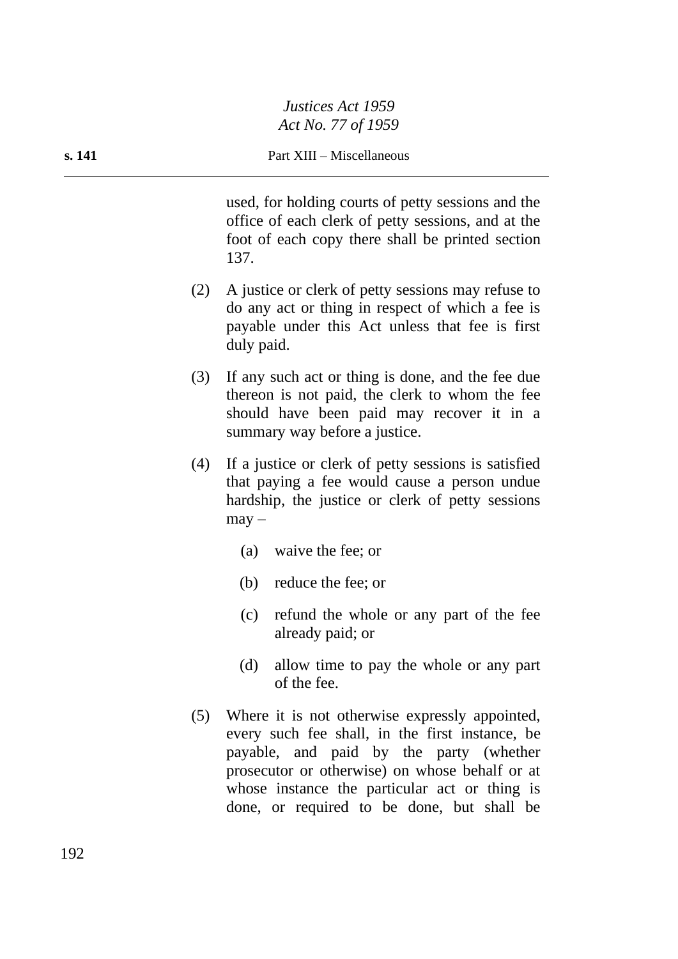used, for holding courts of petty sessions and the office of each clerk of petty sessions, and at the foot of each copy there shall be printed section 137.

- (2) A justice or clerk of petty sessions may refuse to do any act or thing in respect of which a fee is payable under this Act unless that fee is first duly paid.
- (3) If any such act or thing is done, and the fee due thereon is not paid, the clerk to whom the fee should have been paid may recover it in a summary way before a justice.
- (4) If a justice or clerk of petty sessions is satisfied that paying a fee would cause a person undue hardship, the justice or clerk of petty sessions  $may -$ 
	- (a) waive the fee; or
	- (b) reduce the fee; or
	- (c) refund the whole or any part of the fee already paid; or
	- (d) allow time to pay the whole or any part of the fee.
- (5) Where it is not otherwise expressly appointed, every such fee shall, in the first instance, be payable, and paid by the party (whether prosecutor or otherwise) on whose behalf or at whose instance the particular act or thing is done, or required to be done, but shall be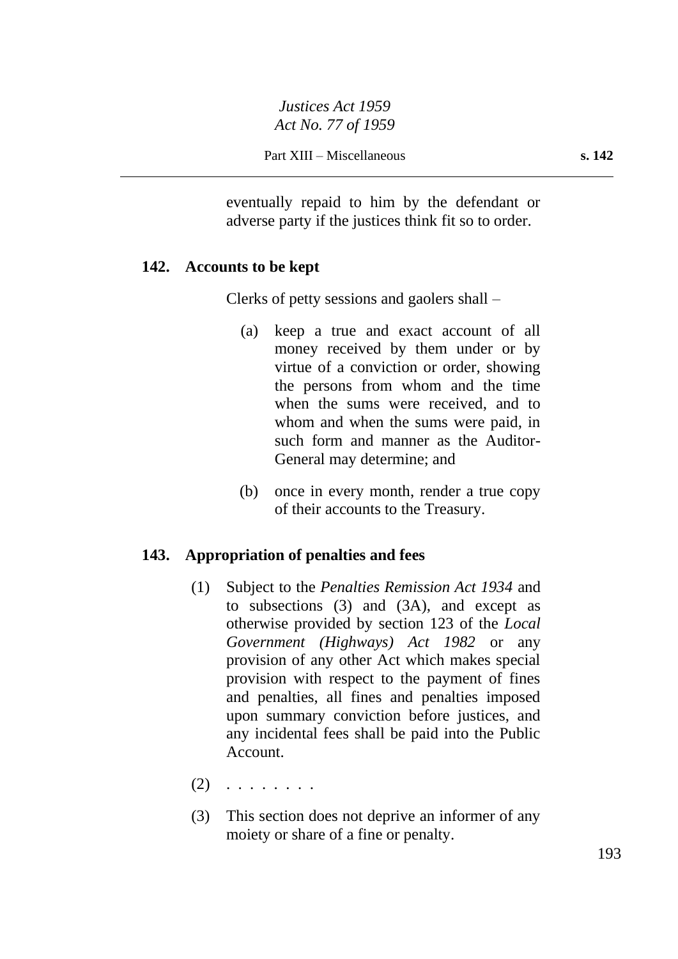eventually repaid to him by the defendant or adverse party if the justices think fit so to order.

#### **142. Accounts to be kept**

Clerks of petty sessions and gaolers shall –

- (a) keep a true and exact account of all money received by them under or by virtue of a conviction or order, showing the persons from whom and the time when the sums were received, and to whom and when the sums were paid, in such form and manner as the Auditor-General may determine; and
- (b) once in every month, render a true copy of their accounts to the Treasury.

## **143. Appropriation of penalties and fees**

- (1) Subject to the *Penalties Remission Act 1934* and to subsections (3) and (3A), and except as otherwise provided by section 123 of the *Local Government (Highways) Act 1982* or any provision of any other Act which makes special provision with respect to the payment of fines and penalties, all fines and penalties imposed upon summary conviction before justices, and any incidental fees shall be paid into the Public Account.
- $(2)$  . . . . . . . .
- (3) This section does not deprive an informer of any moiety or share of a fine or penalty.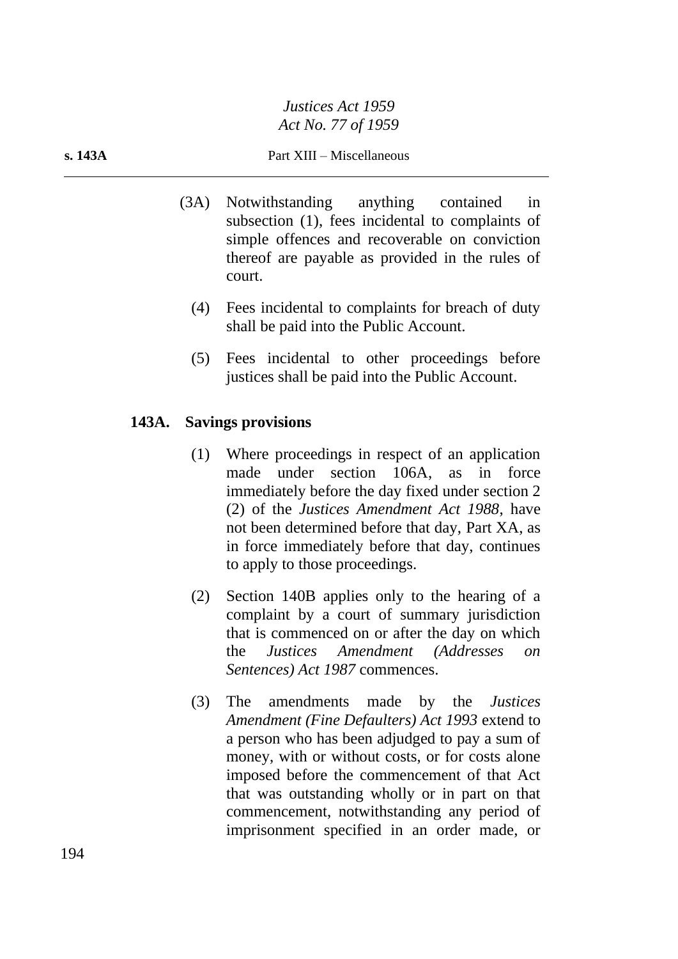#### **s. 143A** Part XIII – Miscellaneous

- (3A) Notwithstanding anything contained in subsection (1), fees incidental to complaints of simple offences and recoverable on conviction thereof are payable as provided in the rules of court.
	- (4) Fees incidental to complaints for breach of duty shall be paid into the Public Account.
	- (5) Fees incidental to other proceedings before justices shall be paid into the Public Account.

## **143A. Savings provisions**

- (1) Where proceedings in respect of an application made under section 106A, as in force immediately before the day fixed under section 2 (2) of the *Justices Amendment Act 1988*, have not been determined before that day, Part XA, as in force immediately before that day, continues to apply to those proceedings.
- (2) Section 140B applies only to the hearing of a complaint by a court of summary jurisdiction that is commenced on or after the day on which the *Justices Amendment (Addresses on Sentences) Act 1987* commences.
- (3) The amendments made by the *Justices Amendment (Fine Defaulters) Act 1993* extend to a person who has been adjudged to pay a sum of money, with or without costs, or for costs alone imposed before the commencement of that Act that was outstanding wholly or in part on that commencement, notwithstanding any period of imprisonment specified in an order made, or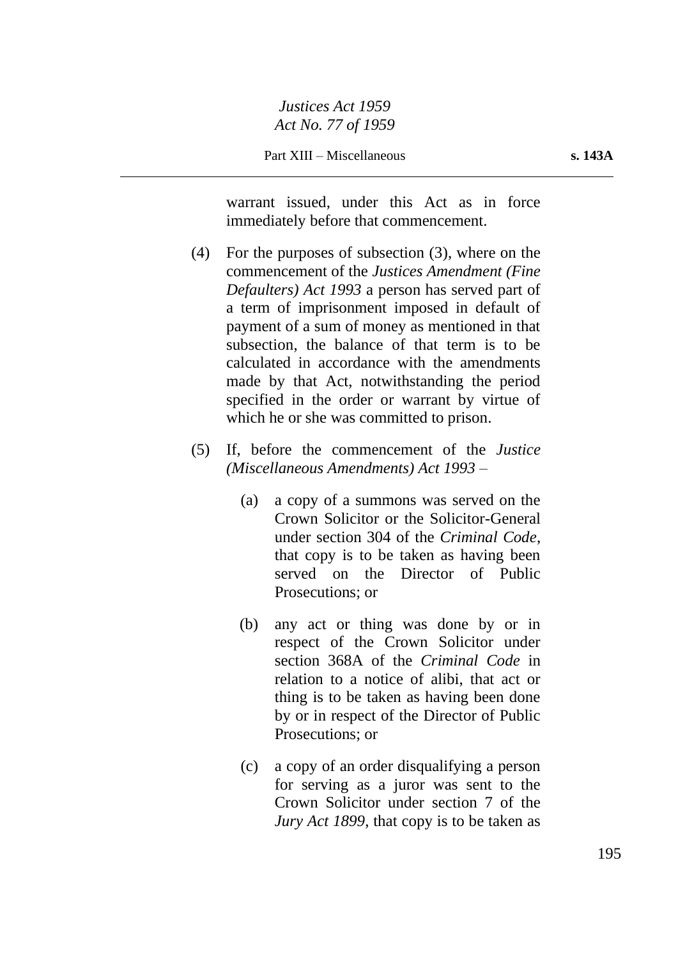Part XIII – Miscellaneous **s. 143A**

warrant issued, under this Act as in force immediately before that commencement.

- (4) For the purposes of subsection (3), where on the commencement of the *Justices Amendment (Fine Defaulters) Act 1993* a person has served part of a term of imprisonment imposed in default of payment of a sum of money as mentioned in that subsection, the balance of that term is to be calculated in accordance with the amendments made by that Act, notwithstanding the period specified in the order or warrant by virtue of which he or she was committed to prison.
- (5) If, before the commencement of the *Justice (Miscellaneous Amendments) Act 1993* –
	- (a) a copy of a summons was served on the Crown Solicitor or the Solicitor-General under section 304 of the *Criminal Code*, that copy is to be taken as having been served on the Director of Public Prosecutions; or
	- (b) any act or thing was done by or in respect of the Crown Solicitor under section 368A of the *Criminal Code* in relation to a notice of alibi, that act or thing is to be taken as having been done by or in respect of the Director of Public Prosecutions; or
	- (c) a copy of an order disqualifying a person for serving as a juror was sent to the Crown Solicitor under section 7 of the *Jury Act 1899*, that copy is to be taken as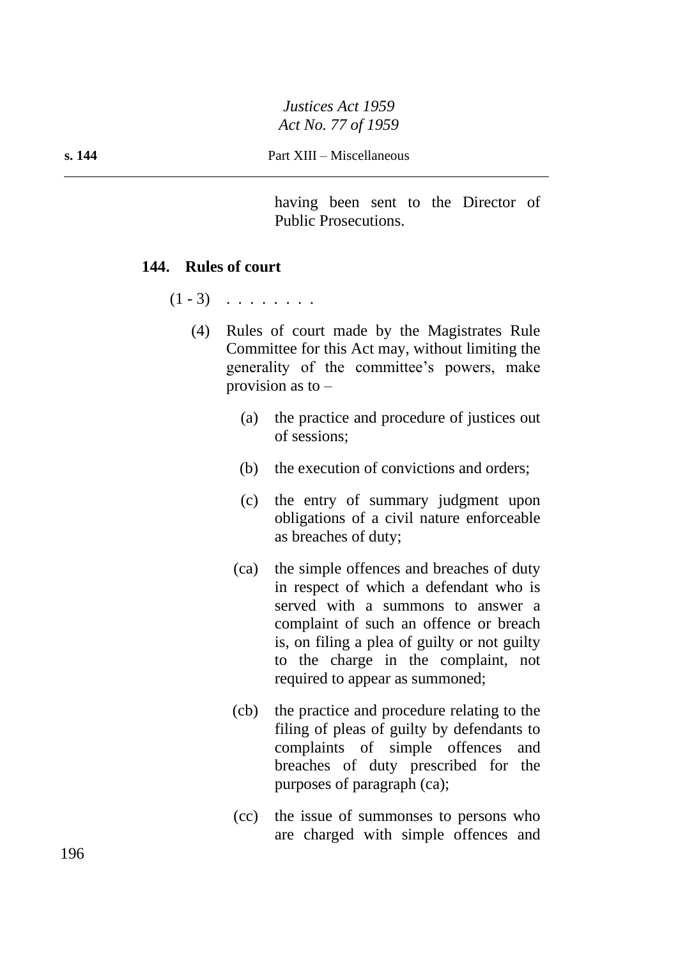having been sent to the Director of Public Prosecutions.

#### **144. Rules of court**

 $(1 - 3)$  . . . . . . .

- (4) Rules of court made by the Magistrates Rule Committee for this Act may, without limiting the generality of the committee's powers, make provision as to  $-$ 
	- (a) the practice and procedure of justices out of sessions;
	- (b) the execution of convictions and orders;
	- (c) the entry of summary judgment upon obligations of a civil nature enforceable as breaches of duty;
	- (ca) the simple offences and breaches of duty in respect of which a defendant who is served with a summons to answer a complaint of such an offence or breach is, on filing a plea of guilty or not guilty to the charge in the complaint, not required to appear as summoned;
	- (cb) the practice and procedure relating to the filing of pleas of guilty by defendants to complaints of simple offences and breaches of duty prescribed for the purposes of paragraph (ca);
	- (cc) the issue of summonses to persons who are charged with simple offences and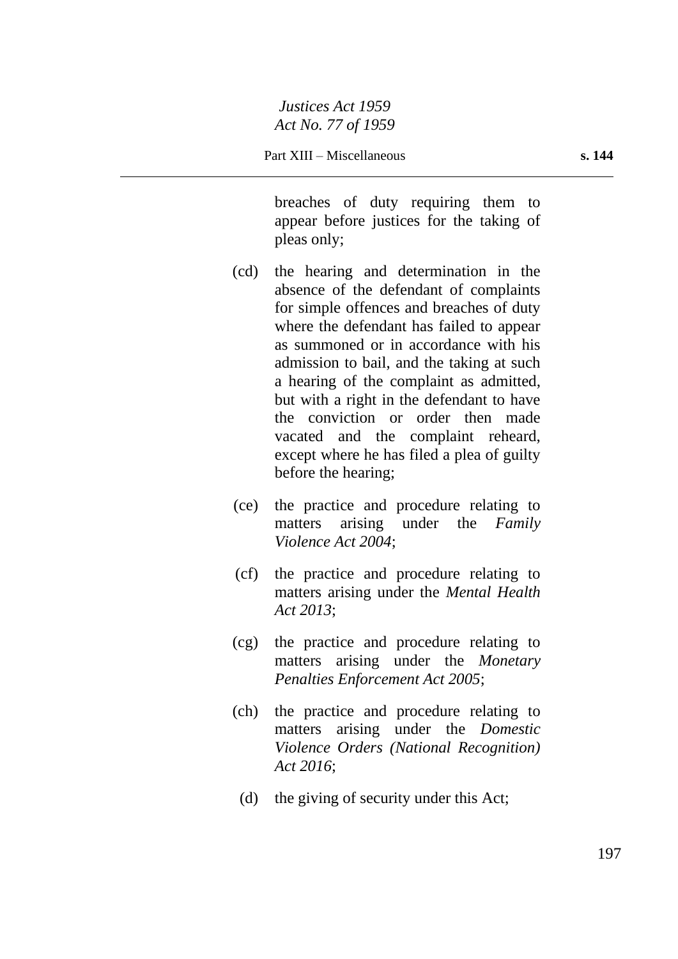breaches of duty requiring them to appear before justices for the taking of pleas only;

- (cd) the hearing and determination in the absence of the defendant of complaints for simple offences and breaches of duty where the defendant has failed to appear as summoned or in accordance with his admission to bail, and the taking at such a hearing of the complaint as admitted, but with a right in the defendant to have the conviction or order then made vacated and the complaint reheard, except where he has filed a plea of guilty before the hearing;
- (ce) the practice and procedure relating to matters arising under the *Family Violence Act 2004*;
- (cf) the practice and procedure relating to matters arising under the *Mental Health Act 2013*;
- (cg) the practice and procedure relating to matters arising under the *Monetary Penalties Enforcement Act 2005*;
- (ch) the practice and procedure relating to matters arising under the *Domestic Violence Orders (National Recognition) Act 2016*;
	- (d) the giving of security under this Act;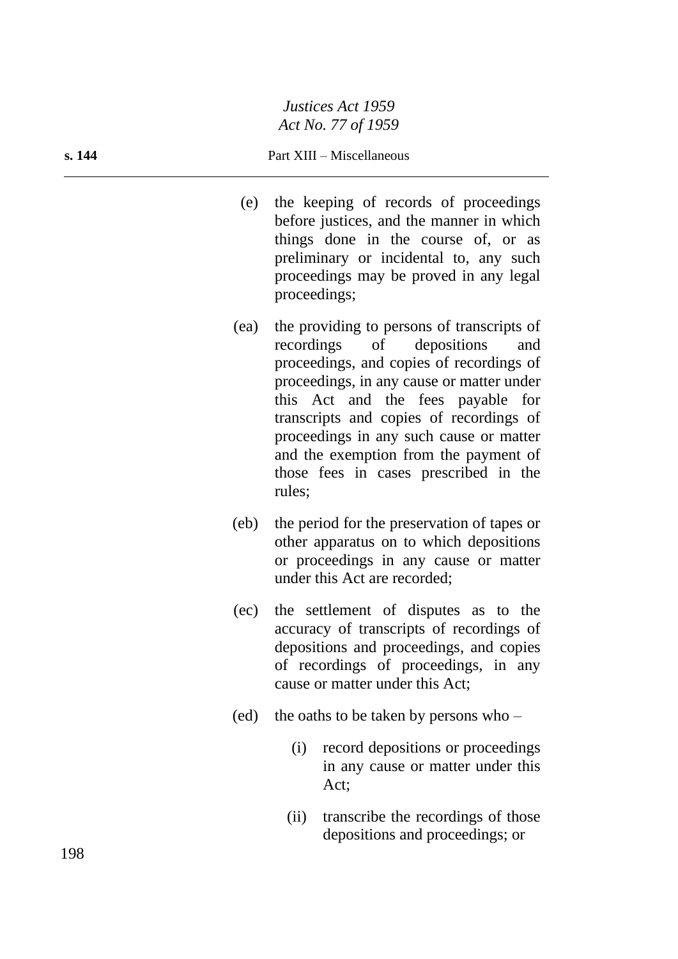#### **s. 144** Part XIII – Miscellaneous

- (e) the keeping of records of proceedings before justices, and the manner in which things done in the course of, or as preliminary or incidental to, any such proceedings may be proved in any legal proceedings;
- (ea) the providing to persons of transcripts of recordings of depositions and proceedings, and copies of recordings of proceedings, in any cause or matter under this Act and the fees payable for transcripts and copies of recordings of proceedings in any such cause or matter and the exemption from the payment of those fees in cases prescribed in the rules;
- (eb) the period for the preservation of tapes or other apparatus on to which depositions or proceedings in any cause or matter under this Act are recorded;
- (ec) the settlement of disputes as to the accuracy of transcripts of recordings of depositions and proceedings, and copies of recordings of proceedings, in any cause or matter under this Act;
- (ed) the oaths to be taken by persons who
	- (i) record depositions or proceedings in any cause or matter under this Act;
	- (ii) transcribe the recordings of those depositions and proceedings; or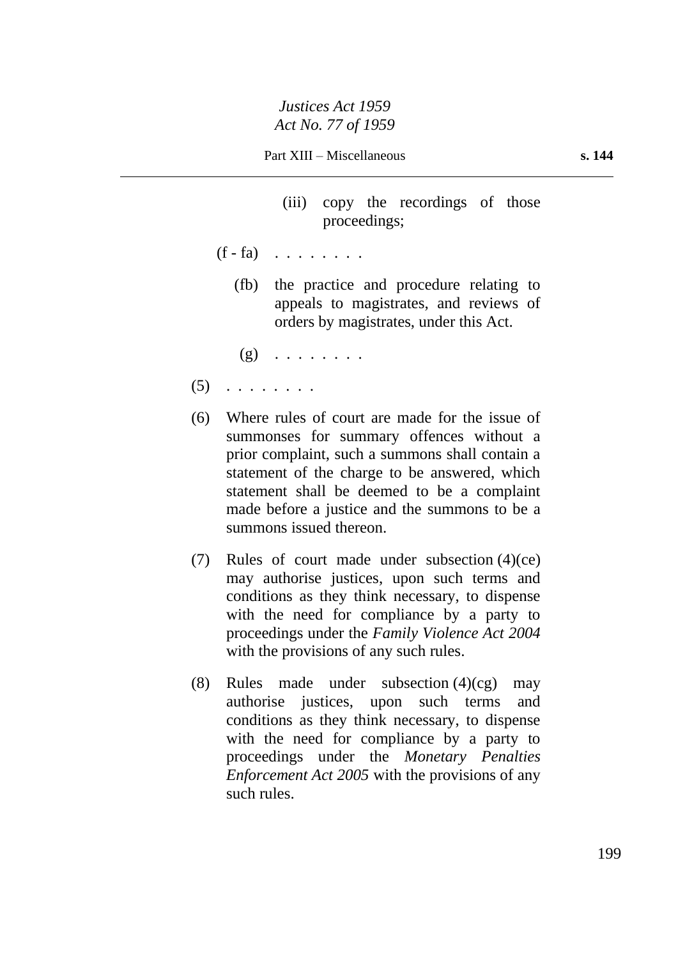- (iii) copy the recordings of those proceedings;
- $(f fa)$  . . . . . . .
	- (fb) the practice and procedure relating to appeals to magistrates, and reviews of orders by magistrates, under this Act.
	- $(g)$  . . . . . . . .
- $(5)$  . . . . . . . .
- (6) Where rules of court are made for the issue of summonses for summary offences without a prior complaint, such a summons shall contain a statement of the charge to be answered, which statement shall be deemed to be a complaint made before a justice and the summons to be a summons issued thereon.
- (7) Rules of court made under subsection (4)(ce) may authorise justices, upon such terms and conditions as they think necessary, to dispense with the need for compliance by a party to proceedings under the *Family Violence Act 2004* with the provisions of any such rules.
- (8) Rules made under subsection  $(4)(cg)$  may authorise justices, upon such terms and conditions as they think necessary, to dispense with the need for compliance by a party to proceedings under the *Monetary Penalties Enforcement Act 2005* with the provisions of any such rules.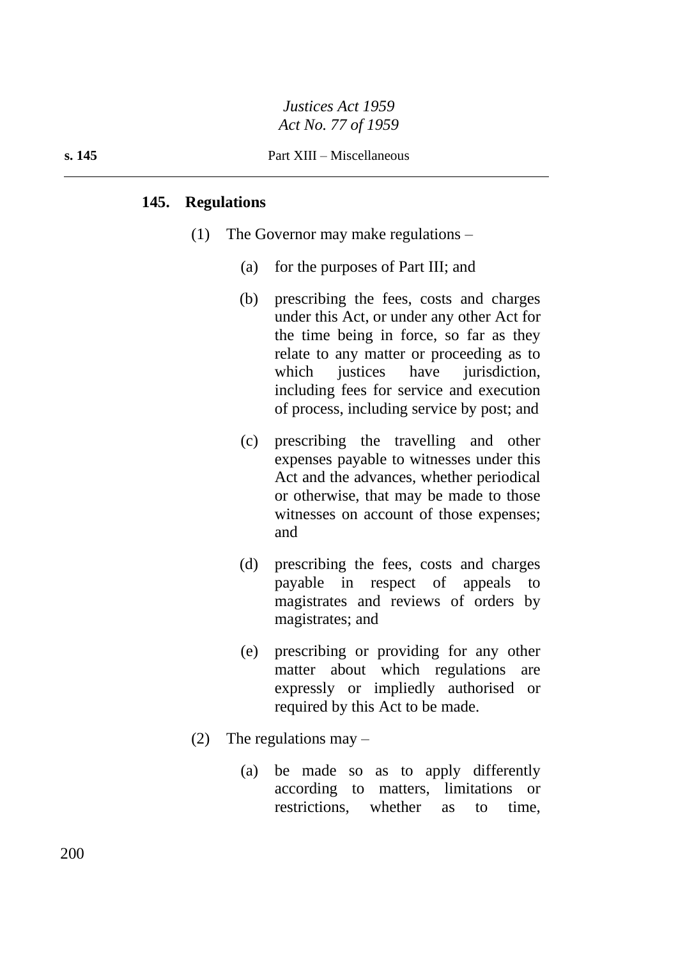#### **s. 145** Part XIII – Miscellaneous

#### **145. Regulations**

- (1) The Governor may make regulations
	- (a) for the purposes of Part III; and
	- (b) prescribing the fees, costs and charges under this Act, or under any other Act for the time being in force, so far as they relate to any matter or proceeding as to which justices have jurisdiction, including fees for service and execution of process, including service by post; and
	- (c) prescribing the travelling and other expenses payable to witnesses under this Act and the advances, whether periodical or otherwise, that may be made to those witnesses on account of those expenses; and
	- (d) prescribing the fees, costs and charges payable in respect of appeals to magistrates and reviews of orders by magistrates; and
	- (e) prescribing or providing for any other matter about which regulations are expressly or impliedly authorised or required by this Act to be made.
- (2) The regulations may  $-$ 
	- (a) be made so as to apply differently according to matters, limitations or restrictions, whether as to time,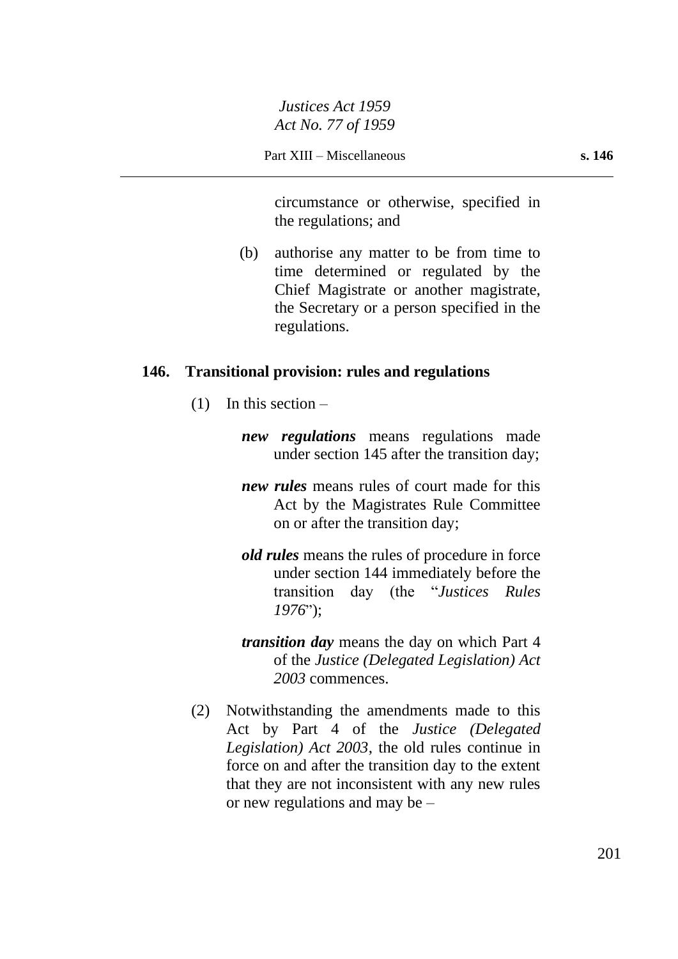circumstance or otherwise, specified in the regulations; and

(b) authorise any matter to be from time to time determined or regulated by the Chief Magistrate or another magistrate, the Secretary or a person specified in the regulations.

#### **146. Transitional provision: rules and regulations**

- $(1)$  In this section
	- *new regulations* means regulations made under section 145 after the transition day;
	- *new rules* means rules of court made for this Act by the Magistrates Rule Committee on or after the transition day;
	- *old rules* means the rules of procedure in force under section 144 immediately before the transition day (the "*Justices Rules 1976*");
	- *transition day* means the day on which Part 4 of the *Justice (Delegated Legislation) Act 2003* commences.
- (2) Notwithstanding the amendments made to this Act by Part 4 of the *Justice (Delegated Legislation) Act 2003*, the old rules continue in force on and after the transition day to the extent that they are not inconsistent with any new rules or new regulations and may be –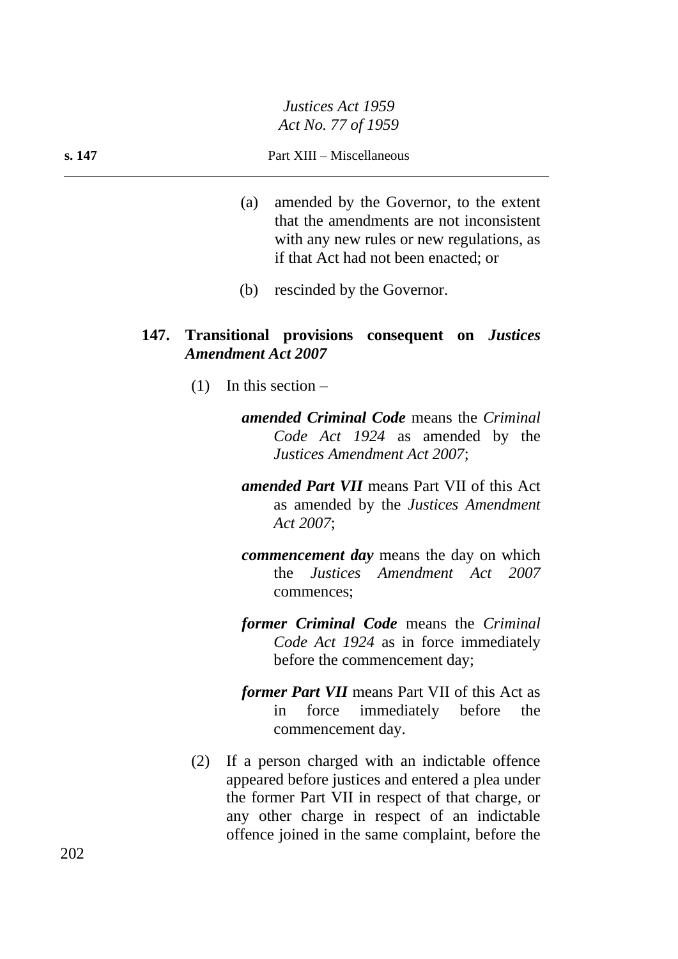- (a) amended by the Governor, to the extent that the amendments are not inconsistent with any new rules or new regulations, as if that Act had not been enacted; or
- (b) rescinded by the Governor.

#### **147. Transitional provisions consequent on** *Justices Amendment Act 2007*

- $(1)$  In this section
	- *amended Criminal Code* means the *Criminal Code Act 1924* as amended by the *Justices Amendment Act 2007*;
	- *amended Part VII* means Part VII of this Act as amended by the *Justices Amendment Act 2007*;
	- *commencement day* means the day on which the *Justices Amendment Act 2007* commences;
	- *former Criminal Code* means the *Criminal Code Act 1924* as in force immediately before the commencement day;
	- *former Part VII* means Part VII of this Act as in force immediately before the commencement day.
- (2) If a person charged with an indictable offence appeared before justices and entered a plea under the former Part VII in respect of that charge, or any other charge in respect of an indictable offence joined in the same complaint, before the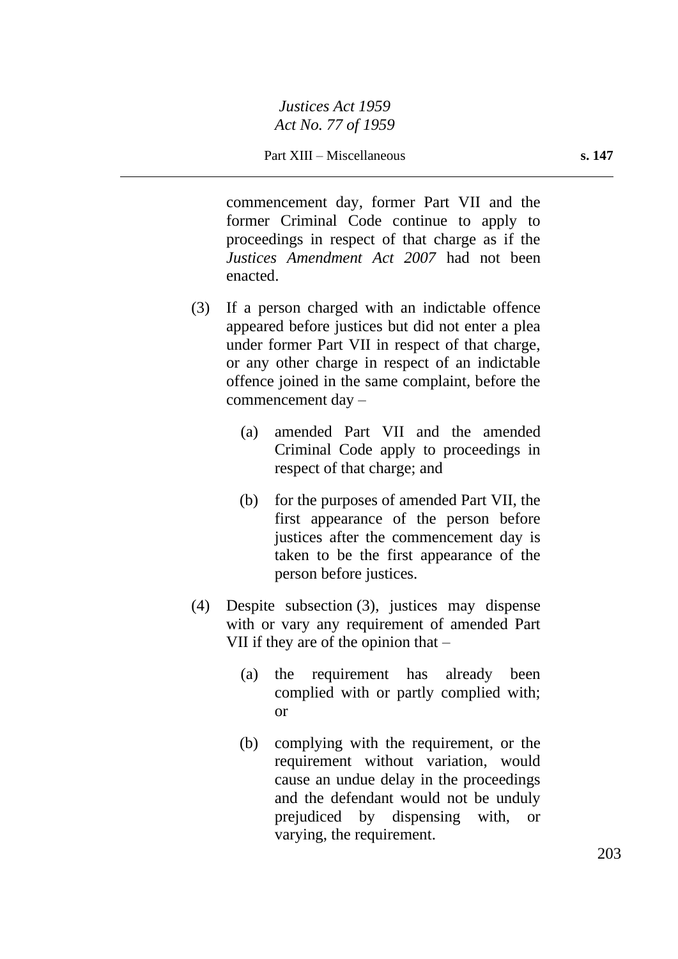commencement day, former Part VII and the former Criminal Code continue to apply to proceedings in respect of that charge as if the *Justices Amendment Act 2007* had not been enacted.

- (3) If a person charged with an indictable offence appeared before justices but did not enter a plea under former Part VII in respect of that charge, or any other charge in respect of an indictable offence joined in the same complaint, before the commencement day –
	- (a) amended Part VII and the amended Criminal Code apply to proceedings in respect of that charge; and
	- (b) for the purposes of amended Part VII, the first appearance of the person before justices after the commencement day is taken to be the first appearance of the person before justices.
- (4) Despite subsection (3), justices may dispense with or vary any requirement of amended Part VII if they are of the opinion that –
	- (a) the requirement has already been complied with or partly complied with; or
	- (b) complying with the requirement, or the requirement without variation, would cause an undue delay in the proceedings and the defendant would not be unduly prejudiced by dispensing with, or varying, the requirement.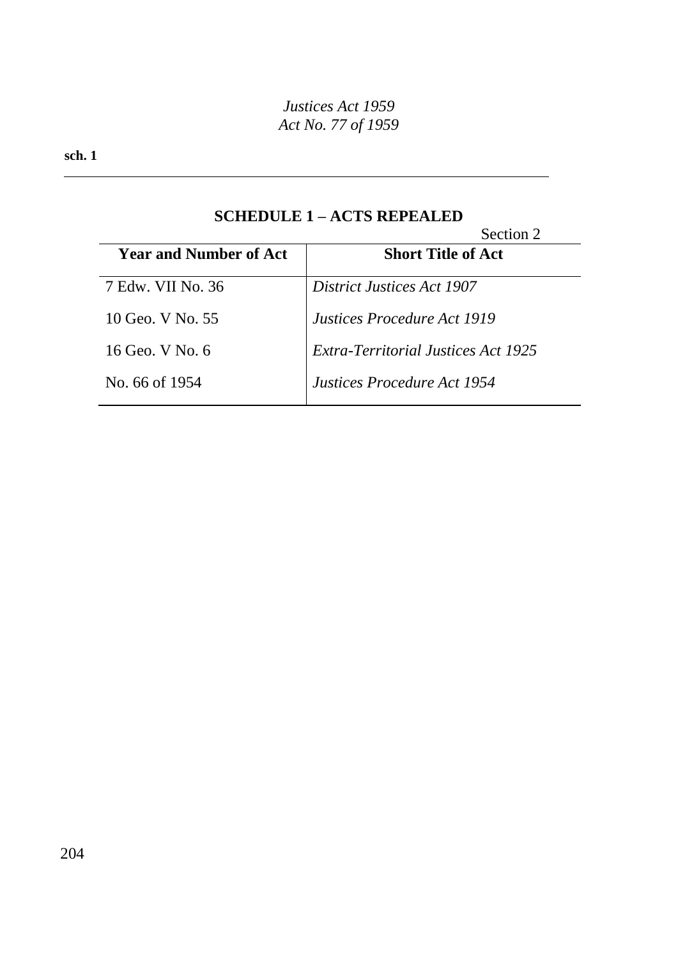**sch. 1**

# **SCHEDULE 1 – ACTS REPEALED**

|                               | Section 2                                  |
|-------------------------------|--------------------------------------------|
| <b>Year and Number of Act</b> | <b>Short Title of Act</b>                  |
| 7 Edw. VII No. 36             | <b>District Justices Act 1907</b>          |
| 10 Geo. V No. 55              | <i>Justices Procedure Act 1919</i>         |
| 16 Geo. V No. 6               | <b>Extra-Territorial Justices Act 1925</b> |
| No. 66 of 1954                | Justices Procedure Act 1954                |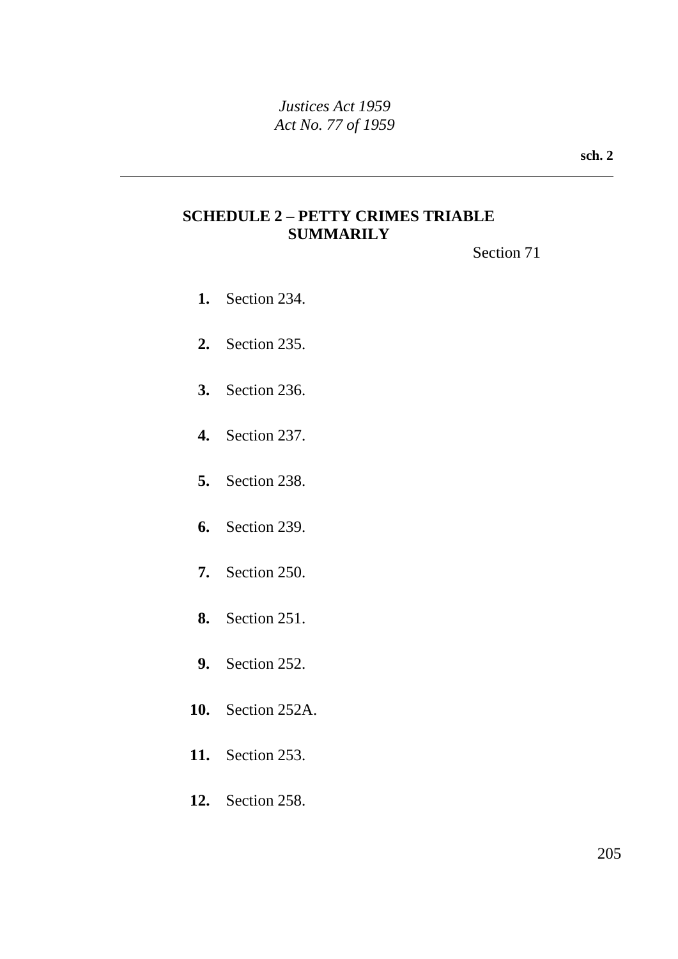**sch. 2**

# **SCHEDULE 2 – PETTY CRIMES TRIABLE SUMMARILY**

Section 71

- **1.** Section 234.
- **2.** Section 235.
- **3.** Section 236.
- **4.** Section 237.
- **5.** Section 238.
- **6.** Section 239.
- **7.** Section 250.
- **8.** Section 251.
- **9.** Section 252.
- **10.** Section 252A.
- **11.** Section 253.
- **12.** Section 258.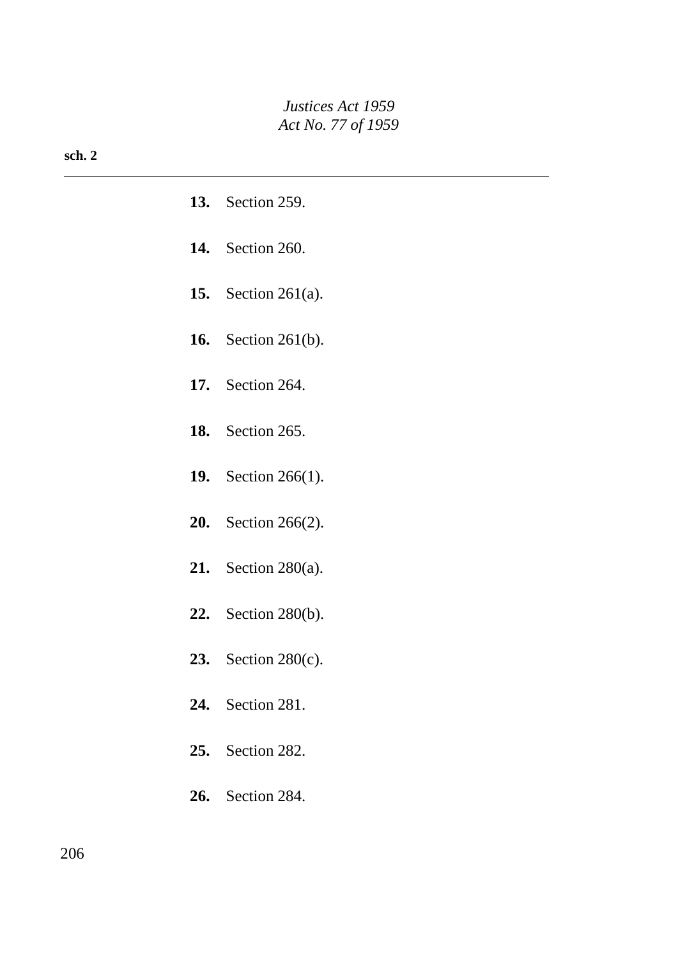#### **sch. 2**

|     | <b>13.</b> Section 259.       |
|-----|-------------------------------|
|     | <b>14.</b> Section 260.       |
|     | <b>15.</b> Section 261(a).    |
|     | <b>16.</b> Section 261(b).    |
|     | <b>17.</b> Section 264.       |
|     | <b>18.</b> Section 265.       |
|     | <b>19.</b> Section 266(1).    |
|     | <b>20.</b> Section $266(2)$ . |
|     | 21. Section $280(a)$ .        |
|     | <b>22.</b> Section 280(b).    |
|     | 23. Section $280(c)$ .        |
|     | <b>24.</b> Section 281.       |
| 25. | Section 282.                  |
|     | <b>26.</b> Section 284.       |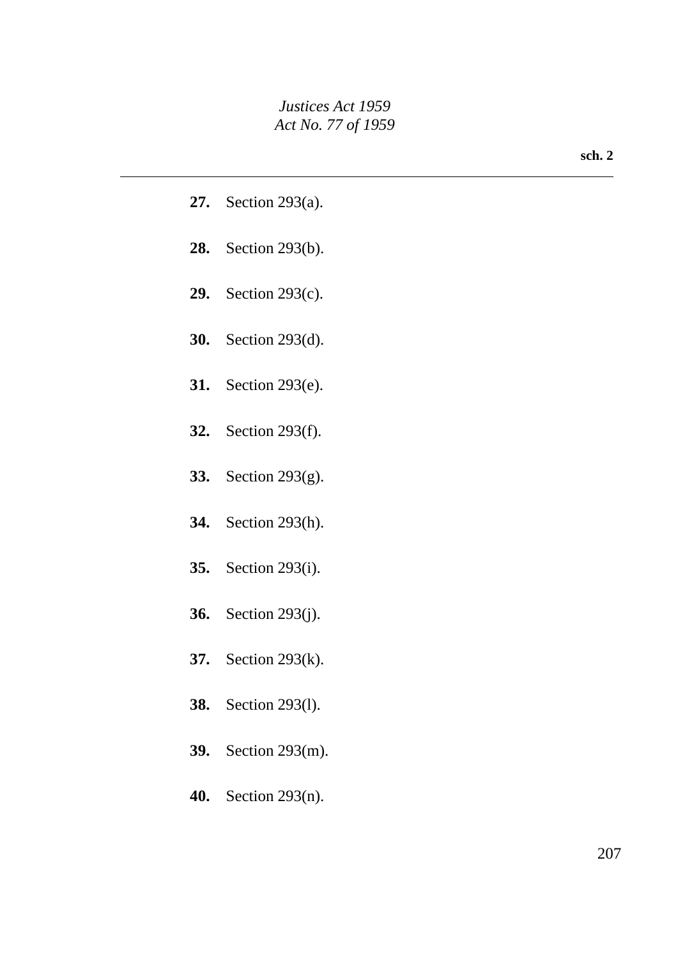| <b>27.</b> Section 293(a). |
|----------------------------|
| 28. Section 293(b).        |
| 29. Section $293(c)$ .     |
| <b>30.</b> Section 293(d). |
| <b>31.</b> Section 293(e). |
| <b>32.</b> Section 293(f). |
| <b>33.</b> Section 293(g). |
| <b>34.</b> Section 293(h). |
| <b>35.</b> Section 293(i). |
| <b>36.</b> Section 293(j). |
| <b>37.</b> Section 293(k). |
| <b>38.</b> Section 293(1). |
|                            |
| <b>39.</b> Section 293(m). |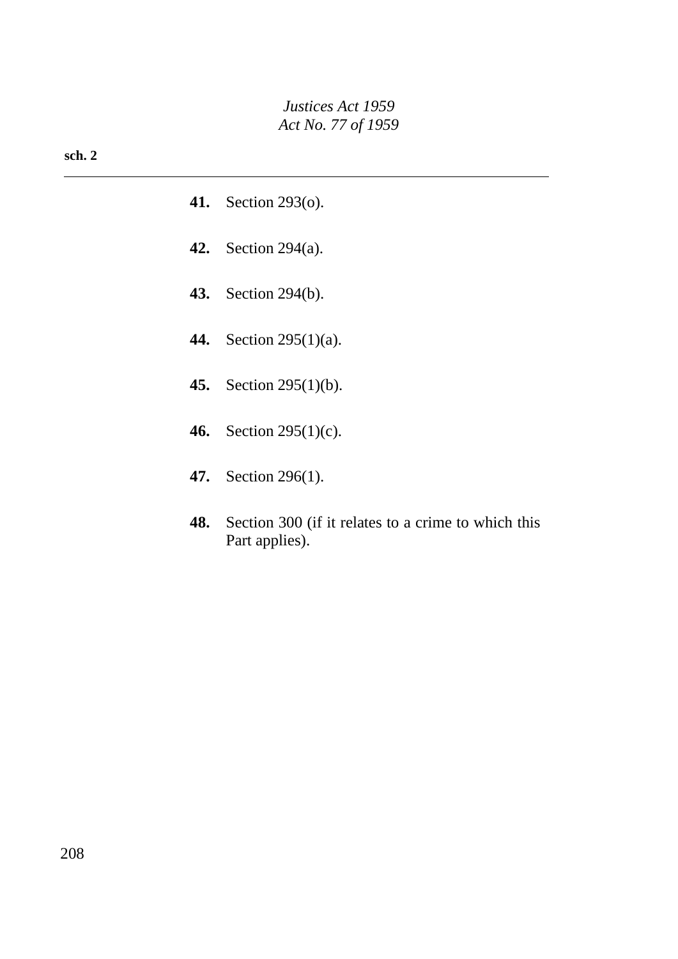#### **sch. 2**

- **41.** Section 293(o).
- **42.** Section 294(a).
- **43.** Section 294(b).
- **44.** Section 295(1)(a).
- **45.** Section 295(1)(b).
- **46.** Section 295(1)(c).
- **47.** Section 296(1).
- **48.** Section 300 (if it relates to a crime to which this Part applies).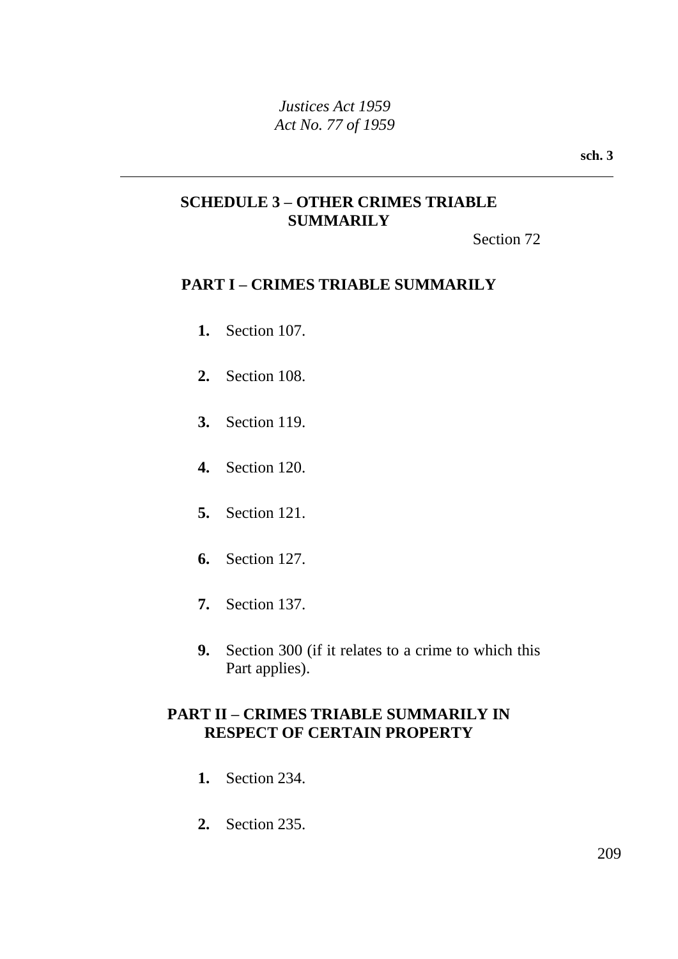**sch. 3**

# **SCHEDULE 3 – OTHER CRIMES TRIABLE SUMMARILY**

Section 72

## **PART I – CRIMES TRIABLE SUMMARILY**

- **1.** Section 107.
- **2.** Section 108.
- **3.** Section 119.
- **4.** Section 120.
- **5.** Section 121.
- **6.** Section 127.
- **7.** Section 137.
- **9.** Section 300 (if it relates to a crime to which this Part applies).

## **PART II – CRIMES TRIABLE SUMMARILY IN RESPECT OF CERTAIN PROPERTY**

- **1.** Section 234.
- **2.** Section 235.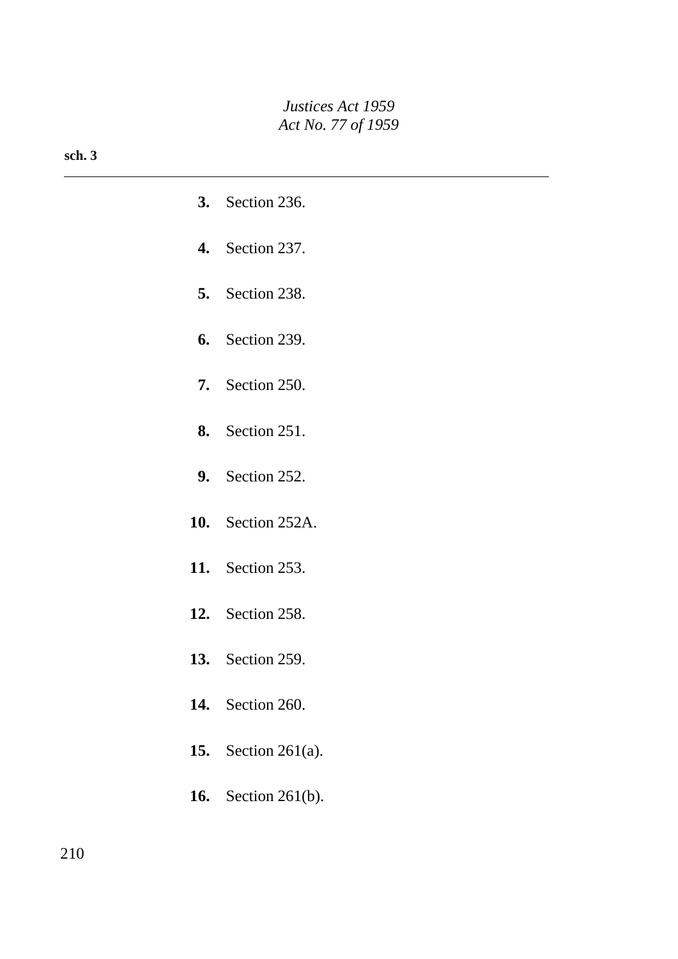#### **sch. 3**

| <b>3.</b> Section 236.     |
|----------------------------|
| <b>4.</b> Section 237.     |
| <b>5.</b> Section 238.     |
| <b>6.</b> Section 239.     |
| <b>7.</b> Section 250.     |
| <b>8.</b> Section 251.     |
| <b>9.</b> Section 252.     |
| <b>10.</b> Section 252A.   |
| <b>11.</b> Section 253.    |
| <b>12.</b> Section 258.    |
| <b>13.</b> Section 259.    |
| <b>14.</b> Section 260.    |
| <b>15.</b> Section 261(a). |
| <b>16.</b> Section 261(b). |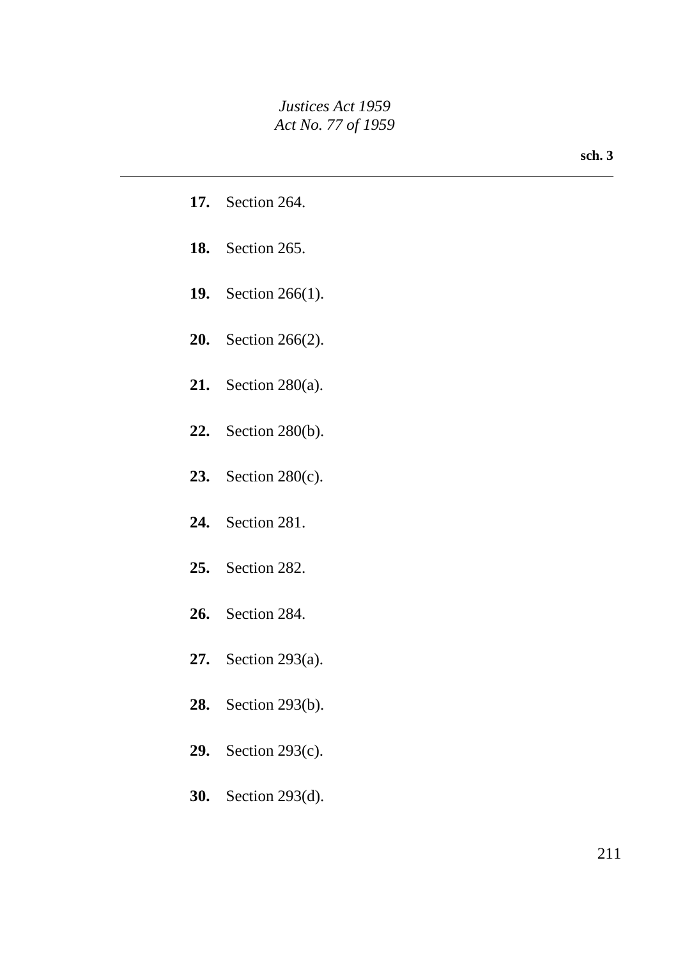|     | <b>17.</b> Section 264.       |
|-----|-------------------------------|
|     | <b>18.</b> Section 265.       |
|     | 19. Section $266(1)$ .        |
|     | <b>20.</b> Section $266(2)$ . |
|     | 21. Section $280(a)$ .        |
|     | <b>22.</b> Section 280(b).    |
|     | 23. Section $280(c)$ .        |
| 24. | Section 281.                  |
|     |                               |
|     | 25. Section 282.              |
|     | 26. Section 284.              |
|     | 27. Section 293(a).           |
|     | <b>28.</b> Section 293(b).    |
|     | <b>29.</b> Section 293(c).    |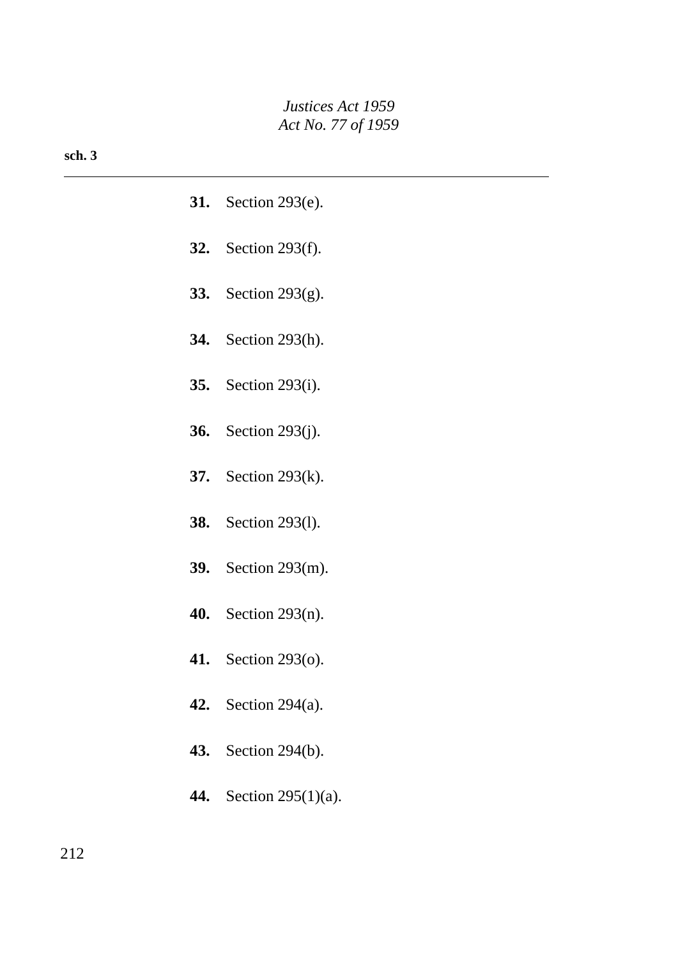#### **sch. 3**

- **31.** Section 293(e).
- **32.** Section 293(f).
- **33.** Section 293(g).
- **34.** Section 293(h).
- **35.** Section 293(i).
- **36.** Section 293(j).
- **37.** Section 293(k).
- **38.** Section 293(l).
- **39.** Section 293(m).
- **40.** Section 293(n).
- **41.** Section 293(o).
- **42.** Section 294(a).
- **43.** Section 294(b).
- **44.** Section 295(1)(a).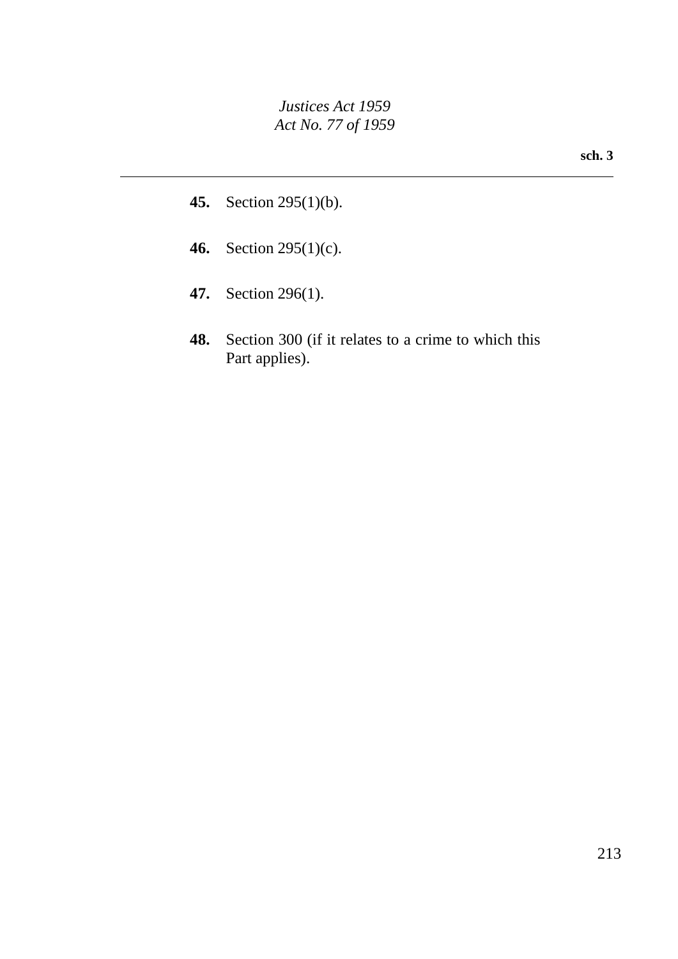- **45.** Section 295(1)(b).
- **46.** Section 295(1)(c).
- **47.** Section 296(1).
- **48.** Section 300 (if it relates to a crime to which this Part applies).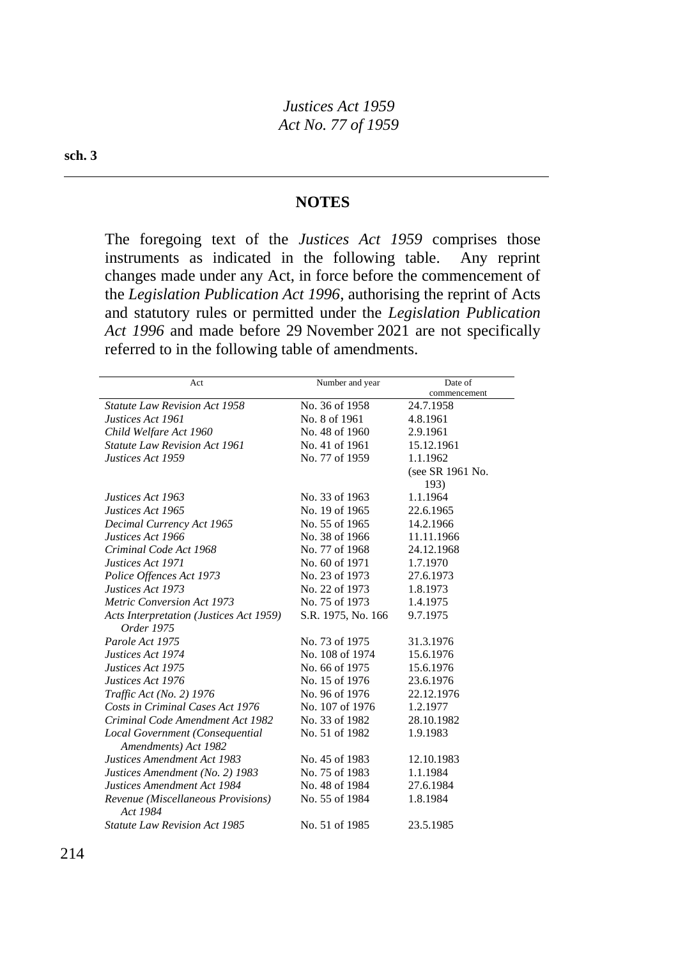#### **NOTES**

The foregoing text of the *Justices Act 1959* comprises those instruments as indicated in the following table. Any reprint changes made under any Act, in force before the commencement of the *Legislation Publication Act 1996*, authorising the reprint of Acts and statutory rules or permitted under the *Legislation Publication Act 1996* and made before 29 November 2021 are not specifically referred to in the following table of amendments.

| Act                                            | Number and year    | Date of          |
|------------------------------------------------|--------------------|------------------|
|                                                |                    | commencement     |
| <b>Statute Law Revision Act 1958</b>           | No. 36 of 1958     | 24.7.1958        |
| Justices Act 1961                              | No. 8 of 1961      | 4.8.1961         |
| Child Welfare Act 1960                         | No. 48 of 1960     | 2.9.1961         |
| <b>Statute Law Revision Act 1961</b>           | No. 41 of 1961     | 15.12.1961       |
| Justices Act 1959                              | No. 77 of 1959     | 1.1.1962         |
|                                                |                    | (see SR 1961 No. |
|                                                |                    | 193)             |
| Justices Act 1963                              | No. 33 of 1963     | 1.1.1964         |
| Justices Act 1965                              | No. 19 of 1965     | 22.6.1965        |
| Decimal Currency Act 1965                      | No. 55 of 1965     | 14.2.1966        |
| Justices Act 1966                              | No. 38 of 1966     | 11.11.1966       |
| Criminal Code Act 1968                         | No. 77 of 1968     | 24.12.1968       |
| Justices Act 1971                              | No. 60 of 1971     | 1.7.1970         |
| Police Offences Act 1973                       | No. 23 of 1973     | 27.6.1973        |
| Justices Act 1973                              | No. 22 of 1973     | 1.8.1973         |
| <b>Metric Conversion Act 1973</b>              | No. 75 of 1973     | 1.4.1975         |
| <b>Acts Interpretation (Justices Act 1959)</b> | S.R. 1975, No. 166 | 9.7.1975         |
| Order 1975                                     |                    |                  |
| Parole Act 1975                                | No. 73 of 1975     | 31.3.1976        |
| Justices Act 1974                              | No. 108 of 1974    | 15.6.1976        |
| Justices Act 1975                              | No. 66 of 1975     | 15.6.1976        |
| Justices Act 1976                              | No. 15 of 1976     | 23.6.1976        |
| Traffic Act (No. 2) 1976                       | No. 96 of 1976     | 22.12.1976       |
| Costs in Criminal Cases Act 1976               | No. 107 of 1976    | 1.2.1977         |
| Criminal Code Amendment Act 1982               | No. 33 of 1982     | 28.10.1982       |
| Local Government (Consequential                | No. 51 of 1982     | 1.9.1983         |
| Amendments) Act 1982                           |                    |                  |
| Justices Amendment Act 1983                    | No. 45 of 1983     | 12.10.1983       |
| Justices Amendment (No. 2) 1983                | No. 75 of 1983     | 1.1.1984         |
| Justices Amendment Act 1984                    | No. 48 of 1984     | 27.6.1984        |
| Revenue (Miscellaneous Provisions)             | No. 55 of 1984     | 1.8.1984         |
| Act 1984                                       |                    |                  |
| <b>Statute Law Revision Act 1985</b>           | No. 51 of 1985     | 23.5.1985        |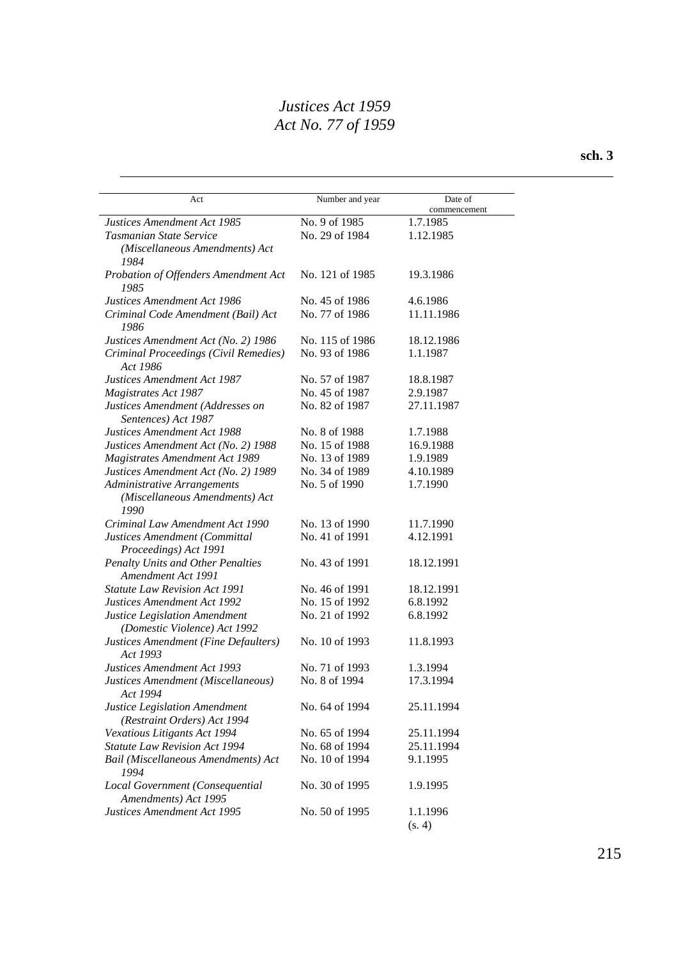#### **sch. 3**

| Act                                                            | Number and year | Date of            |
|----------------------------------------------------------------|-----------------|--------------------|
|                                                                |                 | commencement       |
| Justices Amendment Act 1985                                    | No. 9 of 1985   | 1.7.1985           |
| Tasmanian State Service                                        | No. 29 of 1984  | 1.12.1985          |
| (Miscellaneous Amendments) Act<br>1984                         |                 |                    |
| Probation of Offenders Amendment Act<br>1985                   | No. 121 of 1985 | 19.3.1986          |
| <b>Justices Amendment Act 1986</b>                             | No. 45 of 1986  | 4.6.1986           |
| Criminal Code Amendment (Bail) Act<br>1986                     | No. 77 of 1986  | 11.11.1986         |
| Justices Amendment Act (No. 2) 1986                            | No. 115 of 1986 | 18.12.1986         |
| Criminal Proceedings (Civil Remedies)<br>Act 1986              | No. 93 of 1986  | 1.1.1987           |
| Justices Amendment Act 1987                                    | No. 57 of 1987  | 18.8.1987          |
| Magistrates Act 1987                                           | No. 45 of 1987  | 2.9.1987           |
| Justices Amendment (Addresses on<br>Sentences) Act 1987        | No. 82 of 1987  | 27.11.1987         |
| Justices Amendment Act 1988                                    | No. 8 of 1988   | 1.7.1988           |
| Justices Amendment Act (No. 2) 1988                            | No. 15 of 1988  | 16.9.1988          |
| Magistrates Amendment Act 1989                                 | No. 13 of 1989  | 1.9.1989           |
| Justices Amendment Act (No. 2) 1989                            | No. 34 of 1989  | 4.10.1989          |
| Administrative Arrangements                                    | No. 5 of 1990   | 1.7.1990           |
| (Miscellaneous Amendments) Act<br>1990                         |                 |                    |
| Criminal Law Amendment Act 1990                                | No. 13 of 1990  | 11.7.1990          |
| Justices Amendment (Committal<br>Proceedings) Act 1991         | No. 41 of 1991  | 4.12.1991          |
| <b>Penalty Units and Other Penalties</b><br>Amendment Act 1991 | No. 43 of 1991  | 18.12.1991         |
| <b>Statute Law Revision Act 1991</b>                           | No. 46 of 1991  | 18.12.1991         |
| Justices Amendment Act 1992                                    | No. 15 of 1992  | 6.8.1992           |
| Justice Legislation Amendment                                  | No. 21 of 1992  | 6.8.1992           |
| (Domestic Violence) Act 1992                                   |                 |                    |
| Justices Amendment (Fine Defaulters)<br>Act 1993               | No. 10 of 1993  | 11.8.1993          |
| Justices Amendment Act 1993                                    | No. 71 of 1993  | 1.3.1994           |
| Justices Amendment (Miscellaneous)<br>Act 1994                 | No. 8 of 1994   | 17.3.1994          |
| Justice Legislation Amendment<br>(Restraint Orders) Act 1994   | No. 64 of 1994  | 25.11.1994         |
| Vexatious Litigants Act 1994                                   | No. 65 of 1994  | 25.11.1994         |
| <b>Statute Law Revision Act 1994</b>                           | No. 68 of 1994  | 25.11.1994         |
| Bail (Miscellaneous Amendments) Act<br>1994                    | No. 10 of 1994  | 9.1.1995           |
| Local Government (Consequential<br>Amendments) Act 1995        | No. 30 of 1995  | 1.9.1995           |
| Justices Amendment Act 1995                                    | No. 50 of 1995  | 1.1.1996<br>(s. 4) |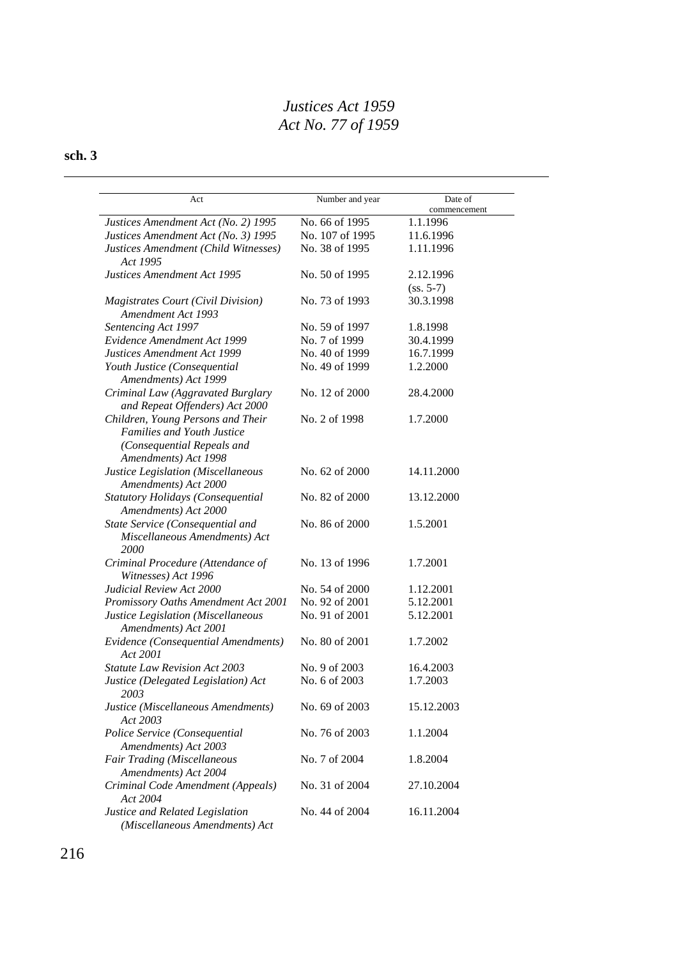## **sch. 3**

| Act                                                             | Number and year | Date of                  |
|-----------------------------------------------------------------|-----------------|--------------------------|
| Justices Amendment Act (No. 2) 1995                             | No. 66 of 1995  | commencement<br>1.1.1996 |
| Justices Amendment Act (No. 3) 1995                             | No. 107 of 1995 | 11.6.1996                |
| Justices Amendment (Child Witnesses)                            | No. 38 of 1995  | 1.11.1996                |
| Act 1995                                                        |                 |                          |
| Justices Amendment Act 1995                                     | No. 50 of 1995  | 2.12.1996                |
|                                                                 |                 | $(ss. 5-7)$              |
| <b>Magistrates Court (Civil Division)</b><br>Amendment Act 1993 | No. 73 of 1993  | 30.3.1998                |
| Sentencing Act 1997                                             | No. 59 of 1997  | 1.8.1998                 |
| Evidence Amendment Act 1999                                     | No. 7 of 1999   | 30.4.1999                |
| Justices Amendment Act 1999                                     | No. 40 of 1999  | 16.7.1999                |
| Youth Justice (Consequential<br>Amendments) Act 1999            | No. 49 of 1999  | 1.2.2000                 |
| Criminal Law (Aggravated Burglary                               | No. 12 of 2000  | 28.4.2000                |
| and Repeat Offenders) Act 2000                                  |                 |                          |
| Children, Young Persons and Their                               | No. 2 of 1998   | 1.7.2000                 |
| <b>Families and Youth Justice</b>                               |                 |                          |
| (Consequential Repeals and                                      |                 |                          |
| Amendments) Act 1998                                            |                 |                          |
| Justice Legislation (Miscellaneous<br>Amendments) Act 2000      | No. 62 of 2000  | 14.11.2000               |
| <b>Statutory Holidays (Consequential</b>                        | No. 82 of 2000  | 13.12.2000               |
| Amendments) Act 2000                                            |                 |                          |
| State Service (Consequential and                                | No. 86 of 2000  | 1.5.2001                 |
| Miscellaneous Amendments) Act<br>2000                           |                 |                          |
| Criminal Procedure (Attendance of                               | No. 13 of 1996  | 1.7.2001                 |
| Witnesses) Act 1996                                             |                 |                          |
| Judicial Review Act 2000                                        | No. 54 of 2000  | 1.12.2001                |
| Promissory Oaths Amendment Act 2001                             | No. 92 of 2001  | 5.12.2001                |
| Justice Legislation (Miscellaneous                              | No. 91 of 2001  | 5.12.2001                |
| Amendments) Act 2001                                            |                 |                          |
| Evidence (Consequential Amendments)                             | No. 80 of 2001  | 1.7.2002                 |
| Act 2001                                                        |                 |                          |
| Statute Law Revision Act 2003                                   | No. 9 of 2003   | 16.4.2003                |
| Justice (Delegated Legislation) Act                             | No. 6 of 2003   | 1.7.2003                 |
| 2003                                                            |                 |                          |
| Justice (Miscellaneous Amendments)<br>Act 2003                  | No. 69 of 2003  | 15.12.2003               |
| Police Service (Consequential                                   | No. 76 of 2003  | 1.1.2004                 |
| Amendments) Act 2003                                            |                 |                          |
| <b>Fair Trading (Miscellaneous</b>                              | No. 7 of 2004   | 1.8.2004                 |
| Amendments) Act 2004                                            |                 |                          |
| Criminal Code Amendment (Appeals)                               | No. 31 of 2004  | 27.10.2004               |
| Act 2004                                                        |                 |                          |
| Justice and Related Legislation                                 | No. 44 of 2004  | 16.11.2004               |
| (Miscellaneous Amendments) Act                                  |                 |                          |
|                                                                 |                 |                          |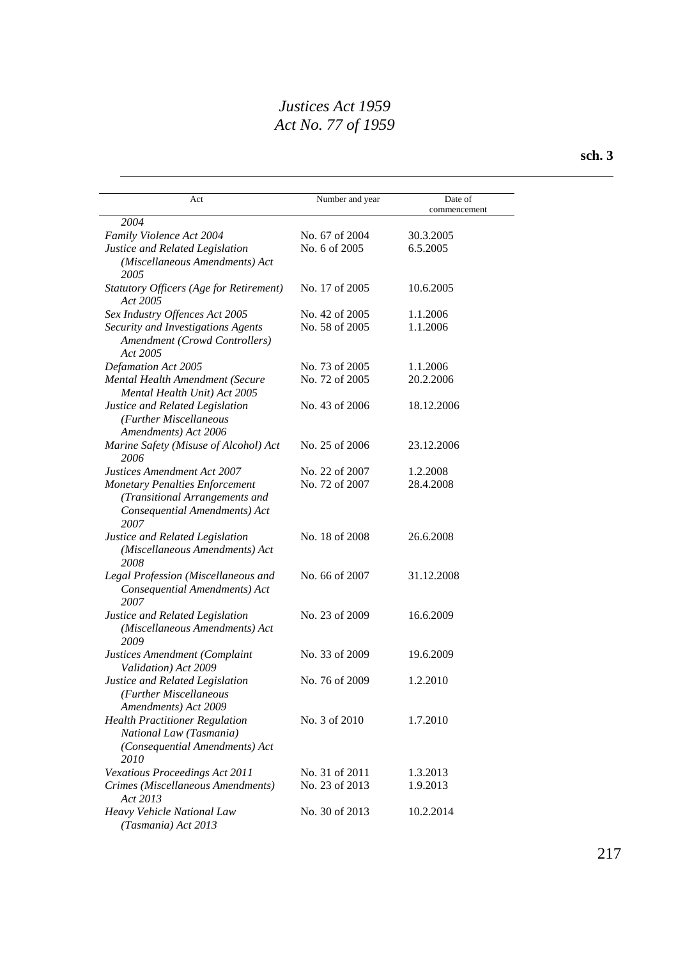| Act                                                                                                              | Number and year | Date of      |
|------------------------------------------------------------------------------------------------------------------|-----------------|--------------|
| 2004                                                                                                             |                 | commencement |
| Family Violence Act 2004                                                                                         | No. 67 of 2004  | 30.3.2005    |
| Justice and Related Legislation                                                                                  | No. 6 of 2005   | 6.5.2005     |
| (Miscellaneous Amendments) Act<br>2005                                                                           |                 |              |
| <b>Statutory Officers (Age for Retirement)</b><br>Act 2005                                                       | No. 17 of 2005  | 10.6.2005    |
| Sex Industry Offences Act 2005                                                                                   | No. 42 of 2005  | 1.1.2006     |
| Security and Investigations Agents<br>Amendment (Crowd Controllers)<br>Act 2005                                  | No. 58 of 2005  | 1.1.2006     |
| <b>Defamation Act 2005</b>                                                                                       | No. 73 of 2005  | 1.1.2006     |
| Mental Health Amendment (Secure<br>Mental Health Unit) Act 2005                                                  | No. 72 of 2005  | 20.2.2006    |
| Justice and Related Legislation<br>(Further Miscellaneous<br>Amendments) Act 2006                                | No. 43 of 2006  | 18.12.2006   |
| Marine Safety (Misuse of Alcohol) Act<br>2006                                                                    | No. 25 of 2006  | 23.12.2006   |
| Justices Amendment Act 2007                                                                                      | No. 22 of 2007  | 1.2.2008     |
| <b>Monetary Penalties Enforcement</b><br>(Transitional Arrangements and<br>Consequential Amendments) Act<br>2007 | No. 72 of 2007  | 28.4.2008    |
| Justice and Related Legislation<br>(Miscellaneous Amendments) Act<br>2008                                        | No. 18 of 2008  | 26.6.2008    |
| Legal Profession (Miscellaneous and<br>Consequential Amendments) Act<br>2007                                     | No. 66 of 2007  | 31.12.2008   |
| Justice and Related Legislation<br>(Miscellaneous Amendments) Act<br>2009                                        | No. 23 of 2009  | 16.6.2009    |
| Justices Amendment (Complaint<br>Validation) Act 2009                                                            | No. 33 of 2009  | 19.6.2009    |
| Justice and Related Legislation<br>(Further Miscellaneous<br>Amendments) Act 2009                                | No. 76 of 2009  | 1.2.2010     |
| <b>Health Practitioner Regulation</b><br>National Law (Tasmania)<br>(Consequential Amendments) Act<br>2010       | No. 3 of 2010   | 1.7.2010     |
| Vexatious Proceedings Act 2011                                                                                   | No. 31 of 2011  | 1.3.2013     |
| Crimes (Miscellaneous Amendments)<br>Act 2013                                                                    | No. 23 of 2013  | 1.9.2013     |
| Heavy Vehicle National Law<br>(Tasmania) Act 2013                                                                | No. 30 of 2013  | 10.2.2014    |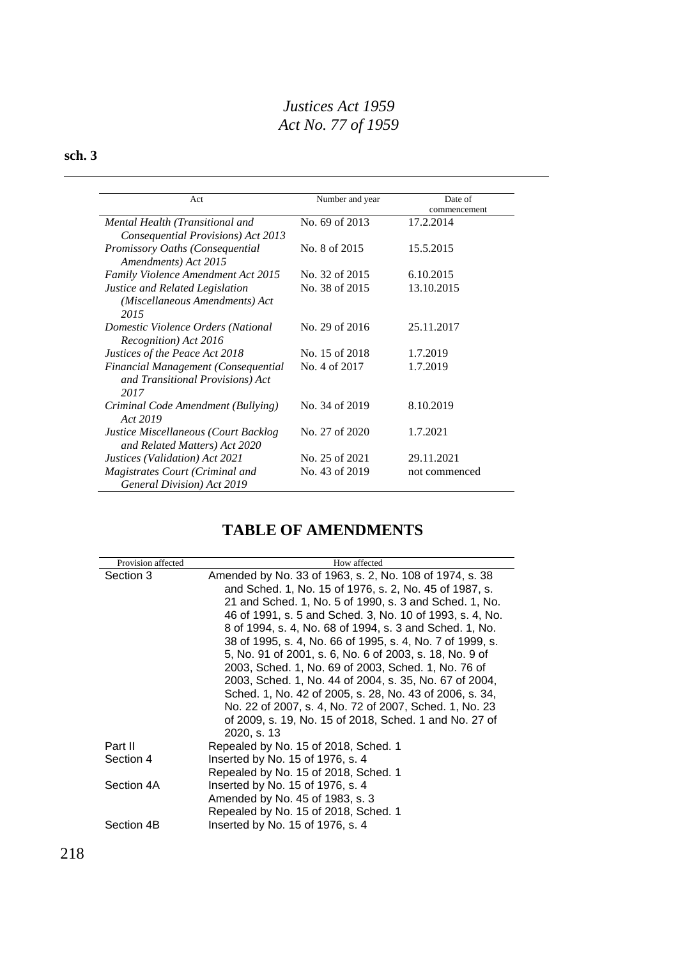# **sch. 3**

| Act                                                                             | Number and year | Date of<br>commencement |
|---------------------------------------------------------------------------------|-----------------|-------------------------|
| Mental Health (Transitional and<br>Consequential Provisions) Act 2013           | No. 69 of 2013  | 17.2.2014               |
| Promissory Oaths (Consequential<br>Amendments) Act 2015                         | No. 8 of 2015   | 15.5.2015               |
| <b>Family Violence Amendment Act 2015</b>                                       | No. 32 of 2015  | 6.10.2015               |
| Justice and Related Legislation<br>(Miscellaneous Amendments) Act<br>2015       | No. 38 of 2015  | 13.10.2015              |
| Domestic Violence Orders (National<br>Recognition) Act 2016                     | No. 29 of 2016  | 25.11.2017              |
| Justices of the Peace Act 2018                                                  | No. 15 of 2018  | 1.7.2019                |
| Financial Management (Consequential<br>and Transitional Provisions) Act<br>2017 | No. 4 of 2017   | 1.7.2019                |
| Criminal Code Amendment (Bullying)<br>Act 2019                                  | No. 34 of 2019  | 8.10.2019               |
| Justice Miscellaneous (Court Backlog<br>and Related Matters) Act 2020           | No. 27 of 2020  | 1.7.2021                |
| Justices (Validation) Act 2021                                                  | No. 25 of 2021  | 29.11.2021              |
| Magistrates Court (Criminal and<br>General Division) Act 2019                   | No. 43 of 2019  | not commenced           |

# **TABLE OF AMENDMENTS**

| Provision affected | How affected                                                                                                                                                                                                                                                                                                                                                                                                               |
|--------------------|----------------------------------------------------------------------------------------------------------------------------------------------------------------------------------------------------------------------------------------------------------------------------------------------------------------------------------------------------------------------------------------------------------------------------|
| Section 3          | Amended by No. 33 of 1963, s. 2, No. 108 of 1974, s. 38<br>and Sched. 1, No. 15 of 1976, s. 2, No. 45 of 1987, s.<br>21 and Sched. 1, No. 5 of 1990, s. 3 and Sched. 1, No.<br>46 of 1991, s. 5 and Sched. 3, No. 10 of 1993, s. 4, No.<br>8 of 1994, s. 4, No. 68 of 1994, s. 3 and Sched. 1, No.<br>38 of 1995, s. 4, No. 66 of 1995, s. 4, No. 7 of 1999, s.<br>5, No. 91 of 2001, s. 6, No. 6 of 2003, s. 18, No. 9 of |
|                    | 2003, Sched. 1, No. 69 of 2003, Sched. 1, No. 76 of<br>2003, Sched. 1, No. 44 of 2004, s. 35, No. 67 of 2004,<br>Sched. 1, No. 42 of 2005, s. 28, No. 43 of 2006, s. 34,<br>No. 22 of 2007, s. 4, No. 72 of 2007, Sched. 1, No. 23<br>of 2009, s. 19, No. 15 of 2018, Sched. 1 and No. 27 of<br>2020, s. 13                                                                                                                |
| Part II            | Repealed by No. 15 of 2018, Sched. 1                                                                                                                                                                                                                                                                                                                                                                                       |
| Section 4          | Inserted by No. 15 of 1976, s. 4<br>Repealed by No. 15 of 2018, Sched. 1                                                                                                                                                                                                                                                                                                                                                   |
| Section 4A         | Inserted by No. 15 of 1976, s. 4<br>Amended by No. 45 of 1983, s. 3<br>Repealed by No. 15 of 2018, Sched. 1                                                                                                                                                                                                                                                                                                                |
| Section 4B         | Inserted by No. 15 of 1976, s. 4                                                                                                                                                                                                                                                                                                                                                                                           |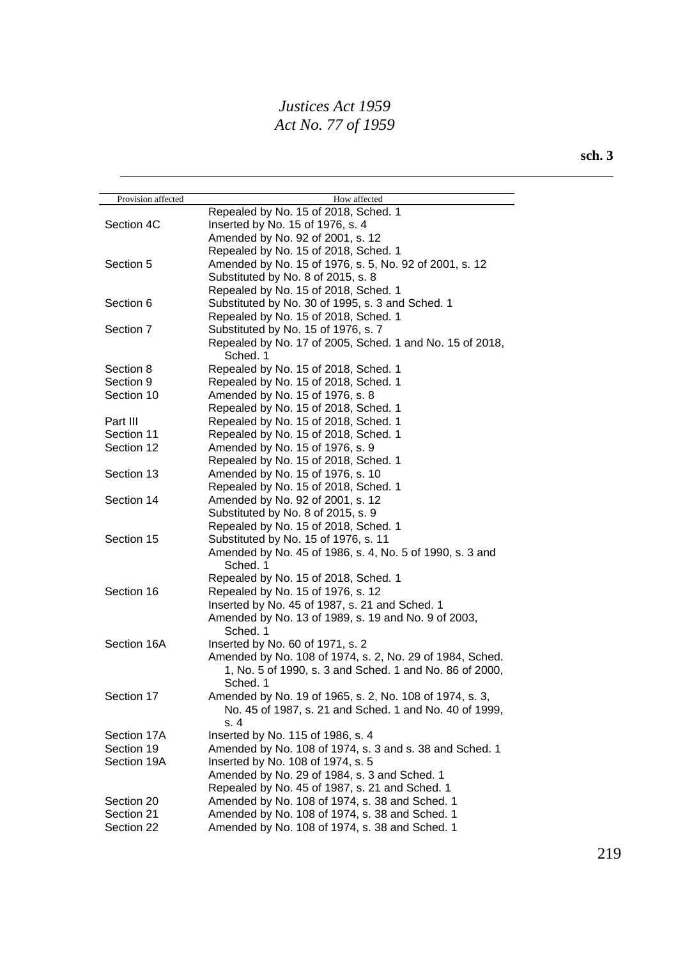| Provision affected | How affected                                             |
|--------------------|----------------------------------------------------------|
|                    | Repealed by No. 15 of 2018, Sched. 1                     |
| Section 4C         | Inserted by No. 15 of 1976, s. 4                         |
|                    | Amended by No. 92 of 2001, s. 12                         |
|                    | Repealed by No. 15 of 2018, Sched. 1                     |
| Section 5          | Amended by No. 15 of 1976, s. 5, No. 92 of 2001, s. 12   |
|                    | Substituted by No. 8 of 2015, s. 8                       |
|                    | Repealed by No. 15 of 2018, Sched. 1                     |
| Section 6          | Substituted by No. 30 of 1995, s. 3 and Sched. 1         |
|                    | Repealed by No. 15 of 2018, Sched. 1                     |
| Section 7          | Substituted by No. 15 of 1976, s. 7                      |
|                    | Repealed by No. 17 of 2005, Sched. 1 and No. 15 of 2018, |
|                    | Sched. 1                                                 |
| Section 8          | Repealed by No. 15 of 2018, Sched. 1                     |
| Section 9          | Repealed by No. 15 of 2018, Sched. 1                     |
| Section 10         | Amended by No. 15 of 1976, s. 8                          |
|                    | Repealed by No. 15 of 2018, Sched. 1                     |
| Part III           | Repealed by No. 15 of 2018, Sched. 1                     |
| Section 11         | Repealed by No. 15 of 2018, Sched. 1                     |
| Section 12         | Amended by No. 15 of 1976, s. 9                          |
|                    | Repealed by No. 15 of 2018, Sched. 1                     |
| Section 13         | Amended by No. 15 of 1976, s. 10                         |
|                    | Repealed by No. 15 of 2018, Sched. 1                     |
| Section 14         | Amended by No. 92 of 2001, s. 12                         |
|                    | Substituted by No. 8 of 2015, s. 9                       |
|                    | Repealed by No. 15 of 2018, Sched. 1                     |
| Section 15         | Substituted by No. 15 of 1976, s. 11                     |
|                    | Amended by No. 45 of 1986, s. 4, No. 5 of 1990, s. 3 and |
|                    | Sched. 1                                                 |
|                    | Repealed by No. 15 of 2018, Sched. 1                     |
| Section 16         | Repealed by No. 15 of 1976, s. 12                        |
|                    | Inserted by No. 45 of 1987, s. 21 and Sched. 1           |
|                    | Amended by No. 13 of 1989, s. 19 and No. 9 of 2003,      |
|                    | Sched. 1                                                 |
| Section 16A        | Inserted by No. 60 of 1971, s. 2                         |
|                    | Amended by No. 108 of 1974, s. 2, No. 29 of 1984, Sched. |
|                    | 1, No. 5 of 1990, s. 3 and Sched. 1 and No. 86 of 2000,  |
|                    | Sched. 1                                                 |
| Section 17         | Amended by No. 19 of 1965, s. 2, No. 108 of 1974, s. 3,  |
|                    | No. 45 of 1987, s. 21 and Sched. 1 and No. 40 of 1999,   |
|                    | s.4                                                      |
| Section 17A        | Inserted by No. 115 of 1986, s. 4                        |
| Section 19         | Amended by No. 108 of 1974, s. 3 and s. 38 and Sched. 1  |
| Section 19A        | Inserted by No. 108 of 1974, s. 5                        |
|                    | Amended by No. 29 of 1984, s. 3 and Sched. 1             |
|                    | Repealed by No. 45 of 1987, s. 21 and Sched. 1           |
| Section 20         | Amended by No. 108 of 1974, s. 38 and Sched. 1           |
| Section 21         | Amended by No. 108 of 1974, s. 38 and Sched. 1           |
|                    |                                                          |
| Section 22         | Amended by No. 108 of 1974, s. 38 and Sched. 1           |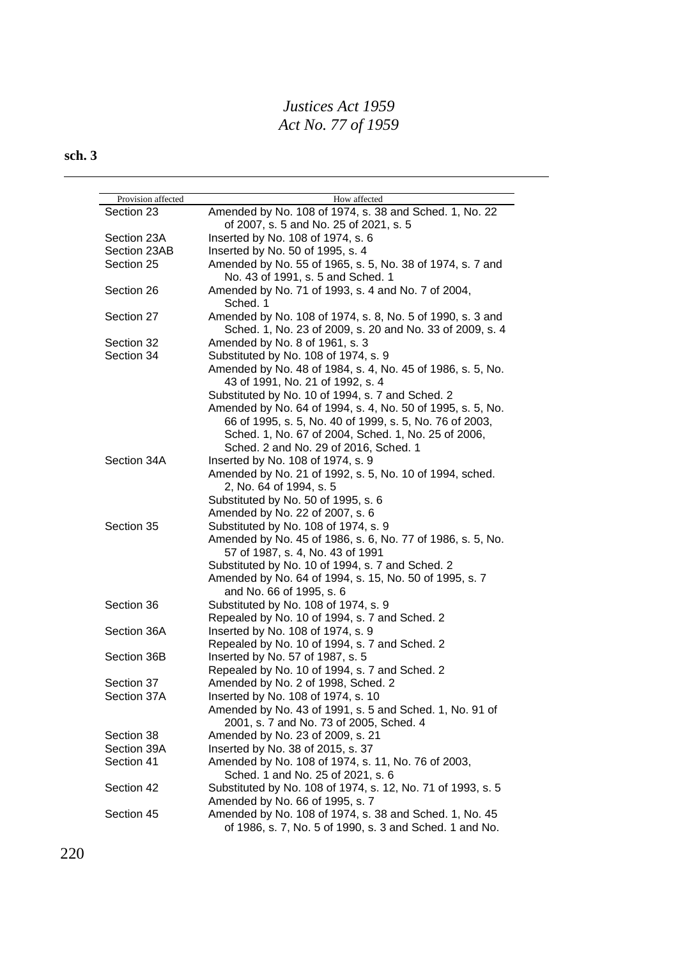| Provision affected | How affected                                                   |
|--------------------|----------------------------------------------------------------|
| Section 23         | Amended by No. 108 of 1974, s. 38 and Sched. 1, No. 22         |
|                    | of 2007, s. 5 and No. 25 of 2021, s. 5                         |
| Section 23A        | Inserted by No. 108 of 1974, s. 6                              |
| Section 23AB       | Inserted by No. 50 of 1995, s. 4                               |
| Section 25         | Amended by No. 55 of 1965, s. 5, No. 38 of 1974, s. 7 and      |
|                    | No. 43 of 1991, s. 5 and Sched. 1                              |
| Section 26         | Amended by No. 71 of 1993, s. 4 and No. 7 of 2004,<br>Sched. 1 |
| Section 27         | Amended by No. 108 of 1974, s. 8, No. 5 of 1990, s. 3 and      |
|                    | Sched. 1, No. 23 of 2009, s. 20 and No. 33 of 2009, s. 4       |
| Section 32         | Amended by No. 8 of 1961, s. 3                                 |
| Section 34         | Substituted by No. 108 of 1974, s. 9                           |
|                    | Amended by No. 48 of 1984, s. 4, No. 45 of 1986, s. 5, No.     |
|                    | 43 of 1991, No. 21 of 1992, s. 4                               |
|                    | Substituted by No. 10 of 1994, s. 7 and Sched. 2               |
|                    | Amended by No. 64 of 1994, s. 4, No. 50 of 1995, s. 5, No.     |
|                    | 66 of 1995, s. 5, No. 40 of 1999, s. 5, No. 76 of 2003,        |
|                    | Sched. 1, No. 67 of 2004, Sched. 1, No. 25 of 2006,            |
|                    | Sched. 2 and No. 29 of 2016, Sched. 1                          |
|                    |                                                                |
| Section 34A        | Inserted by No. 108 of 1974, s. 9                              |
|                    | Amended by No. 21 of 1992, s. 5, No. 10 of 1994, sched.        |
|                    | 2, No. 64 of 1994, s. 5                                        |
|                    | Substituted by No. 50 of 1995, s. 6                            |
|                    | Amended by No. 22 of 2007, s. 6                                |
| Section 35         | Substituted by No. 108 of 1974, s. 9                           |
|                    | Amended by No. 45 of 1986, s. 6, No. 77 of 1986, s. 5, No.     |
|                    | 57 of 1987, s. 4, No. 43 of 1991                               |
|                    | Substituted by No. 10 of 1994, s. 7 and Sched. 2               |
|                    | Amended by No. 64 of 1994, s. 15, No. 50 of 1995, s. 7         |
|                    | and No. 66 of 1995, s. 6                                       |
| Section 36         | Substituted by No. 108 of 1974, s. 9                           |
|                    | Repealed by No. 10 of 1994, s. 7 and Sched. 2                  |
| Section 36A        | Inserted by No. 108 of 1974, s. 9                              |
|                    | Repealed by No. 10 of 1994, s. 7 and Sched. 2                  |
| Section 36B        | Inserted by No. 57 of 1987, s. 5                               |
|                    | Repealed by No. 10 of 1994, s. 7 and Sched. 2                  |
| Section 37         | Amended by No. 2 of 1998, Sched. 2                             |
| Section 37A        | Inserted by No. 108 of 1974, s. 10                             |
|                    | Amended by No. 43 of 1991, s. 5 and Sched. 1, No. 91 of        |
|                    | 2001, s. 7 and No. 73 of 2005, Sched. 4                        |
| Section 38         | Amended by No. 23 of 2009, s. 21                               |
| Section 39A        | Inserted by No. 38 of 2015, s. 37                              |
| Section 41         | Amended by No. 108 of 1974, s. 11, No. 76 of 2003,             |
|                    | Sched. 1 and No. 25 of 2021, s. 6                              |
| Section 42         | Substituted by No. 108 of 1974, s. 12, No. 71 of 1993, s. 5    |
|                    | Amended by No. 66 of 1995, s. 7                                |
| Section 45         | Amended by No. 108 of 1974, s. 38 and Sched. 1, No. 45         |
|                    | of 1986, s. 7, No. 5 of 1990, s. 3 and Sched. 1 and No.        |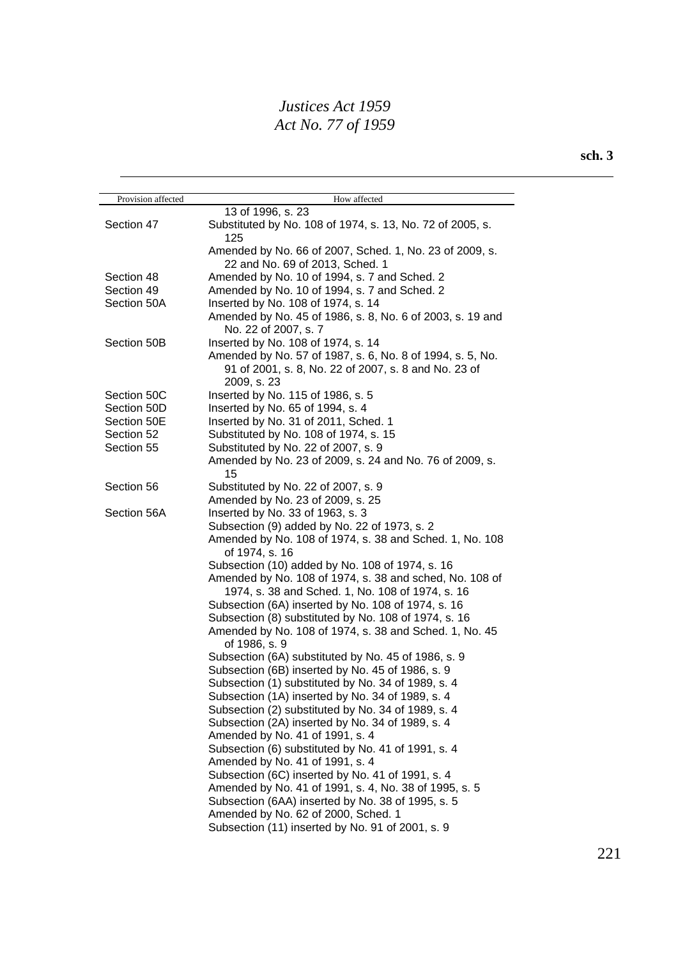| Provision affected | How affected                                                         |
|--------------------|----------------------------------------------------------------------|
|                    | 13 of 1996, s. 23                                                    |
| Section 47         | Substituted by No. 108 of 1974, s. 13, No. 72 of 2005, s.            |
|                    | 125                                                                  |
|                    | Amended by No. 66 of 2007, Sched. 1, No. 23 of 2009, s.              |
|                    | 22 and No. 69 of 2013, Sched. 1                                      |
| Section 48         | Amended by No. 10 of 1994, s. 7 and Sched. 2                         |
| Section 49         | Amended by No. 10 of 1994, s. 7 and Sched. 2                         |
| Section 50A        | Inserted by No. 108 of 1974, s. 14                                   |
|                    | Amended by No. 45 of 1986, s. 8, No. 6 of 2003, s. 19 and            |
|                    | No. 22 of 2007, s. 7                                                 |
| Section 50B        | Inserted by No. 108 of 1974, s. 14                                   |
|                    | Amended by No. 57 of 1987, s. 6, No. 8 of 1994, s. 5, No.            |
|                    | 91 of 2001, s. 8, No. 22 of 2007, s. 8 and No. 23 of                 |
|                    | 2009, s. 23                                                          |
| Section 50C        | Inserted by No. 115 of 1986, s. 5                                    |
| Section 50D        | Inserted by No. 65 of 1994, s. 4                                     |
| Section 50E        | Inserted by No. 31 of 2011, Sched. 1                                 |
| Section 52         | Substituted by No. 108 of 1974, s. 15                                |
| Section 55         | Substituted by No. 22 of 2007, s. 9                                  |
|                    | Amended by No. 23 of 2009, s. 24 and No. 76 of 2009, s.              |
|                    | 15                                                                   |
| Section 56         | Substituted by No. 22 of 2007, s. 9                                  |
|                    | Amended by No. 23 of 2009, s. 25                                     |
| Section 56A        | Inserted by No. 33 of 1963, s. 3                                     |
|                    | Subsection (9) added by No. 22 of 1973, s. 2                         |
|                    | Amended by No. 108 of 1974, s. 38 and Sched. 1, No. 108              |
|                    | of 1974, s. 16                                                       |
|                    | Subsection (10) added by No. 108 of 1974, s. 16                      |
|                    | Amended by No. 108 of 1974, s. 38 and sched, No. 108 of              |
|                    | 1974, s. 38 and Sched. 1, No. 108 of 1974, s. 16                     |
|                    | Subsection (6A) inserted by No. 108 of 1974, s. 16                   |
|                    | Subsection (8) substituted by No. 108 of 1974, s. 16                 |
|                    | Amended by No. 108 of 1974, s. 38 and Sched. 1, No. 45               |
|                    | of 1986, s. 9<br>Subsection (6A) substituted by No. 45 of 1986, s. 9 |
|                    | Subsection (6B) inserted by No. 45 of 1986, s. 9                     |
|                    | Subsection (1) substituted by No. 34 of 1989, s. 4                   |
|                    | Subsection (1A) inserted by No. 34 of 1989, s. 4                     |
|                    | Subsection (2) substituted by No. 34 of 1989, s. 4                   |
|                    | Subsection (2A) inserted by No. 34 of 1989, s. 4                     |
|                    | Amended by No. 41 of 1991, s. 4                                      |
|                    | Subsection (6) substituted by No. 41 of 1991, s. 4                   |
|                    | Amended by No. 41 of 1991, s. 4                                      |
|                    | Subsection (6C) inserted by No. 41 of 1991, s. 4                     |
|                    | Amended by No. 41 of 1991, s. 4, No. 38 of 1995, s. 5                |
|                    | Subsection (6AA) inserted by No. 38 of 1995, s. 5                    |
|                    | Amended by No. 62 of 2000, Sched. 1                                  |
|                    | Subsection (11) inserted by No. 91 of 2001, s. 9                     |
|                    |                                                                      |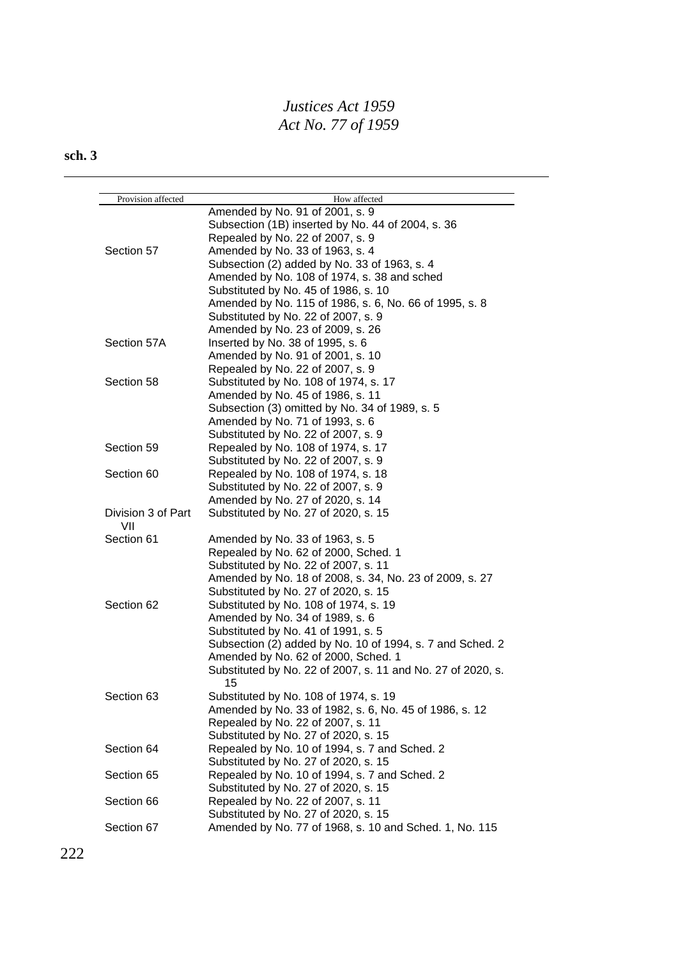| Provision affected | How affected                                                      |
|--------------------|-------------------------------------------------------------------|
|                    | Amended by No. 91 of 2001, s. 9                                   |
|                    | Subsection (1B) inserted by No. 44 of 2004, s. 36                 |
|                    | Repealed by No. 22 of 2007, s. 9                                  |
| Section 57         | Amended by No. 33 of 1963, s. 4                                   |
|                    | Subsection (2) added by No. 33 of 1963, s. 4                      |
|                    | Amended by No. 108 of 1974, s. 38 and sched                       |
|                    | Substituted by No. 45 of 1986, s. 10                              |
|                    | Amended by No. 115 of 1986, s. 6, No. 66 of 1995, s. 8            |
|                    | Substituted by No. 22 of 2007, s. 9                               |
|                    | Amended by No. 23 of 2009, s. 26                                  |
| Section 57A        | Inserted by No. 38 of 1995, s. 6                                  |
|                    | Amended by No. 91 of 2001, s. 10                                  |
|                    | Repealed by No. 22 of 2007, s. 9                                  |
|                    |                                                                   |
| Section 58         | Substituted by No. 108 of 1974, s. 17                             |
|                    | Amended by No. 45 of 1986, s. 11                                  |
|                    | Subsection (3) omitted by No. 34 of 1989, s. 5                    |
|                    | Amended by No. 71 of 1993, s. 6                                   |
|                    | Substituted by No. 22 of 2007, s. 9                               |
| Section 59         | Repealed by No. 108 of 1974, s. 17                                |
|                    | Substituted by No. 22 of 2007, s. 9                               |
| Section 60         | Repealed by No. 108 of 1974, s. 18                                |
|                    | Substituted by No. 22 of 2007, s. 9                               |
|                    | Amended by No. 27 of 2020, s. 14                                  |
| Division 3 of Part | Substituted by No. 27 of 2020, s. 15                              |
| VII                |                                                                   |
| Section 61         | Amended by No. 33 of 1963, s. 5                                   |
|                    | Repealed by No. 62 of 2000, Sched. 1                              |
|                    | Substituted by No. 22 of 2007, s. 11                              |
|                    | Amended by No. 18 of 2008, s. 34, No. 23 of 2009, s. 27           |
|                    | Substituted by No. 27 of 2020, s. 15                              |
| Section 62         | Substituted by No. 108 of 1974, s. 19                             |
|                    | Amended by No. 34 of 1989, s. 6                                   |
|                    | Substituted by No. 41 of 1991, s. 5                               |
|                    | Subsection (2) added by No. 10 of 1994, s. 7 and Sched. 2         |
|                    | Amended by No. 62 of 2000, Sched. 1                               |
|                    | Substituted by No. 22 of 2007, s. 11 and No. 27 of 2020, s.<br>15 |
| Section 63         | Substituted by No. 108 of 1974, s. 19                             |
|                    | Amended by No. 33 of 1982, s. 6, No. 45 of 1986, s. 12            |
|                    | Repealed by No. 22 of 2007, s. 11                                 |
|                    | Substituted by No. 27 of 2020, s. 15                              |
| Section 64         | Repealed by No. 10 of 1994, s. 7 and Sched. 2                     |
|                    | Substituted by No. 27 of 2020, s. 15                              |
| Section 65         | Repealed by No. 10 of 1994, s. 7 and Sched. 2                     |
|                    | Substituted by No. 27 of 2020, s. 15                              |
| Section 66         | Repealed by No. 22 of 2007, s. 11                                 |
|                    | Substituted by No. 27 of 2020, s. 15                              |
| Section 67         | Amended by No. 77 of 1968, s. 10 and Sched. 1, No. 115            |
|                    |                                                                   |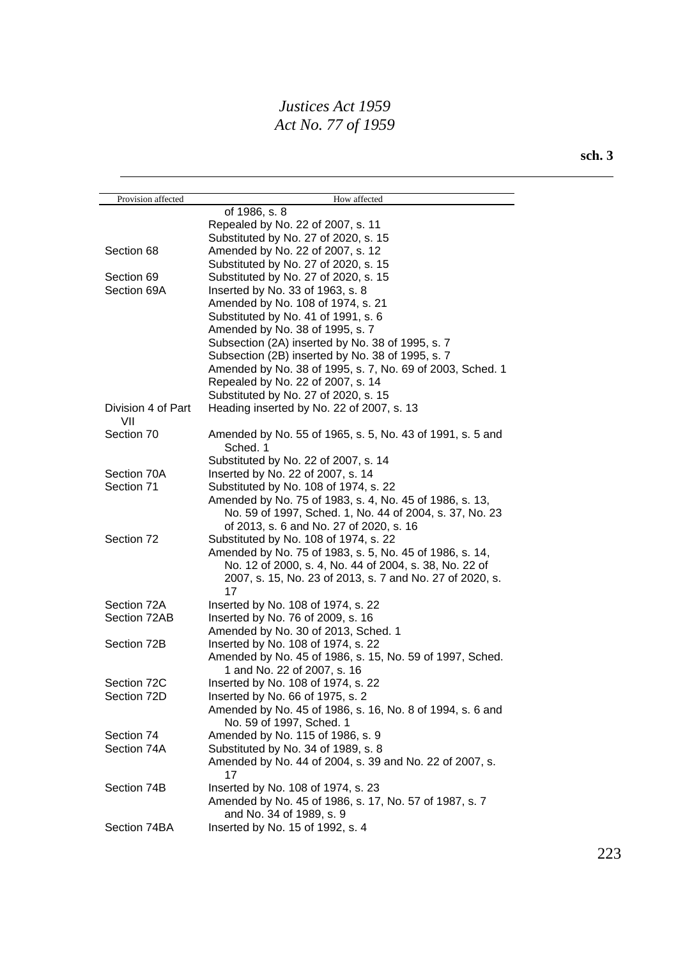| Provision affected | How affected                                              |
|--------------------|-----------------------------------------------------------|
|                    | of 1986, s. 8                                             |
|                    | Repealed by No. 22 of 2007, s. 11                         |
|                    | Substituted by No. 27 of 2020, s. 15                      |
| Section 68         | Amended by No. 22 of 2007, s. 12                          |
|                    | Substituted by No. 27 of 2020, s. 15                      |
| Section 69         | Substituted by No. 27 of 2020, s. 15                      |
| Section 69A        | Inserted by No. 33 of 1963, s. 8                          |
|                    | Amended by No. 108 of 1974, s. 21                         |
|                    | Substituted by No. 41 of 1991, s. 6                       |
|                    | Amended by No. 38 of 1995, s. 7                           |
|                    | Subsection (2A) inserted by No. 38 of 1995, s. 7          |
|                    | Subsection (2B) inserted by No. 38 of 1995, s. 7          |
|                    | Amended by No. 38 of 1995, s. 7, No. 69 of 2003, Sched. 1 |
|                    | Repealed by No. 22 of 2007, s. 14                         |
|                    | Substituted by No. 27 of 2020, s. 15                      |
| Division 4 of Part | Heading inserted by No. 22 of 2007, s. 13                 |
| VII                |                                                           |
| Section 70         | Amended by No. 55 of 1965, s. 5, No. 43 of 1991, s. 5 and |
|                    | Sched. 1                                                  |
|                    | Substituted by No. 22 of 2007, s. 14                      |
| Section 70A        | Inserted by No. 22 of 2007, s. 14                         |
| Section 71         | Substituted by No. 108 of 1974, s. 22                     |
|                    | Amended by No. 75 of 1983, s. 4, No. 45 of 1986, s. 13,   |
|                    | No. 59 of 1997, Sched. 1, No. 44 of 2004, s. 37, No. 23   |
|                    | of 2013, s. 6 and No. 27 of 2020, s. 16                   |
| Section 72         | Substituted by No. 108 of 1974, s. 22                     |
|                    | Amended by No. 75 of 1983, s. 5, No. 45 of 1986, s. 14,   |
|                    | No. 12 of 2000, s. 4, No. 44 of 2004, s. 38, No. 22 of    |
|                    | 2007, s. 15, No. 23 of 2013, s. 7 and No. 27 of 2020, s.  |
|                    | 17                                                        |
| Section 72A        | Inserted by No. 108 of 1974, s. 22                        |
| Section 72AB       | Inserted by No. 76 of 2009, s. 16                         |
|                    | Amended by No. 30 of 2013, Sched. 1                       |
| Section 72B        | Inserted by No. 108 of 1974, s. 22                        |
|                    | Amended by No. 45 of 1986, s. 15, No. 59 of 1997, Sched.  |
|                    | 1 and No. 22 of 2007, s. 16                               |
| Section 72C        | Inserted by No. 108 of 1974, s. 22                        |
| Section 72D        | Inserted by No. 66 of 1975, s. 2                          |
|                    | Amended by No. 45 of 1986, s. 16, No. 8 of 1994, s. 6 and |
|                    | No. 59 of 1997, Sched. 1                                  |
| Section 74         | Amended by No. 115 of 1986, s. 9                          |
| Section 74A        | Substituted by No. 34 of 1989, s. 8                       |
|                    | Amended by No. 44 of 2004, s. 39 and No. 22 of 2007, s.   |
|                    | 17                                                        |
| Section 74B        | Inserted by No. 108 of 1974, s. 23                        |
|                    | Amended by No. 45 of 1986, s. 17, No. 57 of 1987, s. 7    |
|                    | and No. 34 of 1989, s. 9                                  |
| Section 74BA       | Inserted by No. 15 of 1992, s. 4                          |
|                    |                                                           |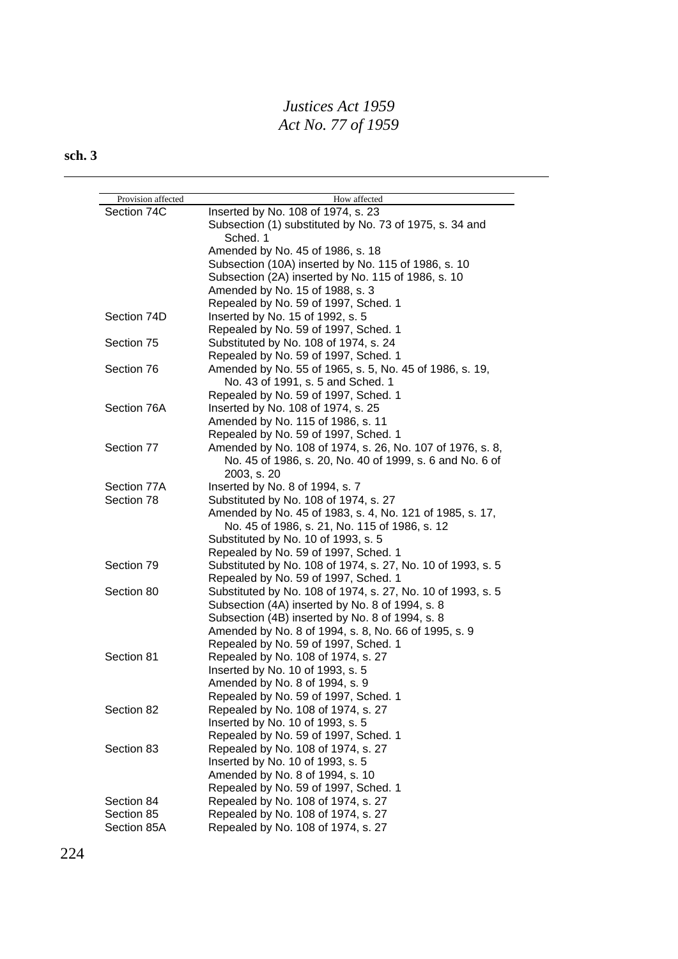| Provision affected<br>Section 74C | How affected<br>Inserted by No. 108 of 1974, s. 23          |
|-----------------------------------|-------------------------------------------------------------|
|                                   | Subsection (1) substituted by No. 73 of 1975, s. 34 and     |
|                                   | Sched. 1                                                    |
|                                   | Amended by No. 45 of 1986, s. 18                            |
|                                   | Subsection (10A) inserted by No. 115 of 1986, s. 10         |
|                                   | Subsection (2A) inserted by No. 115 of 1986, s. 10          |
|                                   | Amended by No. 15 of 1988, s. 3                             |
|                                   | Repealed by No. 59 of 1997, Sched. 1                        |
| Section 74D                       | Inserted by No. 15 of 1992, s. 5                            |
|                                   | Repealed by No. 59 of 1997, Sched. 1                        |
| Section 75                        | Substituted by No. 108 of 1974, s. 24                       |
|                                   | Repealed by No. 59 of 1997, Sched. 1                        |
| Section 76                        | Amended by No. 55 of 1965, s. 5, No. 45 of 1986, s. 19,     |
|                                   | No. 43 of 1991, s. 5 and Sched. 1                           |
|                                   | Repealed by No. 59 of 1997, Sched. 1                        |
| Section 76A                       | Inserted by No. 108 of 1974, s. 25                          |
|                                   | Amended by No. 115 of 1986, s. 11                           |
|                                   | Repealed by No. 59 of 1997, Sched. 1                        |
| Section 77                        | Amended by No. 108 of 1974, s. 26, No. 107 of 1976, s. 8,   |
|                                   | No. 45 of 1986, s. 20, No. 40 of 1999, s. 6 and No. 6 of    |
|                                   | 2003, s. 20                                                 |
| Section 77A                       | Inserted by No. 8 of 1994, s. 7                             |
| Section 78                        | Substituted by No. 108 of 1974, s. 27                       |
|                                   | Amended by No. 45 of 1983, s. 4, No. 121 of 1985, s. 17,    |
|                                   | No. 45 of 1986, s. 21, No. 115 of 1986, s. 12               |
|                                   | Substituted by No. 10 of 1993, s. 5                         |
|                                   | Repealed by No. 59 of 1997, Sched. 1                        |
| Section 79                        | Substituted by No. 108 of 1974, s. 27, No. 10 of 1993, s. 5 |
|                                   | Repealed by No. 59 of 1997, Sched. 1                        |
| Section 80                        | Substituted by No. 108 of 1974, s. 27, No. 10 of 1993, s. 5 |
|                                   | Subsection (4A) inserted by No. 8 of 1994, s. 8             |
|                                   | Subsection (4B) inserted by No. 8 of 1994, s. 8             |
|                                   | Amended by No. 8 of 1994, s. 8, No. 66 of 1995, s. 9        |
|                                   | Repealed by No. 59 of 1997, Sched. 1                        |
| Section 81                        | Repealed by No. 108 of 1974, s. 27                          |
|                                   | Inserted by No. 10 of 1993, s. 5                            |
|                                   | Amended by No. 8 of 1994, s. 9                              |
|                                   | Repealed by No. 59 of 1997, Sched. 1                        |
| Section 82                        | Repealed by No. 108 of 1974, s. 27                          |
|                                   | Inserted by No. 10 of 1993, s. 5                            |
|                                   | Repealed by No. 59 of 1997, Sched. 1                        |
| Section 83                        | Repealed by No. 108 of 1974, s. 27                          |
|                                   | Inserted by No. 10 of 1993, s. 5                            |
|                                   | Amended by No. 8 of 1994, s. 10                             |
|                                   | Repealed by No. 59 of 1997, Sched. 1                        |
| Section 84                        | Repealed by No. 108 of 1974, s. 27                          |
| Section 85                        | Repealed by No. 108 of 1974, s. 27                          |
| Section 85A                       | Repealed by No. 108 of 1974, s. 27                          |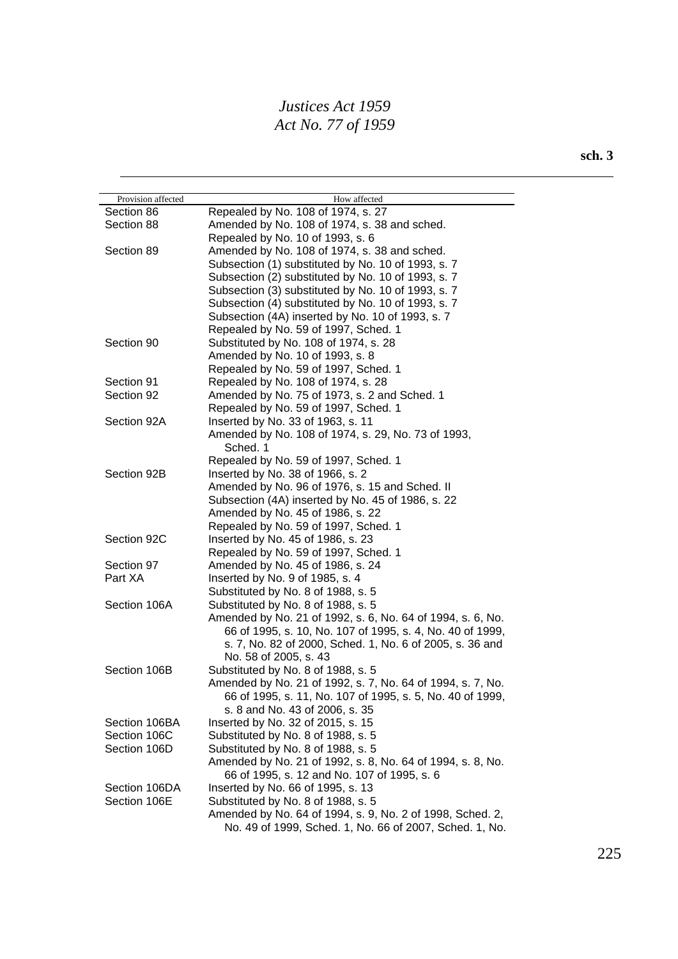| Provision affected | How affected                                               |
|--------------------|------------------------------------------------------------|
| Section 86         | Repealed by No. 108 of 1974, s. 27                         |
| Section 88         | Amended by No. 108 of 1974, s. 38 and sched.               |
|                    | Repealed by No. 10 of 1993, s. 6                           |
| Section 89         | Amended by No. 108 of 1974, s. 38 and sched.               |
|                    | Subsection (1) substituted by No. 10 of 1993, s. 7         |
|                    | Subsection (2) substituted by No. 10 of 1993, s. 7         |
|                    | Subsection (3) substituted by No. 10 of 1993, s. 7         |
|                    | Subsection (4) substituted by No. 10 of 1993, s. 7         |
|                    | Subsection (4A) inserted by No. 10 of 1993, s. 7           |
|                    | Repealed by No. 59 of 1997, Sched. 1                       |
| Section 90         | Substituted by No. 108 of 1974, s. 28                      |
|                    | Amended by No. 10 of 1993, s. 8                            |
|                    | Repealed by No. 59 of 1997, Sched. 1                       |
| Section 91         | Repealed by No. 108 of 1974, s. 28                         |
| Section 92         | Amended by No. 75 of 1973, s. 2 and Sched. 1               |
|                    | Repealed by No. 59 of 1997, Sched. 1                       |
| Section 92A        | Inserted by No. 33 of 1963, s. 11                          |
|                    | Amended by No. 108 of 1974, s. 29, No. 73 of 1993,         |
|                    | Sched. 1                                                   |
|                    | Repealed by No. 59 of 1997, Sched. 1                       |
| Section 92B        | Inserted by No. 38 of 1966, s. 2                           |
|                    | Amended by No. 96 of 1976, s. 15 and Sched. II             |
|                    | Subsection (4A) inserted by No. 45 of 1986, s. 22          |
|                    | Amended by No. 45 of 1986, s. 22                           |
|                    | Repealed by No. 59 of 1997, Sched. 1                       |
| Section 92C        | Inserted by No. 45 of 1986, s. 23                          |
|                    | Repealed by No. 59 of 1997, Sched. 1                       |
| Section 97         | Amended by No. 45 of 1986, s. 24                           |
| Part XA            | Inserted by No. 9 of 1985, s. 4                            |
|                    | Substituted by No. 8 of 1988, s. 5                         |
| Section 106A       | Substituted by No. 8 of 1988, s. 5                         |
|                    | Amended by No. 21 of 1992, s. 6, No. 64 of 1994, s. 6, No. |
|                    | 66 of 1995, s. 10, No. 107 of 1995, s. 4, No. 40 of 1999,  |
|                    | s. 7, No. 82 of 2000, Sched. 1, No. 6 of 2005, s. 36 and   |
|                    | No. 58 of 2005, s. 43                                      |
| Section 106B       | Substituted by No. 8 of 1988, s. 5                         |
|                    | Amended by No. 21 of 1992, s. 7, No. 64 of 1994, s. 7, No. |
|                    | 66 of 1995, s. 11, No. 107 of 1995, s. 5, No. 40 of 1999,  |
|                    | s. 8 and No. 43 of 2006, s. 35                             |
| Section 106BA      | Inserted by No. 32 of 2015, s. 15                          |
| Section 106C       | Substituted by No. 8 of 1988, s. 5                         |
| Section 106D       | Substituted by No. 8 of 1988, s. 5                         |
|                    | Amended by No. 21 of 1992, s. 8, No. 64 of 1994, s. 8, No. |
|                    | 66 of 1995, s. 12 and No. 107 of 1995, s. 6                |
| Section 106DA      | Inserted by No. 66 of 1995, s. 13                          |
| Section 106E       | Substituted by No. 8 of 1988, s. 5                         |
|                    | Amended by No. 64 of 1994, s. 9, No. 2 of 1998, Sched. 2,  |
|                    | No. 49 of 1999, Sched. 1, No. 66 of 2007, Sched. 1, No.    |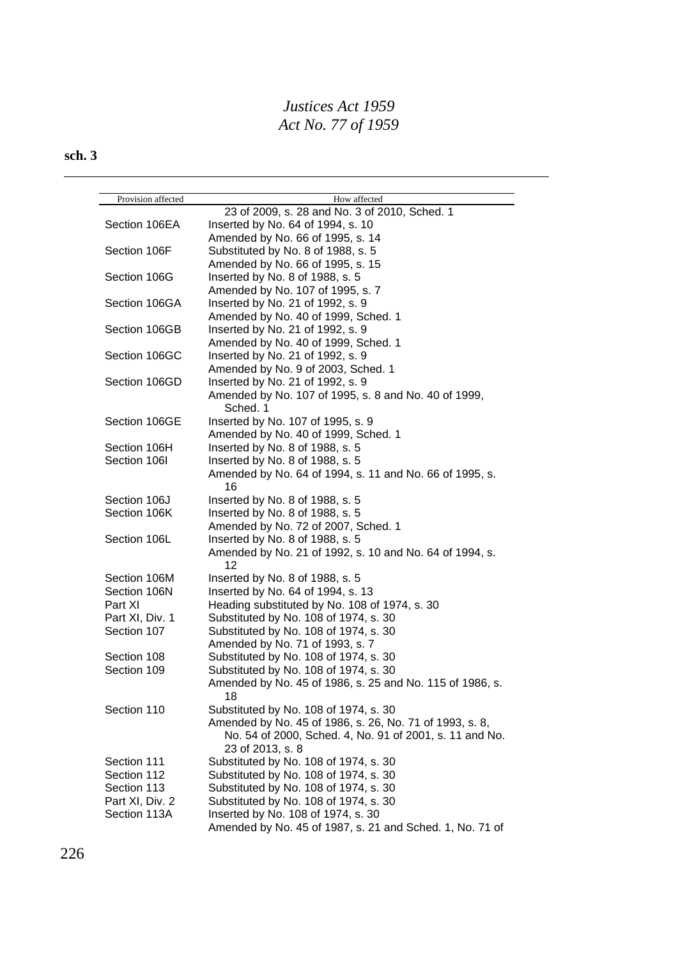| Provision affected | How affected                                                     |
|--------------------|------------------------------------------------------------------|
|                    | 23 of 2009, s. 28 and No. 3 of 2010, Sched. 1                    |
| Section 106EA      | Inserted by No. 64 of 1994, s. 10                                |
|                    | Amended by No. 66 of 1995, s. 14                                 |
| Section 106F       | Substituted by No. 8 of 1988, s. 5                               |
|                    | Amended by No. 66 of 1995, s. 15                                 |
| Section 106G       | Inserted by No. 8 of 1988, s. 5                                  |
|                    | Amended by No. 107 of 1995, s. 7                                 |
| Section 106GA      | Inserted by No. 21 of 1992, s. 9                                 |
|                    | Amended by No. 40 of 1999, Sched. 1                              |
| Section 106GB      | Inserted by No. 21 of 1992, s. 9                                 |
|                    | Amended by No. 40 of 1999, Sched. 1                              |
| Section 106GC      | Inserted by No. 21 of 1992, s. 9                                 |
|                    | Amended by No. 9 of 2003, Sched. 1                               |
| Section 106GD      |                                                                  |
|                    | Inserted by No. 21 of 1992, s. 9                                 |
|                    | Amended by No. 107 of 1995, s. 8 and No. 40 of 1999,<br>Sched. 1 |
| Section 106GE      | Inserted by No. 107 of 1995, s. 9                                |
|                    | Amended by No. 40 of 1999, Sched. 1                              |
| Section 106H       | Inserted by No. 8 of 1988, s. 5                                  |
| Section 106I       | Inserted by No. 8 of 1988, s. 5                                  |
|                    | Amended by No. 64 of 1994, s. 11 and No. 66 of 1995, s.<br>16    |
| Section 106J       | Inserted by No. 8 of 1988, s. 5                                  |
| Section 106K       | Inserted by No. 8 of 1988, s. 5                                  |
|                    | Amended by No. 72 of 2007, Sched. 1                              |
| Section 106L       | Inserted by No. 8 of 1988, s. 5                                  |
|                    | Amended by No. 21 of 1992, s. 10 and No. 64 of 1994, s.          |
|                    | 12                                                               |
| Section 106M       | Inserted by No. 8 of 1988, s. 5                                  |
| Section 106N       | Inserted by No. 64 of 1994, s. 13                                |
| Part XI            | Heading substituted by No. 108 of 1974, s. 30                    |
| Part XI, Div. 1    | Substituted by No. 108 of 1974, s. 30                            |
| Section 107        | Substituted by No. 108 of 1974, s. 30                            |
|                    | Amended by No. 71 of 1993, s. 7                                  |
| Section 108        | Substituted by No. 108 of 1974, s. 30                            |
| Section 109        | Substituted by No. 108 of 1974, s. 30                            |
|                    | Amended by No. 45 of 1986, s. 25 and No. 115 of 1986, s.         |
| Section 110        | 18<br>Substituted by No. 108 of 1974, s. 30                      |
|                    | Amended by No. 45 of 1986, s. 26, No. 71 of 1993, s. 8,          |
|                    | No. 54 of 2000, Sched. 4, No. 91 of 2001, s. 11 and No.          |
|                    | 23 of 2013, s. 8                                                 |
| Section 111        | Substituted by No. 108 of 1974, s. 30                            |
| Section 112        | Substituted by No. 108 of 1974, s. 30                            |
| Section 113        | Substituted by No. 108 of 1974, s. 30                            |
| Part XI, Div. 2    | Substituted by No. 108 of 1974, s. 30                            |
| Section 113A       | Inserted by No. 108 of 1974, s. 30                               |
|                    | Amended by No. 45 of 1987, s. 21 and Sched. 1, No. 71 of         |
|                    |                                                                  |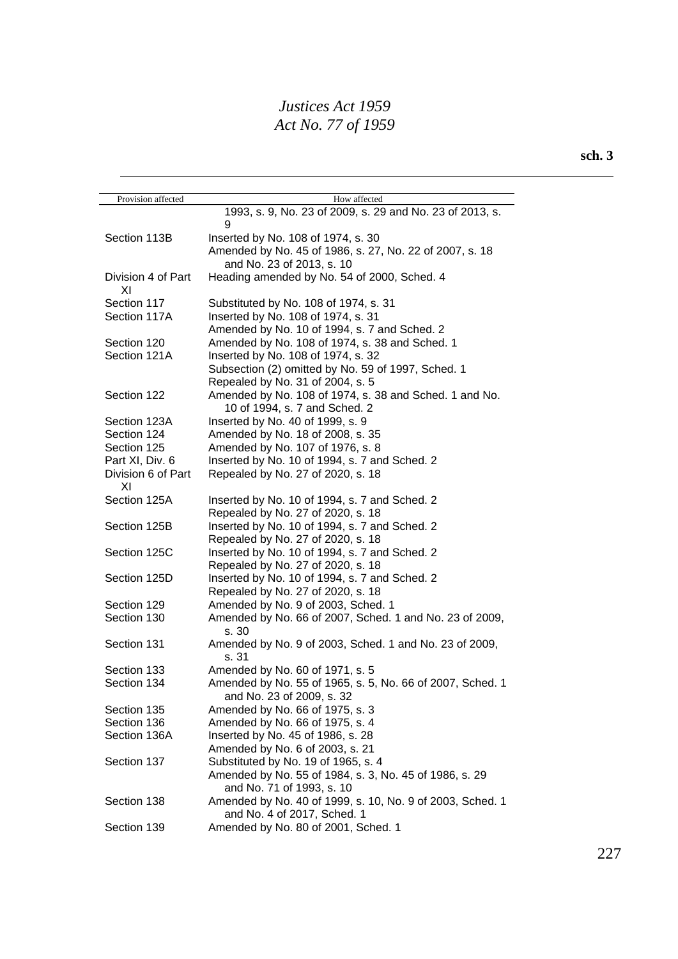| Provision affected             | How affected                                                         |
|--------------------------------|----------------------------------------------------------------------|
|                                | 1993, s. 9, No. 23 of 2009, s. 29 and No. 23 of 2013, s.             |
|                                | 9                                                                    |
| Section 113B                   | Inserted by No. 108 of 1974, s. 30                                   |
|                                | Amended by No. 45 of 1986, s. 27, No. 22 of 2007, s. 18              |
|                                | and No. 23 of 2013, s. 10                                            |
| Division 4 of Part             | Heading amended by No. 54 of 2000, Sched. 4                          |
| ΧI                             |                                                                      |
| Section 117                    | Substituted by No. 108 of 1974, s. 31                                |
| Section 117A                   | Inserted by No. 108 of 1974, s. 31                                   |
|                                | Amended by No. 10 of 1994, s. 7 and Sched. 2                         |
| Section 120                    | Amended by No. 108 of 1974, s. 38 and Sched. 1                       |
| Section 121A                   | Inserted by No. 108 of 1974, s. 32                                   |
|                                | Subsection (2) omitted by No. 59 of 1997, Sched. 1                   |
|                                | Repealed by No. 31 of 2004, s. 5                                     |
| Section 122                    | Amended by No. 108 of 1974, s. 38 and Sched. 1 and No.               |
|                                | 10 of 1994, s. 7 and Sched. 2                                        |
| Section 123A                   | Inserted by No. 40 of 1999, s. 9                                     |
| Section 124                    | Amended by No. 18 of 2008, s. 35<br>Amended by No. 107 of 1976, s. 8 |
| Section 125<br>Part XI, Div. 6 | Inserted by No. 10 of 1994, s. 7 and Sched. 2                        |
| Division 6 of Part             | Repealed by No. 27 of 2020, s. 18                                    |
| ΧI                             |                                                                      |
| Section 125A                   | Inserted by No. 10 of 1994, s. 7 and Sched. 2                        |
|                                | Repealed by No. 27 of 2020, s. 18                                    |
| Section 125B                   | Inserted by No. 10 of 1994, s. 7 and Sched. 2                        |
|                                | Repealed by No. 27 of 2020, s. 18                                    |
| Section 125C                   | Inserted by No. 10 of 1994, s. 7 and Sched. 2                        |
|                                | Repealed by No. 27 of 2020, s. 18                                    |
| Section 125D                   | Inserted by No. 10 of 1994, s. 7 and Sched. 2                        |
|                                | Repealed by No. 27 of 2020, s. 18                                    |
| Section 129                    | Amended by No. 9 of 2003, Sched. 1                                   |
| Section 130                    | Amended by No. 66 of 2007, Sched. 1 and No. 23 of 2009,              |
|                                | s.30                                                                 |
| Section 131                    | Amended by No. 9 of 2003, Sched. 1 and No. 23 of 2009,               |
|                                | s. 31                                                                |
| Section 133                    | Amended by No. 60 of 1971, s. 5                                      |
| Section 134                    | Amended by No. 55 of 1965, s. 5, No. 66 of 2007, Sched. 1            |
|                                | and No. 23 of 2009, s. 32                                            |
| Section 135                    | Amended by No. 66 of 1975, s. 3                                      |
| Section 136                    | Amended by No. 66 of 1975, s. 4                                      |
| Section 136A                   | Inserted by No. 45 of 1986, s. 28<br>Amended by No. 6 of 2003, s. 21 |
| Section 137                    | Substituted by No. 19 of 1965, s. 4                                  |
|                                | Amended by No. 55 of 1984, s. 3, No. 45 of 1986, s. 29               |
|                                | and No. 71 of 1993, s. 10                                            |
| Section 138                    | Amended by No. 40 of 1999, s. 10, No. 9 of 2003, Sched. 1            |
|                                | and No. 4 of 2017, Sched. 1                                          |
| Section 139                    | Amended by No. 80 of 2001, Sched. 1                                  |
|                                |                                                                      |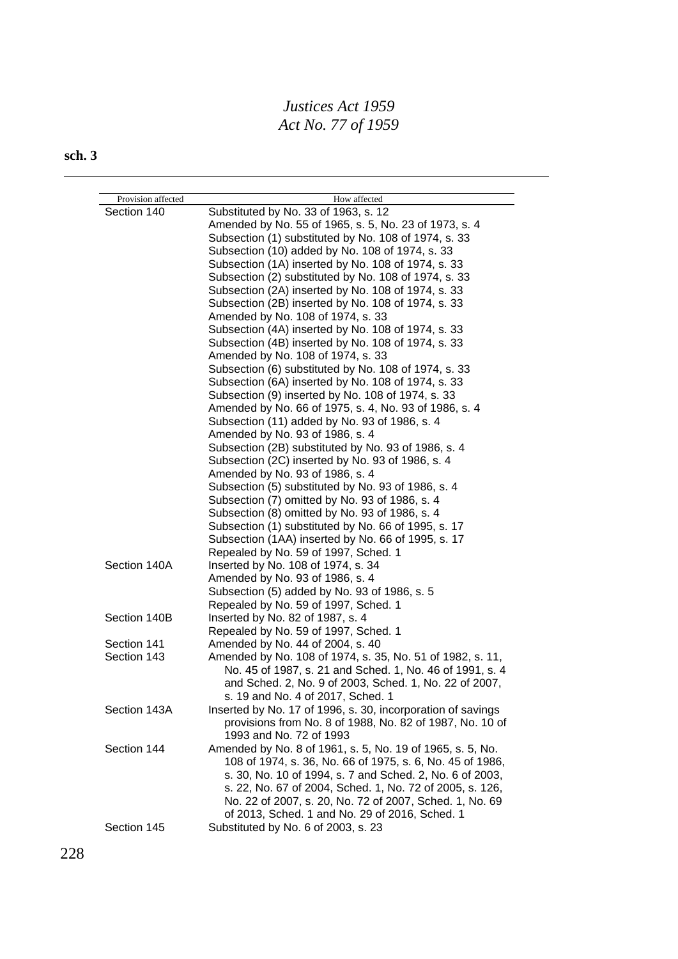| Provision affected | How affected                                                |
|--------------------|-------------------------------------------------------------|
| Section 140        | Substituted by No. 33 of 1963, s. 12                        |
|                    | Amended by No. 55 of 1965, s. 5, No. 23 of 1973, s. 4       |
|                    | Subsection (1) substituted by No. 108 of 1974, s. 33        |
|                    | Subsection (10) added by No. 108 of 1974, s. 33             |
|                    | Subsection (1A) inserted by No. 108 of 1974, s. 33          |
|                    | Subsection (2) substituted by No. 108 of 1974, s. 33        |
|                    |                                                             |
|                    | Subsection (2A) inserted by No. 108 of 1974, s. 33          |
|                    | Subsection (2B) inserted by No. 108 of 1974, s. 33          |
|                    | Amended by No. 108 of 1974, s. 33                           |
|                    | Subsection (4A) inserted by No. 108 of 1974, s. 33          |
|                    | Subsection (4B) inserted by No. 108 of 1974, s. 33          |
|                    | Amended by No. 108 of 1974, s. 33                           |
|                    | Subsection (6) substituted by No. 108 of 1974, s. 33        |
|                    | Subsection (6A) inserted by No. 108 of 1974, s. 33          |
|                    | Subsection (9) inserted by No. 108 of 1974, s. 33           |
|                    | Amended by No. 66 of 1975, s. 4, No. 93 of 1986, s. 4       |
|                    | Subsection (11) added by No. 93 of 1986, s. 4               |
|                    | Amended by No. 93 of 1986, s. 4                             |
|                    | Subsection (2B) substituted by No. 93 of 1986, s. 4         |
|                    | Subsection (2C) inserted by No. 93 of 1986, s. 4            |
|                    | Amended by No. 93 of 1986, s. 4                             |
|                    | Subsection (5) substituted by No. 93 of 1986, s. 4          |
|                    | Subsection (7) omitted by No. 93 of 1986, s. 4              |
|                    | Subsection (8) omitted by No. 93 of 1986, s. 4              |
|                    | Subsection (1) substituted by No. 66 of 1995, s. 17         |
|                    | Subsection (1AA) inserted by No. 66 of 1995, s. 17          |
|                    | Repealed by No. 59 of 1997, Sched. 1                        |
| Section 140A       | Inserted by No. 108 of 1974, s. 34                          |
|                    | Amended by No. 93 of 1986, s. 4                             |
|                    | Subsection (5) added by No. 93 of 1986, s. 5                |
|                    | Repealed by No. 59 of 1997, Sched. 1                        |
| Section 140B       | Inserted by No. 82 of 1987, s. 4                            |
|                    | Repealed by No. 59 of 1997, Sched. 1                        |
| Section 141        | Amended by No. 44 of 2004, s. 40                            |
| Section 143        | Amended by No. 108 of 1974, s. 35, No. 51 of 1982, s. 11,   |
|                    | No. 45 of 1987, s. 21 and Sched. 1, No. 46 of 1991, s. 4    |
|                    | and Sched. 2, No. 9 of 2003, Sched. 1, No. 22 of 2007,      |
|                    | s. 19 and No. 4 of 2017, Sched. 1                           |
| Section 143A       | Inserted by No. 17 of 1996, s. 30, incorporation of savings |
|                    | provisions from No. 8 of 1988, No. 82 of 1987, No. 10 of    |
|                    | 1993 and No. 72 of 1993                                     |
| Section 144        | Amended by No. 8 of 1961, s. 5, No. 19 of 1965, s. 5, No.   |
|                    | 108 of 1974, s. 36, No. 66 of 1975, s. 6, No. 45 of 1986,   |
|                    | s. 30, No. 10 of 1994, s. 7 and Sched. 2, No. 6 of 2003,    |
|                    | s. 22, No. 67 of 2004, Sched. 1, No. 72 of 2005, s. 126,    |
|                    | No. 22 of 2007, s. 20, No. 72 of 2007, Sched. 1, No. 69     |
|                    | of 2013, Sched. 1 and No. 29 of 2016, Sched. 1              |
| Section 145        | Substituted by No. 6 of 2003, s. 23                         |
|                    |                                                             |